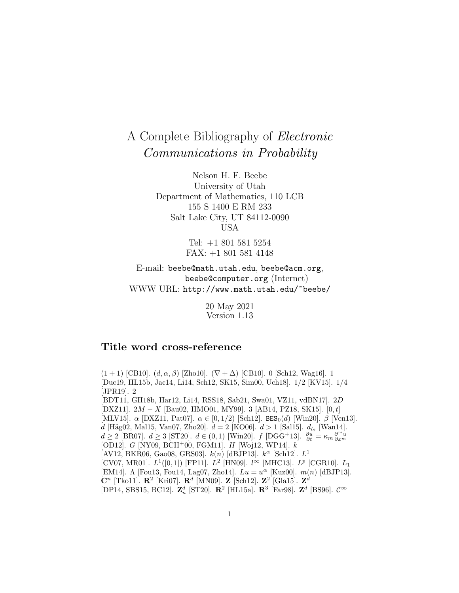# A Complete Bibliography of Electronic Communications in Probability

Nelson H. F. Beebe University of Utah Department of Mathematics, 110 LCB 155 S 1400 E RM 233 Salt Lake City, UT 84112-0090 USA

> Tel: +1 801 581 5254 FAX: +1 801 581 4148

E-mail: beebe@math.utah.edu, beebe@acm.org, beebe@computer.org (Internet) WWW URL: http://www.math.utah.edu/~beebe/

> 20 May 2021 Version 1.13

# **Title word cross-reference**

 $(1 + 1)$  [CB10].  $(d, \alpha, \beta)$  [Zho10].  $(\nabla + \Delta)$  [CB10]. 0 [Sch12, Wag16]. 1 [Duc19, HL15b, Jac14, Li14, Sch12, SK15, Sim00, Uch18]. 1/2 [KV15]. 1/4 [JPR19]. 2 [BDT11, GH18b, Har12, Li14, RSS18, Sab21, Swa01, VZ11, vdBN17]. 2D [DXZ11]. 2M − X [Bau02, HMO01, MY99]. 3 [AB14, PZ18, SK15]. [0, t] [MLV15].  $\alpha$  [DXZ11, Pat07].  $\alpha \in [0, 1/2)$  [Sch12]. BES<sub>0</sub>(d) [Win20].  $\beta$  [Ven13]. d [Häg02, Mal15, Van07, Zho20].  $d = 2$  [KO06].  $d > 1$  [Sal15].  $d_{l_2}$  [Wan14].  $d \geq 2$  [BR07].  $d \geq 3$  [ST20].  $d \in (0,1)$  [Win20].  $f$  [DGG<sup>+</sup>13].  $\frac{\partial u}{\partial t} = \kappa_m \frac{\partial^{m} u}{\partial x^m}$ [OD12]. G [NY09, BCH<sup>+</sup>00, FGM11]. H [Woj12, WP14].  $k$ [AV12, BKR06, Gao08, GRS03].  $k(n)$  [dBJP13].  $k^{\alpha}$  [Sch12].  $L^1$ [CV07, MR01].  $L^1([0,1])$  [FP11].  $L^2$  [HN09].  $l^{\infty}$  [MHC13].  $L^p$  [CGR10].  $L_1$ [EM14]. Λ [Fou13, Fou14, Lag07, Zho14].  $Lu = u^{\alpha}$  [Kuz00].  $m(n)$  [dBJP13]. **C**<sup>n</sup> [Tko11]. **R**<sup>2</sup> [Kri07]. **R**<sup>d</sup> [MN09]. **Z** [Sch12]. **Z**<sup>2</sup> [Gla15]. **Z**<sup>d</sup> [DP14, SBS15, BC12].  $\mathbf{Z}_n^d$  [ST20].  $\mathbf{R}^2$  [HL15a].  $\mathbf{R}^3$  [Far98].  $\mathbf{Z}^d$  [BS96].  $\mathcal{C}^{\infty}$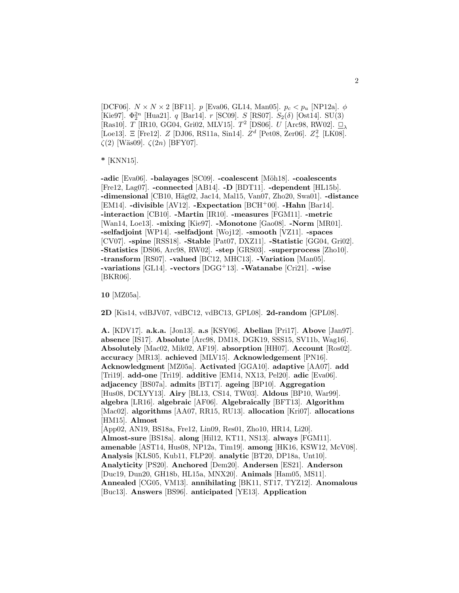[DCF06].  $N \times N \times 2$  [BF11]. p [Eva06, GL14, Man05].  $p_c < p_u$  [NP12a].  $\phi$ [Kie97]. $\Phi_2^{2n}$  [Hua21].  $q$  [Bar14].  $r$  [SC09].  $S$  [RS07].  $S_2(\delta)$  [Ost14]. SU(3) [Ras10]. T [IR10, GG04, Gri02, MLV15]. T<sup>2</sup> [DS06]. U [Arc98, RW02].  $\Box_{\lambda}$ [Loe13]. Ξ [Fre12].  $Z$  [DJ06, RS11a, Sin14].  $Z<sup>d</sup>$  [Pet08, Zer06].  $Z<sup>2</sup>$  [LK08].  $\zeta(2)$  [Wäs09].  $\zeta(2n)$  [BFY07].

**\*** [KNN15].

**-adic** [Eva06]. **-balayages** [SC09]. **-coalescent** [M¨oh18]. **-coalescents** [Fre12, Lag07]. **-connected** [AB14]. **-D** [BDT11]. **-dependent** [HL15b]. **-dimensional** [CB10, H¨ag02, Jac14, Mal15, Van07, Zho20, Swa01]. **-distance** [EM14]. **-divisible** [AV12]. **-Expectation** [BCH<sup>+</sup>00]. **-Hahn** [Bar14]. **-interaction** [CB10]. **-Martin** [IR10]. **-measures** [FGM11]. **-metric** [Wan14, Loe13]. **-mixing** [Kie97]. **-Monotone** [Gao08]. **-Norm** [MR01]. **-selfadjoint** [WP14]. **-selfadjont** [Woj12]. **-smooth** [VZ11]. **-spaces** [CV07]. **-spine** [RSS18]. **-Stable** [Pat07, DXZ11]. **-Statistic** [GG04, Gri02]. **-Statistics** [DS06, Arc98, RW02]. **-step** [GRS03]. **-superprocess** [Zho10]. **-transform** [RS07]. **-valued** [BC12, MHC13]. **-Variation** [Man05]. **-variations** [GL14]. **-vectors** [DGG<sup>+</sup>13]. **-Watanabe** [Cri21]. **-wise** [BKR06].

**10** [MZ05a].

**2D** [Kis14, vdBJV07, vdBC12, vdBC13, GPL08]. **2d-random** [GPL08].

**A.** [KDV17]. **a.k.a.** [Jon13]. **a.s** [KSY06]. **Abelian** [Pri17]. **Above** [Jan97]. **absence** [IS17]. **Absolute** [Arc98, DM18, DGK19, SSS15, SV11b, Wag16]. **Absolutely** [Mac02, Mik02, AF19]. **absorption** [HH07]. **Account** [Ros02]. **accuracy** [MR13]. **achieved** [MLV15]. **Acknowledgement** [PN16]. **Acknowledgment** [MZ05a]. **Activated** [GGA10]. **adaptive** [AA07]. **add** [Tri19]. **add-one** [Tri19]. **additive** [EM14, NX13, Pel20]. **adic** [Eva06]. **adjacency** [BS07a]. **admits** [BT17]. **ageing** [BP10]. **Aggregation** [Hus08, DCLYY13]. **Airy** [BL13, CS14, TW03]. **Aldous** [BP10, War99]. **algebra** [LR16]. **algebraic** [AF06]. **Algebraically** [BFT13]. **Algorithm** [Mac02]. **algorithms** [AA07, RR15, RU13]. **allocation** [Kri07]. **allocations** [HM15]. **Almost** [App02, AN19, BS18a, Fre12, Lin09, Res01, Zho10, HR14, Li20]. **Almost-sure** [BS18a]. **along** [Hil12, KT11, NS13]. **always** [FGM11]. **amenable** [AST14, Hus08, NP12a, Tim19]. **among** [HK16, KSW12, McV08]. **Analysis** [KLS05, Kub11, FLP20]. **analytic** [BT20, DP18a, Unt10]. **Analyticity** [PS20]. **Anchored** [Dem20]. **Andersen** [ES21]. **Anderson** [Duc19, Dun20, GH18b, HL15a, MNX20]. **Animals** [Ham05, MS11]. **Annealed** [CG05, VM13]. **annihilating** [BK11, ST17, TYZ12]. **Anomalous** [Buc13]. **Answers** [BS96]. **anticipated** [YE13]. **Application**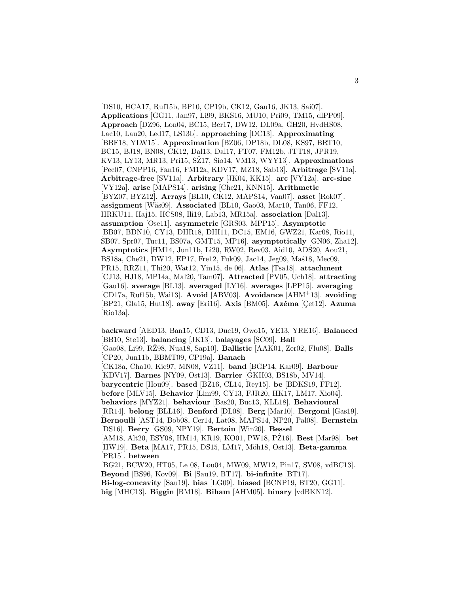[DS10, HCA17, Ruf15b, BP10, CP19b, CK12, Gau16, JK13, Sai07]. **Applications** [GG11, Jan97, Li99, BKS16, MU10, Pri09, TM15, dlPP09]. **Approach** [DZ96, Lon04, BC15, Ber17, DW12, DL09a, GH20, HvdHS08, Lac10, Lau20, Led17, LS13b]. **approaching** [DC13]. **Approximating** [BBF18, YLW15]. **Approximation** [BZ06, DP18b, DL08, KS97, BRT10, BC15, BJ18, BN08, CK12, Dal13, Dal17, FT07, FM12b, JTT18, JPR19, KV13, LY13, MR13, Pri15, SŽ17, Sio14, VM13, WYY13]. **Approximations** [Pec07, CNPP16, Fan16, FM12a, KDV17, MZ18, Sab13]. **Arbitrage** [SV11a]. **Arbitrage-free** [SV11a]. **Arbitrary** [JK04, KK15]. **arc** [VY12a]. **arc-sine** [VY12a]. **arise** [MAPS14]. **arising** [Che21, KNN15]. **Arithmetic** [BYZ07, BYZ12]. **Arrays** [BL10, CK12, MAPS14, Van07]. **asset** [Rok07]. **assignment** [Wäs09]. **Associated** [BL10, Gao03, Mar10, Tan06, FF12, HRKU11, Haj15, HCS08, Ili19, Lab13, MR15a]. **association** [Dal13]. **assumption** [Ose11]. **asymmetric** [GRS03, MPP15]. **Asymptotic** [BB07, BDN10, CY13, DHR18, DHI11, DC15, EM16, GWZ21, Kar08, Rio11, SB07, Spr07, Tuc11, BS07a, GMT15, MP16]. **asymptotically** [GN06, Zha12]. **Asymptotics** [HM14, Jun11b, Li20, RW02, Rev03, Aid10, ADS20, Aou21, BS18a, Che21, DW12, EP17, Fre12, Fuk09, Jac14, Jeg09, Mas18, Mec09, PR15, RRZ11, Thi20, Wat12, Yin15, de 06]. **Atlas** [Tsa18]. **attachment** [CJ13, HJ18, MP14a, Mal20, Tam07]. **Attracted** [PV05, Uch18]. **attracting** [Gau16]. **average** [BL13]. **averaged** [LY16]. **averages** [LPP15]. **averaging** [CD17a, Ruf15b, Wai13]. **Avoid** [ABV03]. **Avoidance** [AHM<sup>+</sup>13]. **avoiding** [BP21, Gla15, Hut18]. **away** [Eri16]. **Axis** [BM05]. **Azéma** [Cet12]. **Azuma** [Rio13a].

**backward** [AED13, Ban15, CD13, Duc19, Owo15, YE13, YRE16]. **Balanced** [BB10, Ste13]. **balancing** [JK13]. **balayages** [SC09]. **Ball** [Gao08, Li99, RZ98, Nua18, Sap10]. ˙ **Ballistic** [AAK01, Zer02, Flu08]. **Balls** [CP20, Jun11b, BBMT09, CP19a]. **Banach** [CK18a, Cha10, Kie97, MN08, VZ11]. **band** [BGP14, Kar09]. **Barbour** [KDV17]. **Barnes** [NY09, Ost13]. **Barrier** [GKH03, BS18b, MV14]. **barycentric** [Hou09]. **based** [BZ16, CL14, Rey15]. **be** [BDKS19, FF12]. **before** [MLV15]. **Behavior** [Lim99, CY13, FJR20, HK17, LM17, Xio04]. **behaviors** [MYZ21]. **behaviour** [Bas20, Buc13, KLL18]. **Behavioural** [RR14]. **belong** [BLL16]. **Benford** [DL08]. **Berg** [Mar10]. **Bergomi** [Gas19]. **Bernoulli** [AST14, Bob08, Cer14, Lat08, MAPS14, NP20, Pal08]. **Bernstein** [DS16]. **Berry** [GS09, NPY19]. **Bertoin** [Win20]. **Bessel** [AM18, Alt20, ESY08, HM14, KR19, KO01, PW18, PZ16]. ˙ **Best** [Mar98]. **bet** [HW19]. **Beta** [MA17, PR15, DS15, LM17, M¨oh18, Ost13]. **Beta-gamma** [PR15]. **between** [BG21, BCW20, HT05, Le 08, Lou04, MW09, MW12, Pin17, SV08, vdBC13]. **Beyond** [BS96, Kov09]. **Bi** [Sau19, BT17]. **bi-infinite** [BT17]. **Bi-log-concavity** [Sau19]. **bias** [LG09]. **biased** [BCNP19, BT20, GG11]. **big** [MHC13]. **Biggin** [BM18]. **Biham** [AHM05]. **binary** [vdBKN12].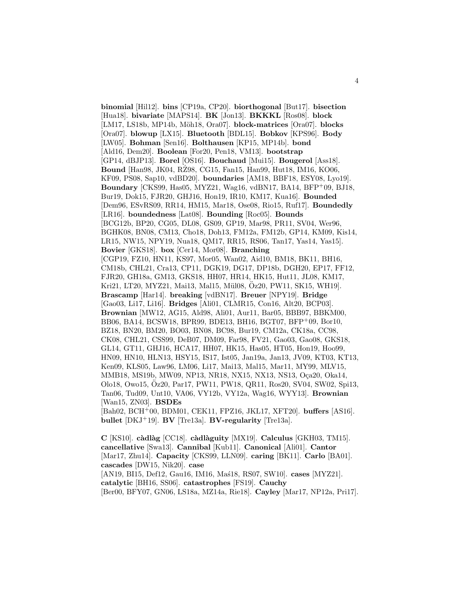**binomial** [Hil12]. **bins** [CP19a, CP20]. **biorthogonal** [But17]. **bisection** [Hua18]. **bivariate** [MAPS14]. **BK** [Jon13]. **BKKKL** [Ros08]. **block** [LM17, LS18b, MP14b, Möh18, Ora07]. **block-matrices** [Ora07]. **blocks** [Ora07]. **blowup** [LX15]. **Bluetooth** [BDL15]. **Bobkov** [KPS96]. **Body** [LW05]. **Bohman** [Sen16]. **Bolthausen** [KP15, MP14b]. **bond** [Ald16, Dem20]. **Boolean** [For20, Pen18, VM13]. **bootstrap** [GP14, dBJP13]. **Borel** [OS16]. **Bouchaud** [Mui15]. **Bougerol** [Ass18]. **Bound** [Han98, JK04, RZ98, CG15, Fan15, Han99, Hut18, IM16, KO06, KF09, PS08, Sap10, vdBD20]. **boundaries** [AM18, BBF18, ESY08, Lyo19]. **Boundary** [CKS99, Has05, MYZ21, Wag16, vdBN17, BA14, BFP<sup>+</sup>09, BJ18, Bur19, Dok15, FJR20, GHJ16, Hon19, IR10, KM17, Kua16]. **Bounded** [Dem96, ESvRS09, RR14, HM15, Mar18, Ose08, Rio15, Ruf17]. **Boundedly** [LR16]. **boundedness** [Lat08]. **Bounding** [Roc05]. **Bounds** [BCG12b, BP20, CG05, DL08, GS09, GP19, Mar98, PR11, SV04, Wer96, BGHK08, BN08, CM13, Cho18, Doh13, FM12a, FM12b, GP14, KM09, Kis14, LR15, NW15, NPY19, Nua18, QM17, RR15, RS06, Tan17, Yas14, Yas15]. **Bovier** [GKS18]. **box** [Cer14, Mor08]. **Branching** [CGP19, FZ10, HN11, KS97, Mor05, Wan02, Aid10, BM18, BK11, BH16, CM18b, CHL21, Cra13, CP11, DGK19, DG17, DP18b, DGH20, EP17, FF12, FJR20, GH18a, GM13, GKS18, HH07, HR14, HK15, Hut11, JL08, KM17, Kri21, LT20, MYZ21, Mai13, Mal15, Mül08, Öz20, PW11, SK15, WH19. **Brascamp** [Har14]. **breaking** [vdBN17]. **Breuer** [NPY19]. **Bridge** [Gao03, Li17, Li16]. **Bridges** [Ali01, CLMR15, Con16, Alt20, BCP03]. **Brownian** [MW12, AG15, Ald98, Ali01, Aur11, Bar05, BBB97, BBKM00, BB06, BA14, BCSW18, BPR99, BDE13, BH16, BGT07, BFP<sup>+</sup>09, Bor10, BZ18, BN20, BM20, BO03, BN08, BC98, Bur19, CM12a, CK18a, CC98, CK08, CHL21, CSS99, DeB07, DM09, Far98, FV21, Gao03, Gao08, GKS18, GL14, GT11, GHJ16, HCA17, HH07, HK15, Has05, HT05, Hon19, Hoo99, HN09, HN10, HLN13, HSY15, IS17, Ist05, Jan19a, Jan13, JV09, KT03, KT13, Ken09, KLS05, Law96, LM06, Li17, Mai13, Mal15, Mar11, MY99, MLV15, MMB18, MS19b, MW09, NP13, NR18, NX15, NX13, NS13, Oça20, Oka14, Olo18, Owo15, Oz20, Par17, PW11, PW18, QR11, Ros20, SV04, SW02, Spi13, ¨ Tan06, Tud09, Unt10, VA06, VY12b, VY12a, Wag16, WYY13]. **Brownian** [Wan15, ZN03]. **BSDEs** [Bah02, BCH<sup>+</sup>00, BDM01, CEK11, FPZ16, JKL17, XFT20]. **buffers** [AS16]. **bullet** [DKJ<sup>+</sup>19]. **BV** [Tre13a]. **BV-regularity** [Tre13a].

**C** [KS10]. **c`adl`ag** [CC18]. **c`adl`aguity** [MX19]. **Calculus** [GKH03, TM15]. **cancellative** [Swa13]. **Cannibal** [Kub11]. **Canonical** [Ali01]. **Cantor** [Mar17, Zhu14]. **Capacity** [CKS99, LLN09]. **caring** [BK11]. **Carlo** [BA01]. **cascades** [DW15, Nik20]. **case** [AN19, BI15, Def12, Gau16, IM16, Mas<sup>18</sup>, RS07, SW10]. **cases** [MYZ21]. **catalytic** [BH16, SS06]. **catastrophes** [FS19]. **Cauchy** [Ber00, BFY07, GN06, LS18a, MZ14a, Rie18]. **Cayley** [Mar17, NP12a, Pri17].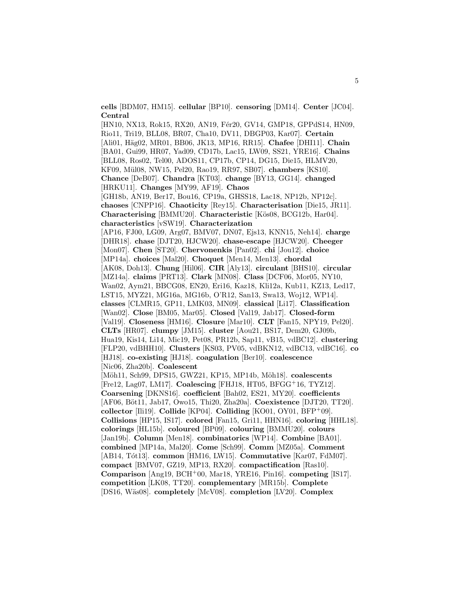**cells** [BDM07, HM15]. **cellular** [BP10]. **censoring** [DM14]. **Center** [JC04]. **Central**

[HN10, NX13, Rok15, RX20, AN19, Fér20, GV14, GMP18, GPPdS14, HN09, Rio11, Tri19, BLL08, BR07, Cha10, DV11, DBGP03, Kar07]. **Certain** [Ali01, H¨ag02, MR01, BB06, JK13, MP16, RR15]. **Chafee** [DHI11]. **Chain** [BA01, Gui99, HR07, Yad09, CD17b, Lac15, LW09, SS21, YRE16]. **Chains** [BLL08, Ros02, Tel00, ADOS11, CP17b, CP14, DG15, Die15, HLMV20, KF09, M¨ul08, NW15, Pel20, Rao19, RR97, SB07]. **chambers** [KS10]. **Chance** [DeB07]. **Chandra** [KT03]. **change** [BY13, GG14]. **changed** [HRKU11]. **Changes** [MY99, AF19]. **Chaos** [GH18b, AN19, Ber17, Bou16, CP19a, GHSS18, Lac18, NP12b, NP12c]. **chaoses** [CNPP16]. **Chaoticity** [Rey15]. **Characterisation** [Die15, JR11]. **Characterising** [BMMU20]. **Characteristic** [K¨os08, BCG12b, Har04]. **characteristics** [vSW19]. **Characterization** [AP16, FJ00, LG09, Arg07, BMV07, DN07, Ejs13, KNN15, Neh14]. **charge** [DHR18]. **chase** [DJT20, HJCW20]. **chase-escape** [HJCW20]. **Cheeger** [Mon07]. **Chen** [ST20]. **Chervonenkis** [Pan02]. **chi** [Jou12]. **choice** [MP14a]. **choices** [Mal20]. **Choquet** [Men14, Men13]. **chordal** [AK08, Doh13]. **Chung** [Hil06]. **CIR** [Aly13]. **circulant** [BHS10]. **circular** [MZ14a]. **claims** [PRT13]. **Clark** [MN08]. **Class** [DCF06, Mor05, NY10, Wan02, Aym21, BBCG08, EN20, Eri16, Kaz18, Kli12a, Kub11, KZ13, Led17, LST15, MYZ21, MG16a, MG16b, O'R12, San13, Swa13, Woj12, WP14]. **classes** [CLMR15, GP11, LMK03, MN09]. **classical** [Li17]. **Classification** [Wan02]. **Close** [BM05, Mar05]. **Closed** [Val19, Jab17]. **Closed-form** [Val19]. **Closeness** [HM16]. **Closure** [Mar10]. **CLT** [Fan15, NPY19, Pel20]. **CLTs** [HR07]. **clumpy** [JM15]. **cluster** [Aou21, BS17, Dem20, GJ09b, Hua19, Kis14, Li14, Mic19, Pet08, PR12b, Sap11, vB15, vdBC12]. **clustering** [FLP20, vdBHH10]. **Clusters** [KS03, PV05, vdBKN12, vdBC13, vdBC16]. **co** [HJ18]. **co-existing** [HJ18]. **coagulation** [Ber10]. **coalescence** [Nic06, Zha20b]. **Coalescent** [Möh11, Sch99, DPS15, GWZ21, KP15, MP14b, Möh18]. **coalescents** [Fre12, Lag07, LM17]. **Coalescing** [FHJ18, HT05, BFGG<sup>+</sup>16, TYZ12]. **Coarsening** [DKNS16]. **coefficient** [Bah02, ES21, MY20]. **coefficients** [AF06, Böt11, Jab17, Owo15, Thi20, Zha20a]. **Coexistence** [DJT20, TT20]. **collector** [Ili19]. **Collide** [KP04]. **Colliding** [KO01, OY01, BFP<sup>+</sup>09]. **Collisions** [HP15, IS17]. **colored** [Fan15, Gri11, HHN16]. **coloring** [HHL18]. **colorings** [HL15b]. **coloured** [BP09]. **colouring** [BMMU20]. **colours** [Jan19b]. **Column** [Men18]. **combinatorics** [WP14]. **Combine** [BA01]. **combined** [MP14a, Mal20]. **Come** [Sch99]. **Comm** [MZ05a]. **Comment** [AB14, Tót13]. **common** [HM16, LW15]. **Commutative** [Kar07, FdM07]. **compact** [BMV07, GZ19, MP13, RX20]. **compactification** [Ras10]. **Comparison** [Ang19, BCH<sup>+</sup>00, Mar18, YRE16, Pin16]. **competing** [IS17]. **competition** [LK08, TT20]. **complementary** [MR15b]. **Complete** [DS16, W¨as08]. **completely** [McV08]. **completion** [LV20]. **Complex**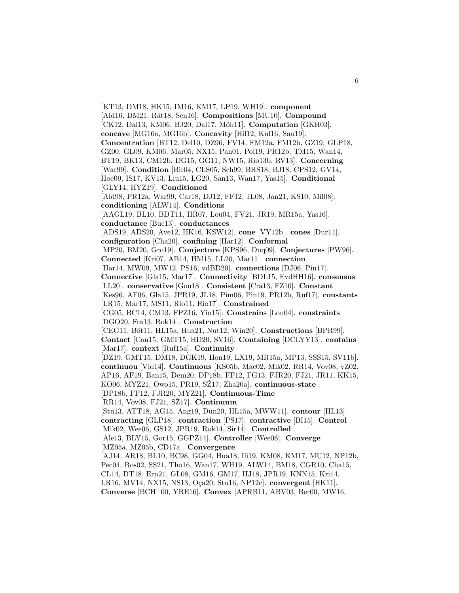[KT13, DM18, HK15, IM16, KM17, LP19, WH19]. **component** [Ald16, DM21, R´at18, Sen16]. **Compositions** [MU10]. **Compound** [CK12, Dal13, KM06, BJ20, Dal17, Möh11]. **Computation** [GKH03]. **concave** [MG16a, MG16b]. **Concavity** [Hil12, Kul16, Sau19]. **Concentration** [BT12, Del10, DZ96, FV14, FM12a, FM12b, GZ19, GLP18, GZ00, GL09, KM06, Mar05, NX15, Pan01, Pol19, PR12b, TM15, Wan14, BT19, BK13, CM12b, DG15, GG11, NW15, Rio13b, RV13]. **Concerning** [War99]. **Condition** [Bir04, CLS05, Sch99, BHS18, BJ18, CPS12, GV14, Hoe09, IS17, KV13, Liu15, LG20, San13, Wan17, Yas15]. **Conditional** [GLY14, HYZ19]. **Conditioned** [Ald98, PR12a, War99, Car18, DJ12, FF12, JL08, Jan21, KS10, Mil08]. **conditioning** [ALW14]. **Conditions** [AAGL19, BL10, BDT11, HR07, Lou04, FV21, JR19, MR15a, Yas16]. **conductance** [Buc13]. **conductances** [ADS19, ADS20, Ave12, HK16, KSW12]. **cone** [VY12b]. **cones** [Dur14]. **configuration** [Cha20]. **confining** [Har12]. **Conformal** [MP20, BM20, Gro19]. **Conjecture** [KPS96, Duq09]. **Conjectures** [PW96]. **Connected** [Kri07, AB14, HM15, LL20, Mar11]. **connection** [Har14, MW09, MW12, PS16, vdBD20]. **connections** [DJ06, Pin17]. **Connective** [Gla15, Mar17]. **Connectivity** [BDL15, FvdHH16]. **consensus** [LL20]. **conservative** [Gou18]. **Consistent** [Cra13, FZ10]. **Constant** [Kes96, AF06, Gla15, JPR19, JL18, Pim06, Pin19, PR12b, Ruf17]. **constants** [LR15, Mar17, MS11, Rio11, Rio17]. **Constrained** [CG05, BC14, CM13, FPZ16, Yin15]. **Constrains** [Lon04]. **constraints** [DGO20, Fra13, Rok14]. **Construction** [CEG11, Böt11, HL15a, Hua21, Nut12, Win20]. **Constructions** [BPR99]. **Contact** [Can15, GMT15, HD20, SV16]. **Containing** [DCLYY13]. **contains** [Mar17]. **context** [Ruf15a]. **Continuity** [DZ19, GMT15, DM18, DGK19, Hon19, LX19, MR15a, MP13, SSS15, SV11b]. **continuou** [Vid14]. **Continuous** [KS05b, Mac02, Mik02, RR14, Vov08, vZ02, AP16, AF19, Ban15, Dem20, DP18b, FF12, FG13, FJR20, FJ21, JR11, KK15, KO06, MYZ21, Owo15, PR19, SZ17, Zha20a]. **continuous-state** [DP18b, FF12, FJR20, MYZ21]. **Continuous-Time** [RR14, Vov08, FJ21, SZ17]. **Continuum** [Stu13, ATT18, AG15, Ang19, Dun20, HL15a, MWW11]. **contour** [HL13]. **contracting** [GLP18]. **contraction** [PS17]. **contractive** [BI15]. **Control** [Mik02, Wee06, GS12, JPR19, Rok14, Sir14]. **Controlled** [Ale13, BLY15, Gor15, GGPZ14]. **Controller** [Wee06]. **Converge** [MZ05a, MZ05b, CD17a]. **Convergence** [AJ14, AR18, BL10, BC98, GG04, Hua18, Ili19, KM08, KM17, MU12, NP12b, Pec04, Ros02, SS21, Tho16, Wan17, WH19, ALW14, BM18, CGR10, Cha15, CL14, DT18, Ern21, GL08, GM16, GM17, HJ18, JPR19, KNN15, Kri14, LR16, MV14, NX15, NS13, O¸ca20, Stu16, NP12c]. **convergent** [HK11]. **Converse** [BCH<sup>+</sup>00, YRE16]. **Convex** [APRB11, ABV03, Ber00, MW16,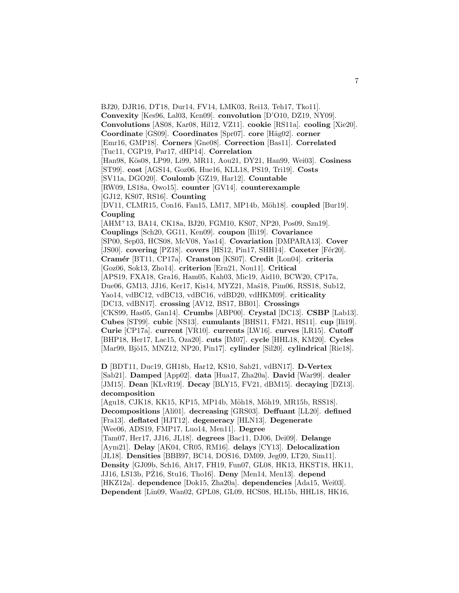BJ20, DJR16, DT18, Dur14, FV14, LMK03, Rei13, Teh17, Tko11]. **Convexity** [Kes96, Lal03, Ken09]. **convolution** [D'O10, DZ19, NY09]. **Convolutions** [AS08, Kar08, Hil12, VZ11]. **cookie** [RS11a]. **cooling** [Xie20]. **Coordinate** [GS09]. **Coordinates** [Spr07]. **core** [H¨ag02]. **corner** [Emr16, GMP18]. **Corners** [Gne08]. **Correction** [Bas11]. **Correlated** [Tuc11, CGP19, Par17, dHP14]. **Correlation** [Han98, Kös08, LP99, Li99, MR11, Aou21, DY21, Han99, Wei03]. **Cosiness** [ST99]. **cost** [AGS14, Goz06, Hue16, KLL18, PS19, Tri19]. **Costs** [SV11a, DGO20]. **Coulomb** [GZ19, Har12]. **Countable** [RW09, LS18a, Owo15]. **counter** [GV14]. **counterexample** [GJ12, KS07, RS16]. **Counting** [DV11, CLMR15, Con16, Fan15, LM17, MP14b, Möh18]. **coupled** [Bur19]. **Coupling** [AHM<sup>+</sup>13, BA14, CK18a, BJ20, FGM10, KS07, NP20, Pos09, Szn19]. **Couplings** [Sch20, GG11, Ken09]. **coupon** [Ili19]. **Covariance** [SP00, Sep03, HCS08, McV08, Yas14]. **Covariation** [DMPARA13]. **Cover** [JS00]. **covering** [PZ18]. **covers** [HS12, Pin17, SHH14]. **Coxeter** [Fér20]. **Cram´er** [BT11, CP17a]. **Cranston** [KS07]. **Credit** [Lon04]. **criteria** [Goz06, Sok13, Zho14]. **criterion** [Ern21, Nou11]. **Critical** [APS19, FXA18, Gra16, Ham05, Kah03, Mic19, Aid10, BCW20, CP17a, Due06, GM13, JJ16, Ker17, Kis14, MYZ21, Mas<sup>18</sup>, Pim06, RSS18, Sub12, Yao14, vdBC12, vdBC13, vdBC16, vdBD20, vdHKM09]. **criticality** [DC13, vdBN17]. **crossing** [AV12, BS17, BB01]. **Crossings** [CKS99, Has05, Gan14]. **Crumbs** [ABP00]. **Crystal** [DC13]. **CSBP** [Lab13]. **Cubes** [ST99]. **cubic** [NS13]. **cumulants** [BHS11, FM21, HS11]. **cup** [Ili19]. **Curie** [CP17a]. **current** [VR10]. **currents** [LW16]. **curves** [LR15]. **Cutoff** [BHP18, Her17, Lac15, Oza20]. **cuts** [IM07]. **cycle** [HHL18, KM20]. **Cycles** [Mar99, Bjö15, MNZ12, NP20, Pin17]. **cylinder** [Sil20]. **cylindrical** [Rie18]. **D** [BDT11, Duc19, GH18b, Har12, KS10, Sab21, vdBN17]. **D-Vertex** [Sab21]. **Damped** [App02]. **data** [Hua17, Zha20a]. **David** [War99]. **dealer** [JM15]. **Dean** [KLvR19]. **Decay** [BLY15, FV21, dBM15]. **decaying** [DZ13]. **decomposition** [Agu18, CJK18, KK15, KP15, MP14b, Möh18, Möh19, MR15b, RSS18]. **Decompositions** [Ali01]. **decreasing** [GRS03]. **Deffuant** [LL20]. **defined** [Fra13]. **deflated** [HJT12]. **degeneracy** [HLN13]. **Degenerate**

[Wee06, ADS19, FMP17, Luo14, Men11]. **Degree**

[Tam07, Her17, JJ16, JL18]. **degrees** [Bac11, DJ06, Dei09]. **Delange** [Aym21]. **Delay** [AK04, CR05, RM16]. **delays** [CY13]. **Delocalization** [JL18]. **Densities** [BBB97, BC14, DOS16, DM09, Jeg09, LT20, Sim11]. **Density** [GJ09b, Sch16, Alt17, FH19, Fun07, GL08, HK13, HKST18, HK11, JJ16, LS13b, PZ16, Stu16, Tho16]. ˙ **Deny** [Men14, Men13]. **depend** [HKZ12a]. **dependence** [Dok15, Zha20a]. **dependencies** [Ada15, Wei03]. **Dependent** [Lin09, Wan02, GPL08, GL09, HCS08, HL15b, HHL18, HK16,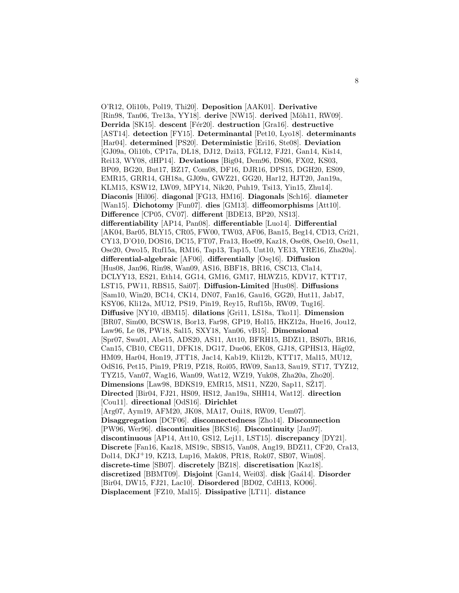O'R12, Oli10b, Pol19, Thi20]. **Deposition** [AAK01]. **Derivative** [Rin98, Tan06, Tre13a, YY18]. **derive** [NW15]. **derived** [Möh11, RW09]. **Derrida** [SK15]. **descent** [F´er20]. **destruction** [Gra16]. **destructive** [AST14]. **detection** [FY15]. **Determinantal** [Pet10, Lyo18]. **determinants** [Har04]. **determined** [PS20]. **Deterministic** [Eri16, Ste08]. **Deviation** [GJ09a, Oli10b, CP17a, DL18, DJ12, Dzi13, FGL12, FJ21, Gan14, Kis14, Rei13, WY08, dHP14]. **Deviations** [Big04, Dem96, DS06, FX02, KS03, BP09, BG20, But17, BZ17, Com08, DF16, DJR16, DPS15, DGH20, ES09, EMR15, GRR14, GH18a, GJ09a, GWZ21, GG20, Har12, HJT20, Jan19a, KLM15, KSW12, LW09, MPY14, Nik20, Puh19, Tsi13, Yin15, Zhu14]. **Diaconis** [Hil06]. **diagonal** [FG13, HM16]. **Diagonals** [Sch16]. **diameter** [Wan15]. **Dichotomy** [Fun07]. **dies** [GM13]. **diffeomorphisms** [Att10]. **Difference** [CP05, CV07]. **different** [BDE13, BP20, NS13]. **differentiability** [AP14, Pan08]. **differentiable** [Luo14]. **Differential** [AK04, Bar05, BLY15, CR05, FW00, TW03, AF06, Ban15, Beg14, CD13, Cri21, CY13, D'O10, DOS16, DC15, FT07, Fra13, Hoe09, Kaz18, Ose08, Ose10, Ose11, Ose20, Owo15, Ruf15a, RM16, Tap13, Tap15, Unt10, YE13, YRE16, Zha20a]. differential-algebraic [AF06]. differentially [Ose16]. Diffusion [Hus08, Jan96, Rin98, Wan09, AS16, BBF18, BR16, CSC13, Cla14, DCLYY13, ES21, Eth14, GG14, GM16, GM17, HLWZ15, KDV17, KTT17, LST15, PW11, RBS15, Sai07]. **Diffusion-Limited** [Hus08]. **Diffusions** [Sam10, Win20, BC14, CK14, DN07, Fan16, Gau16, GG20, Hut11, Jab17, KSY06, Kli12a, MU12, PS19, Pin19, Rey15, Ruf15b, RW09, Tug16]. **Diffusive** [NY10, dBM15]. **dilations** [Gri11, LS18a, Tko11]. **Dimension** [BR07, Sim00, BCSW18, Bor13, Far98, GP19, Hol15, HKZ12a, Hue16, Jou12, Law96, Le 08, PW18, Sal15, SXY18, Yan06, vB15]. **Dimensional** [Spr07, Swa01, Abe15, ADS20, AS11, Att10, BFRH15, BDZ11, BS07b, BR16, Can15, CB10, CEG11, DFK18, DG17, Due06, EK08, GJ18, GPHS13, Häg02, HM09, Har04, Hon19, JTT18, Jac14, Kab19, Kli12b, KTT17, Mal15, MU12, OdS16, Pet15, Pin19, PR19, PZ18, Roi05, RW09, San13, Sau19, ST17, TYZ12, TYZ15, Van07, Wag16, Wan09, Wat12, WZ19, Yuk08, Zha20a, Zho20]. **Dimensions** [Law98, BDKS19, EMR15, MS11, NZ20, Sap11, SZ17]. **Directed** [Bir04, FJ21, HS09, HS12, Jan19a, SHH14, Wat12]. **direction** [Cou11]. **directional** [OdS16]. **Dirichlet** [Arg07, Aym19, AFM20, JK08, MA17, Oui18, RW09, Uem07]. **Disaggregation** [DCF06]. **disconnectedness** [Zho14]. **Disconnection** [PW96, Wer96]. **discontinuities** [BKS16]. **Discontinuity** [Jan97]. **discontinuous** [AP14, Att10, GS12, Lej11, LST15]. **discrepancy** [DY21]. **Discrete** [Fan16, Kaz18, MS19c, SBS15, Van08, Ang19, BDZ11, CF20, Cra13, Dol14, DKJ<sup>+</sup>19, KZ13, Lup16, Mak08, PR18, Rok07, SB07, Win08]. **discrete-time** [SB07]. **discretely** [BZ18]. **discretisation** [Kaz18]. **discretized** [BBMT09]. **Disjoint** [Gan14, Wei03]. **disk** [Ga´a14]. **Disorder** [Bir04, DW15, FJ21, Lac10]. **Disordered** [BD02, CdH13, KO06]. **Displacement** [FZ10, Mal15]. **Dissipative** [LT11]. **distance**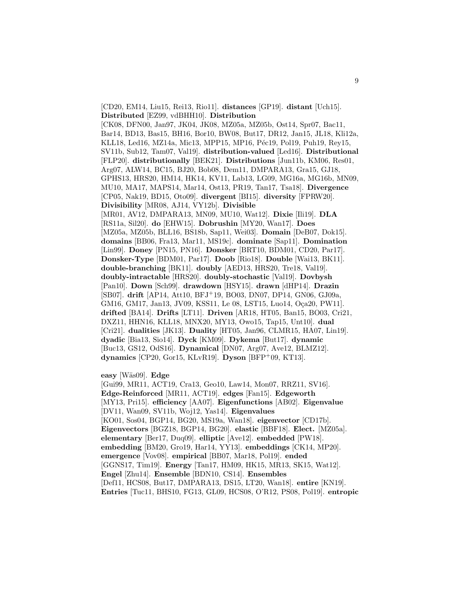[CD20, EM14, Liu15, Rei13, Rio11]. **distances** [GP19]. **distant** [Uch15]. **Distributed** [EZ99, vdBHH10]. **Distribution** [CK08, DFN00, Jan97, JK04, JK08, MZ05a, MZ05b, Ost14, Spr07, Bac11, Bar14, BD13, Bas15, BH16, Bor10, BW08, But17, DR12, Jan15, JL18, Kli12a, KLL18, Led16, MZ14a, Mic13, MPP15, MP16, Péc19, Pol19, Puh19, Rey15, SV11b, Sub12, Tam07, Val19]. **distribution-valued** [Led16]. **Distributional** [FLP20]. **distributionally** [BEK21]. **Distributions** [Jun11b, KM06, Res01, Arg07, ALW14, BC15, BJ20, Bob08, Dem11, DMPARA13, Gra15, GJ18, GPHS13, HRS20, HM14, HK14, KV11, Lab13, LG09, MG16a, MG16b, MN09, MU10, MA17, MAPS14, Mar14, Ost13, PR19, Tan17, Tsa18]. **Divergence** [CP05, Nak19, BD15, Oto09]. **divergent** [BI15]. **diversity** [FPRW20]. **Divisibility** [MR08, AJ14, VY12b]. **Divisible** [MR01, AV12, DMPARA13, MN09, MU10, Wat12]. **Dixie** [Ili19]. **DLA** [RS11a, Sil20]. **do** [EHW15]. **Dobrushin** [MY20, Wan17]. **Does** [MZ05a, MZ05b, BLL16, BS18b, Sap11, Wei03]. **Domain** [DeB07, Dok15]. **domains** [BB06, Fra13, Mar11, MS19c]. **dominate** [Sap11]. **Domination** [Lin99]. **Doney** [PN15, PN16]. **Donsker** [BRT10, BDM01, CD20, Par17]. **Donsker-Type** [BDM01, Par17]. **Doob** [Rio18]. **Double** [Wai13, BK11]. **double-branching** [BK11]. **doubly** [AED13, HRS20, Tre18, Val19]. **doubly-intractable** [HRS20]. **doubly-stochastic** [Val19]. **Dovbysh** [Pan10]. **Down** [Sch99]. **drawdown** [HSY15]. **drawn** [dHP14]. **Drazin** [SB07]. **drift** [AP14, Att10, BFJ<sup>+</sup>19, BO03, DN07, DP14, GN06, GJ09a, GM16, GM17, Jan13, JV09, KSS11, Le 08, LST15, Luo14, Oça20, PW11]. **drifted** [BA14]. **Drifts** [LT11]. **Driven** [AR18, HT05, Ban15, BO03, Cri21, DXZ11, HHN16, KLL18, MNX20, MY13, Owo15, Tap15, Unt10]. **dual** [Cri21]. **dualities** [JK13]. **Duality** [HT05, Jan96, CLMR15, HA07, Lin19]. **dyadic** [Bia13, Sio14]. **Dyck** [KM09]. **Dykema** [But17]. **dynamic** [Buc13, GS12, OdS16]. **Dynamical** [DN07, Arg07, Ave12, BLMZ12]. **dynamics** [CP20, Gor15, KLvR19]. **Dyson** [BFP<sup>+</sup>09, KT13].

**easy** [W¨as09]. **Edge**

[Gui99, MR11, ACT19, Cra13, Geo10, Law14, Mon07, RRZ11, SV16]. **Edge-Reinforced** [MR11, ACT19]. **edges** [Fan15]. **Edgeworth** [MY13, Pri15]. **efficiency** [AA07]. **Eigenfunctions** [AB02]. **Eigenvalue** [DV11, Wan09, SV11b, Woj12, Yas14]. **Eigenvalues** [KO01, Sos04, BGP14, BG20, MS19a, Wan18]. **eigenvector** [CD17b]. **Eigenvectors** [BGZ18, BGP14, BG20]. **elastic** [BBF18]. **Elect.** [MZ05a]. **elementary** [Ber17, Duq09]. **elliptic** [Ave12]. **embedded** [PW18]. **embedding** [BM20, Gro19, Har14, YY13]. **embeddings** [CK14, MP20]. **emergence** [Vov08]. **empirical** [BB07, Mar18, Pol19]. **ended** [GGNS17, Tim19]. **Energy** [Tan17, HM09, HK15, MR13, SK15, Wat12]. **Engel** [Zhu14]. **Ensemble** [BDN10, CS14]. **Ensembles** [Def11, HCS08, But17, DMPARA13, DS15, LT20, Wan18]. **entire** [KN19]. **Entries** [Tuc11, BHS10, FG13, GL09, HCS08, O'R12, PS08, Pol19]. **entropic**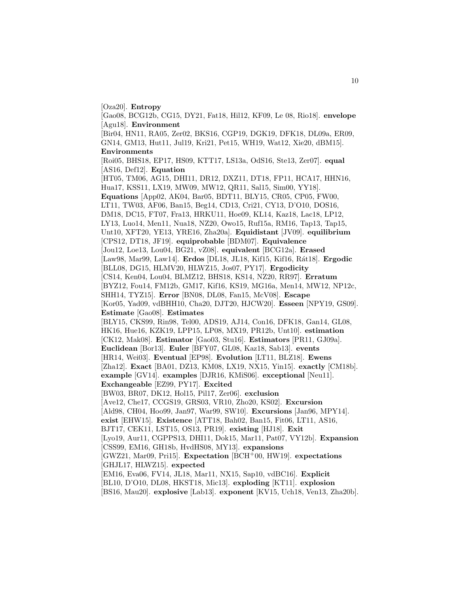[Oza20]. **Entropy**

[Gao08, BCG12b, CG15, DY21, Fat18, Hil12, KF09, Le 08, Rio18]. **envelope** [Agu18]. **Environment** [Bir04, HN11, RA05, Zer02, BKS16, CGP19, DGK19, DFK18, DL09a, ER09, GN14, GM13, Hut11, Jul19, Kri21, Pet15, WH19, Wat12, Xie20, dBM15]. **Environments** [Roi05, BHS18, EP17, HS09, KTT17, LS13a, OdS16, Ste13, Zer07]. **equal** [AS16, Def12]. **Equation** [HT05, TM06, AG15, DHI11, DR12, DXZ11, DT18, FP11, HCA17, HHN16, Hua17, KSS11, LX19, MW09, MW12, QR11, Sal15, Sim00, YY18]. **Equations** [App02, AK04, Bar05, BDT11, BLY15, CR05, CP05, FW00, LT11, TW03, AF06, Ban15, Beg14, CD13, Cri21, CY13, D'O10, DOS16, DM18, DC15, FT07, Fra13, HRKU11, Hoe09, KL14, Kaz18, Lac18, LP12, LY13, Luo14, Men11, Nua18, NZ20, Owo15, Ruf15a, RM16, Tap13, Tap15, Unt10, XFT20, YE13, YRE16, Zha20a]. **Equidistant** [JV09]. **equilibrium** [CPS12, DT18, JF19]. **equiprobable** [BDM07]. **Equivalence** [Jou12, Loe13, Lou04, BG21, vZ08]. **equivalent** [BCG12a]. **Erased** [Law98, Mar99, Law14]. **Erdos** [DL18, JL18, Kif15, Kif16, R´at18]. **Ergodic** [BLL08, DG15, HLMV20, HLWZ15, Jos07, PY17]. **Ergodicity** [CS14, Ken04, Lou04, BLMZ12, BHS18, KS14, NZ20, RR97]. **Erratum** [BYZ12, Fou14, FM12b, GM17, Kif16, KS19, MG16a, Men14, MW12, NP12c, SHH14, TYZ15]. **Error** [BN08, DL08, Fan15, McV08]. **Escape** [Kor05, Yad09, vdBHH10, Cha20, DJT20, HJCW20]. **Esseen** [NPY19, GS09]. **Estimate** [Gao08]. **Estimates** [BLY15, CKS99, Rin98, Tel00, ADS19, AJ14, Con16, DFK18, Gan14, GL08, HK16, Hue16, KZK19, LPP15, LP08, MX19, PR12b, Unt10]. **estimation** [CK12, Mak08]. **Estimator** [Gao03, Stu16]. **Estimators** [PR11, GJ09a]. **Euclidean** [Bor13]. **Euler** [BFY07, GL08, Kaz18, Sab13]. **events** [HR14, Wei03]. **Eventual** [EP98]. **Evolution** [LT11, BLZ18]. **Ewens** [Zha12]. **Exact** [BA01, DZ13, KM08, LX19, NX15, Yin15]. **exactly** [CM18b]. **example** [GV14]. **examples** [DJR16, KMiS06]. **exceptional** [Neu11]. **Exchangeable** [EZ99, PY17]. **Excited** [BW03, BR07, DK12, Hol15, Pil17, Zer06]. **exclusion** [Ave12, Che17, CCGS19, GRS03, VR10, Zho20, KS02]. **Excursion** [Ald98, CH04, Hoo99, Jan97, War99, SW10]. **Excursions** [Jan96, MPY14]. **exist** [EHW15]. **Existence** [ATT18, Bah02, Ban15, Fit06, LT11, AS16, BJT17, CEK11, LST15, OS13, PR19]. **existing** [HJ18]. **Exit** [Lyo19, Aur11, CGPPS13, DHI11, Dok15, Mar11, Pat07, VY12b]. **Expansion** [CSS99, EM16, GH18b, HvdHS08, MY13]. **expansions** [GWZ21, Mar09, Pri15]. **Expectation** [BCH<sup>+</sup>00, HW19]. **expectations** [GHJL17, HLWZ15]. **expected** [EM16, Eva06, FV14, JL18, Mar11, NX15, Sap10, vdBC16]. **Explicit** [BL10, D'O10, DL08, HKST18, Mic13]. **exploding** [KT11]. **explosion** [BS16, Mau20]. **explosive** [Lab13]. **exponent** [KV15, Uch18, Ven13, Zha20b].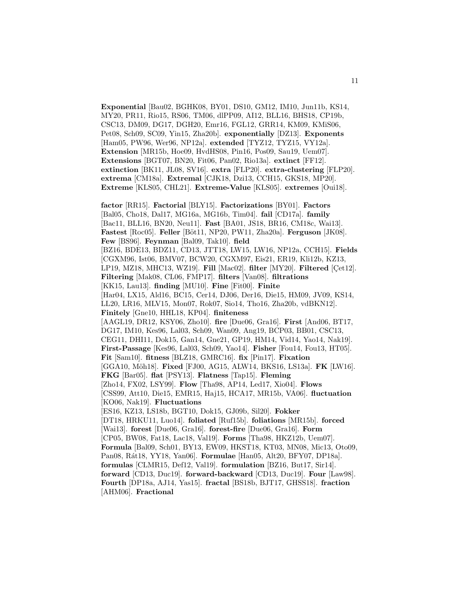**Exponential** [Bau02, BGHK08, BY01, DS10, GM12, IM10, Jun11b, KS14, MY20, PR11, Rio15, RS06, TM06, dlPP09, AI12, BLL16, BHS18, CP19b, CSC13, DM09, DG17, DGH20, Emr16, FGL12, GRR14, KM09, KMiS06, Pet08, Sch09, SC09, Yin15, Zha20b]. **exponentially** [DZ13]. **Exponents** [Ham05, PW96, Wer96, NP12a]. **extended** [TYZ12, TYZ15, VY12a]. **Extension** [MR15b, Hoe09, HvdHS08, Pin16, Pos09, Sau19, Uem07]. **Extensions** [BGT07, BN20, Fit06, Pan02, Rio13a]. **extinct** [FF12]. **extinction** [BK11, JL08, SV16]. **extra** [FLP20]. **extra-clustering** [FLP20]. **extrema** [CM18a]. **Extremal** [CJK18, Dzi13, CCH15, GKS18, MP20]. **Extreme** [KLS05, CHL21]. **Extreme-Value** [KLS05]. **extremes** [Oui18].

**factor** [RR15]. **Factorial** [BLY15]. **Factorizations** [BY01]. **Factors** [Bal05, Cho18, Dal17, MG16a, MG16b, Tim04]. **fail** [CD17a]. **family** [Bac11, BLL16, BN20, Neu11]. **Fast** [BA01, JS18, BR16, CM18c, Wai13]. **Fastest** [Roc05]. **Feller** [Böt11, NP20, PW11, Zha20a]. **Ferguson** [JK08]. **Few** [BS96]. **Feynman** [Bal09, Tak10]. **field** [BZ16, BDE13, BDZ11, CD13, JTT18, LW15, LW16, NP12a, CCH15]. **Fields** [CGXM96, Ist06, BMV07, BCW20, CGXM97, Eis21, ER19, Kli12b, KZ13, LP19, MZ18, MHC13, WZ19]. **Fill** [Mac02]. **filter** [MY20]. **Filtered** [Cet12]. **Filtering** [Mak08, CL06, FMP17]. **filters** [Van08]. **filtrations** [KK15, Lau13]. **finding** [MU10]. **Fine** [Fit00]. **Finite** [Har04, LX15, Ald16, BC15, Cer14, DJ06, Der16, Die15, HM09, JV09, KS14, LL20, LR16, MLV15, Mon07, Rok07, Sio14, Tho16, Zha20b, vdBKN12]. **Finitely** [Gne10, HHL18, KP04]. **finiteness** [AAGL19, DR12, KSY06, Zho10]. **fire** [Due06, Gra16]. **First** [And06, BT17, DG17, IM10, Kes96, Lal03, Sch09, Wan09, Ang19, BCP03, BB01, CSC13, CEG11, DHI11, Dok15, Gan14, Gne21, GP19, HM14, Vid14, Yao14, Nak19]. **First-Passage** [Kes96, Lal03, Sch09, Yao14]. **Fisher** [Fou14, Fou13, HT05]. **Fit** [Sam10]. **fitness** [BLZ18, GMRC16]. **fix** [Pin17]. **Fixation** [GGA10, Möh18]. **Fixed** [FJ00, AG15, ALW14, BKS16, LS13a]. **FK** [LW16]. **FKG** [Bar05]. **flat** [PSY13]. **Flatness** [Tap15]. **Fleming** [Zho14, FX02, LSY99]. **Flow** [Tha98, AP14, Led17, Xio04]. **Flows** [CSS99, Att10, Die15, EMR15, Haj15, HCA17, MR15b, VA06]. **fluctuation** [KO06, Nak19]. **Fluctuations** [ES16, KZ13, LS18b, BGT10, Dok15, GJ09b, Sil20]. **Fokker** [DT18, HRKU11, Luo14]. **foliated** [Ruf15b]. **foliations** [MR15b]. **forced** [Wai13]. **forest** [Due06, Gra16]. **forest-fire** [Due06, Gra16]. **Form** [CP05, BW08, Fat18, Lac18, Val19]. **Forms** [Tha98, HKZ12b, Uem07]. **Formula** [Bal09, Sch01, BY13, EW09, HKST18, KT03, MN08, Mic13, Oto09, Pan08, R´at18, YY18, Yan06]. **Formulae** [Han05, Alt20, BFY07, DP18a]. **formulas** [CLMR15, Def12, Val19]. **formulation** [BZ16, But17, Sir14]. **forward** [CD13, Duc19]. **forward-backward** [CD13, Duc19]. **Four** [Law98]. **Fourth** [DP18a, AJ14, Yas15]. **fractal** [BS18b, BJT17, GHSS18]. **fraction** [AHM06]. **Fractional**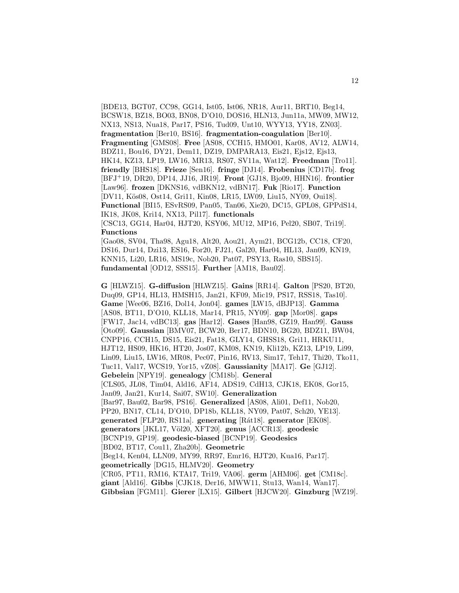[BDE13, BGT07, CC98, GG14, Ist05, Ist06, NR18, Aur11, BRT10, Beg14, BCSW18, BZ18, BO03, BN08, D'O10, DOS16, HLN13, Jun11a, MW09, MW12, NX13, NS13, Nua18, Par17, PS16, Tud09, Unt10, WYY13, YY18, ZN03]. **fragmentation** [Ber10, BS16]. **fragmentation-coagulation** [Ber10]. **Fragmenting** [GMS08]. **Free** [AS08, CCH15, HMO01, Kar08, AV12, ALW14, BDZ11, Bou16, DY21, Dem11, DZ19, DMPARA13, Eis21, Ejs12, Ejs13, HK14, KZ13, LP19, LW16, MR13, RS07, SV11a, Wat12]. **Freedman** [Tro11]. **friendly** [BHS18]. **Frieze** [Sen16]. **fringe** [DJ14]. **Frobenius** [CD17b]. **frog** [BFJ<sup>+</sup>19, DR20, DP14, JJ16, JR19]. **Front** [GJ18, Bjo09, HHN16]. **frontier** [Law96]. **frozen** [DKNS16, vdBKN12, vdBN17]. **Fuk** [Rio17]. **Function** [DV11, Kös08, Ost14, Gri11, Kin08, LR15, LW09, Liu15, NY09, Oui18]. **Functional** [BI15, ESvRS09, Pan05, Tan06, Xie20, DC15, GPL08, GPPdS14, IK18, JK08, Kri14, NX13, Pil17]. **functionals** [CSC13, GG14, Har04, HJT20, KSY06, MU12, MP16, Pel20, SB07, Tri19].

#### **Functions**

[Gao08, SV04, Tha98, Agu18, Alt20, Aou21, Aym21, BCG12b, CC18, CF20, DS16, Dur14, Dzi13, ES16, For20, FJ21, Gal20, Har04, HL13, Jan09, KN19, KNN15, Li20, LR16, MS19c, Nob20, Pat07, PSY13, Ras10, SBS15]. **fundamental** [OD12, SSS15]. **Further** [AM18, Bau02].

**G** [HLWZ15]. **G-diffusion** [HLWZ15]. **Gains** [RR14]. **Galton** [PS20, BT20, Duq09, GP14, HL13, HMSH15, Jan21, KF09, Mic19, PS17, RSS18, Tas10]. **Game** [Wee06, BZ16, Dol14, Jon04]. **games** [LW15, dBJP13]. **Gamma** [AS08, BT11, D'O10, KLL18, Mar14, PR15, NY09]. **gap** [Mor08]. **gaps** [FW17, Jac14, vdBC13]. **gas** [Har12]. **Gases** [Han98, GZ19, Han99]. **Gauss** [Oto09]. **Gaussian** [BMV07, BCW20, Ber17, BDN10, BG20, BDZ11, BW04, CNPP16, CCH15, DS15, Eis21, Fat18, GLY14, GHSS18, Gri11, HRKU11, HJT12, HS09, HK16, HT20, Jos07, KM08, KN19, Kli12b, KZ13, LP19, Li99, Lin09, Liu15, LW16, MR08, Pec07, Pin16, RV13, Sim17, Teh17, Thi20, Tko11, Tuc11, Val17, WCS19, Yor15, vZ08]. **Gaussianity** [MA17]. **Ge** [GJ12]. **Gebelein** [NPY19]. **genealogy** [CM18b]. **General** [CLS05, JL08, Tim04, Ald16, AF14, ADS19, CdH13, CJK18, EK08, Gor15, Jan09, Jan21, Kur14, Sai07, SW10]. **Generalization** [Bar97, Bau02, Bar98, PS16]. **Generalized** [AS08, Ali01, Def11, Nob20, PP20, BN17, CL14, D'O10, DP18b, KLL18, NY09, Pat07, Sch20, YE13]. **generated** [FLP20, RS11a]. **generating** [R´at18]. **generator** [EK08]. **generators** [JKL17, V¨ol20, XFT20]. **genus** [ACCR13]. **geodesic** [BCNP19, GP19]. **geodesic-biased** [BCNP19]. **Geodesics** [BD02, BT17, Cou11, Zha20b]. **Geometric** [Beg14, Ken04, LLN09, MY99, RR97, Emr16, HJT20, Kua16, Par17]. **geometrically** [DG15, HLMV20]. **Geometry** [CR05, PT11, RM16, KTA17, Tri19, VA06]. **germ** [AHM06]. **get** [CM18c]. **giant** [Ald16]. **Gibbs** [CJK18, Der16, MWW11, Stu13, Wan14, Wan17]. **Gibbsian** [FGM11]. **Gierer** [LX15]. **Gilbert** [HJCW20]. **Ginzburg** [WZ19].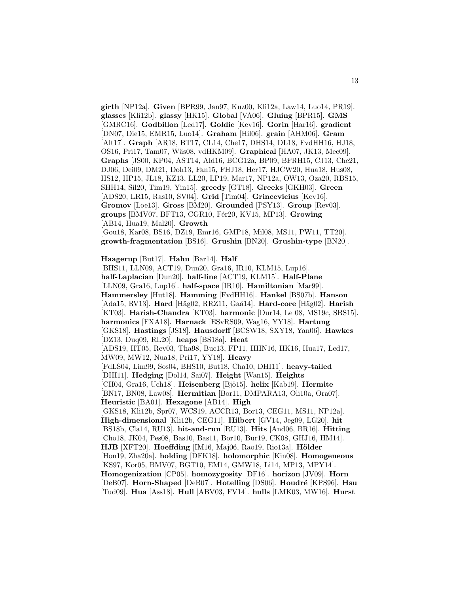**girth** [NP12a]. **Given** [BPR99, Jan97, Kuz00, Kli12a, Law14, Luo14, PR19]. **glasses** [Kli12b]. **glassy** [HK15]. **Global** [VA06]. **Gluing** [BPR15]. **GMS** [GMRC16]. **Godbillon** [Led17]. **Goldie** [Kev16]. **Gorin** [Har16]. **gradient** [DN07, Die15, EMR15, Luo14]. **Graham** [Hil06]. **grain** [AHM06]. **Gram** [Alt17]. **Graph** [AR18, BT17, CL14, Che17, DHS14, DL18, FvdHH16, HJ18, OS16, Pri17, Tam07, W¨as08, vdHKM09]. **Graphical** [HA07, JK13, Mec09]. **Graphs** [JS00, KP04, AST14, Ald16, BCG12a, BP09, BFRH15, CJ13, Che21, DJ06, Dei09, DM21, Doh13, Fan15, FHJ18, Her17, HJCW20, Hua18, Hus08, HS12, HP15, JL18, KZ13, LL20, LP19, Mar17, NP12a, OW13, Oza20, RBS15, SHH14, Sil20, Tim19, Yin15]. **greedy** [GT18]. **Greeks** [GKH03]. **Green** [ADS20, LR15, Ras10, SV04]. **Grid** [Tim04]. **Grincevicius** [Kev16]. **Gromov** [Loe13]. **Gross** [BM20]. **Grounded** [PSY13]. **Group** [Rev03]. **groups** [BMV07, BFT13, CGR10, F´er20, KV15, MP13]. **Growing** [AB14, Hua19, Mal20]. **Growth** [Gou18, Kar08, BS16, DZ19, Emr16, GMP18, Mil08, MS11, PW11, TT20].

**growth-fragmentation** [BS16]. **Grushin** [BN20]. **Grushin-type** [BN20].

**Haagerup** [But17]. **Hahn** [Bar14]. **Half**

[BHS11, LLN09, ACT19, Dun20, Gra16, IR10, KLM15, Lup16]. **half-Laplacian** [Dun20]. **half-line** [ACT19, KLM15]. **Half-Plane** [LLN09, Gra16, Lup16]. **half-space** [IR10]. **Hamiltonian** [Mar99]. **Hammersley** [Hut18]. **Hamming** [FvdHH16]. **Hankel** [BS07b]. **Hanson** [Ada15, RV13]. **Hard** [Häg02, RRZ11, Gaá14]. **Hard-core** [Häg02]. **Harish** [KT03]. **Harish-Chandra** [KT03]. **harmonic** [Dur14, Le 08, MS19c, SBS15]. **harmonics** [FXA18]. **Harnack** [ESvRS09, Wag16, YY18]. **Hartung** [GKS18]. **Hastings** [JS18]. **Hausdorff** [BCSW18, SXY18, Yan06]. **Hawkes** [DZ13, Duq09, RL20]. **heaps** [BS18a]. **Heat** [ADS19, HT05, Rev03, Tha98, Buc13, FP11, HHN16, HK16, Hua17, Led17, MW09, MW12, Nua18, Pri17, YY18]. **Heavy** [FdLS04, Lim99, Sos04, BHS10, But18, Cha10, DHI11]. **heavy-tailed** [DHI11]. **Hedging** [Dol14, Sai07]. **Height** [Wan15]. **Heights** [CH04, Gra16, Uch18]. **Heisenberg** [Bjö15]. **helix** [Kab19]. **Hermite** [BN17, BN08, Law08]. **Hermitian** [Bor11, DMPARA13, Oli10a, Ora07]. **Heuristic** [BA01]. **Hexagone** [AB14]. **High** [GKS18, Kli12b, Spr07, WCS19, ACCR13, Bor13, CEG11, MS11, NP12a]. **High-dimensional** [Kli12b, CEG11]. **Hilbert** [GV14, Jeg09, LG20]. **hit** [BS18b, Cla14, RU13]. **hit-and-run** [RU13]. **Hits** [And06, BR16]. **Hitting** [Cho18, JK04, Pes08, Bas10, Bas11, Bor10, Bur19, CK08, GHJ16, HM14]. **HJB** [XFT20]. **Hoeffding** [IM16, Maj06, Rao19, Rio13a]. **Hölder** [Hon19, Zha20a]. **holding** [DFK18]. **holomorphic** [Kin08]. **Homogeneous** [KS97, Kor05, BMV07, BGT10, EM14, GMW18, Li14, MP13, MPY14]. **Homogenization** [CP05]. **homozygosity** [DF16]. **horizon** [JV09]. **Horn** [DeB07]. **Horn-Shaped** [DeB07]. **Hotelling** [DS06]. **Houdré** [KPS96]. **Hsu** [Tud09]. **Hua** [Ass18]. **Hull** [ABV03, FV14]. **hulls** [LMK03, MW16]. **Hurst**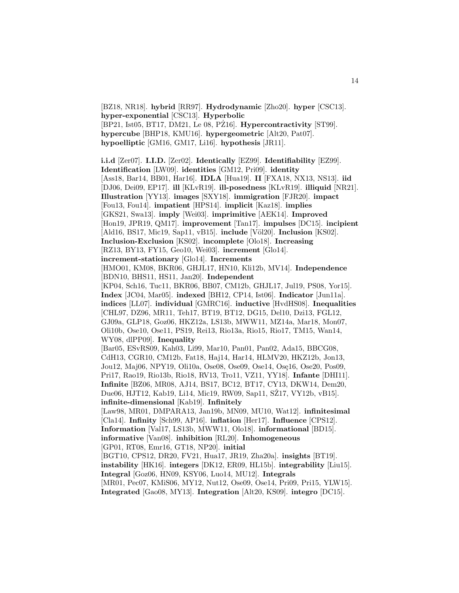[BZ18, NR18]. **hybrid** [RR97]. **Hydrodynamic** [Zho20]. **hyper** [CSC13]. **hyper-exponential** [CSC13]. **Hyperbolic** [BP21, Ist05, BT17, DM21, Le 08, PZ16]. ˙ **Hypercontractivity** [ST99]. **hypercube** [BHP18, KMU16]. **hypergeometric** [Alt20, Pat07]. **hypoelliptic** [GM16, GM17, Li16]. **hypothesis** [JR11].

**i.i.d** [Zer07]. **I.I.D.** [Zer02]. **Identically** [EZ99]. **Identifiability** [EZ99]. **Identification** [LW09]. **identities** [GM12, Pri09]. **identity** [Ass18, Bar14, BB01, Har16]. **IDLA** [Hua19]. **II** [FXA18, NX13, NS13]. **iid** [DJ06, Dei09, EP17]. **ill** [KLvR19]. **ill-posedness** [KLvR19]. **illiquid** [NR21]. **Illustration** [YY13]. **images** [SXY18]. **immigration** [FJR20]. **impact** [Fou13, Fou14]. **impatient** [HPS14]. **implicit** [Kaz18]. **implies** [GKS21, Swa13]. **imply** [Wei03]. **imprimitive** [AEK14]. **Improved** [Hon19, JPR19, QM17]. **improvement** [Tan17]. **impulses** [DC15]. **incipient** [Ald16, BS17, Mic19, Sap11, vB15]. **include** [Völ20]. **Inclusion** [KS02]. **Inclusion-Exclusion** [KS02]. **incomplete** [Olo18]. **Increasing** [RZ13, BY13, FY15, Geo10, Wei03]. **increment** [Glo14]. **increment-stationary** [Glo14]. **Increments** [HMO01, KM08, BKR06, GHJL17, HN10, Kli12b, MV14]. **Independence** [BDN10, BHS11, HS11, Jan20]. **Independent** [KP04, Sch16, Tuc11, BKR06, BB07, CM12b, GHJL17, Jul19, PS08, Yor15]. **Index** [JC04, Mar05]. **indexed** [BH12, CP14, Ist06]. **Indicator** [Jun11a]. **indices** [LL07]. **individual** [GMRC16]. **inductive** [HvdHS08]. **Inequalities** [CHL97, DZ96, MR11, Teh17, BT19, BT12, DG15, Del10, Dzi13, FGL12, GJ09a, GLP18, Goz06, HKZ12a, LS13b, MWW11, MZ14a, Mar18, Mon07, Oli10b, Ose10, Ose11, PS19, Rei13, Rio13a, Rio15, Rio17, TM15, Wan14, WY08, dlPP09]. **Inequality** [Bar05, ESvRS09, Kah03, Li99, Mar10, Pan01, Pan02, Ada15, BBCG08, CdH13, CGR10, CM12b, Fat18, Haj14, Har14, HLMV20, HKZ12b, Jon13, Jou12, Maj06, NPY19, Oli10a, Ose08, Ose09, Ose14, Ose16, Ose20, Pos09, Pri17, Rao19, Rio13b, Rio18, RV13, Tro11, VZ11, YY18]. **Infante** [DHI11]. **Infinite** [BZ06, MR08, AJ14, BS17, BC12, BT17, CY13, DKW14, Dem20, Due06, HJT12, Kab19, Li14, Mic19, RW09, Sap11, SZ17, VY12b, vB15. **infinite-dimensional** [Kab19]. **Infinitely** [Law98, MR01, DMPARA13, Jan19b, MN09, MU10, Wat12]. **infinitesimal** [Cla14]. **Infinity** [Sch99, AP16]. **inflation** [Her17]. **Influence** [CPS12]. **Information** [Val17, LS13b, MWW11, Olo18]. **informational** [BD15]. **informative** [Van08]. **inhibition** [RL20]. **Inhomogeneous** [GP01, RT08, Emr16, GT18, NP20]. **initial** [BGT10, CPS12, DR20, FV21, Hua17, JR19, Zha20a]. **insights** [BT19]. **instability** [HK16]. **integers** [DK12, ER09, HL15b]. **integrability** [Liu15]. **Integral** [Goz06, HN09, KSY06, Luo14, MU12]. **Integrals** [MR01, Pec07, KMiS06, MY12, Nut12, Ose09, Ose14, Pri09, Pri15, YLW15]. **Integrated** [Gao08, MY13]. **Integration** [Alt20, KS09]. **integro** [DC15].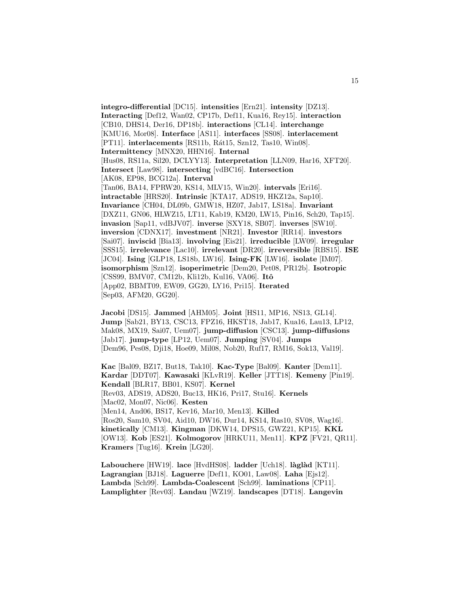**integro-differential** [DC15]. **intensities** [Ern21]. **intensity** [DZ13]. **Interacting** [Def12, Wan02, CP17b, Def11, Kua16, Rey15]. **interaction** [CB10, DHS14, Der16, DP18b]. **interactions** [CL14]. **interchange** [KMU16, Mor08]. **Interface** [AS11]. **interfaces** [SS08]. **interlacement** [PT11]. **interlacements** [RS11b, Rát15, Szn12, Tas10, Win08]. **Intermittency** [MNX20, HHN16]. **Internal** [Hus08, RS11a, Sil20, DCLYY13]. **Interpretation** [LLN09, Har16, XFT20]. **Intersect** [Law98]. **intersecting** [vdBC16]. **Intersection** [AK08, EP98, BCG12a]. **Interval** [Tan06, BA14, FPRW20, KS14, MLV15, Win20]. **intervals** [Eri16]. **intractable** [HRS20]. **Intrinsic** [KTA17, ADS19, HKZ12a, Sap10]. **Invariance** [CH04, DL09b, GMW18, HZ07, Jab17, LS18a]. **Invariant** [DXZ11, GN06, HLWZ15, LT11, Kab19, KM20, LW15, Pin16, Sch20, Tap15]. **invasion** [Sap11, vdBJV07]. **inverse** [SXY18, SB07]. **inverses** [SW10]. **inversion** [CDNX17]. **investment** [NR21]. **Investor** [RR14]. **investors** [Sai07]. **inviscid** [Bia13]. **involving** [Eis21]. **irreducible** [LW09]. **irregular** [SSS15]. **irrelevance** [Lac10]. **irrelevant** [DR20]. **irreversible** [RBS15]. **ISE** [JC04]. **Ising** [GLP18, LS18b, LW16]. **Ising-FK** [LW16]. **isolate** [IM07]. **isomorphism** [Szn12]. **isoperimetric** [Dem20, Pet08, PR12b]. **Isotropic** [CSS99, BMV07, CM12b, Kli12b, Kul16, VA06]. **Itˆo** [App02, BBMT09, EW09, GG20, LY16, Pri15]. **Iterated** [Sep03, AFM20, GG20].

**Jacobi** [DS15]. **Jammed** [AHM05]. **Joint** [HS11, MP16, NS13, GL14]. **Jump** [Sab21, BY13, CSC13, FPZ16, HKST18, Jab17, Kua16, Lau13, LP12, Mak08, MX19, Sai07, Uem07]. **jump-diffusion** [CSC13]. **jump-diffusions** [Jab17]. **jump-type** [LP12, Uem07]. **Jumping** [SV04]. **Jumps** [Dem96, Pes08, Dji18, Hoe09, Mil08, Nob20, Ruf17, RM16, Sok13, Val19].

**Kac** [Bal09, BZ17, But18, Tak10]. **Kac-Type** [Bal09]. **Kanter** [Dem11]. **Kardar** [DDT07]. **Kawasaki** [KLvR19]. **Keller** [JTT18]. **Kemeny** [Pin19]. **Kendall** [BLR17, BB01, KS07]. **Kernel** [Rev03, ADS19, ADS20, Buc13, HK16, Pri17, Stu16]. **Kernels** [Mac02, Mon07, Nic06]. **Kesten** [Men14, And06, BS17, Kev16, Mar10, Men13]. **Killed** [Ros20, Sam10, SV04, Aid10, DW16, Dur14, KS14, Ras10, SV08, Wag16]. **kinetically** [CM13]. **Kingman** [DKW14, DPS15, GWZ21, KP15]. **KKL** [OW13]. **Kob** [ES21]. **Kolmogorov** [HRKU11, Men11]. **KPZ** [FV21, QR11]. **Kramers** [Tug16]. **Krein** [LG20].

**Labouchere** [HW19]. **lace** [HvdHS08]. **ladder** [Uch18]. **l`agl`ad** [KT11]. **Lagrangian** [BJ18]. **Laguerre** [Def11, KO01, Law08]. **Laha** [Ejs12]. **Lambda** [Sch99]. **Lambda-Coalescent** [Sch99]. **laminations** [CP11]. **Lamplighter** [Rev03]. **Landau** [WZ19]. **landscapes** [DT18]. **Langevin**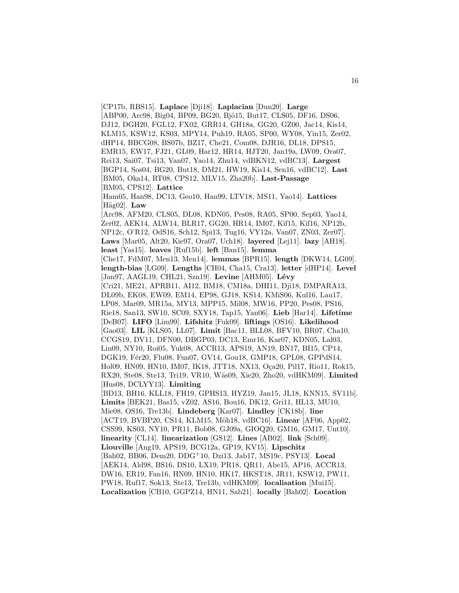[CP17b, RBS15]. **Laplace** [Dji18]. **Laplacian** [Dun20]. **Large** [ABP00, Arc98, Big04, BP09, BG20, Bjö15, But17, CLS05, DF16, DS06, DJ12, DGH20, FGL12, FX02, GRR14, GH18a, GG20, GZ00, Jac14, Kis14, KLM15, KSW12, KS03, MPY14, Puh19, RA05, SP00, WY08, Yin15, Zer02, dHP14, BBCG08, BS07b, BZ17, Che21, Com08, DJR16, DL18, DPS15, EMR15, EW17, FJ21, GL09, Har12, HR14, HJT20, Jan19a, LW09, Ora07, Rei13, Sai07, Tsi13, Van07, Yao14, Zhu14, vdBKN12, vdBC13]. **Largest** [BGP14, Sos04, BG20, But18, DM21, HW19, Kis14, Sen16, vdBC12]. **Last** [BM05, Oka14, RT08, CPS12, MLV15, Zha20b]. **Last-Passage** [BM05, CPS12]. **Lattice** [Ham05, Han98, DC13, Geo10, Han99, LTV18, MS11, Yao14]. **Lattices**  $[Häg02]$ . **Law** [Arc98, AFM20, CLS05, DL08, KDN05, Pes08, RA05, SP00, Sep03, Yao14, Zer02, AEK14, ALW14, BLR17, GG20, HR14, IM07, Kif15, Kif16, NP12b, NP12c, O'R12, OdS16, Sch12, Spi13, Tug16, VY12a, Van07, ZN03, Zer07]. **Laws** [Mar05, Alt20, Kie97, Ora07, Uch18]. **layered** [Lej11]. **lazy** [AH18]. **least** [Yas15]. **leaves** [Ruf15b]. **left** [Ban15]. **lemma** [Che17, FdM07, Men13, Men14]. **lemmas** [BPR15]. **length** [DKW14, LG09]. **length-bias** [LG09]. **Lengths** [CH04, Cha15, Cra13]. **letter** [dHP14]. **Level** [Jan97, AAGL19, CHL21, Szn19]. Levine [AHM05]. Lévy [Cri21, ME21, APRB11, AI12, BM18, CM18a, DHI11, Dji18, DMPARA13, DL09b, EK08, EW09, EM14, EP98, GJ18, KS14, KMiS06, Kul16, Lau17, LP08, Mar09, MR15a, MY13, MPP15, Mil08, MW16, PP20, Pes08, PS16, Rie18, San13, SW10, SC09, SXY18, Tap15, Yan06]. **Lieb** [Har14]. **Lifetime** [DeB07]. **LIFO** [Lim99]. **Lifshitz** [Fuk09]. **liftings** [OS16]. **Likelihood** [Gao03]. **LIL** [KLS05, LL07]. **Limit** [Bac11, BLL08, BFV10, BR07, Cha10, CCGS19, DV11, DFN00, DBGP03, DC13, Emr16, Kar07, KDN05, Lal03, Lin09, NY10, Roi05, Yuk08, ACCR13, APS19, AN19, BN17, BI15, CP14, DGK19, Fér20, Flu08, Fun07, GV14, Gou18, GMP18, GPL08, GPPdS14, Hol09, HN09, HN10, IM07, IK18, JTT18, NX13, Oça20, Pil17, Rio11, Rok15, RX20, Ste08, Ste13, Tri19, VR10, W¨as09, Xie20, Zho20, vdHKM09]. **Limited** [Hus08, DCLYY13]. **Limiting** [BD13, BH16, KLL18, FH19, GPHS13, HYZ19, Jan15, JL18, KNN15, SV11b]. **Limits** [BEK21, Bas15, vZ02, AS16, Bou16, DK12, Gri11, HL13, MU10, Mie08, OS16, Tre13b]. **Lindeberg** [Kar07]. **Lindley** [CK18b]. **line** [ACT19, BVBP20, CS14, KLM15, Möh18, vdBC16]. Linear [AF06, App02, CSS99, KS03, NY10, PR11, Bob08, GJ09a, GIOQ20, GM16, GM17, Unt10]. **linearity** [CL14]. **linearization** [GS12]. **Lines** [AB02]. **link** [Sch09]. **Liouville** [Ang19, APS19, BCG12a, GP19, KV15]. **Lipschitz** [Bah02, BB06, Dem20, DDG<sup>+</sup>10, Dzi13, Jab17, MS19c, PSY13]. **Local** [AEK14, Ald98, BS16, DS10, LX19, PR18, QR11, Abe15, AP16, ACCR13, DW16, ER19, Fan16, HN09, HN10, HK17, HKST18, JR11, KSW12, PW11, PW18, Ruf17, Sok13, Ste13, Tre13b, vdHKM09]. **localisation** [Mui15]. **Localization** [CB10, GGPZ14, HN11, Sab21]. **locally** [Bah02]. **Location**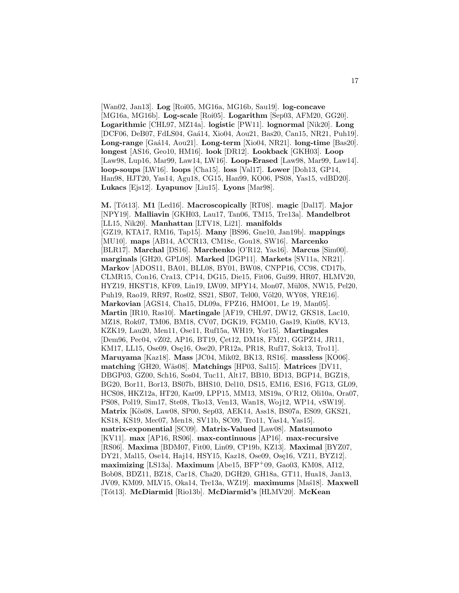[Wan02, Jan13]. **Log** [Roi05, MG16a, MG16b, Sau19]. **log-concave** [MG16a, MG16b]. **Log-scale** [Roi05]. **Logarithm** [Sep03, AFM20, GG20]. **Logarithmic** [CHL97, MZ14a]. **logistic** [PW11]. **lognormal** [Nik20]. **Long** [DCF06, DeB07, FdLS04, Gaá14, Xio04, Aou21, Bas20, Can15, NR21, Puh19]. **Long-range** [Ga´a14, Aou21]. **Long-term** [Xio04, NR21]. **long-time** [Bas20]. **longest** [AS16, Geo10, HM16]. **look** [DR12]. **Lookback** [GKH03]. **Loop** [Law98, Lup16, Mar99, Law14, LW16]. **Loop-Erased** [Law98, Mar99, Law14]. **loop-soups** [LW16]. **loops** [Cha15]. **loss** [Val17]. **Lower** [Doh13, GP14, Han98, HJT20, Yas14, Agu18, CG15, Han99, KO06, PS08, Yas15, vdBD20]. **Lukacs** [Ejs12]. **Lyapunov** [Liu15]. **Lyons** [Mar98].

**M.** [T´ot13]. **M1** [Led16]. **Macroscopically** [RT08]. **magic** [Dal17]. **Major** [NPY19]. **Malliavin** [GKH03, Lau17, Tan06, TM15, Tre13a]. **Mandelbrot** [LL15, Nik20]. **Manhattan** [LTV18, Li21]. **manifolds** [GZ19, KTA17, RM16, Tap15]. **Many** [BS96, Gne10, Jan19b]. **mappings** [MU10]. **maps** [AB14, ACCR13, CM18c, Gou18, SW16]. **Marcenko** [BLR17]. **Marchal** [DS16]. **Marchenko** [O'R12, Yas16]. **Marcus** [Sim00]. **marginals** [GH20, GPL08]. **Marked** [DGP11]. **Markets** [SV11a, NR21]. **Markov** [ADOS11, BA01, BLL08, BY01, BW08, CNPP16, CC98, CD17b, CLMR15, Con16, Cra13, CP14, DG15, Die15, Fit06, Gui99, HR07, HLMV20, HYZ19, HKST18, KF09, Lin19, LW09, MPY14, Mon07, M¨ul08, NW15, Pel20, Puh19, Rao19, RR97, Ros02, SS21, SB07, Tel00, Völ20, WY08, YRE16]. **Markovian** [AGS14, Cha15, DL09a, FPZ16, HMO01, Le 19, Man05]. **Martin** [IR10, Ras10]. **Martingale** [AF19, CHL97, DW12, GKS18, Lac10, MZ18, Rok07, TM06, BM18, CV07, DGK19, FGM10, Gas19, Kin08, KV13, KZK19, Lau20, Men11, Ose11, Ruf15a, WH19, Yor15]. **Martingales** [Dem96, Pec04, vZ02, AP16, BT19, Cet12, DM18, FM21, GGPZ14, JR11, KM17, LL15, Ose09, Ose16, Ose20, PR12a, PR18, Ruf17, Sok13, Tro11. **Maruyama** [Kaz18]. **Mass** [JC04, Mik02, BK13, RS16]. **massless** [KO06]. **matching** [GH20, W¨as08]. **Matchings** [HP03, Sal15]. **Matrices** [DV11, DBGP03, GZ00, Sch16, Sos04, Tuc11, Alt17, BB10, BD13, BGP14, BGZ18, BG20, Bor11, Bor13, BS07b, BHS10, Del10, DS15, EM16, ES16, FG13, GL09, HCS08, HKZ12a, HT20, Kar09, LPP15, MM13, MS19a, O'R12, Oli10a, Ora07, PS08, Pol19, Sim17, Ste08, Tko13, Ven13, Wan18, Woj12, WP14, vSW19]. **Matrix** [K¨os08, Law08, SP00, Sep03, AEK14, Ass18, BS07a, ES09, GKS21, KS18, KS19, Mec07, Men18, SV11b, SC09, Tro11, Yas14, Yas15]. **matrix-exponential** [SC09]. **Matrix-Valued** [Law08]. **Matsumoto** [KV11]. **max** [AP16, RS06]. **max-continuous** [AP16]. **max-recursive** [RS06]. **Maxima** [BDM07, Fit00, Lin09, CP19b, KZ13]. **Maximal** [BYZ07, DY21, Mal15, Ose14, Haj14, HSY15, Kaz18, Ose09, Ose16, VZ11, BYZ12]. **maximizing** [LS13a]. **Maximum** [Abe15, BFP<sup>+</sup>09, Gao03, KM08, AI12, Bob08, BDZ11, BZ18, Car18, Cha20, DGH20, GH18a, GT11, Hua18, Jan13, JV09, KM09, MLV15, Oka14, Tre13a, WZ19]. maximums [Mas<sup>18]</sup>. Maxwell [T´ot13]. **McDiarmid** [Rio13b]. **McDiarmid's** [HLMV20]. **McKean**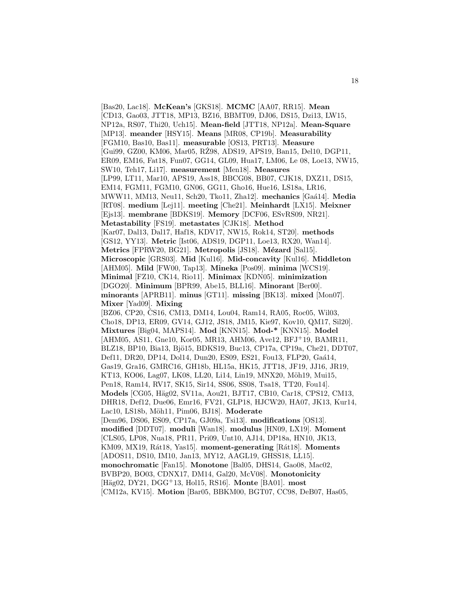[Bas20, Lac18]. **McKean's** [GKS18]. **MCMC** [AA07, RR15]. **Mean** [CD13, Gao03, JTT18, MP13, BZ16, BBMT09, DJ06, DS15, Dzi13, LW15, NP12a, RS07, Thi20, Uch15]. **Mean-field** [JTT18, NP12a]. **Mean-Square** [MP13]. **meander** [HSY15]. **Means** [MR08, CP19b]. **Measurability** [FGM10, Bas10, Bas11]. **measurable** [OS13, PRT13]. **Measure** [Gui99, GZ00, KM06, Mar05, RZ98, ADS19, APS19, Ban15, Del10, DGP11, ER09, EM16, Fat18, Fun07, GG14, GL09, Hua17, LM06, Le 08, Loe13, NW15, SW10, Teh17, Li17]. **measurement** [Men18]. **Measures** [LP99, LT11, Mar10, APS19, Ass18, BBCG08, BB07, CJK18, DXZ11, DS15, EM14, FGM11, FGM10, GN06, GG11, Gho16, Hue16, LS18a, LR16, MWW11, MM13, Neu11, Sch20, Tko11, Zha12]. **mechanics** [Ga´a14]. **Media** [RT08]. **medium** [Lej11]. **meeting** [Che21]. **Meinhardt** [LX15]. **Meixner** [Ejs13]. **membrane** [BDKS19]. **Memory** [DCF06, ESvRS09, NR21]. **Metastability** [FS19]. **metastates** [CJK18]. **Method** [Kar07, Dal13, Dal17, Haf18, KDV17, NW15, Rok14, ST20]. **methods** [GS12, YY13]. **Metric** [Ist06, ADS19, DGP11, Loe13, RX20, Wan14]. **Metrics** [FPRW20, BG21]. **Metropolis** [JS18]. **M´ezard** [Sal15]. **Microscopic** [GRS03]. **Mid** [Kul16]. **Mid-concavity** [Kul16]. **Middleton** [AHM05]. **Mild** [FW00, Tap13]. **Mineka** [Pos09]. **minima** [WCS19]. **Minimal** [FZ10, CK14, Rio11]. **Minimax** [KDN05]. **minimization** [DGO20]. **Minimum** [BPR99, Abe15, BLL16]. **Minorant** [Ber00]. **minorants** [APRB11]. **minus** [GT11]. **missing** [BK13]. **mixed** [Mon07]. **Mixer** [Yad09]. **Mixing** [BZ06, CP20, ČS16, CM13, DM14, Lou04, Ram14, RA05, Roc05, Wil03, Cho18, DP13, ER09, GV14, GJ12, JS18, JM15, Kie97, Kov10, QM17, Sil20]. **Mixtures** [Big04, MAPS14]. **Mod** [KNN15]. **Mod-\*** [KNN15]. **Model** [AHM05, AS11, Gne10, Kor05, MR13, AHM06, Ave12, BFJ<sup>+</sup>19, BAMR11, BLZ18, BP10, Bia13, Bjö15, BDKS19, Buc13, CP17a, CP19a, Che21, DDT07, Def11, DR20, DP14, Dol14, Dun20, ES09, ES21, Fou13, FLP20, Gaá14, Gas19, Gra16, GMRC16, GH18b, HL15a, HK15, JTT18, JF19, JJ16, JR19, KT13, KO06, Lag07, LK08, LL20, Li14, Lin19, MNX20, Möh19, Mui15, Pen18, Ram14, RV17, SK15, Sir14, SS06, SS08, Tsa18, TT20, Fou14]. **Models** [CG05, Häg02, SV11a, Aou21, BJT17, CB10, Car18, CPS12, CM13, DHR18, Def12, Due06, Emr16, FV21, GLP18, HJCW20, HA07, JK13, Kur14, Lac10, LS18b, Möh11, Pim06, BJ18]. Moderate [Dem96, DS06, ES09, CP17a, GJ09a, Tsi13]. **modifications** [OS13]. **modified** [DDT07]. **moduli** [Wan18]. **modulus** [HN09, LX19]. **Moment** [CLS05, LP08, Nua18, PR11, Pri09, Unt10, AJ14, DP18a, HN10, JK13, KM09, MX19, Rát18, Yas15]. **moment-generating** [Rát18]. **Moments** [ADOS11, DS10, IM10, Jan13, MY12, AAGL19, GHSS18, LL15]. **monochromatic** [Fan15]. **Monotone** [Bal05, DHS14, Gao08, Mac02, BVBP20, BO03, CDNX17, DM14, Gal20, McV08]. **Monotonicity** [Häg02, DY21, DGG<sup>+</sup>13, Hol15, RS16]. **Monte** [BA01]. **most** [CM12a, KV15]. **Motion** [Bar05, BBKM00, BGT07, CC98, DeB07, Has05,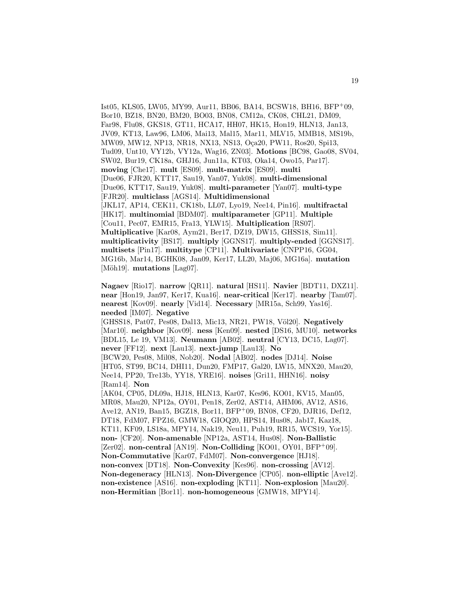Ist05, KLS05, LW05, MY99, Aur11, BB06, BA14, BCSW18, BH16, BFP<sup>+</sup>09, Bor10, BZ18, BN20, BM20, BO03, BN08, CM12a, CK08, CHL21, DM09, Far98, Flu08, GKS18, GT11, HCA17, HH07, HK15, Hon19, HLN13, Jan13, JV09, KT13, Law96, LM06, Mai13, Mal15, Mar11, MLV15, MMB18, MS19b, MW09, MW12, NP13, NR18, NX13, NS13, Oca20, PW11, Ros20, Spi13, Tud09, Unt10, VY12b, VY12a, Wag16, ZN03]. **Motions** [BC98, Gao08, SV04, SW02, Bur19, CK18a, GHJ16, Jun11a, KT03, Oka14, Owo15, Par17]. **moving** [Che17]. **mult** [ES09]. **mult-matrix** [ES09]. **multi** [Due06, FJR20, KTT17, Sau19, Yan07, Yuk08]. **multi-dimensional** [Due06, KTT17, Sau19, Yuk08]. **multi-parameter** [Yan07]. **multi-type** [FJR20]. **multiclass** [AGS14]. **Multidimensional** [JKL17, AP14, CEK11, CK18b, LL07, Lyo19, Nee14, Pin16]. **multifractal** [HK17]. **multinomial** [BDM07]. **multiparameter** [GP11]. **Multiple** [Cou11, Pec07, EMR15, Fra13, YLW15]. **Multiplication** [RS07]. **Multiplicative** [Kar08, Aym21, Ber17, DZ19, DW15, GHSS18, Sim11]. **multiplicativity** [BS17]. **multiply** [GGNS17]. **multiply-ended** [GGNS17]. **multisets** [Pin17]. **multitype** [CP11]. **Multivariate** [CNPP16, GG04, MG16b, Mar14, BGHK08, Jan09, Ker17, LL20, Maj06, MG16a]. **mutation** [Möh19]. **mutations** [Lag07].

**Nagaev** [Rio17]. **narrow** [QR11]. **natural** [HS11]. **Navier** [BDT11, DXZ11]. **near** [Hon19, Jan97, Ker17, Kua16]. **near-critical** [Ker17]. **nearby** [Tam07]. **nearest** [Kov09]. **nearly** [Vid14]. **Necessary** [MR15a, Sch99, Yas16]. **needed** [IM07]. **Negative**

[GHSS18, Pat07, Pes08, Dal13, Mic13, NR21, PW18, Völ20]. **Negatively** [Mar10]. **neighbor** [Kov09]. **ness** [Ken09]. **nested** [DS16, MU10]. **networks** [BDL15, Le 19, VM13]. **Neumann** [AB02]. **neutral** [CY13, DC15, Lag07]. **never** [FF12]. **next** [Lau13]. **next-jump** [Lau13]. **No** [BCW20, Pes08, Mil08, Nob20]. **Nodal** [AB02]. **nodes** [DJ14]. **Noise** [HT05, ST99, BC14, DHI11, Dun20, FMP17, Gal20, LW15, MNX20, Mau20, Nee14, PP20, Tre13b, YY18, YRE16]. **noises** [Gri11, HHN16]. **noisy** [Ram14]. **Non** [AK04, CP05, DL09a, HJ18, HLN13, Kar07, Kes96, KO01, KV15, Man05,

MR08, Mau20, NP12a, OY01, Pen18, Zer02, AST14, AHM06, AV12, AS16, Ave12, AN19, Ban15, BGZ18, Bor11, BFP<sup>+</sup>09, BN08, CF20, DJR16, Def12, DT18, FdM07, FPZ16, GMW18, GIOQ20, HPS14, Hus08, Jab17, Kaz18, KT11, KF09, LS18a, MPY14, Nak19, Neu11, Puh19, RR15, WCS19, Yor15]. **non-** [CF20]. **Non-amenable** [NP12a, AST14, Hus08]. **Non-Ballistic** [Zer02]. **non-central** [AN19]. **Non-Colliding** [KO01, OY01, BFP+09]. **Non-Commutative** [Kar07, FdM07]. **Non-convergence** [HJ18]. **non-convex** [DT18]. **Non-Convexity** [Kes96]. **non-crossing** [AV12]. **Non-degeneracy** [HLN13]. **Non-Divergence** [CP05]. **non-elliptic** [Ave12]. **non-existence** [AS16]. **non-exploding** [KT11]. **Non-explosion** [Mau20]. **non-Hermitian** [Bor11]. **non-homogeneous** [GMW18, MPY14].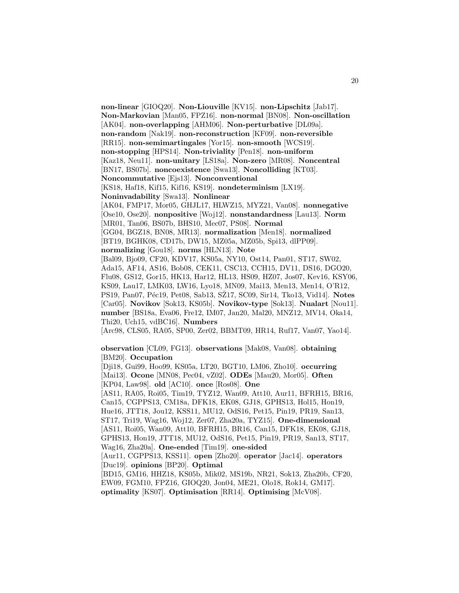**non-linear** [GIOQ20]. **Non-Liouville** [KV15]. **non-Lipschitz** [Jab17]. **Non-Markovian** [Man05, FPZ16]. **non-normal** [BN08]. **Non-oscillation** [AK04]. **non-overlapping** [AHM06]. **Non-perturbative** [DL09a]. **non-random** [Nak19]. **non-reconstruction** [KF09]. **non-reversible** [RR15]. **non-semimartingales** [Yor15]. **non-smooth** [WCS19]. **non-stopping** [HPS14]. **Non-triviality** [Pen18]. **non-uniform** [Kaz18, Neu11]. **non-unitary** [LS18a]. **Non-zero** [MR08]. **Noncentral** [BN17, BS07b]. **noncoexistence** [Swa13]. **Noncolliding** [KT03]. **Noncommutative** [Ejs13]. **Nonconventional** [KS18, Haf18, Kif15, Kif16, KS19]. **nondeterminism** [LX19]. **Noninvadability** [Swa13]. **Nonlinear** [AK04, FMP17, Mor05, GHJL17, HLWZ15, MYZ21, Van08]. **nonnegative** [Ose10, Ose20]. **nonpositive** [Woj12]. **nonstandardness** [Lau13]. **Norm** [MR01, Tan06, BS07b, BHS10, Mec07, PS08]. **Normal** [GG04, BGZ18, BN08, MR13]. **normalization** [Men18]. **normalized** [BT19, BGHK08, CD17b, DW15, MZ05a, MZ05b, Spi13, dlPP09]. **normalizing** [Gou18]. **norms** [HLN13]. **Note** [Bal09, Bjo09, CF20, KDV17, KS05a, NY10, Ost14, Pan01, ST17, SW02, Ada15, AF14, AS16, Bob08, CEK11, CSC13, CCH15, DV11, DS16, DGO20, Flu08, GS12, Gor15, HK13, Har12, HL13, HS09, HZ07, Jos07, Kev16, KSY06, KS09, Lau17, LMK03, LW16, Lyo18, MN09, Mai13, Men13, Men14, O'R12, PS19, Pan07, Péc19, Pet08, Sab13, SZ17, SC09, Sir14, Tko13, Vid14. **Notes** [Car05]. **Novikov** [Sok13, KS05b]. **Novikov-type** [Sok13]. **Nualart** [Nou11]. **number** [BS18a, Eva06, Fre12, IM07, Jan20, Mal20, MNZ12, MV14, Oka14, Thi20, Uch15, vdBC16]. **Numbers** [Arc98, CLS05, RA05, SP00, Zer02, BBMT09, HR14, Ruf17, Van07, Yao14]. **observation** [CL09, FG13]. **observations** [Mak08, Van08]. **obtaining** [BM20]. **Occupation** [Dji18, Gui99, Hoo99, KS05a, LT20, BGT10, LM06, Zho10]. **occurring** [Mai13]. **Ocone** [MN08, Pec04, vZ02]. **ODEs** [Mau20, Mor05]. **Often** [KP04, Law98]. **old** [AC10]. **once** [Ros08]. **One** [AS11, RA05, Roi05, Tim19, TYZ12, Wan09, Att10, Aur11, BFRH15, BR16, Can15, CGPPS13, CM18a, DFK18, EK08, GJ18, GPHS13, Hol15, Hon19,

Hue16, JTT18, Jou12, KSS11, MU12, OdS16, Pet15, Pin19, PR19, San13, ST17, Tri19, Wag16, Woj12, Zer07, Zha20a, TYZ15]. **One-dimensional** [AS11, Roi05, Wan09, Att10, BFRH15, BR16, Can15, DFK18, EK08, GJ18, GPHS13, Hon19, JTT18, MU12, OdS16, Pet15, Pin19, PR19, San13, ST17,

[Aur11, CGPPS13, KSS11]. **open** [Zho20]. **operator** [Jac14]. **operators**

[BD15, GM16, HHZ18, KS05b, Mik02, MS19b, NR21, Sok13, Zha20b, CF20, EW09, FGM10, FPZ16, GIOQ20, Jon04, ME21, Olo18, Rok14, GM17]. **optimality** [KS07]. **Optimisation** [RR14]. **Optimising** [McV08].

Wag16, Zha20a]. **One-ended** [Tim19]. **one-sided**

[Duc19]. **opinions** [BP20]. **Optimal**

20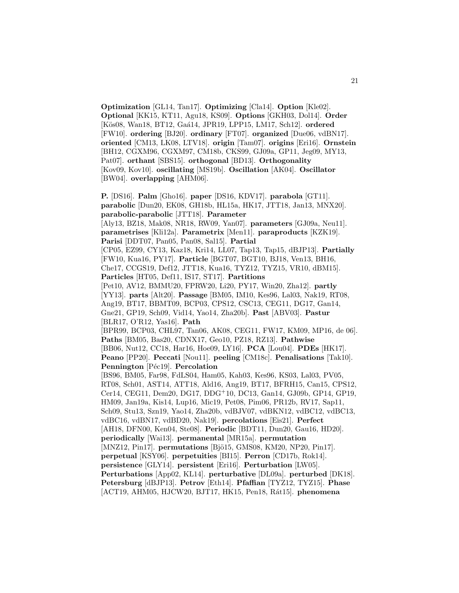**Optimization** [GL14, Tan17]. **Optimizing** [Cla14]. **Option** [Kle02]. **Optional** [KK15, KT11, Agu18, KS09]. **Options** [GKH03, Dol14]. **Order** [K¨os08, Wan18, BT12, Ga´a14, JPR19, LPP15, LM17, Sch12]. **ordered** [FW10]. **ordering** [BJ20]. **ordinary** [FT07]. **organized** [Due06, vdBN17]. **oriented** [CM13, LK08, LTV18]. **origin** [Tam07]. **origins** [Eri16]. **Ornstein** [BH12, CGXM96, CGXM97, CM18b, CKS99, GJ09a, GP11, Jeg09, MY13, Pat07]. **orthant** [SBS15]. **orthogonal** [BD13]. **Orthogonality** [Kov09, Kov10]. **oscillating** [MS19b]. **Oscillation** [AK04]. **Oscillator** [BW04]. **overlapping** [AHM06].

**P.** [DS16]. **Palm** [Gho16]. **paper** [DS16, KDV17]. **parabola** [GT11]. **parabolic** [Dun20, EK08, GH18b, HL15a, HK17, JTT18, Jan13, MNX20]. **parabolic-parabolic** [JTT18]. **Parameter** [Aly13, BZ18, Mak08, NR18, RW09, Yan07]. **parameters** [GJ09a, Neu11]. **parametrises** [Kli12a]. **Parametrix** [Men11]. **paraproducts** [KZK19]. **Parisi** [DDT07, Pan05, Pan08, Sal15]. **Partial** [CP05, EZ99, CY13, Kaz18, Kri14, LL07, Tap13, Tap15, dBJP13]. **Partially** [FW10, Kua16, PY17]. **Particle** [BGT07, BGT10, BJ18, Ven13, BH16, Che17, CCGS19, Def12, JTT18, Kua16, TYZ12, TYZ15, VR10, dBM15]. **Particles** [HT05, Def11, IS17, ST17]. **Partitions** [Pet10, AV12, BMMU20, FPRW20, Li20, PY17, Win20, Zha12]. **partly** [YY13]. **parts** [Alt20]. **Passage** [BM05, IM10, Kes96, Lal03, Nak19, RT08, Ang19, BT17, BBMT09, BCP03, CPS12, CSC13, CEG11, DG17, Gan14, Gne21, GP19, Sch09, Vid14, Yao14, Zha20b]. **Past** [ABV03]. **Pastur** [BLR17, O'R12, Yas16]. **Path** [BPR99, BCP03, CHL97, Tan06, AK08, CEG11, FW17, KM09, MP16, de 06]. **Paths** [BM05, Bas20, CDNX17, Geo10, PZ18, RZ13]. **Pathwise** [BB06, Nut12, CC18, Har16, Hoe09, LY16]. **PCA** [Lou04]. **PDEs** [HK17]. **Peano** [PP20]. **Peccati** [Nou11]. **peeling** [CM18c]. **Penalisations** [Tak10]. **Pennington** [Péc19]. **Percolation** [BS96, BM05, Far98, FdLS04, Ham05, Kah03, Kes96, KS03, Lal03, PV05, RT08, Sch01, AST14, ATT18, Ald16, Ang19, BT17, BFRH15, Can15, CPS12, Cer14, CEG11, Dem20, DG17, DDG<sup>+</sup>10, DC13, Gan14, GJ09b, GP14, GP19, HM09, Jan19a, Kis14, Lup16, Mic19, Pet08, Pim06, PR12b, RV17, Sap11, Sch09, Stu13, Szn19, Yao14, Zha20b, vdBJV07, vdBKN12, vdBC12, vdBC13, vdBC16, vdBN17, vdBD20, Nak19]. **percolations** [Eis21]. **Perfect** [AH18, DFN00, Ken04, Ste08]. **Periodic** [BDT11, Dun20, Gau16, HD20]. **periodically** [Wai13]. **permanental** [MR15a]. **permutation** [MNZ12, Pin17]. **permutations** [Bjö15, GMS08, KM20, NP20, Pin17]. **perpetual** [KSY06]. **perpetuities** [BI15]. **Perron** [CD17b, Rok14]. **persistence** [GLY14]. **persistent** [Eri16]. **Perturbation** [LW05]. **Perturbations** [App02, KL14]. **perturbative** [DL09a]. **perturbed** [DK18]. **Petersburg** [dBJP13]. **Petrov** [Eth14]. **Pfaffian** [TYZ12, TYZ15]. **Phase** [ACT19, AHM05, HJCW20, BJT17, HK15, Pen18, R´at15]. **phenomena**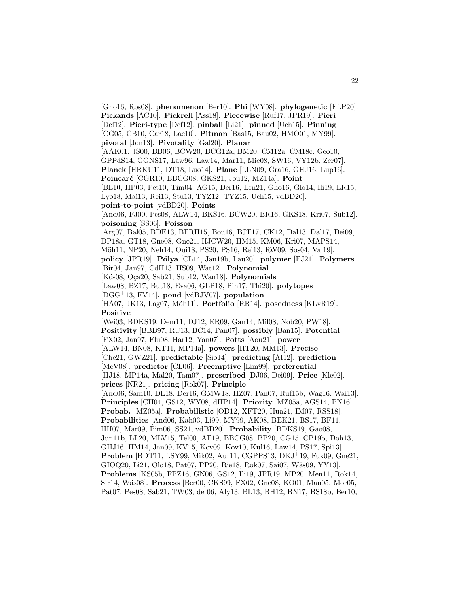[Gho16, Ros08]. **phenomenon** [Ber10]. **Phi** [WY08]. **phylogenetic** [FLP20]. **Pickands** [AC10]. **Pickrell** [Ass18]. **Piecewise** [Ruf17, JPR19]. **Pieri** [Def12]. **Pieri-type** [Def12]. **pinball** [Li21]. **pinned** [Uch15]. **Pinning** [CG05, CB10, Car18, Lac10]. **Pitman** [Bas15, Bau02, HMO01, MY99]. **pivotal** [Jon13]. **Pivotality** [Gal20]. **Planar** [AAK01, JS00, BB06, BCW20, BCG12a, BM20, CM12a, CM18c, Geo10, GPPdS14, GGNS17, Law96, Law14, Mar11, Mie08, SW16, VY12b, Zer07]. **Planck** [HRKU11, DT18, Luo14]. **Plane** [LLN09, Gra16, GHJ16, Lup16]. Poincaré [CGR10, BBCG08, GKS21, Jou12, MZ14a]. Point [BL10, HP03, Pet10, Tim04, AG15, Der16, Ern21, Gho16, Glo14, Ili19, LR15, Lyo18, Mai13, Rei13, Stu13, TYZ12, TYZ15, Uch15, vdBD20]. **point-to-point** [vdBD20]. **Points** [And06, FJ00, Pes08, ALW14, BKS16, BCW20, BR16, GKS18, Kri07, Sub12]. **poisoning** [SS06]. **Poisson** [Arg07, Bal05, BDE13, BFRH15, Bou16, BJT17, CK12, Dal13, Dal17, Dei09, DP18a, GT18, Gne08, Gne21, HJCW20, HM15, KM06, Kri07, MAPS14, Möh11, NP20, Neh14, Oui18, PS20, PS16, Rei13, RW09, Sos04, Val19. **policy** [JPR19]. **P´olya** [CL14, Jan19b, Lau20]. **polymer** [FJ21]. **Polymers** [Bir04, Jan97, CdH13, HS09, Wat12]. **Polynomial** [K¨os08, O¸ca20, Sab21, Sub12, Wan18]. **Polynomials** [Law08, BZ17, But18, Eva06, GLP18, Pin17, Thi20]. **polytopes** [DGG<sup>+</sup>13, FV14]. **pond** [vdBJV07]. **population** [HA07, JK13, Lag07, Möh11]. **Portfolio** [RR14]. **posedness** [KLvR19]. **Positive** [Wei03, BDKS19, Dem11, DJ12, ER09, Gan14, Mil08, Nob20, PW18]. **Positivity** [BBB97, RU13, BC14, Pan07]. **possibly** [Ban15]. **Potential** [FX02, Jan97, Flu08, Har12, Yan07]. **Potts** [Aou21]. **power** [ALW14, BN08, KT11, MP14a]. **powers** [HT20, MM13]. **Precise** [Che21, GWZ21]. **predictable** [Sio14]. **predicting** [AI12]. **prediction** [McV08]. **predictor** [CL06]. **Preemptive** [Lim99]. **preferential** [HJ18, MP14a, Mal20, Tam07]. **prescribed** [DJ06, Dei09]. **Price** [Kle02]. **prices** [NR21]. **pricing** [Rok07]. **Principle** [And06, Sam10, DL18, Der16, GMW18, HZ07, Pan07, Ruf15b, Wag16, Wai13]. **Principles** [CH04, GS12, WY08, dHP14]. **Priority** [MZ05a, AGS14, PN16]. **Probab.** [MZ05a]. **Probabilistic** [OD12, XFT20, Hua21, IM07, RSS18]. **Probabilities** [And06, Kah03, Li99, MY99, AK08, BEK21, BS17, BF11, HH07, Mar09, Pim06, SS21, vdBD20]. **Probability** [BDKS19, Gao08, Jun11b, LL20, MLV15, Tel00, AF19, BBCG08, BP20, CG15, CP19b, Doh13, GHJ16, HM14, Jan09, KV15, Kov09, Kov10, Kul16, Law14, PS17, Spi13]. **Problem** [BDT11, LSY99, Mik02, Aur11, CGPPS13, DKJ<sup>+</sup>19, Fuk09, Gne21, GIOQ20, Li21, Olo18, Pat07, PP20, Rie18, Rok07, Sai07, Wäs09, YY13]. **Problems** [KS05b, FPZ16, GN06, GS12, Ili19, JPR19, MP20, Men11, Rok14, Sir14, W¨as08]. **Process** [Ber00, CKS99, FX02, Gne08, KO01, Man05, Mor05, Pat07, Pes08, Sab21, TW03, de 06, Aly13, BL13, BH12, BN17, BS18b, Ber10,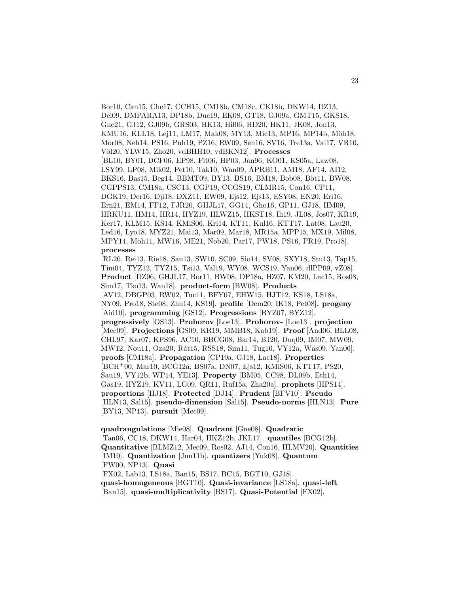Bor10, Can15, Che17, CCH15, CM18b, CM18c, CK18b, DKW14, DZ13, Dei09, DMPARA13, DP18b, Duc19, EK08, GT18, GJ09a, GMT15, GKS18, Gne21, GJ12, GJ09b, GRS03, HK13, Hil06, HD20, HK11, JK08, Jon13, KMU16, KLL18, Lej11, LM17, Mak08, MY13, Mic13, MP16, MP14b, Möh18, Mor08, Neh14, PS16, Puh19, PZ16, RW09, Sen16, SV16, Tre13a, Val17, VR10, V¨ol20, YLW15, Zho20, vdBHH10, vdBKN12]. **Processes** [BL10, BY01, DCF06, EP98, Fit06, HP03, Jan96, KO01, KS05a, Law08, LSY99, LP08, Mik02, Pet10, Tak10, Wan09, APRB11, AM18, AF14, AI12, BKS16, Bas15, Beg14, BBMT09, BY13, BS16, BM18, Bob08, Böt11, BW08, CGPPS13, CM18a, CSC13, CGP19, CCGS19, CLMR15, Con16, CP11, DGK19, Der16, Dji18, DXZ11, EW09, Ejs12, Ejs13, ESY08, EN20, Eri16, Ern21, EM14, FF12, FJR20, GHJL17, GG14, Gho16, GP11, GJ18, HM09, HRKU11, HM14, HR14, HYZ19, HLWZ15, HKST18, Ili19, JL08, Jos07, KR19, Ker17, KLM15, KS14, KMiS06, Kri14, KT11, Kul16, KTT17, Lat08, Lau20, Led16, Lyo18, MYZ21, Mai13, Mar09, Mar18, MR15a, MPP15, MX19, Mil08, MPY14, Möh11, MW16, ME21, Nob20, Par17, PW18, PS16, PR19, Pro18. **processes**

[RL20, Rei13, Rie18, San13, SW10, SC09, Sio14, SV08, SXY18, Stu13, Tap15, Tim04, TYZ12, TYZ15, Tsi13, Val19, WY08, WCS19, Yan06, dlPP09, vZ08]. **Product** [DZ96, GHJL17, Bor11, BW08, DP18a, HZ07, KM20, Lac15, Ros08, Sim17, Tko13, Wan18]. **product-form** [BW08]. **Products** [AV12, DBGP03, RW02, Tuc11, BFY07, EHW15, HJT12, KS18, LS18a, NY09, Pro18, Ste08, Zhu14, KS19]. **profile** [Dem20, IK18, Pet08]. **progeny** [Aid10]. **programming** [GS12]. **Progressions** [BYZ07, BYZ12]. **progressively** [OS13]. **Prohorov** [Loe13]. **Prohorov-** [Loe13]. **projection** [Mec09]. **Projections** [GS09, KR19, MMB18, Kab19]. **Proof** [And06, BLL08, CHL97, Kar07, KPS96, AC10, BBCG08, Bar14, BJ20, Duq09, IM07, MW09, MW12, Nou11, Oza20, Rát15, RSS18, Sim11, Tug16, VY12a, Wäs09, Yan06]. **proofs** [CM18a]. **Propagation** [CP19a, GJ18, Lac18]. **Properties** [BCH<sup>+</sup>00, Mar10, BCG12a, BS07a, DN07, Ejs12, KMiS06, KTT17, PS20, Sau19, VY12b, WP14, YE13]. **Property** [BM05, CC98, DL09b, Eth14, Gas19, HYZ19, KV11, LG09, QR11, Ruf15a, Zha20a]. **prophets** [HPS14]. **proportions** [HJ18]. **Protected** [DJ14]. **Prudent** [BFV10]. **Pseudo** [HLN13, Sal15]. **pseudo-dimension** [Sal15]. **Pseudo-norms** [HLN13]. **Pure** [BY13, NP13]. **pursuit** [Mec09].

**quadrangulations** [Mie08]. **Quadrant** [Gne08]. **Quadratic** [Tan06, CC18, DKW14, Har04, HKZ12b, JKL17]. **quantiles** [BCG12b]. **Quantitative** [BLMZ12, Mec09, Ros02, AJ14, Con16, HLMV20]. **Quantities** [IM10]. **Quantization** [Jun11b]. **quantizers** [Yuk08]. **Quantum** [FW00, NP13]. **Quasi** [FX02, Lab13, LS18a, Ban15, BS17, BC15, BGT10, GJ18]. **quasi-homogeneous** [BGT10]. **Quasi-invariance** [LS18a]. **quasi-left** [Ban15]. **quasi-multiplicativity** [BS17]. **Quasi-Potential** [FX02].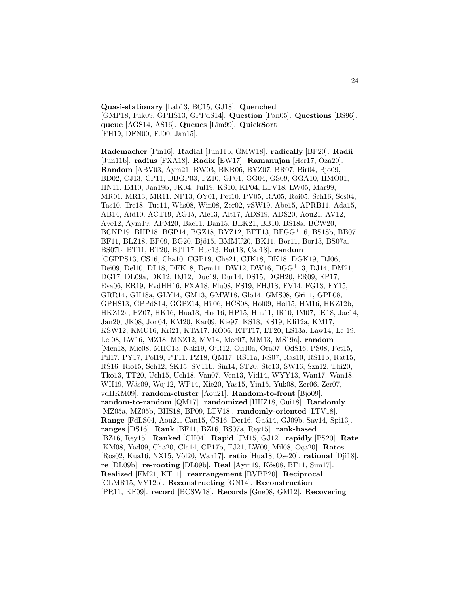**Quasi-stationary** [Lab13, BC15, GJ18]. **Quenched** [GMP18, Fuk09, GPHS13, GPPdS14]. **Question** [Pan05]. **Questions** [BS96]. **queue** [AGS14, AS16]. **Queues** [Lim99]. **QuickSort** [FH19, DFN00, FJ00, Jan15].

**Rademacher** [Pin16]. **Radial** [Jun11b, GMW18]. **radically** [BP20]. **Radii** [Jun11b]. **radius** [FXA18]. **Radix** [EW17]. **Ramanujan** [Her17, Oza20]. **Random** [ABV03, Aym21, BW03, BKR06, BYZ07, BR07, Bir04, Bjo09, BD02, CJ13, CP11, DBGP03, FZ10, GP01, GG04, GS09, GGA10, HMO01, HN11, IM10, Jan19b, JK04, Jul19, KS10, KP04, LTV18, LW05, Mar99, MR01, MR13, MR11, NP13, OY01, Pet10, PV05, RA05, Roi05, Sch16, Sos04, Tas10, Tre18, Tuc11, Wäs08, Win08, Zer02, vSW19, Abe15, APRB11, Ada15, AB14, Aid10, ACT19, AG15, Ale13, Alt17, ADS19, ADS20, Aou21, AV12, Ave12, Aym19, AFM20, Bac11, Ban15, BEK21, BB10, BS18a, BCW20, BCNP19, BHP18, BGP14, BGZ18, BYZ12, BFT13, BFGG<sup>+</sup>16, BS18b, BB07, BF11, BLZ18, BP09, BG20, Bjö15, BMMU20, BK11, Bor11, Bor13, BS07a, BS07b, BT11, BT20, BJT17, Buc13, But18, Car18]. **random** [CGPPS13, ČS16, Cha10, CGP19, Che21, CJK18, DK18, DGK19, DJ06, Dei09, Del10, DL18, DFK18, Dem11, DW12, DW16, DGG<sup>+</sup>13, DJ14, DM21, DG17, DL09a, DK12, DJ12, Duc19, Dur14, DS15, DGH20, ER09, EP17, Eva06, ER19, FvdHH16, FXA18, Flu08, FS19, FHJ18, FV14, FG13, FY15, GRR14, GH18a, GLY14, GM13, GMW18, Glo14, GMS08, Gri11, GPL08, GPHS13, GPPdS14, GGPZ14, Hil06, HCS08, Hol09, Hol15, HM16, HKZ12b, HKZ12a, HZ07, HK16, Hua18, Hue16, HP15, Hut11, IR10, IM07, IK18, Jac14, Jan20, JK08, Jon04, KM20, Kar09, Kie97, KS18, KS19, Kli12a, KM17, KSW12, KMU16, Kri21, KTA17, KO06, KTT17, LT20, LS13a, Law14, Le 19, Le 08, LW16, MZ18, MNZ12, MV14, Mec07, MM13, MS19a]. **random** [Men18, Mie08, MHC13, Nak19, O'R12, Oli10a, Ora07, OdS16, PS08, Pet15, Pil17, PY17, Pol19, PT11, PZ18, QM17, RS11a, RS07, Ras10, RS11b, Rát15, RS16, Rio15, Sch12, SK15, SV11b, Sin14, ST20, Ste13, SW16, Szn12, Thi20, Tko13, TT20, Uch15, Uch18, Van07, Ven13, Vid14, WYY13, Wan17, Wan18, WH19, Wäs09, Woj12, WP14, Xie20, Yas15, Yin15, Yuk08, Zer06, Zer07, vdHKM09]. **random-cluster** [Aou21]. **Random-to-front** [Bjo09]. **random-to-random** [QM17]. **randomized** [HHZ18, Oui18]. **Randomly** [MZ05a, MZ05b, BHS18, BP09, LTV18]. **randomly-oriented** [LTV18]. **Range** [FdLS04, Aou21, Can15, ČS16, Der16, Gaá14, GJ09b, Sav14, Spi13]. **ranges** [DS16]. **Rank** [BF11, BZ16, BS07a, Rey15]. **rank-based** [BZ16, Rey15]. **Ranked** [CH04]. **Rapid** [JM15, GJ12]. **rapidly** [PS20]. **Rate** [KM08, Yad09, Cha20, Cla14, CP17b, FJ21, LW09, Mil08, Oça20]. **Rates** [Ros02, Kua16, NX15, V¨ol20, Wan17]. **ratio** [Hua18, Ose20]. **rational** [Dji18]. **re** [DL09b]. **re-rooting** [DL09b]. **Real** [Aym19, Kös08, BF11, Sim17]. **Realized** [FM21, KT11]. **rearrangement** [BVBP20]. **Reciprocal** [CLMR15, VY12b]. **Reconstructing** [GN14]. **Reconstruction** [PR11, KF09]. **record** [BCSW18]. **Records** [Gne08, GM12]. **Recovering**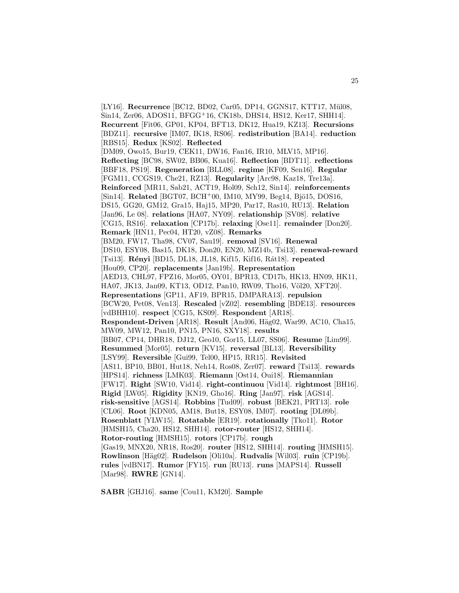[LY16]. **Recurrence** [BC12, BD02, Car05, DP14, GGNS17, KTT17, Mül08, Sin14, Zer06, ADOS11, BFGG<sup>+</sup>16, CK18b, DHS14, HS12, Ker17, SHH14]. **Recurrent** [Fit06, GP01, KP04, BFT13, DK12, Hua19, KZ13]. **Recursions** [BDZ11]. **recursive** [IM07, IK18, RS06]. **redistribution** [BA14]. **reduction** [RBS15]. **Redux** [KS02]. **Reflected** [DM09, Owo15, Bur19, CEK11, DW16, Fan16, IR10, MLV15, MP16]. **Reflecting** [BC98, SW02, BB06, Kua16]. **Reflection** [BDT11]. **reflections** [BBF18, PS19]. **Regeneration** [BLL08]. **regime** [KF09, Sen16]. **Regular** [FGM11, CCGS19, Che21, RZ13]. **Regularity** [Arc98, Kaz18, Tre13a]. **Reinforced** [MR11, Sab21, ACT19, Hol09, Sch12, Sin14]. **reinforcements** [Sin14]. **Related** [BGT07, BCH+00, IM10, MY99, Beg14, Bjö15, DOS16, DS15, GG20, GM12, Gra15, Haj15, MP20, Par17, Ras10, RU13]. **Relation** [Jan96, Le 08]. **relations** [HA07, NY09]. **relationship** [SV08]. **relative** [CG15, RS16]. **relaxation** [CP17b]. **relaxing** [Ose11]. **remainder** [Don20]. **Remark** [HN11, Pec04, HT20, vZ08]. **Remarks** [BM20, FW17, Tha98, CV07, Sau19]. **removal** [SV16]. **Renewal** [DS10, ESY08, Bas15, DK18, Don20, EN20, MZ14b, Tsi13]. **renewal-reward** [Tsi13]. **R´enyi** [BD15, DL18, JL18, Kif15, Kif16, R´at18]. **repeated** [Hou09, CP20]. **replacements** [Jan19b]. **Representation** [AED13, CHL97, FPZ16, Mor05, OY01, BPR13, CD17b, HK13, HN09, HK11, HA07, JK13, Jan09, KT13, OD12, Pan10, RW09, Tho16, Völ20, XFT20]. **Representations** [GP11, AF19, BPR15, DMPARA13]. **repulsion** [BCW20, Pet08, Ven13]. **Rescaled** [vZ02]. **resembling** [BDE13]. **resources** [vdBHH10]. **respect** [CG15, KS09]. **Respondent** [AR18]. **Respondent-Driven** [AR18]. **Result** [And06, Häg02, War99, AC10, Cha15, MW09, MW12, Pan10, PN15, PN16, SXY18]. **results** [BB07, CP14, DHR18, DJ12, Geo10, Gor15, LL07, SS06]. **Resume** [Lim99]. **Resummed** [Mor05]. **return** [KV15]. **reversal** [BL13]. **Reversibility** [LSY99]. **Reversible** [Gui99, Tel00, HP15, RR15]. **Revisited** [AS11, BP10, BB01, Hut18, Neh14, Ros08, Zer07]. **reward** [Tsi13]. **rewards** [HPS14]. **richness** [LMK03]. **Riemann** [Ost14, Oui18]. **Riemannian** [FW17]. **Right** [SW10, Vid14]. **right-continuou** [Vid14]. **rightmost** [BH16]. **Rigid** [LW05]. **Rigidity** [KN19, Gho16]. **Ring** [Jan97]. **risk** [AGS14]. **risk-sensitive** [AGS14]. **Robbins** [Tud09]. **robust** [BEK21, PRT13]. **role** [CL06]. **Root** [KDN05, AM18, But18, ESY08, IM07]. **rooting** [DL09b]. **Rosenblatt** [YLW15]. **Rotatable** [ER19]. **rotationally** [Tko11]. **Rotor** [HMSH15, Cha20, HS12, SHH14]. **rotor-router** [HS12, SHH14]. **Rotor-routing** [HMSH15]. **rotors** [CP17b]. **rough** [Gas19, MNX20, NR18, Ros20]. **router** [HS12, SHH14]. **routing** [HMSH15]. **Rowlinson** [H¨ag02]. **Rudelson** [Oli10a]. **Rudvalis** [Wil03]. **ruin** [CP19b]. **rules** [vdBN17]. **Rumor** [FY15]. **run** [RU13]. **runs** [MAPS14]. **Russell** [Mar98]. **RWRE** [GN14].

**SABR** [GHJ16]. **same** [Cou11, KM20]. **Sample**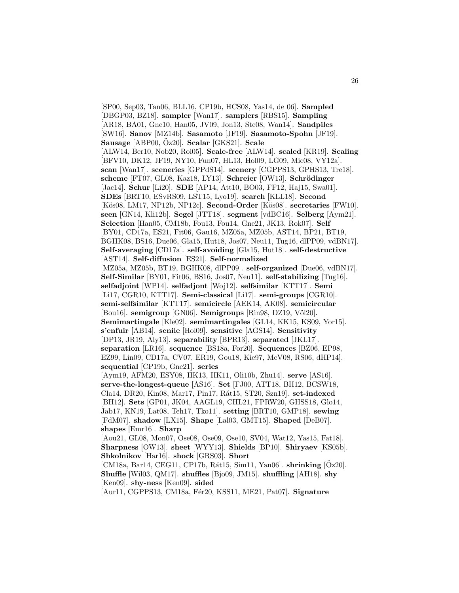[SP00, Sep03, Tan06, BLL16, CP19b, HCS08, Yas14, de 06]. **Sampled** [DBGP03, BZ18]. **sampler** [Wan17]. **samplers** [RBS15]. **Sampling** [AR18, BA01, Gne10, Han05, JV09, Jon13, Ste08, Wan14]. **Sandpiles** [SW16]. **Sanov** [MZ14b]. **Sasamoto** [JF19]. **Sasamoto-Spohn** [JF19]. **Sausage** [ABP00, Oz20]. ¨ **Scalar** [GKS21]. **Scale** [ALW14, Ber10, Nob20, Roi05]. **Scale-free** [ALW14]. **scaled** [KR19]. **Scaling** [BFV10, DK12, JF19, NY10, Fun07, HL13, Hol09, LG09, Mie08, VY12a]. **scan** [Wan17]. **sceneries** [GPPdS14]. **scenery** [CGPPS13, GPHS13, Tre18]. **scheme** [FT07, GL08, Kaz18, LY13]. **Schreier** [OW13]. **Schrödinger** [Jac14]. **Schur** [Li20]. **SDE** [AP14, Att10, BO03, FF12, Haj15, Swa01]. **SDEs** [BRT10, ESvRS09, LST15, Lyo19]. **search** [KLL18]. **Second** [K¨os08, LM17, NP12b, NP12c]. **Second-Order** [K¨os08]. **secretaries** [FW10]. **seen** [GN14, Kli12b]. **Segel** [JTT18]. **segment** [vdBC16]. **Selberg** [Aym21]. **Selection** [Han05, CM18b, Fou13, Fou14, Gne21, JK13, Rok07]. **Self** [BY01, CD17a, ES21, Fit06, Gau16, MZ05a, MZ05b, AST14, BP21, BT19, BGHK08, BS16, Due06, Gla15, Hut18, Jos07, Neu11, Tug16, dlPP09, vdBN17]. **Self-averaging** [CD17a]. **self-avoiding** [Gla15, Hut18]. **self-destructive** [AST14]. **Self-diffusion** [ES21]. **Self-normalized** [MZ05a, MZ05b, BT19, BGHK08, dlPP09]. **self-organized** [Due06, vdBN17]. **Self-Similar** [BY01, Fit06, BS16, Jos07, Neu11]. **self-stabilizing** [Tug16]. **selfadjoint** [WP14]. **selfadjont** [Woj12]. **selfsimilar** [KTT17]. **Semi** [Li17, CGR10, KTT17]. **Semi-classical** [Li17]. **semi-groups** [CGR10]. **semi-selfsimilar** [KTT17]. **semicircle** [AEK14, AK08]. **semicircular** [Bou16]. **semigroup** [GN06]. **Semigroups** [Rin98, DZ19, Völ20]. **Semimartingale** [Kle02]. **semimartingales** [GL14, KK15, KS09, Yor15]. **s'enfuir** [AB14]. **senile** [Hol09]. **sensitive** [AGS14]. **Sensitivity** [DP13, JR19, Aly13]. **separability** [BPR13]. **separated** [JKL17]. **separation** [LR16]. **sequence** [BS18a, For20]. **Sequences** [BZ06, EP98, EZ99, Lin09, CD17a, CV07, ER19, Gou18, Kie97, McV08, RS06, dHP14]. **sequential** [CP19b, Gne21]. **series** [Aym19, AFM20, ESY08, HK13, HK11, Oli10b, Zhu14]. **serve** [AS16]. **serve-the-longest-queue** [AS16]. **Set** [FJ00, ATT18, BH12, BCSW18, Cla14, DR20, Kin08, Mar17, Pin17, R´at15, ST20, Szn19]. **set-indexed** [BH12]. **Sets** [GP01, JK04, AAGL19, CHL21, FPRW20, GHSS18, Glo14, Jab17, KN19, Lat08, Teh17, Tko11]. **setting** [BRT10, GMP18]. **sewing** [FdM07]. **shadow** [LX15]. **Shape** [Lal03, GMT15]. **Shaped** [DeB07]. **shapes** [Emr16]. **Sharp** [Aou21, GL08, Mon07, Ose08, Ose09, Ose10, SV04, Wat12, Yas15, Fat18]. **Sharpness** [OW13]. **sheet** [WYY13]. **Shields** [BP10]. **Shiryaev** [KS05b]. **Shkolnikov** [Har16]. **shock** [GRS03]. **Short** [CM18a, Bar14, CEG11, CP17b, Rát15, Sim11, Yan06]. **shrinking** [Öz20]. **Shuffle** [Wil03, QM17]. **shuffles** [Bjo09, JM15]. **shuffling** [AH18]. **shy** [Ken09]. **shy-ness** [Ken09]. **sided** [Aur11, CGPPS13, CM18a, F´er20, KSS11, ME21, Pat07]. **Signature**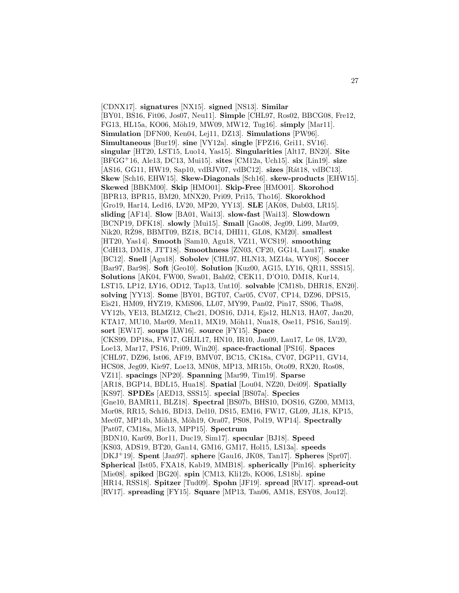[CDNX17]. **signatures** [NX15]. **signed** [NS13]. **Similar** [BY01, BS16, Fit06, Jos07, Neu11]. **Simple** [CHL97, Ros02, BBCG08, Fre12, FG13, HL15a, KO06, M¨oh19, MW09, MW12, Tug16]. **simply** [Mar11]. **Simulation** [DFN00, Ken04, Lej11, DZ13]. **Simulations** [PW96]. **Simultaneous** [Bur19]. **sine** [VY12a]. **single** [FPZ16, Gri11, SV16]. **singular** [HT20, LST15, Luo14, Yas15]. **Singularities** [Alt17, BN20]. **Site** [BFGG<sup>+</sup>16, Ale13, DC13, Mui15]. **sites** [CM12a, Uch15]. **six** [Lin19]. **size** [AS16, GG11, HW19, Sap10, vdBJV07, vdBC12]. **sizes** [Rát18, vdBC13]. **Skew** [Sch16, EHW15]. **Skew-Diagonals** [Sch16]. **skew-products** [EHW15]. **Skewed** [BBKM00]. **Skip** [HMO01]. **Skip-Free** [HMO01]. **Skorohod** [BPR13, BPR15, BM20, MNX20, Pri09, Pri15, Tho16]. **Skorokhod** [Gro19, Har14, Led16, LV20, MP20, YY13]. **SLE** [AK08, Dub03, LR15]. **sliding** [AF14]. **Slow** [BA01, Wai13]. **slow-fast** [Wai13]. **Slowdown** [BCNP19, DFK18]. **slowly** [Mui15]. **Small** [Gao08, Jeg09, Li99, Mar09, Nik20, RZ98, BBMT09, BZ18, BC14, DHI11, GL08, KM20]. ˙ **smallest** [HT20, Yas14]. **Smooth** [Sam10, Agu18, VZ11, WCS19]. **smoothing** [CdH13, DM18, JTT18]. **Smoothness** [ZN03, CF20, GG14, Lau17]. **snake** [BC12]. **Snell** [Agu18]. **Sobolev** [CHL97, HLN13, MZ14a, WY08]. **Soccer** [Bar97, Bar98]. **Soft** [Geo10]. **Solution** [Kuz00, AG15, LY16, QR11, SSS15]. **Solutions** [AK04, FW00, Swa01, Bah02, CEK11, D'O10, DM18, Kur14, LST15, LP12, LY16, OD12, Tap13, Unt10]. **solvable** [CM18b, DHR18, EN20]. **solving** [YY13]. **Some** [BY01, BGT07, Car05, CV07, CP14, DZ96, DPS15, Eis21, HM09, HYZ19, KMiS06, LL07, MY99, Pan02, Pin17, SS06, Tha98, VY12b, YE13, BLMZ12, Che21, DOS16, DJ14, Ejs12, HLN13, HA07, Jan20, KTA17, MU10, Mar09, Men11, MX19, Möh11, Nua18, Ose11, PS16, Sau19]. **sort** [EW17]. **soups** [LW16]. **source** [FY15]. **Space** [CKS99, DP18a, FW17, GHJL17, HN10, IR10, Jan09, Lau17, Le 08, LV20, Loe13, Mar17, PS16, Pri09, Win20]. **space-fractional** [PS16]. **Spaces** [CHL97, DZ96, Ist06, AF19, BMV07, BC15, CK18a, CV07, DGP11, GV14, HCS08, Jeg09, Kie97, Loe13, MN08, MP13, MR15b, Oto09, RX20, Ros08, VZ11]. **spacings** [NP20]. **Spanning** [Mar99, Tim19]. **Sparse** [AR18, BGP14, BDL15, Hua18]. **Spatial** [Lou04, NZ20, Dei09]. **Spatially** [KS97]. **SPDEs** [AED13, SSS15]. **special** [BS07a]. **Species** [Gne10, BAMR11, BLZ18]. **Spectral** [BS07b, BHS10, DOS16, GZ00, MM13, Mor08, RR15, Sch16, BD13, Del10, DS15, EM16, FW17, GL09, JL18, KP15, Mec07, MP14b, Möh18, Möh19, Ora07, PS08, Pol19, WP14]. **Spectrally** [Pat07, CM18a, Mic13, MPP15]. **Spectrum** [BDN10, Kar09, Bor11, Duc19, Sim17]. **specular** [BJ18]. **Speed** [KS03, ADS19, BT20, Gan14, GM16, GM17, Hol15, LS13a]. **speeds** [DKJ<sup>+</sup>19]. **Spent** [Jan97]. **sphere** [Gau16, JK08, Tan17]. **Spheres** [Spr07]. **Spherical** [Ist05, FXA18, Kab19, MMB18]. **spherically** [Pin16]. **sphericity** [Mie08]. **spiked** [BG20]. **spin** [CM13, Kli12b, KO06, LS18b]. **spine** [HR14, RSS18]. **Spitzer** [Tud09]. **Spohn** [JF19]. **spread** [RV17]. **spread-out** [RV17]. **spreading** [FY15]. **Square** [MP13, Tan06, AM18, ESY08, Jou12].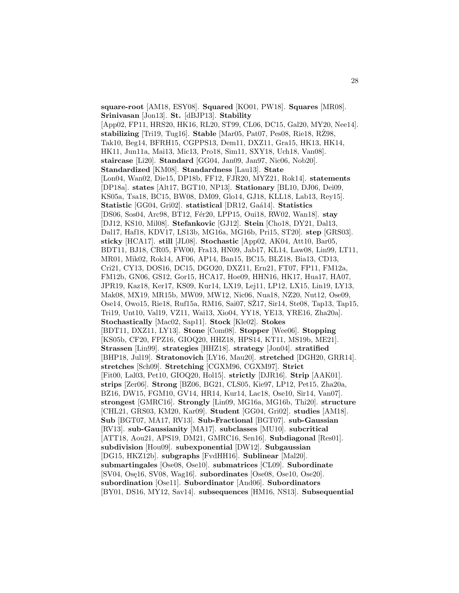**square-root** [AM18, ESY08]. **Squared** [KO01, PW18]. **Squares** [MR08]. **Srinivasan** [Jon13]. **St.** [dBJP13]. **Stability** [App02, FP11, HRS20, HK16, RL20, ST99, CL06, DC15, Gal20, MY20, Nee14]. **stabilizing** [Tri19, Tug16]. **Stable** [Mar05, Pat07, Pes08, Rie18, RZ98, Tak10, Beg14, BFRH15, CGPPS13, Dem11, DXZ11, Gra15, HK13, HK14, HK11, Jun11a, Mai13, Mic13, Pro18, Sim11, SXY18, Uch18, Van08]. **staircase** [Li20]. **Standard** [GG04, Jan09, Jan97, Nic06, Nob20]. **Standardized** [KM08]. **Standardness** [Lau13]. **State** [Lon04, Wan02, Die15, DP18b, FF12, FJR20, MYZ21, Rok14]. **statements** [DP18a]. **states** [Alt17, BGT10, NP13]. **Stationary** [BL10, DJ06, Dei09, KS05a, Tsa18, BC15, BW08, DM09, Glo14, GJ18, KLL18, Lab13, Rey15]. **Statistic** [GG04, Gri02]. **statistical** [DR12, Ga´a14]. **Statistics** [DS06, Sos04, Arc98, BT12, Fér20, LPP15, Oui18, RW02, Wan18]. **stay** [DJ12, KS10, Mil08]. **Stefankovic** [GJ12]. **Stein** [Cho18, DY21, Dal13, Dal17, Haf18, KDV17, LS13b, MG16a, MG16b, Pri15, ST20]. **step** [GRS03]. **sticky** [HCA17]. **still** [JL08]. **Stochastic** [App02, AK04, Att10, Bar05, BDT11, BJ18, CR05, FW00, Fra13, HN09, Jab17, KL14, Law08, Lin99, LT11, MR01, Mik02, Rok14, AF06, AP14, Ban15, BC15, BLZ18, Bia13, CD13, Cri21, CY13, DOS16, DC15, DGO20, DXZ11, Ern21, FT07, FP11, FM12a, FM12b, GN06, GS12, Gor15, HCA17, Hoe09, HHN16, HK17, Hua17, HA07, JPR19, Kaz18, Ker17, KS09, Kur14, LX19, Lej11, LP12, LX15, Lin19, LY13, Mak08, MX19, MR15b, MW09, MW12, Nic06, Nua18, NZ20, Nut12, Ose09, Ose14, Owo15, Rie18, Ruf15a, RM16, Sai07, SZ17, Sir14, Ste08, Tap13, Tap15, Tri19, Unt10, Val19, VZ11, Wai13, Xio04, YY18, YE13, YRE16, Zha20a]. **Stochastically** [Mac02, Sap11]. **Stock** [Kle02]. **Stokes** [BDT11, DXZ11, LY13]. **Stone** [Com08]. **Stopper** [Wee06]. **Stopping** [KS05b, CF20, FPZ16, GIOQ20, HHZ18, HPS14, KT11, MS19b, ME21]. **Strassen** [Lin99]. **strategies** [HHZ18]. **strategy** [Jon04]. **stratified** [BHP18, Jul19]. **Stratonovich** [LY16, Mau20]. **stretched** [DGH20, GRR14]. **stretches** [Sch09]. **Stretching** [CGXM96, CGXM97]. **Strict** [Fit00, Lal03, Pet10, GIOQ20, Hol15]. **strictly** [DJR16]. **Strip** [AAK01]. **strips** [Zer06]. **Strong** [BZ06, BG21, CLS05, Kie97, LP12, Pet15, Zha20a, BZ16, DW15, FGM10, GV14, HR14, Kur14, Lac18, Ose10, Sir14, Van07]. **strongest** [GMRC16]. **Strongly** [Lin09, MG16a, MG16b, Thi20]. **structure** [CHL21, GRS03, KM20, Kar09]. **Student** [GG04, Gri02]. **studies** [AM18]. **Sub** [BGT07, MA17, RV13]. **Sub-Fractional** [BGT07]. **sub-Gaussian** [RV13]. **sub-Gaussianity** [MA17]. **subclasses** [MU10]. **subcritical** [ATT18, Aou21, APS19, DM21, GMRC16, Sen16]. **Subdiagonal** [Res01]. **subdivision** [Hou09]. **subexponential** [DW12]. **Subgaussian** [DG15, HKZ12b]. **subgraphs** [FvdHH16]. **Sublinear** [Mal20]. **submartingales** [Ose08, Ose10]. **submatrices** [CL09]. **Subordinate** [SV04, Ose16, SV08, Wag16]. **subordinates** [Ose08, Ose10, Ose20]. **subordination** [Ose11]. **Subordinator** [And06]. **Subordinators** [BY01, DS16, MY12, Sav14]. **subsequences** [HM16, NS13]. **Subsequential**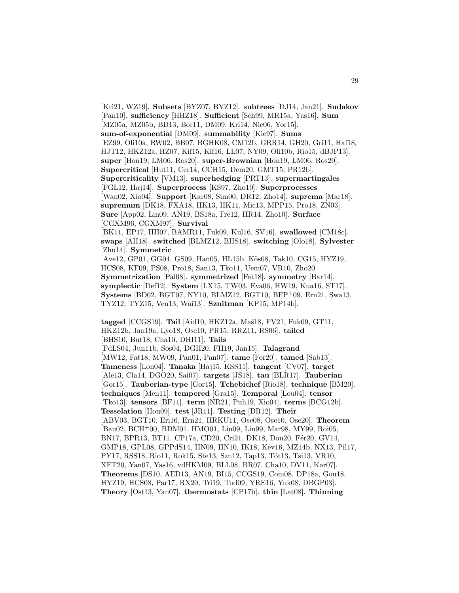[Kri21, WZ19]. **Subsets** [BYZ07, BYZ12]. **subtrees** [DJ14, Jan21]. **Sudakov** [Pan10]. **sufficiency** [HHZ18]. **Sufficient** [Sch99, MR15a, Yas16]. **Sum** [MZ05a, MZ05b, BD13, Bor11, DM09, Kri14, Nic06, Yor15]. **sum-of-exponential** [DM09]. **summability** [Kie97]. **Sums** [EZ99, Oli10a, RW02, BB07, BGHK08, CM12b, GRR14, GH20, Gri11, Haf18, HJT12, HKZ12a, HZ07, Kif15, Kif16, LL07, NY09, Oli10b, Rio15, dBJP13]. **super** [Hon19, LM06, Ros20]. **super-Brownian** [Hon19, LM06, Ros20]. **Supercritical** [Hut11, Cer14, CCH15, Dem20, GMT15, PR12b]. **Supercriticality** [VM13]. **superhedging** [PRT13]. **supermartingales** [FGL12, Haj14]. **Superprocess** [KS97, Zho10]. **Superprocesses** [Wan02, Xio04]. **Support** [Kar08, Sim00, DR12, Zho14]. **suprema** [Mar18]. **supremum** [DK18, FXA18, HK13, HK11, Mic13, MPP15, Pro18, ZN03]. **Sure** [App02, Lin09, AN19, BS18a, Fre12, HR14, Zho10]. **Surface** [CGXM96, CGXM97]. **Survival** [BK11, EP17, HH07, BAMR11, Fuk09, Kul16, SV16]. **swallowed** [CM18c]. **swaps** [AH18]. **switched** [BLMZ12, BHS18]. **switching** [Olo18]. **Sylvester** [Zhu14]. **Symmetric** [Ave12, GP01, GG04, GS09, Han05, HL15b, Kös08, Tak10, CG15, HYZ19, HCS08, KF09, PS08, Pro18, San13, Tko11, Uem07, VR10, Zho20]. **Symmetrization** [Pal08]. **symmetrized** [Fat18]. **symmetry** [Bar14]. **symplectic** [Def12]. **System** [LX15, TW03, Eva06, HW19, Kua16, ST17]. **Systems** [BD02, BGT07, NY10, BLMZ12, BGT10, BFP<sup>+</sup>09, Ern21, Swa13, TYZ12, TYZ15, Ven13, Wai13]. **Sznitman** [KP15, MP14b]. **tagged** [CCGS19]. **Tail** [Aid10, HKZ12a, Mas<sup>18</sup>, FV21, Fuk09, GT11, HKZ12b, Jan19a, Lyo18, Ose10, PR15, RRZ11, RS06]. **tailed** [BHS10, But18, Cha10, DHI11]. **Tails** [FdLS04, Jun11b, Sos04, DGH20, FH19, Jan15]. **Talagrand** [MW12, Fat18, MW09, Pan01, Pan07]. **tame** [For20]. **tamed** [Sab13].

**Tameness** [Lon04]. **Tanaka** [Haj15, KSS11]. **tangent** [CV07]. **target** [Ale13, Cla14, DGO20, Sai07]. **targets** [JS18]. **tau** [BLR17]. **Tauberian** [Gor15]. **Tauberian-type** [Gor15]. **Tchebichef** [Rio18]. **technique** [BM20]. **techniques** [Men11]. **tempered** [Gra15]. **Temporal** [Lou04]. **tensor** [Tko13]. **tensors** [BF11]. **term** [NR21, Puh19, Xio04]. **terms** [BCG12b]. **Tesselation** [Hou09]. **test** [JR11]. **Testing** [DR12]. **Their** [ABV03, BGT10, Eri16, Ern21, HRKU11, Ose08, Ose10, Ose20]. **Theorem** [Bau02, BCH<sup>+</sup>00, BDM01, HMO01, Lin09, Lin99, Mar98, MY99, Roi05, BN17, BPR13, BT11, CP17a, CD20, Cri21, DK18, Don20, Fér20, GV14, GMP18, GPL08, GPPdS14, HN09, HN10, IK18, Kev16, MZ14b, NX13, Pil17, PY17, RSS18, Rio11, Rok15, Ste13, Szn12, Tap13, Tót13, Tsi13, VR10, XFT20, Yan07, Yas16, vdHKM09, BLL08, BR07, Cha10, DV11, Kar07]. **Theorems** [DS10, AED13, AN19, BI15, CCGS19, Com08, DP18a, Gou18, HYZ19, HCS08, Par17, RX20, Tri19, Tud09, YRE16, Yuk08, DBGP03]. **Theory** [Ost13, Yan07]. **thermostats** [CP17b]. **thin** [Lat08]. **Thinning**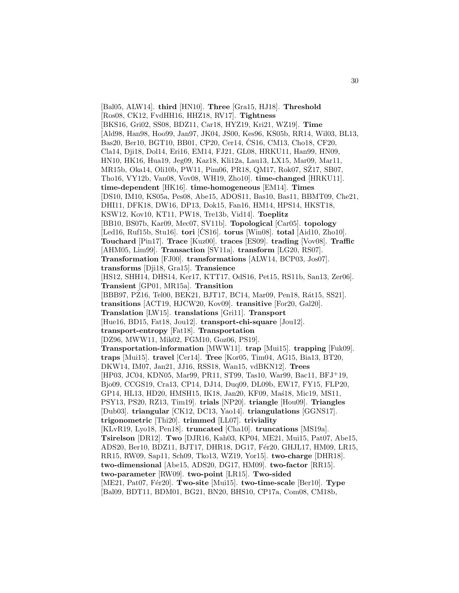[Bal05, ALW14]. **third** [HN10]. **Three** [Gra15, HJ18]. **Threshold** [Ros08, CK12, FvdHH16, HHZ18, RV17]. **Tightness** [BKS16, Gri02, SS08, BDZ11, Car18, HYZ19, Kri21, WZ19]. **Time** [Ald98, Han98, Hoo99, Jan97, JK04, JS00, Kes96, KS05b, RR14, Wil03, BL13, Bas20, Ber10, BGT10, BB01, CP20, Cer14, CS16, CM13, Cho18, CF20, Cla14, Dji18, Dol14, Eri16, EM14, FJ21, GL08, HRKU11, Han99, HN09, HN10, HK16, Hua19, Jeg09, Kaz18, Kli12a, Lau13, LX15, Mar09, Mar11, MR15b, Oka14, Oli10b, PW11, Pim06, PR18, QM17, Rok07, SŽ17, SB07, Tho16, VY12b, Van08, Vov08, WH19, Zho10]. **time-changed** [HRKU11]. **time-dependent** [HK16]. **time-homogeneous** [EM14]. **Times** [DS10, IM10, KS05a, Pes08, Abe15, ADOS11, Bas10, Bas11, BBMT09, Che21, DHI11, DFK18, DW16, DP13, Dok15, Fan16, HM14, HPS14, HKST18, KSW12, Kov10, KT11, PW18, Tre13b, Vid14]. **Toeplitz** [BB10, BS07b, Kar09, Mec07, SV11b]. **Topological** [Car05]. **topology** [Led16, Ruf15b, Stu16]. **tori** [CS16]. **torus** [Win08]. **total** [Aid10, Zho10]. **Touchard** [Pin17]. **Trace** [Kuz00]. **traces** [ES09]. **trading** [Vov08]. **Traffic** [AHM05, Lim99]. **Transaction** [SV11a]. **transform** [LG20, RS07]. **Transformation** [FJ00]. **transformations** [ALW14, BCP03, Jos07]. **transforms** [Dji18, Gra15]. **Transience** [HS12, SHH14, DHS14, Ker17, KTT17, OdS16, Pet15, RS11b, San13, Zer06]. **Transient** [GP01, MR15a]. **Transition** [BBB97, PZ16, Tel00, BEK21, BJT17, BC14, Mar09, Pen18, Rát15, SS21]. **transitions** [ACT19, HJCW20, Kov09]. **transitive** [For20, Gal20]. **Translation** [LW15]. **translations** [Gri11]. **Transport** [Hue16, BD15, Fat18, Jou12]. **transport-chi-square** [Jou12]. **transport-entropy** [Fat18]. **Transportation** [DZ96, MWW11, Mik02, FGM10, Goz06, PS19]. **Transportation-information** [MWW11]. **trap** [Mui15]. **trapping** [Fuk09]. **traps** [Mui15]. **travel** [Cer14]. **Tree** [Kor05, Tim04, AG15, Bia13, BT20, DKW14, IM07, Jan21, JJ16, RSS18, Wan15, vdBKN12]. **Trees** [HP03, JC04, KDN05, Mar99, PR11, ST99, Tas10, War99, Bac11, BFJ<sup>+</sup>19, Bjo09, CCGS19, Cra13, CP14, DJ14, Duq09, DL09b, EW17, FY15, FLP20, GP14, HL13, HD20, HMSH15, IK18, Jan20, KF09, Ma´s18, Mic19, MS11, PSY13, PS20, RZ13, Tim19]. **trials** [NP20]. **triangle** [Hou09]. **Triangles** [Dub03]. **triangular** [CK12, DC13, Yao14]. **triangulations** [GGNS17]. **trigonometric** [Thi20]. **trimmed** [LL07]. **triviality** [KLvR19, Lyo18, Pen18]. **truncated** [Cha10]. **truncations** [MS19a]. **Tsirelson** [DR12]. **Two** [DJR16, Kah03, KP04, ME21, Mui15, Pat07, Abe15, ADS20, Ber10, BDZ11, BJT17, DHR18, DG17, Fér20, GHJL17, HM09, LR15, RR15, RW09, Sap11, Sch09, Tko13, WZ19, Yor15]. **two-charge** [DHR18]. **two-dimensional** [Abe15, ADS20, DG17, HM09]. **two-factor** [RR15]. **two-parameter** [RW09]. **two-point** [LR15]. **Two-sided** [ME21, Pat07, Fér20]. **Two-site** [Mui15]. **two-time-scale** [Ber10]. **Type** [Bal09, BDT11, BDM01, BG21, BN20, BHS10, CP17a, Com08, CM18b,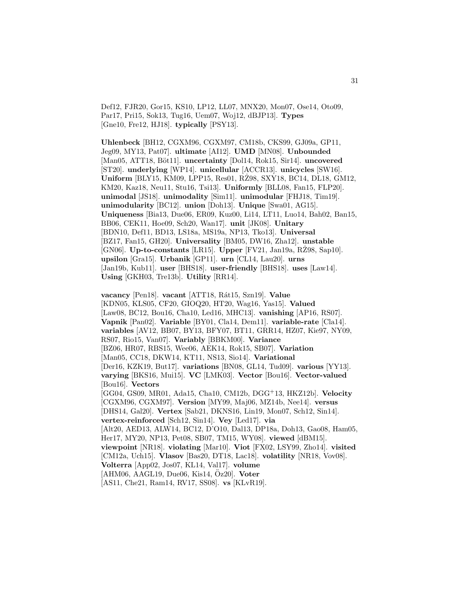Def12, FJR20, Gor15, KS10, LP12, LL07, MNX20, Mon07, Ose14, Oto09, Par17, Pri15, Sok13, Tug16, Uem07, Woj12, dBJP13]. **Types** [Gne10, Fre12, HJ18]. **typically** [PSY13].

**Uhlenbeck** [BH12, CGXM96, CGXM97, CM18b, CKS99, GJ09a, GP11, Jeg09, MY13, Pat07]. **ultimate** [AI12]. **UMD** [MN08]. **Unbounded** [Man05, ATT18, Böt11]. **uncertainty** [Dol14, Rok15, Sir14]. **uncovered** [ST20]. **underlying** [WP14]. **unicellular** [ACCR13]. **unicycles** [SW16]. **Uniform** [BLY15, KM09, LPP15, Res01, RZ98, SXY18, BC14, DL18, GM12, KM20, Kaz18, Neu11, Stu16, Tsi13]. **Uniformly** [BLL08, Fan15, FLP20]. **unimodal** [JS18]. **unimodality** [Sim11]. **unimodular** [FHJ18, Tim19]. **unimodularity** [BC12]. **union** [Doh13]. **Unique** [Swa01, AG15]. **Uniqueness** [Bia13, Due06, ER09, Kuz00, Li14, LT11, Luo14, Bah02, Ban15, BB06, CEK11, Hoe09, Sch20, Wan17]. **unit** [JK08]. **Unitary** [BDN10, Def11, BD13, LS18a, MS19a, NP13, Tko13]. **Universal** [BZ17, Fan15, GH20]. **Universality** [BM05, DW16, Zha12]. **unstable** [GN06]. **Up-to-constants** [LR15]. **Upper** [FV21, Jan19a, RZ98, Sap10]. **upsilon** [Gra15]. **Urbanik** [GP11]. **urn** [CL14, Lau20]. **urns** [Jan19b, Kub11]. **user** [BHS18]. **user-friendly** [BHS18]. **uses** [Law14]. **Using** [GKH03, Tre13b]. **Utility** [RR14].

**vacancy** [Pen18]. **vacant** [ATT18, R´at15, Szn19]. **Value** [KDN05, KLS05, CF20, GIOQ20, HT20, Wag16, Yas15]. **Valued** [Law08, BC12, Bou16, Cha10, Led16, MHC13]. **vanishing** [AP16, RS07]. **Vapnik** [Pan02]. **Variable** [BY01, Cla14, Dem11]. **variable-rate** [Cla14]. **variables** [AV12, BB07, BY13, BFY07, BT11, GRR14, HZ07, Kie97, NY09, RS07, Rio15, Van07]. **Variably** [BBKM00]. **Variance** [BZ06, HR07, RBS15, Wee06, AEK14, Rok15, SB07]. **Variation** [Man05, CC18, DKW14, KT11, NS13, Sio14]. **Variational** [Der16, KZK19, But17]. **variations** [BN08, GL14, Tud09]. **various** [YY13]. **varying** [BKS16, Mui15]. **VC** [LMK03]. **Vector** [Bou16]. **Vector-valued** [Bou16]. **Vectors** [GG04, GS09, MR01, Ada15, Cha10, CM12b, DGG<sup>+</sup>13, HKZ12b]. **Velocity** [CGXM96, CGXM97]. **Version** [MY99, Maj06, MZ14b, Nee14]. **versus** [DHS14, Gal20]. **Vertex** [Sab21, DKNS16, Lin19, Mon07, Sch12, Sin14]. **vertex-reinforced** [Sch12, Sin14]. **Vey** [Led17]. **via** [Alt20, AED13, ALW14, BC12, D'O10, Dal13, DP18a, Doh13, Gao08, Ham05, Her17, MY20, NP13, Pet08, SB07, TM15, WY08]. **viewed** [dBM15]. **viewpoint** [NR18]. **violating** [Mar10]. **Viot** [FX02, LSY99, Zho14]. **visited** [CM12a, Uch15]. **Vlasov** [Bas20, DT18, Lac18]. **volatility** [NR18, Vov08]. **Volterra** [App02, Jos07, KL14, Val17]. **volume** [AHM06, AAGL19, Due06, Kis14, Öz20]. **Voter** [AS11, Che21, Ram14, RV17, SS08]. **vs** [KLvR19].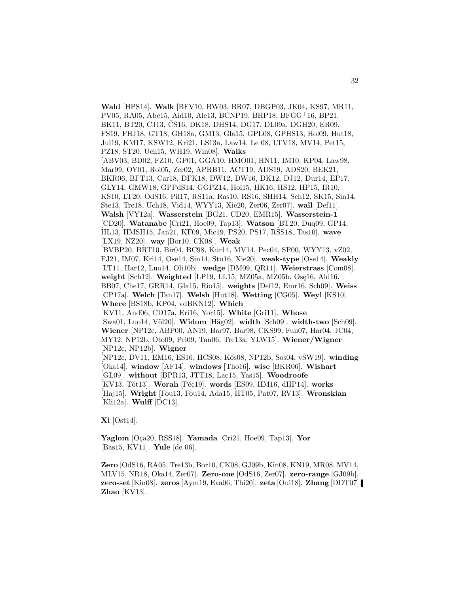**Wald** [HPS14]. **Walk** [BFV10, BW03, BR07, DBGP03, JK04, KS97, MR11, PV05, RA05, Abe15, Aid10, Ale13, BCNP19, BHP18, BFGG<sup>+</sup>16, BP21, BK11, BT20, CJ13, CS16, DK18, DHS14, DG17, DL09a, DGH20, ER09, FS19, FHJ18, GT18, GH18a, GM13, Gla15, GPL08, GPHS13, Hol09, Hut18, Jul19, KM17, KSW12, Kri21, LS13a, Law14, Le 08, LTV18, MV14, Pet15, PZ18, ST20, Uch15, WH19, Win08]. **Walks** [ABV03, BD02, FZ10, GP01, GGA10, HMO01, HN11, IM10, KP04, Law98, Mar99, OY01, Roi05, Zer02, APRB11, ACT19, ADS19, ADS20, BEK21, BKR06, BFT13, Car18, DFK18, DW12, DW16, DK12, DJ12, Dur14, EP17, GLY14, GMW18, GPPdS14, GGPZ14, Hol15, HK16, HS12, HP15, IR10, KS10, LT20, OdS16, Pil17, RS11a, Ras10, RS16, SHH14, Sch12, SK15, Sin14, Ste13, Tre18, Uch18, Vid14, WYY13, Xie20, Zer06, Zer07]. **wall** [Def11]. **Walsh** [VY12a]. **Wasserstein** [BG21, CD20, EMR15]. **Wasserstein-1** [CD20]. **Watanabe** [Cri21, Hoe09, Tap13]. **Watson** [BT20, Duq09, GP14, HL13, HMSH15, Jan21, KF09, Mic19, PS20, PS17, RSS18, Tas10]. **wave** [LX19, NZ20]. **way** [Bor10, CK08]. **Weak** [BVBP20, BRT10, Bir04, BC98, Kur14, MV14, Pec04, SP00, WYY13, vZ02, FJ21, IM07, Kri14, Ose14, Sin14, Stu16, Xie20]. **weak-type** [Ose14]. **Weakly** [LT11, Har12, Luo14, Oli10b]. **wedge** [DM09, QR11]. **Weierstrass** [Com08]. weight [Sch12]. Weighted [LP19, LL15, MZ05a, MZ05b, Osę16, Ald16, BB07, Che17, GRR14, Gla15, Rio15]. **weights** [Def12, Emr16, Sch09]. **Weiss** [CP17a]. **Welch** [Tan17]. **Welsh** [Hut18]. **Wetting** [CG05]. **Weyl** [KS10]. **Where** [BS18b, KP04, vdBKN12]. **Which** [KV11, And06, CD17a, Eri16, Yor15]. **White** [Gri11]. **Whose** [Swa01, Luo14, V¨ol20]. **Widom** [H¨ag02]. **width** [Sch09]. **width-two** [Sch09]. **Wiener** [NP12c, ABP00, AN19, Bar97, Bar98, CKS99, Fun07, Har04, JC04, MY12, NP12b, Oto09, Pri09, Tan06, Tre13a, YLW15]. **Wiener/Wigner** [NP12c, NP12b]. **Wigner** [NP12c, DV11, EM16, ES16, HCS08, Kös08, NP12b, Sos04, vSW19]. **winding** [Oka14]. **window** [AF14]. **windows** [Tho16]. **wise** [BKR06]. **Wishart** [GL09]. **without** [BPR13, JTT18, Lac15, Yas15]. **Woodroofe** [KV13, Tót13]. Worah [Péc19]. words [ES09, HM16, dHP14]. works [Haj15]. **Wright** [Fou13, Fou14, Ada15, HT05, Pat07, RV13]. **Wronskian** [Kli12a]. **Wulff** [DC13].

**Xi** [Ost14].

**Yaglom** [O¸ca20, RSS18]. **Yamada** [Cri21, Hoe09, Tap13]. **Yor** [Bas15, KV11]. **Yule** [de 06].

**Zero** [OdS16, RA05, Tre13b, Bor10, CK08, GJ09b, Kin08, KN19, MR08, MV14, MLV15, NR18, Oka14, Zer07]. **Zero-one** [OdS16, Zer07]. **zero-range** [GJ09b]. **zero-set** [Kin08]. **zeros** [Aym19, Eva06, Thi20]. **zeta** [Oui18]. **Zhang** [DDT07]. **Zhao** [KV13].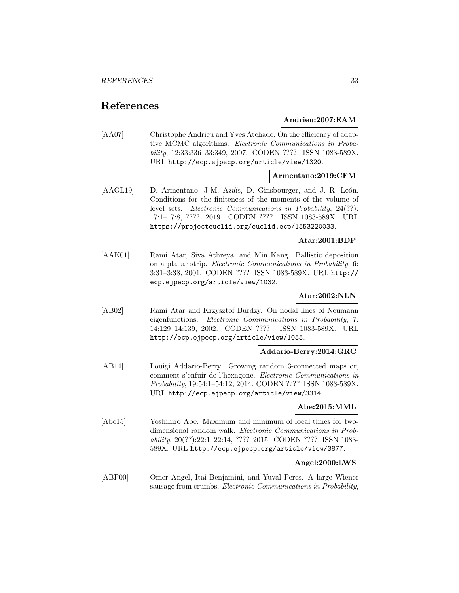## **References**

#### **Andrieu:2007:EAM**

[AA07] Christophe Andrieu and Yves Atchade. On the efficiency of adaptive MCMC algorithms. Electronic Communications in Probability, 12:33:336–33:349, 2007. CODEN ???? ISSN 1083-589X. URL http://ecp.ejpecp.org/article/view/1320.

#### **Armentano:2019:CFM**

[AAGL19] D. Armentano, J-M. Azaïs, D. Ginsbourger, and J. R. León. Conditions for the finiteness of the moments of the volume of level sets. Electronic Communications in Probability, 24(??): 17:1–17:8, ???? 2019. CODEN ???? ISSN 1083-589X. URL https://projecteuclid.org/euclid.ecp/1553220033.

#### **Atar:2001:BDP**

[AAK01] Rami Atar, Siva Athreya, and Min Kang. Ballistic deposition on a planar strip. Electronic Communications in Probability, 6: 3:31–3:38, 2001. CODEN ???? ISSN 1083-589X. URL http:// ecp.ejpecp.org/article/view/1032.

#### **Atar:2002:NLN**

[AB02] Rami Atar and Krzysztof Burdzy. On nodal lines of Neumann eigenfunctions. Electronic Communications in Probability, 7: 14:129–14:139, 2002. CODEN ???? ISSN 1083-589X. URL http://ecp.ejpecp.org/article/view/1055.

#### **Addario-Berry:2014:GRC**

[AB14] Louigi Addario-Berry. Growing random 3-connected maps or, comment s'enfuir de l'hexagone. Electronic Communications in Probability, 19:54:1–54:12, 2014. CODEN ???? ISSN 1083-589X. URL http://ecp.ejpecp.org/article/view/3314.

#### **Abe:2015:MML**

[Abe15] Yoshihiro Abe. Maximum and minimum of local times for twodimensional random walk. Electronic Communications in Probability, 20(??):22:1–22:14, ???? 2015. CODEN ???? ISSN 1083- 589X. URL http://ecp.ejpecp.org/article/view/3877.

#### **Angel:2000:LWS**

[ABP00] Omer Angel, Itai Benjamini, and Yuval Peres. A large Wiener sausage from crumbs. Electronic Communications in Probability,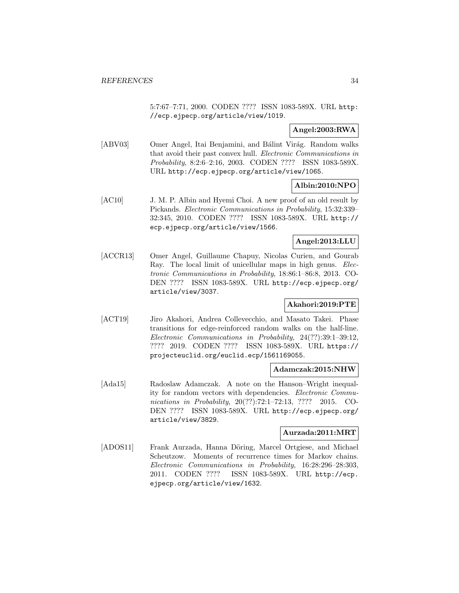5:7:67–7:71, 2000. CODEN ???? ISSN 1083-589X. URL http: //ecp.ejpecp.org/article/view/1019.

#### **Angel:2003:RWA**

[ABV03] Omer Angel, Itai Benjamini, and Bálint Virág. Random walks that avoid their past convex hull. Electronic Communications in Probability, 8:2:6–2:16, 2003. CODEN ???? ISSN 1083-589X. URL http://ecp.ejpecp.org/article/view/1065.

#### **Albin:2010:NPO**

[AC10] J. M. P. Albin and Hyemi Choi. A new proof of an old result by Pickands. Electronic Communications in Probability, 15:32:339– 32:345, 2010. CODEN ???? ISSN 1083-589X. URL http:// ecp.ejpecp.org/article/view/1566.

#### **Angel:2013:LLU**

[ACCR13] Omer Angel, Guillaume Chapuy, Nicolas Curien, and Gourab Ray. The local limit of unicellular maps in high genus. Electronic Communications in Probability, 18:86:1–86:8, 2013. CO-DEN ???? ISSN 1083-589X. URL http://ecp.ejpecp.org/ article/view/3037.

### **Akahori:2019:PTE**

[ACT19] Jiro Akahori, Andrea Collevecchio, and Masato Takei. Phase transitions for edge-reinforced random walks on the half-line. Electronic Communications in Probability, 24(??):39:1–39:12, ???? 2019. CODEN ???? ISSN 1083-589X. URL https:// projecteuclid.org/euclid.ecp/1561169055.

#### **Adamczak:2015:NHW**

[Ada15] Radoslaw Adamczak. A note on the Hanson–Wright inequality for random vectors with dependencies. Electronic Communications in Probability, 20(??):72:1-72:13, ???? 2015. CO-DEN ???? ISSN 1083-589X. URL http://ecp.ejpecp.org/ article/view/3829.

#### **Aurzada:2011:MRT**

[ADOS11] Frank Aurzada, Hanna Döring, Marcel Ortgiese, and Michael Scheutzow. Moments of recurrence times for Markov chains. Electronic Communications in Probability, 16:28:296–28:303, 2011. CODEN ???? ISSN 1083-589X. URL http://ecp. ejpecp.org/article/view/1632.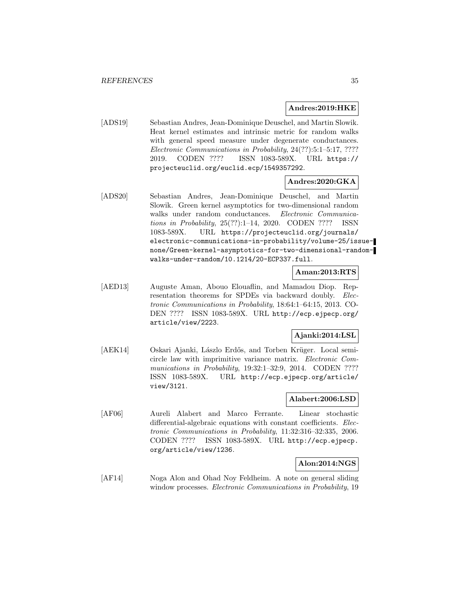#### **Andres:2019:HKE**

[ADS19] Sebastian Andres, Jean-Dominique Deuschel, and Martin Slowik. Heat kernel estimates and intrinsic metric for random walks with general speed measure under degenerate conductances. Electronic Communications in Probability, 24(??):5:1–5:17, ???? 2019. CODEN ???? ISSN 1083-589X. URL https:// projecteuclid.org/euclid.ecp/1549357292.

#### **Andres:2020:GKA**

[ADS20] Sebastian Andres, Jean-Dominique Deuschel, and Martin Slowik. Green kernel asymptotics for two-dimensional random walks under random conductances. Electronic Communications in Probability, 25(??):1–14, 2020. CODEN ???? ISSN 1083-589X. URL https://projecteuclid.org/journals/ electronic-communications-in-probability/volume-25/issuenone/Green-kernel-asymptotics-for-two-dimensional-randomwalks-under-random/10.1214/20-ECP337.full.

#### **Aman:2013:RTS**

[AED13] Auguste Aman, Abouo Elouaflin, and Mamadou Diop. Representation theorems for SPDEs via backward doubly. Electronic Communications in Probability, 18:64:1–64:15, 2013. CO-DEN ???? ISSN 1083-589X. URL http://ecp.ejpecp.org/ article/view/2223.

#### **Ajanki:2014:LSL**

[AEK14] Oskari Ajanki, Lászlo Erdős, and Torben Krüger. Local semicircle law with imprimitive variance matrix. Electronic Communications in Probability, 19:32:1-32:9, 2014. CODEN ???? ISSN 1083-589X. URL http://ecp.ejpecp.org/article/ view/3121.

#### **Alabert:2006:LSD**

[AF06] Aureli Alabert and Marco Ferrante. Linear stochastic differential-algebraic equations with constant coefficients. Electronic Communications in Probability, 11:32:316–32:335, 2006. CODEN ???? ISSN 1083-589X. URL http://ecp.ejpecp. org/article/view/1236.

#### **Alon:2014:NGS**

[AF14] Noga Alon and Ohad Noy Feldheim. A note on general sliding window processes. *Electronic Communications in Probability*, 19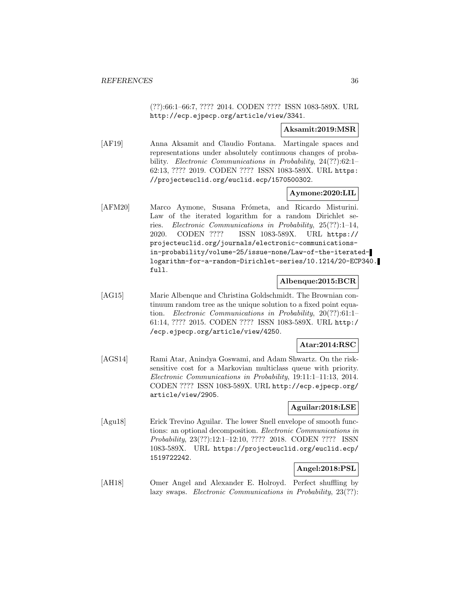(??):66:1–66:7, ???? 2014. CODEN ???? ISSN 1083-589X. URL http://ecp.ejpecp.org/article/view/3341.

#### **Aksamit:2019:MSR**

[AF19] Anna Aksamit and Claudio Fontana. Martingale spaces and representations under absolutely continuous changes of probability. *Electronic Communications in Probability*, 24(??):62:1-62:13, ???? 2019. CODEN ???? ISSN 1083-589X. URL https: //projecteuclid.org/euclid.ecp/1570500302.

#### **Aymone:2020:LIL**

[AFM20] Marco Aymone, Susana Frómeta, and Ricardo Misturini. Law of the iterated logarithm for a random Dirichlet series. Electronic Communications in Probability, 25(??):1–14, 2020. CODEN ???? ISSN 1083-589X. URL https:// projecteuclid.org/journals/electronic-communicationsin-probability/volume-25/issue-none/Law-of-the-iteratedlogarithm-for-a-random-Dirichlet-series/10.1214/20-ECP340. full.

#### **Albenque:2015:BCR**

[AG15] Marie Albenque and Christina Goldschmidt. The Brownian continuum random tree as the unique solution to a fixed point equation. Electronic Communications in Probability, 20(??):61:1– 61:14, ???? 2015. CODEN ???? ISSN 1083-589X. URL http:/ /ecp.ejpecp.org/article/view/4250.

#### **Atar:2014:RSC**

[AGS14] Rami Atar, Anindya Goswami, and Adam Shwartz. On the risksensitive cost for a Markovian multiclass queue with priority. Electronic Communications in Probability, 19:11:1–11:13, 2014. CODEN ???? ISSN 1083-589X. URL http://ecp.ejpecp.org/ article/view/2905.

#### **Aguilar:2018:LSE**

[Agu18] Erick Trevino Aguilar. The lower Snell envelope of smooth functions: an optional decomposition. Electronic Communications in Probability, 23(??):12:1–12:10, ???? 2018. CODEN ???? ISSN 1083-589X. URL https://projecteuclid.org/euclid.ecp/ 1519722242.

#### **Angel:2018:PSL**

[AH18] Omer Angel and Alexander E. Holroyd. Perfect shuffling by lazy swaps. *Electronic Communications in Probability*, 23(??):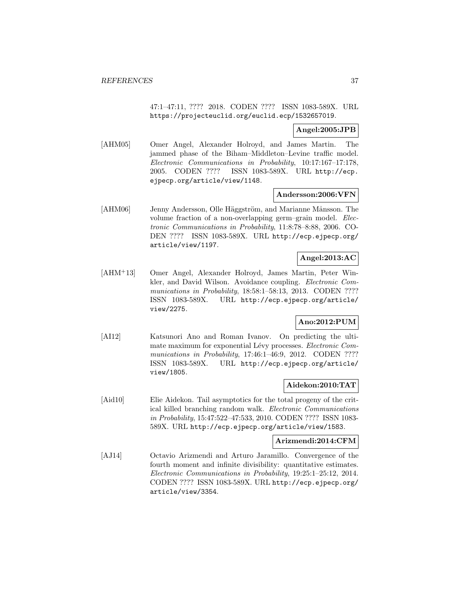47:1–47:11, ???? 2018. CODEN ???? ISSN 1083-589X. URL https://projecteuclid.org/euclid.ecp/1532657019.

### **Angel:2005:JPB**

[AHM05] Omer Angel, Alexander Holroyd, and James Martin. The jammed phase of the Biham–Middleton–Levine traffic model. Electronic Communications in Probability, 10:17:167–17:178, 2005. CODEN ???? ISSN 1083-589X. URL http://ecp. ejpecp.org/article/view/1148.

#### **Andersson:2006:VFN**

[AHM06] Jenny Andersson, Olle Häggström, and Marianne Månsson. The volume fraction of a non-overlapping germ–grain model. Electronic Communications in Probability, 11:8:78–8:88, 2006. CO-DEN ???? ISSN 1083-589X. URL http://ecp.ejpecp.org/ article/view/1197.

# **Angel:2013:AC**

[AHM<sup>+</sup>13] Omer Angel, Alexander Holroyd, James Martin, Peter Winkler, and David Wilson. Avoidance coupling. Electronic Communications in Probability, 18:58:1–58:13, 2013. CODEN ???? ISSN 1083-589X. URL http://ecp.ejpecp.org/article/ view/2275.

# **Ano:2012:PUM**

[AI12] Katsunori Ano and Roman Ivanov. On predicting the ultimate maximum for exponential Lévy processes. Electronic Communications in Probability, 17:46:1-46:9, 2012. CODEN ???? ISSN 1083-589X. URL http://ecp.ejpecp.org/article/ view/1805.

# **Aidekon:2010:TAT**

[Aid10] Elie Aidekon. Tail asymptotics for the total progeny of the critical killed branching random walk. Electronic Communications in Probability, 15:47:522–47:533, 2010. CODEN ???? ISSN 1083- 589X. URL http://ecp.ejpecp.org/article/view/1583.

### **Arizmendi:2014:CFM**

[AJ14] Octavio Arizmendi and Arturo Jaramillo. Convergence of the fourth moment and infinite divisibility: quantitative estimates. Electronic Communications in Probability, 19:25:1–25:12, 2014. CODEN ???? ISSN 1083-589X. URL http://ecp.ejpecp.org/ article/view/3354.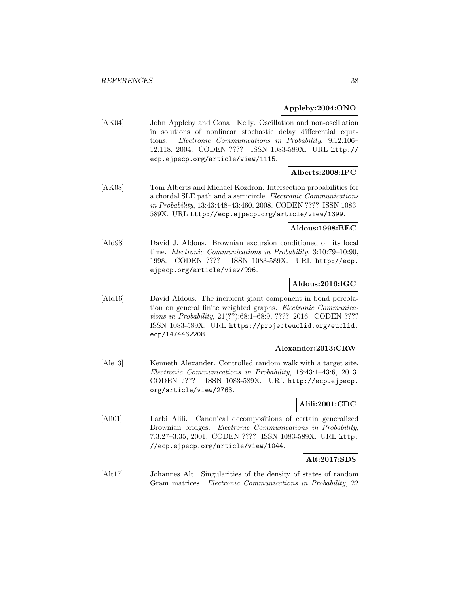### **Appleby:2004:ONO**

[AK04] John Appleby and Conall Kelly. Oscillation and non-oscillation in solutions of nonlinear stochastic delay differential equations. Electronic Communications in Probability, 9:12:106– 12:118, 2004. CODEN ???? ISSN 1083-589X. URL http:// ecp.ejpecp.org/article/view/1115.

# **Alberts:2008:IPC**

[AK08] Tom Alberts and Michael Kozdron. Intersection probabilities for a chordal SLE path and a semicircle. Electronic Communications in Probability, 13:43:448–43:460, 2008. CODEN ???? ISSN 1083- 589X. URL http://ecp.ejpecp.org/article/view/1399.

### **Aldous:1998:BEC**

[Ald98] David J. Aldous. Brownian excursion conditioned on its local time. Electronic Communications in Probability, 3:10:79–10:90, 1998. CODEN ???? ISSN 1083-589X. URL http://ecp. ejpecp.org/article/view/996.

## **Aldous:2016:IGC**

[Ald16] David Aldous. The incipient giant component in bond percolation on general finite weighted graphs. Electronic Communications in Probability, 21(??):68:1-68:9, ???? 2016. CODEN ???? ISSN 1083-589X. URL https://projecteuclid.org/euclid. ecp/1474462208.

### **Alexander:2013:CRW**

[Ale13] Kenneth Alexander. Controlled random walk with a target site. Electronic Communications in Probability, 18:43:1–43:6, 2013. CODEN ???? ISSN 1083-589X. URL http://ecp.ejpecp. org/article/view/2763.

### **Alili:2001:CDC**

[Ali01] Larbi Alili. Canonical decompositions of certain generalized Brownian bridges. Electronic Communications in Probability, 7:3:27–3:35, 2001. CODEN ???? ISSN 1083-589X. URL http: //ecp.ejpecp.org/article/view/1044.

### **Alt:2017:SDS**

[Alt17] Johannes Alt. Singularities of the density of states of random Gram matrices. Electronic Communications in Probability, 22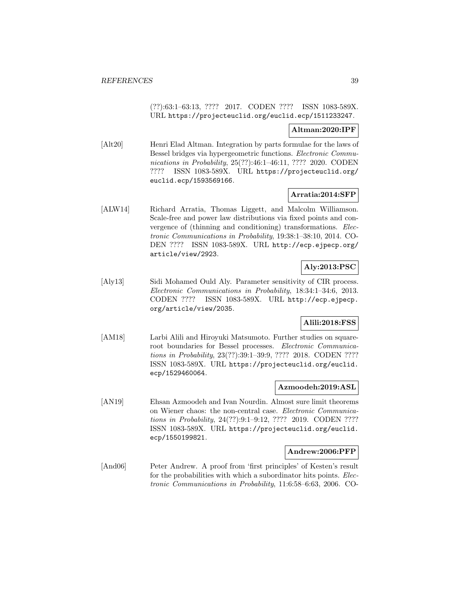(??):63:1–63:13, ???? 2017. CODEN ???? ISSN 1083-589X. URL https://projecteuclid.org/euclid.ecp/1511233247.

### **Altman:2020:IPF**

[Alt20] Henri Elad Altman. Integration by parts formulae for the laws of Bessel bridges via hypergeometric functions. Electronic Communications in Probability, 25(??):46:1-46:11, ???? 2020. CODEN ???? ISSN 1083-589X. URL https://projecteuclid.org/ euclid.ecp/1593569166.

## **Arratia:2014:SFP**

[ALW14] Richard Arratia, Thomas Liggett, and Malcolm Williamson. Scale-free and power law distributions via fixed points and convergence of (thinning and conditioning) transformations. Electronic Communications in Probability, 19:38:1–38:10, 2014. CO-DEN ???? ISSN 1083-589X. URL http://ecp.ejpecp.org/ article/view/2923.

## **Aly:2013:PSC**

[Aly13] Sidi Mohamed Ould Aly. Parameter sensitivity of CIR process. Electronic Communications in Probability, 18:34:1–34:6, 2013. CODEN ???? ISSN 1083-589X. URL http://ecp.ejpecp. org/article/view/2035.

## **Alili:2018:FSS**

[AM18] Larbi Alili and Hiroyuki Matsumoto. Further studies on squareroot boundaries for Bessel processes. Electronic Communications in Probability, 23(??):39:1–39:9, ???? 2018. CODEN ???? ISSN 1083-589X. URL https://projecteuclid.org/euclid. ecp/1529460064.

## **Azmoodeh:2019:ASL**

[AN19] Ehsan Azmoodeh and Ivan Nourdin. Almost sure limit theorems on Wiener chaos: the non-central case. Electronic Communications in Probability, 24(??):9:1–9:12, ???? 2019. CODEN ???? ISSN 1083-589X. URL https://projecteuclid.org/euclid. ecp/1550199821.

### **Andrew:2006:PFP**

[And06] Peter Andrew. A proof from 'first principles' of Kesten's result for the probabilities with which a subordinator hits points. *Elec*tronic Communications in Probability, 11:6:58–6:63, 2006. CO-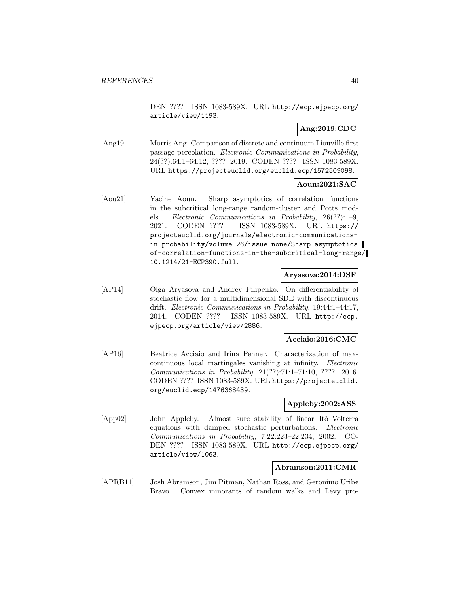DEN ???? ISSN 1083-589X. URL http://ecp.ejpecp.org/ article/view/1193.

# **Ang:2019:CDC**

[Ang19] Morris Ang. Comparison of discrete and continuum Liouville first passage percolation. Electronic Communications in Probability, 24(??):64:1–64:12, ???? 2019. CODEN ???? ISSN 1083-589X. URL https://projecteuclid.org/euclid.ecp/1572509098.

### **Aoun:2021:SAC**

[Aou21] Yacine Aoun. Sharp asymptotics of correlation functions in the subcritical long-range random-cluster and Potts models. Electronic Communications in Probability, 26(??):1–9, 2021. CODEN ???? ISSN 1083-589X. URL https:// projecteuclid.org/journals/electronic-communicationsin-probability/volume-26/issue-none/Sharp-asymptoticsof-correlation-functions-in-the-subcritical-long-range/ 10.1214/21-ECP390.full.

#### **Aryasova:2014:DSF**

[AP14] Olga Aryasova and Andrey Pilipenko. On differentiability of stochastic flow for a multidimensional SDE with discontinuous drift. Electronic Communications in Probability, 19:44:1–44:17, 2014. CODEN ???? ISSN 1083-589X. URL http://ecp. ejpecp.org/article/view/2886.

#### **Acciaio:2016:CMC**

[AP16] Beatrice Acciaio and Irina Penner. Characterization of maxcontinuous local martingales vanishing at infinity. Electronic Communications in Probability, 21(??):71:1–71:10, ???? 2016. CODEN ???? ISSN 1083-589X. URL https://projecteuclid. org/euclid.ecp/1476368439.

### **Appleby:2002:ASS**

[App02] John Appleby. Almost sure stability of linear Itô-Volterra equations with damped stochastic perturbations. Electronic Communications in Probability, 7:22:223–22:234, 2002. CO-DEN ???? ISSN 1083-589X. URL http://ecp.ejpecp.org/ article/view/1063.

### **Abramson:2011:CMR**

[APRB11] Josh Abramson, Jim Pitman, Nathan Ross, and Geronimo Uribe Bravo. Convex minorants of random walks and Lévy pro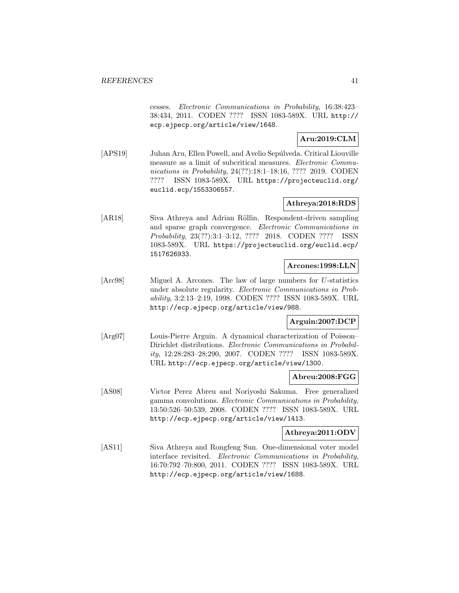cesses. Electronic Communications in Probability, 16:38:423– 38:434, 2011. CODEN ???? ISSN 1083-589X. URL http:// ecp.ejpecp.org/article/view/1648.

## **Aru:2019:CLM**

[APS19] Juhan Aru, Ellen Powell, and Avelio Sepúlveda. Critical Liouville measure as a limit of subcritical measures. Electronic Communications in Probability, 24(??):18:1-18:16, ???? 2019. CODEN ???? ISSN 1083-589X. URL https://projecteuclid.org/ euclid.ecp/1553306557.

# **Athreya:2018:RDS**

[AR18] Siva Athreya and Adrian Röllin. Respondent-driven sampling and sparse graph convergence. Electronic Communications in Probability, 23(??):3:1–3:12, ???? 2018. CODEN ???? ISSN 1083-589X. URL https://projecteuclid.org/euclid.ecp/ 1517626933.

### **Arcones:1998:LLN**

[Arc98] Miguel A. Arcones. The law of large numbers for U-statistics under absolute regularity. Electronic Communications in Probability, 3:2:13–2:19, 1998. CODEN ???? ISSN 1083-589X. URL http://ecp.ejpecp.org/article/view/988.

## **Arguin:2007:DCP**

[Arg07] Louis-Pierre Arguin. A dynamical characterization of Poisson– Dirichlet distributions. Electronic Communications in Probability, 12:28:283–28:290, 2007. CODEN ???? ISSN 1083-589X. URL http://ecp.ejpecp.org/article/view/1300.

## **Abreu:2008:FGG**

[AS08] Victor Perez Abreu and Noriyoshi Sakuma. Free generalized gamma convolutions. Electronic Communications in Probability, 13:50:526–50:539, 2008. CODEN ???? ISSN 1083-589X. URL http://ecp.ejpecp.org/article/view/1413.

### **Athreya:2011:ODV**

[AS11] Siva Athreya and Rongfeng Sun. One-dimensional voter model interface revisited. Electronic Communications in Probability, 16:70:792–70:800, 2011. CODEN ???? ISSN 1083-589X. URL http://ecp.ejpecp.org/article/view/1688.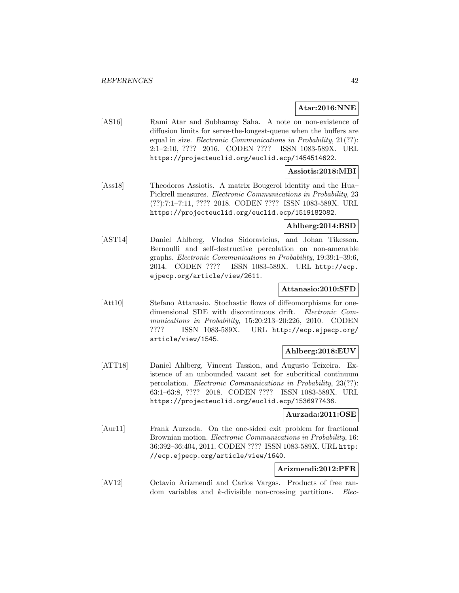#### **Atar:2016:NNE**

[AS16] Rami Atar and Subhamay Saha. A note on non-existence of diffusion limits for serve-the-longest-queue when the buffers are equal in size. Electronic Communications in Probability, 21(??): 2:1–2:10, ???? 2016. CODEN ???? ISSN 1083-589X. URL https://projecteuclid.org/euclid.ecp/1454514622.

## **Assiotis:2018:MBI**

[Ass18] Theodoros Assiotis. A matrix Bougerol identity and the Hua– Pickrell measures. Electronic Communications in Probability, 23 (??):7:1–7:11, ???? 2018. CODEN ???? ISSN 1083-589X. URL https://projecteuclid.org/euclid.ecp/1519182082.

## **Ahlberg:2014:BSD**

[AST14] Daniel Ahlberg, Vladas Sidoravicius, and Johan Tikesson. Bernoulli and self-destructive percolation on non-amenable graphs. Electronic Communications in Probability, 19:39:1–39:6, 2014. CODEN ???? ISSN 1083-589X. URL http://ecp. ejpecp.org/article/view/2611.

### **Attanasio:2010:SFD**

[Att10] Stefano Attanasio. Stochastic flows of diffeomorphisms for onedimensional SDE with discontinuous drift. Electronic Communications in Probability, 15:20:213–20:226, 2010. CODEN ???? ISSN 1083-589X. URL http://ecp.ejpecp.org/ article/view/1545.

## **Ahlberg:2018:EUV**

[ATT18] Daniel Ahlberg, Vincent Tassion, and Augusto Teixeira. Existence of an unbounded vacant set for subcritical continuum percolation. Electronic Communications in Probability, 23(??): 63:1–63:8, ???? 2018. CODEN ???? ISSN 1083-589X. URL https://projecteuclid.org/euclid.ecp/1536977436.

#### **Aurzada:2011:OSE**

[Aur11] Frank Aurzada. On the one-sided exit problem for fractional Brownian motion. *Electronic Communications in Probability*, 16: 36:392–36:404, 2011. CODEN ???? ISSN 1083-589X. URL http: //ecp.ejpecp.org/article/view/1640.

#### **Arizmendi:2012:PFR**

[AV12] Octavio Arizmendi and Carlos Vargas. Products of free random variables and k-divisible non-crossing partitions. *Elec*-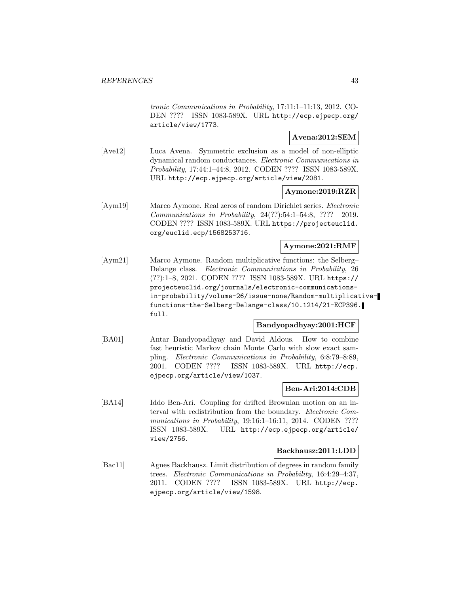tronic Communications in Probability, 17:11:1–11:13, 2012. CO-DEN ???? ISSN 1083-589X. URL http://ecp.ejpecp.org/ article/view/1773.

### **Avena:2012:SEM**

[Ave12] Luca Avena. Symmetric exclusion as a model of non-elliptic dynamical random conductances. Electronic Communications in Probability, 17:44:1–44:8, 2012. CODEN ???? ISSN 1083-589X. URL http://ecp.ejpecp.org/article/view/2081.

### **Aymone:2019:RZR**

[Aym19] Marco Aymone. Real zeros of random Dirichlet series. Electronic Communications in Probability, 24(??):54:1–54:8, ???? 2019. CODEN ???? ISSN 1083-589X. URL https://projecteuclid. org/euclid.ecp/1568253716.

# **Aymone:2021:RMF**

[Aym21] Marco Aymone. Random multiplicative functions: the Selberg– Delange class. Electronic Communications in Probability, 26 (??):1–8, 2021. CODEN ???? ISSN 1083-589X. URL https:// projecteuclid.org/journals/electronic-communicationsin-probability/volume-26/issue-none/Random-multiplicativefunctions-the-Selberg-Delange-class/10.1214/21-ECP396. full.

### **Bandyopadhyay:2001:HCF**

[BA01] Antar Bandyopadhyay and David Aldous. How to combine fast heuristic Markov chain Monte Carlo with slow exact sampling. Electronic Communications in Probability, 6:8:79–8:89, 2001. CODEN ???? ISSN 1083-589X. URL http://ecp. ejpecp.org/article/view/1037.

### **Ben-Ari:2014:CDB**

[BA14] Iddo Ben-Ari. Coupling for drifted Brownian motion on an interval with redistribution from the boundary. Electronic Communications in Probability, 19:16:1-16:11, 2014. CODEN ???? ISSN 1083-589X. URL http://ecp.ejpecp.org/article/ view/2756.

#### **Backhausz:2011:LDD**

[Bac11] Agnes Backhausz. Limit distribution of degrees in random family trees. Electronic Communications in Probability, 16:4:29–4:37, 2011. CODEN ???? ISSN 1083-589X. URL http://ecp. ejpecp.org/article/view/1598.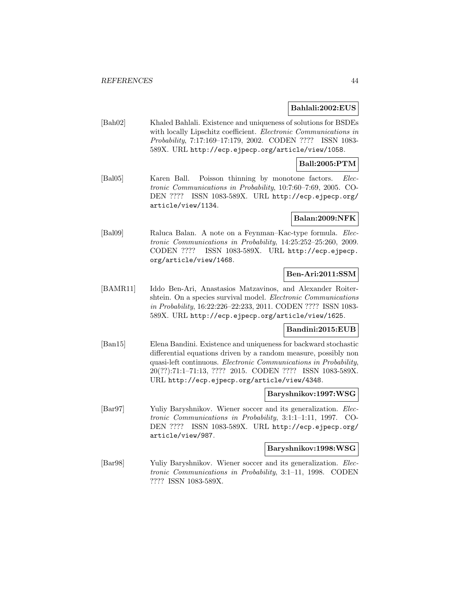#### **Bahlali:2002:EUS**

[Bah02] Khaled Bahlali. Existence and uniqueness of solutions for BSDEs with locally Lipschitz coefficient. *Electronic Communications in* Probability, 7:17:169–17:179, 2002. CODEN ???? ISSN 1083- 589X. URL http://ecp.ejpecp.org/article/view/1058.

#### **Ball:2005:PTM**

[Bal05] Karen Ball. Poisson thinning by monotone factors. Electronic Communications in Probability, 10:7:60–7:69, 2005. CO-DEN ???? ISSN 1083-589X. URL http://ecp.ejpecp.org/ article/view/1134.

### **Balan:2009:NFK**

[Bal09] Raluca Balan. A note on a Feynman–Kac-type formula. Electronic Communications in Probability, 14:25:252–25:260, 2009. CODEN ???? ISSN 1083-589X. URL http://ecp.ejpecp. org/article/view/1468.

### **Ben-Ari:2011:SSM**

[BAMR11] Iddo Ben-Ari, Anastasios Matzavinos, and Alexander Roitershtein. On a species survival model. *Electronic Communications* in Probability, 16:22:226–22:233, 2011. CODEN ???? ISSN 1083- 589X. URL http://ecp.ejpecp.org/article/view/1625.

### **Bandini:2015:EUB**

[Ban15] Elena Bandini. Existence and uniqueness for backward stochastic differential equations driven by a random measure, possibly non quasi-left continuous. Electronic Communications in Probability, 20(??):71:1–71:13, ???? 2015. CODEN ???? ISSN 1083-589X. URL http://ecp.ejpecp.org/article/view/4348.

### **Baryshnikov:1997:WSG**

[Bar97] Yuliy Baryshnikov. Wiener soccer and its generalization. Electronic Communications in Probability, 3:1:1–1:11, 1997. CO-DEN ???? ISSN 1083-589X. URL http://ecp.ejpecp.org/ article/view/987.

#### **Baryshnikov:1998:WSG**

[Bar98] Yuliy Baryshnikov. Wiener soccer and its generalization. Electronic Communications in Probability, 3:1–11, 1998. CODEN ???? ISSN 1083-589X.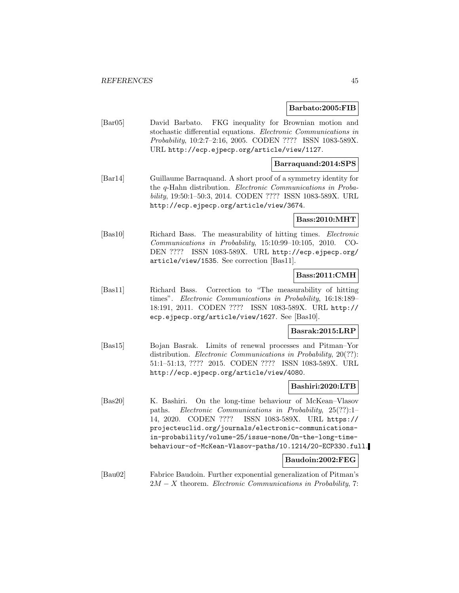#### **Barbato:2005:FIB**

[Bar05] David Barbato. FKG inequality for Brownian motion and stochastic differential equations. Electronic Communications in Probability, 10:2:7–2:16, 2005. CODEN ???? ISSN 1083-589X. URL http://ecp.ejpecp.org/article/view/1127.

### **Barraquand:2014:SPS**

[Bar14] Guillaume Barraquand. A short proof of a symmetry identity for the q-Hahn distribution. Electronic Communications in Probability, 19:50:1–50:3, 2014. CODEN ???? ISSN 1083-589X. URL http://ecp.ejpecp.org/article/view/3674.

### **Bass:2010:MHT**

[Bas10] Richard Bass. The measurability of hitting times. Electronic Communications in Probability, 15:10:99–10:105, 2010. CO-DEN ???? ISSN 1083-589X. URL http://ecp.ejpecp.org/ article/view/1535. See correction [Bas11].

### **Bass:2011:CMH**

[Bas11] Richard Bass. Correction to "The measurability of hitting times". Electronic Communications in Probability, 16:18:189– 18:191, 2011. CODEN ???? ISSN 1083-589X. URL http:// ecp.ejpecp.org/article/view/1627. See [Bas10].

### **Basrak:2015:LRP**

[Bas15] Bojan Basrak. Limits of renewal processes and Pitman–Yor distribution. *Electronic Communications in Probability*, 20(??): 51:1–51:13, ???? 2015. CODEN ???? ISSN 1083-589X. URL http://ecp.ejpecp.org/article/view/4080.

#### **Bashiri:2020:LTB**

[Bas20] K. Bashiri. On the long-time behaviour of McKean–Vlasov paths. Electronic Communications in Probability, 25(??):1– 14, 2020. CODEN ???? ISSN 1083-589X. URL https:// projecteuclid.org/journals/electronic-communicationsin-probability/volume-25/issue-none/On-the-long-timebehaviour-of-McKean-Vlasov-paths/10.1214/20-ECP330.full.

### **Baudoin:2002:FEG**

[Bau02] Fabrice Baudoin. Further exponential generalization of Pitman's  $2M - X$  theorem. *Electronic Communications in Probability*, 7: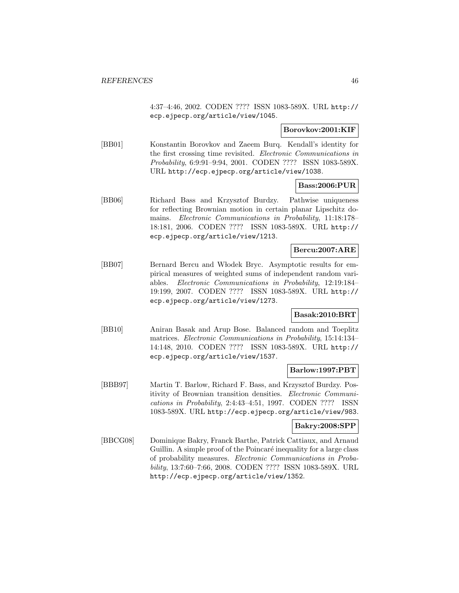4:37–4:46, 2002. CODEN ???? ISSN 1083-589X. URL http:// ecp.ejpecp.org/article/view/1045.

### **Borovkov:2001:KIF**

[BB01] Konstantin Borovkov and Zaeem Burq. Kendall's identity for the first crossing time revisited. Electronic Communications in Probability, 6:9:91–9:94, 2001. CODEN ???? ISSN 1083-589X. URL http://ecp.ejpecp.org/article/view/1038.

#### **Bass:2006:PUR**

[BB06] Richard Bass and Krzysztof Burdzy. Pathwise uniqueness for reflecting Brownian motion in certain planar Lipschitz domains. Electronic Communications in Probability, 11:18:178– 18:181, 2006. CODEN ???? ISSN 1083-589X. URL http:// ecp.ejpecp.org/article/view/1213.

### **Bercu:2007:ARE**

[BB07] Bernard Bercu and Włodek Bryc. Asymptotic results for empirical measures of weighted sums of independent random variables. Electronic Communications in Probability, 12:19:184– 19:199, 2007. CODEN ???? ISSN 1083-589X. URL http:// ecp.ejpecp.org/article/view/1273.

### **Basak:2010:BRT**

[BB10] Aniran Basak and Arup Bose. Balanced random and Toeplitz matrices. Electronic Communications in Probability, 15:14:134– 14:148, 2010. CODEN ???? ISSN 1083-589X. URL http:// ecp.ejpecp.org/article/view/1537.

## **Barlow:1997:PBT**

[BBB97] Martin T. Barlow, Richard F. Bass, and Krzysztof Burdzy. Positivity of Brownian transition densities. Electronic Communications in Probability, 2:4:43–4:51, 1997. CODEN ???? ISSN 1083-589X. URL http://ecp.ejpecp.org/article/view/983.

### **Bakry:2008:SPP**

[BBCG08] Dominique Bakry, Franck Barthe, Patrick Cattiaux, and Arnaud Guillin. A simple proof of the Poincaré inequality for a large class of probability measures. Electronic Communications in Probability, 13:7:60–7:66, 2008. CODEN ???? ISSN 1083-589X. URL http://ecp.ejpecp.org/article/view/1352.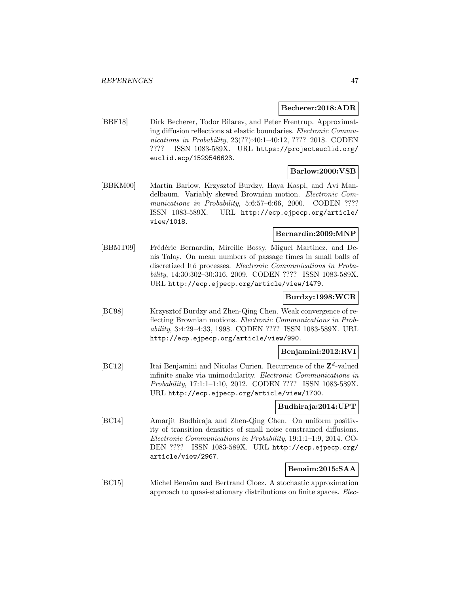#### **Becherer:2018:ADR**

[BBF18] Dirk Becherer, Todor Bilarev, and Peter Frentrup. Approximating diffusion reflections at elastic boundaries. Electronic Communications in Probability, 23(??):40:1-40:12, ???? 2018. CODEN ???? ISSN 1083-589X. URL https://projecteuclid.org/ euclid.ecp/1529546623.

### **Barlow:2000:VSB**

[BBKM00] Martin Barlow, Krzysztof Burdzy, Haya Kaspi, and Avi Mandelbaum. Variably skewed Brownian motion. Electronic Communications in Probability, 5:6:57-6:66, 2000. CODEN ???? ISSN 1083-589X. URL http://ecp.ejpecp.org/article/ view/1018.

## **Bernardin:2009:MNP**

[BBMT09] Frédéric Bernardin, Mireille Bossy, Miguel Martinez, and Denis Talay. On mean numbers of passage times in small balls of discretized Itô processes. *Electronic Communications in Proba*bility, 14:30:302–30:316, 2009. CODEN ???? ISSN 1083-589X. URL http://ecp.ejpecp.org/article/view/1479.

## **Burdzy:1998:WCR**

[BC98] Krzysztof Burdzy and Zhen-Qing Chen. Weak convergence of reflecting Brownian motions. Electronic Communications in Probability, 3:4:29–4:33, 1998. CODEN ???? ISSN 1083-589X. URL http://ecp.ejpecp.org/article/view/990.

### **Benjamini:2012:RVI**

[BC12] Itai Benjamini and Nicolas Curien. Recurrence of the **Z**<sup>d</sup>-valued infinite snake via unimodularity. Electronic Communications in Probability, 17:1:1–1:10, 2012. CODEN ???? ISSN 1083-589X. URL http://ecp.ejpecp.org/article/view/1700.

### **Budhiraja:2014:UPT**

[BC14] Amarjit Budhiraja and Zhen-Qing Chen. On uniform positivity of transition densities of small noise constrained diffusions. Electronic Communications in Probability, 19:1:1–1:9, 2014. CO-DEN ???? ISSN 1083-589X. URL http://ecp.ejpecp.org/ article/view/2967.

### **Benaim:2015:SAA**

[BC15] Michel Benaïm and Bertrand Cloez. A stochastic approximation approach to quasi-stationary distributions on finite spaces. Elec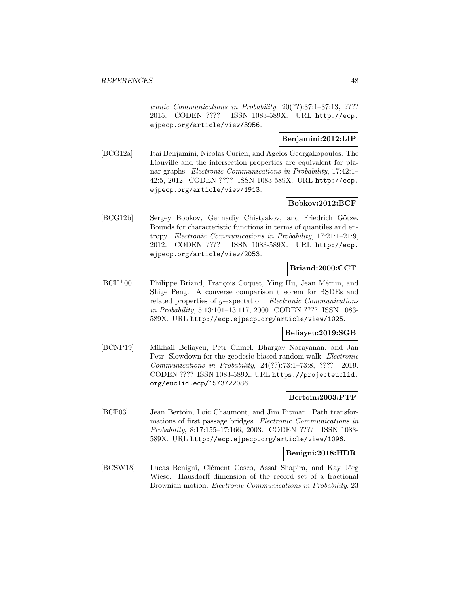tronic Communications in Probability, 20(??):37:1–37:13, ???? 2015. CODEN ???? ISSN 1083-589X. URL http://ecp. ejpecp.org/article/view/3956.

## **Benjamini:2012:LIP**

[BCG12a] Itai Benjamini, Nicolas Curien, and Agelos Georgakopoulos. The Liouville and the intersection properties are equivalent for planar graphs. Electronic Communications in Probability, 17:42:1– 42:5, 2012. CODEN ???? ISSN 1083-589X. URL http://ecp. ejpecp.org/article/view/1913.

### **Bobkov:2012:BCF**

[BCG12b] Sergey Bobkov, Gennadiy Chistyakov, and Friedrich Götze. Bounds for characteristic functions in terms of quantiles and entropy. Electronic Communications in Probability, 17:21:1–21:9, 2012. CODEN ???? ISSN 1083-589X. URL http://ecp. ejpecp.org/article/view/2053.

#### **Briand:2000:CCT**

[BCH<sup>+</sup>00] Philippe Briand, François Coquet, Ying Hu, Jean Mémin, and Shige Peng. A converse comparison theorem for BSDEs and related properties of g-expectation. Electronic Communications in Probability, 5:13:101–13:117, 2000. CODEN ???? ISSN 1083- 589X. URL http://ecp.ejpecp.org/article/view/1025.

## **Beliayeu:2019:SGB**

[BCNP19] Mikhail Beliayeu, Petr Chmel, Bhargav Narayanan, and Jan Petr. Slowdown for the geodesic-biased random walk. *Electronic* Communications in Probability, 24(??):73:1–73:8, ???? 2019. CODEN ???? ISSN 1083-589X. URL https://projecteuclid. org/euclid.ecp/1573722086.

## **Bertoin:2003:PTF**

[BCP03] Jean Bertoin, Loic Chaumont, and Jim Pitman. Path transformations of first passage bridges. Electronic Communications in Probability, 8:17:155–17:166, 2003. CODEN ???? ISSN 1083- 589X. URL http://ecp.ejpecp.org/article/view/1096.

### **Benigni:2018:HDR**

[BCSW18] Lucas Benigni, Clément Cosco, Assaf Shapira, and Kay Jörg Wiese. Hausdorff dimension of the record set of a fractional Brownian motion. Electronic Communications in Probability, 23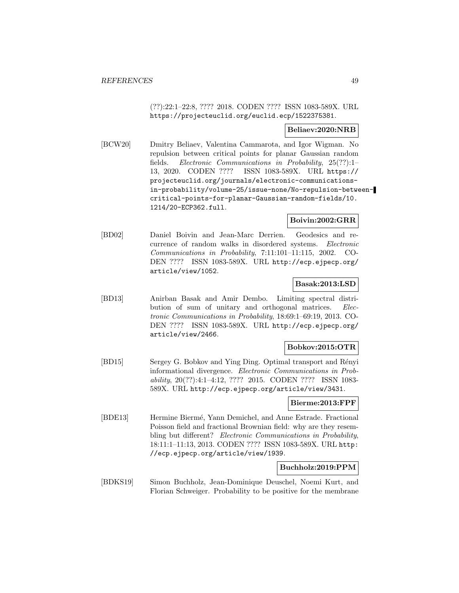(??):22:1–22:8, ???? 2018. CODEN ???? ISSN 1083-589X. URL https://projecteuclid.org/euclid.ecp/1522375381.

#### **Beliaev:2020:NRB**

[BCW20] Dmitry Beliaev, Valentina Cammarota, and Igor Wigman. No repulsion between critical points for planar Gaussian random fields. Electronic Communications in Probability, 25(??):1– 13, 2020. CODEN ???? ISSN 1083-589X. URL https:// projecteuclid.org/journals/electronic-communicationsin-probability/volume-25/issue-none/No-repulsion-betweencritical-points-for-planar-Gaussian-random-fields/10. 1214/20-ECP362.full.

### **Boivin:2002:GRR**

[BD02] Daniel Boivin and Jean-Marc Derrien. Geodesics and recurrence of random walks in disordered systems. Electronic Communications in Probability, 7:11:101–11:115, 2002. CO-DEN ???? ISSN 1083-589X. URL http://ecp.ejpecp.org/ article/view/1052.

### **Basak:2013:LSD**

[BD13] Anirban Basak and Amir Dembo. Limiting spectral distribution of sum of unitary and orthogonal matrices. Electronic Communications in Probability, 18:69:1–69:19, 2013. CO-DEN ???? ISSN 1083-589X. URL http://ecp.ejpecp.org/ article/view/2466.

### **Bobkov:2015:OTR**

[BD15] Sergey G. Bobkov and Ying Ding. Optimal transport and Rényi informational divergence. Electronic Communications in Probability, 20(??):4:1–4:12, ???? 2015. CODEN ???? ISSN 1083- 589X. URL http://ecp.ejpecp.org/article/view/3431.

#### **Bierme:2013:FPF**

[BDE13] Hermine Biermé, Yann Demichel, and Anne Estrade. Fractional Poisson field and fractional Brownian field: why are they resembling but different? Electronic Communications in Probability, 18:11:1–11:13, 2013. CODEN ???? ISSN 1083-589X. URL http: //ecp.ejpecp.org/article/view/1939.

#### **Buchholz:2019:PPM**

[BDKS19] Simon Buchholz, Jean-Dominique Deuschel, Noemi Kurt, and Florian Schweiger. Probability to be positive for the membrane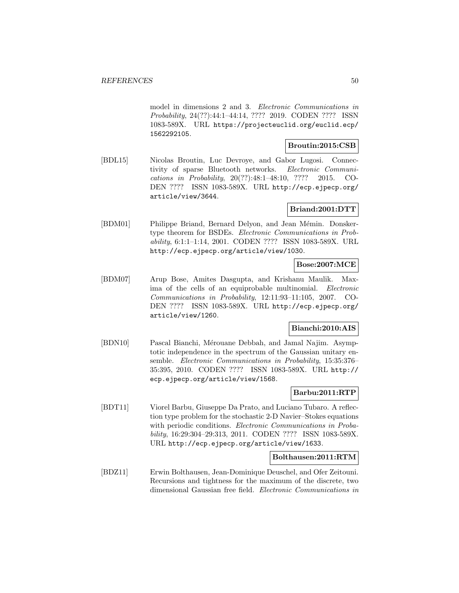model in dimensions 2 and 3. Electronic Communications in Probability, 24(??):44:1–44:14, ???? 2019. CODEN ???? ISSN 1083-589X. URL https://projecteuclid.org/euclid.ecp/ 1562292105.

#### **Broutin:2015:CSB**

[BDL15] Nicolas Broutin, Luc Devroye, and Gabor Lugosi. Connectivity of sparse Bluetooth networks. Electronic Communications in Probability, 20(??):48:1–48:10, ???? 2015. CO-DEN ???? ISSN 1083-589X. URL http://ecp.ejpecp.org/ article/view/3644.

### **Briand:2001:DTT**

[BDM01] Philippe Briand, Bernard Delyon, and Jean Mémin. Donskertype theorem for BSDEs. Electronic Communications in Probability, 6:1:1–1:14, 2001. CODEN ???? ISSN 1083-589X. URL http://ecp.ejpecp.org/article/view/1030.

### **Bose:2007:MCE**

[BDM07] Arup Bose, Amites Dasgupta, and Krishanu Maulik. Maxima of the cells of an equiprobable multinomial. Electronic Communications in Probability, 12:11:93–11:105, 2007. CO-DEN ???? ISSN 1083-589X. URL http://ecp.ejpecp.org/ article/view/1260.

# **Bianchi:2010:AIS**

[BDN10] Pascal Bianchi, Mérouane Debbah, and Jamal Najim. Asymptotic independence in the spectrum of the Gaussian unitary ensemble. Electronic Communications in Probability, 15:35:376– 35:395, 2010. CODEN ???? ISSN 1083-589X. URL http:// ecp.ejpecp.org/article/view/1568.

### **Barbu:2011:RTP**

[BDT11] Viorel Barbu, Giuseppe Da Prato, and Luciano Tubaro. A reflection type problem for the stochastic 2-D Navier–Stokes equations with periodic conditions. Electronic Communications in Probability, 16:29:304–29:313, 2011. CODEN ???? ISSN 1083-589X. URL http://ecp.ejpecp.org/article/view/1633.

### **Bolthausen:2011:RTM**

[BDZ11] Erwin Bolthausen, Jean-Dominique Deuschel, and Ofer Zeitouni. Recursions and tightness for the maximum of the discrete, two dimensional Gaussian free field. Electronic Communications in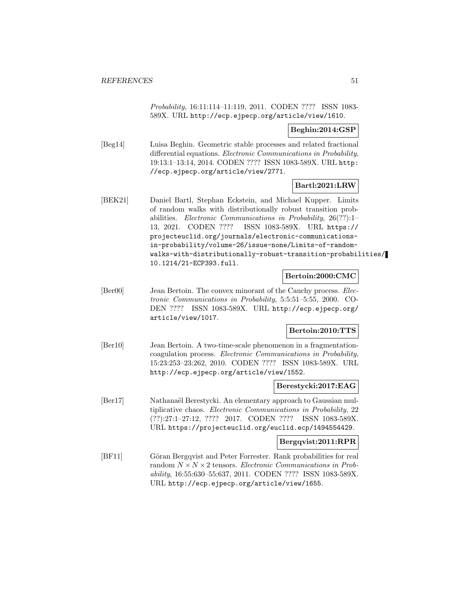Probability, 16:11:114–11:119, 2011. CODEN ???? ISSN 1083- 589X. URL http://ecp.ejpecp.org/article/view/1610.

### **Beghin:2014:GSP**

[Beg14] Luisa Beghin. Geometric stable processes and related fractional differential equations. Electronic Communications in Probability, 19:13:1–13:14, 2014. CODEN ???? ISSN 1083-589X. URL http: //ecp.ejpecp.org/article/view/2771.

# **Bartl:2021:LRW**

[BEK21] Daniel Bartl, Stephan Eckstein, and Michael Kupper. Limits of random walks with distributionally robust transition probabilities. Electronic Communications in Probability, 26(??):1– 13, 2021. CODEN ???? ISSN 1083-589X. URL https:// projecteuclid.org/journals/electronic-communicationsin-probability/volume-26/issue-none/Limits-of-randomwalks-with-distributionally-robust-transition-probabilities/ 10.1214/21-ECP393.full.

### **Bertoin:2000:CMC**

[Ber00] Jean Bertoin. The convex minorant of the Cauchy process. *Elec*tronic Communications in Probability, 5:5:51–5:55, 2000. CO-DEN ???? ISSN 1083-589X. URL http://ecp.ejpecp.org/ article/view/1017.

## **Bertoin:2010:TTS**

[Ber10] Jean Bertoin. A two-time-scale phenomenon in a fragmentationcoagulation process. Electronic Communications in Probability, 15:23:253–23:262, 2010. CODEN ???? ISSN 1083-589X. URL http://ecp.ejpecp.org/article/view/1552.

#### **Berestycki:2017:EAG**

[Ber17] Nathanaël Berestycki. An elementary approach to Gaussian multiplicative chaos. Electronic Communications in Probability, 22 (??):27:1–27:12, ???? 2017. CODEN ???? ISSN 1083-589X. URL https://projecteuclid.org/euclid.ecp/1494554429.

### **Bergqvist:2011:RPR**

[BF11] Göran Bergqvist and Peter Forrester. Rank probabilities for real random  $N \times N \times 2$  tensors. Electronic Communications in Probability, 16:55:630–55:637, 2011. CODEN ???? ISSN 1083-589X. URL http://ecp.ejpecp.org/article/view/1655.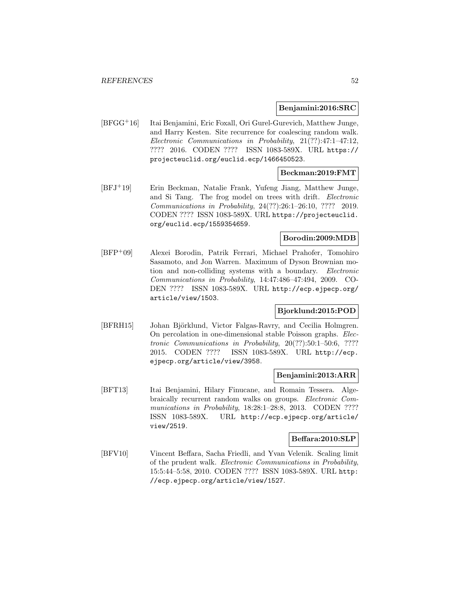#### **Benjamini:2016:SRC**

[BFGG<sup>+</sup>16] Itai Benjamini, Eric Foxall, Ori Gurel-Gurevich, Matthew Junge, and Harry Kesten. Site recurrence for coalescing random walk. Electronic Communications in Probability, 21(??):47:1–47:12, ???? 2016. CODEN ???? ISSN 1083-589X. URL https:// projecteuclid.org/euclid.ecp/1466450523.

### **Beckman:2019:FMT**

[BFJ<sup>+</sup>19] Erin Beckman, Natalie Frank, Yufeng Jiang, Matthew Junge, and Si Tang. The frog model on trees with drift. Electronic Communications in Probability, 24(??):26:1–26:10, ???? 2019. CODEN ???? ISSN 1083-589X. URL https://projecteuclid. org/euclid.ecp/1559354659.

## **Borodin:2009:MDB**

[BFP<sup>+</sup>09] Alexei Borodin, Patrik Ferrari, Michael Prahofer, Tomohiro Sasamoto, and Jon Warren. Maximum of Dyson Brownian motion and non-colliding systems with a boundary. Electronic Communications in Probability, 14:47:486–47:494, 2009. CO-DEN ???? ISSN 1083-589X. URL http://ecp.ejpecp.org/ article/view/1503.

## **Bjorklund:2015:POD**

[BFRH15] Johan Björklund, Victor Falgas-Ravry, and Cecilia Holmgren. On percolation in one-dimensional stable Poisson graphs. Electronic Communications in Probability, 20(??):50:1–50:6, ???? 2015. CODEN ???? ISSN 1083-589X. URL http://ecp. ejpecp.org/article/view/3958.

#### **Benjamini:2013:ARR**

[BFT13] Itai Benjamini, Hilary Finucane, and Romain Tessera. Algebraically recurrent random walks on groups. Electronic Communications in Probability, 18:28:1-28:8, 2013. CODEN ???? ISSN 1083-589X. URL http://ecp.ejpecp.org/article/ view/2519.

#### **Beffara:2010:SLP**

[BFV10] Vincent Beffara, Sacha Friedli, and Yvan Velenik. Scaling limit of the prudent walk. Electronic Communications in Probability, 15:5:44–5:58, 2010. CODEN ???? ISSN 1083-589X. URL http: //ecp.ejpecp.org/article/view/1527.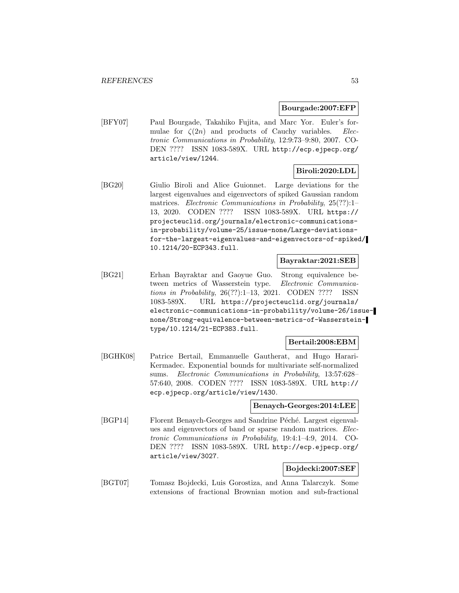#### **Bourgade:2007:EFP**

[BFY07] Paul Bourgade, Takahiko Fujita, and Marc Yor. Euler's formulae for  $\zeta(2n)$  and products of Cauchy variables. Electronic Communications in Probability, 12:9:73–9:80, 2007. CO-DEN ???? ISSN 1083-589X. URL http://ecp.ejpecp.org/ article/view/1244.

## **Biroli:2020:LDL**

[BG20] Giulio Biroli and Alice Guionnet. Large deviations for the largest eigenvalues and eigenvectors of spiked Gaussian random matrices. Electronic Communications in Probability, 25(??):1– 13, 2020. CODEN ???? ISSN 1083-589X. URL https:// projecteuclid.org/journals/electronic-communicationsin-probability/volume-25/issue-none/Large-deviationsfor-the-largest-eigenvalues-and-eigenvectors-of-spiked/ 10.1214/20-ECP343.full.

### **Bayraktar:2021:SEB**

[BG21] Erhan Bayraktar and Gaoyue Guo. Strong equivalence between metrics of Wasserstein type. Electronic Communications in Probability, 26(??):1–13, 2021. CODEN ???? ISSN 1083-589X. URL https://projecteuclid.org/journals/ electronic-communications-in-probability/volume-26/issuenone/Strong-equivalence-between-metrics-of-Wassersteintype/10.1214/21-ECP383.full.

### **Bertail:2008:EBM**

[BGHK08] Patrice Bertail, Emmanuelle Gautherat, and Hugo Harari-Kermadec. Exponential bounds for multivariate self-normalized sums. Electronic Communications in Probability, 13:57:628– 57:640, 2008. CODEN ???? ISSN 1083-589X. URL http:// ecp.ejpecp.org/article/view/1430.

### **Benaych-Georges:2014:LEE**

[BGP14] Florent Benaych-Georges and Sandrine Péché. Largest eigenvalues and eigenvectors of band or sparse random matrices. Electronic Communications in Probability, 19:4:1–4:9, 2014. CO-DEN ???? ISSN 1083-589X. URL http://ecp.ejpecp.org/ article/view/3027.

### **Bojdecki:2007:SEF**

[BGT07] Tomasz Bojdecki, Luis Gorostiza, and Anna Talarczyk. Some extensions of fractional Brownian motion and sub-fractional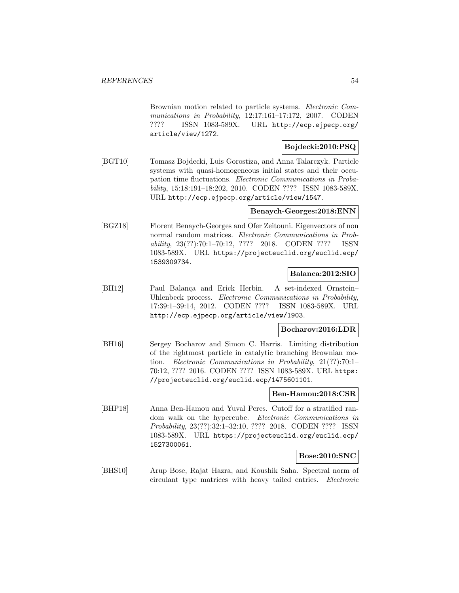Brownian motion related to particle systems. Electronic Communications in Probability, 12:17:161–17:172, 2007. CODEN ???? ISSN 1083-589X. URL http://ecp.ejpecp.org/ article/view/1272.

## **Bojdecki:2010:PSQ**

[BGT10] Tomasz Bojdecki, Luis Gorostiza, and Anna Talarczyk. Particle systems with quasi-homogeneous initial states and their occupation time fluctuations. Electronic Communications in Probability, 15:18:191–18:202, 2010. CODEN ???? ISSN 1083-589X. URL http://ecp.ejpecp.org/article/view/1547.

### **Benaych-Georges:2018:ENN**

[BGZ18] Florent Benaych-Georges and Ofer Zeitouni. Eigenvectors of non normal random matrices. Electronic Communications in Probability, 23(??):70:1–70:12, ???? 2018. CODEN ???? ISSN 1083-589X. URL https://projecteuclid.org/euclid.ecp/ 1539309734.

### **Balanca:2012:SIO**

[BH12] Paul Balança and Erick Herbin. A set-indexed Ornstein– Uhlenbeck process. Electronic Communications in Probability, 17:39:1–39:14, 2012. CODEN ???? ISSN 1083-589X. URL http://ecp.ejpecp.org/article/view/1903.

### **Bocharov:2016:LDR**

[BH16] Sergey Bocharov and Simon C. Harris. Limiting distribution of the rightmost particle in catalytic branching Brownian motion. Electronic Communications in Probability, 21(??):70:1– 70:12, ???? 2016. CODEN ???? ISSN 1083-589X. URL https: //projecteuclid.org/euclid.ecp/1475601101.

### **Ben-Hamou:2018:CSR**

[BHP18] Anna Ben-Hamou and Yuval Peres. Cutoff for a stratified random walk on the hypercube. Electronic Communications in Probability, 23(??):32:1–32:10, ???? 2018. CODEN ???? ISSN 1083-589X. URL https://projecteuclid.org/euclid.ecp/ 1527300061.

### **Bose:2010:SNC**

[BHS10] Arup Bose, Rajat Hazra, and Koushik Saha. Spectral norm of circulant type matrices with heavy tailed entries. Electronic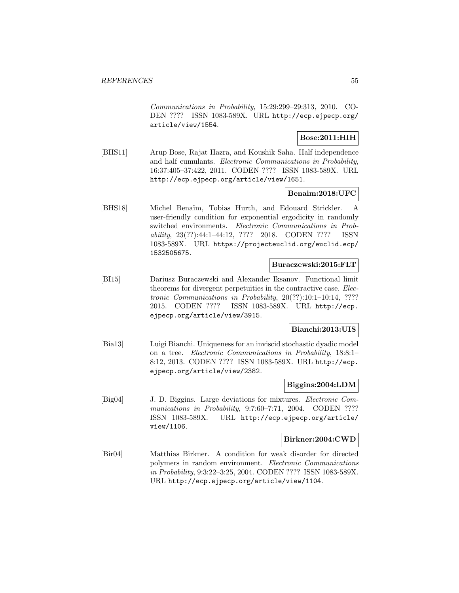Communications in Probability, 15:29:299–29:313, 2010. CO-DEN ???? ISSN 1083-589X. URL http://ecp.ejpecp.org/ article/view/1554.

### **Bose:2011:HIH**

[BHS11] Arup Bose, Rajat Hazra, and Koushik Saha. Half independence and half cumulants. Electronic Communications in Probability, 16:37:405–37:422, 2011. CODEN ???? ISSN 1083-589X. URL http://ecp.ejpecp.org/article/view/1651.

## **Benaim:2018:UFC**

[BHS18] Michel Bena¨ım, Tobias Hurth, and Edouard Strickler. A user-friendly condition for exponential ergodicity in randomly switched environments. Electronic Communications in Probability, 23(??):44:1–44:12, ???? 2018. CODEN ???? ISSN 1083-589X. URL https://projecteuclid.org/euclid.ecp/ 1532505675.

### **Buraczewski:2015:FLT**

[BI15] Dariusz Buraczewski and Alexander Iksanov. Functional limit theorems for divergent perpetuities in the contractive case. Electronic Communications in Probability, 20(??):10:1–10:14, ???? 2015. CODEN ???? ISSN 1083-589X. URL http://ecp. ejpecp.org/article/view/3915.

### **Bianchi:2013:UIS**

[Bia13] Luigi Bianchi. Uniqueness for an inviscid stochastic dyadic model on a tree. Electronic Communications in Probability, 18:8:1– 8:12, 2013. CODEN ???? ISSN 1083-589X. URL http://ecp. ejpecp.org/article/view/2382.

### **Biggins:2004:LDM**

[Big04] J. D. Biggins. Large deviations for mixtures. Electronic Communications in Probability, 9:7:60-7:71, 2004. CODEN ???? ISSN 1083-589X. URL http://ecp.ejpecp.org/article/ view/1106.

#### **Birkner:2004:CWD**

[Bir04] Matthias Birkner. A condition for weak disorder for directed polymers in random environment. Electronic Communications in Probability, 9:3:22–3:25, 2004. CODEN ???? ISSN 1083-589X. URL http://ecp.ejpecp.org/article/view/1104.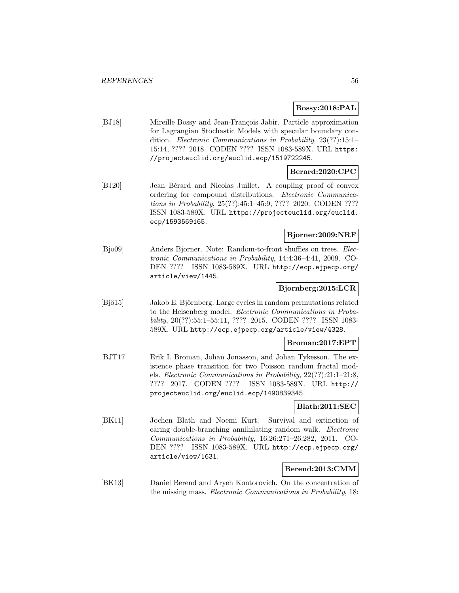### **Bossy:2018:PAL**

[BJ18] Mireille Bossy and Jean-François Jabir. Particle approximation for Lagrangian Stochastic Models with specular boundary condition. Electronic Communications in Probability, 23(??):15:1– 15:14, ???? 2018. CODEN ???? ISSN 1083-589X. URL https: //projecteuclid.org/euclid.ecp/1519722245.

### **Berard:2020:CPC**

[BJ20] Jean Bérard and Nicolas Juillet. A coupling proof of convex ordering for compound distributions. Electronic Communications in Probability, 25(??):45:1–45:9, ???? 2020. CODEN ???? ISSN 1083-589X. URL https://projecteuclid.org/euclid. ecp/1593569165.

## **Bjorner:2009:NRF**

[Bjo09] Anders Bjorner. Note: Random-to-front shuffles on trees. Electronic Communications in Probability, 14:4:36–4:41, 2009. CO-DEN ???? ISSN 1083-589X. URL http://ecp.ejpecp.org/ article/view/1445.

## **Bjornberg:2015:LCR**

[Bjö15] Jakob E. Björnberg. Large cycles in random permutations related to the Heisenberg model. Electronic Communications in Probability, 20(??):55:1–55:11, ???? 2015. CODEN ???? ISSN 1083- 589X. URL http://ecp.ejpecp.org/article/view/4328.

## **Broman:2017:EPT**

[BJT17] Erik I. Broman, Johan Jonasson, and Johan Tykesson. The existence phase transition for two Poisson random fractal models. Electronic Communications in Probability, 22(??):21:1–21:8, ???? 2017. CODEN ???? ISSN 1083-589X. URL http:// projecteuclid.org/euclid.ecp/1490839345.

## **Blath:2011:SEC**

[BK11] Jochen Blath and Noemi Kurt. Survival and extinction of caring double-branching annihilating random walk. Electronic Communications in Probability, 16:26:271–26:282, 2011. CO-DEN ???? ISSN 1083-589X. URL http://ecp.ejpecp.org/ article/view/1631.

## **Berend:2013:CMM**

[BK13] Daniel Berend and Aryeh Kontorovich. On the concentration of the missing mass. Electronic Communications in Probability, 18: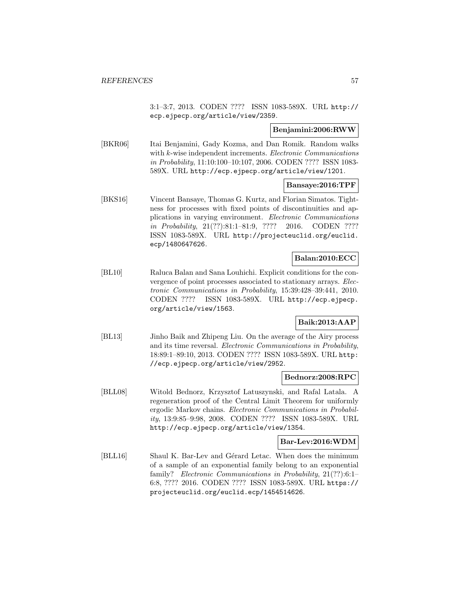3:1–3:7, 2013. CODEN ???? ISSN 1083-589X. URL http:// ecp.ejpecp.org/article/view/2359.

### **Benjamini:2006:RWW**

[BKR06] Itai Benjamini, Gady Kozma, and Dan Romik. Random walks with k-wise independent increments. Electronic Communications in Probability, 11:10:100–10:107, 2006. CODEN ???? ISSN 1083- 589X. URL http://ecp.ejpecp.org/article/view/1201.

### **Bansaye:2016:TPF**

[BKS16] Vincent Bansaye, Thomas G. Kurtz, and Florian Simatos. Tightness for processes with fixed points of discontinuities and applications in varying environment. Electronic Communications in Probability, 21(??):81:1–81:9, ???? 2016. CODEN ???? ISSN 1083-589X. URL http://projecteuclid.org/euclid. ecp/1480647626.

## **Balan:2010:ECC**

[BL10] Raluca Balan and Sana Louhichi. Explicit conditions for the convergence of point processes associated to stationary arrays. Electronic Communications in Probability, 15:39:428–39:441, 2010. CODEN ???? ISSN 1083-589X. URL http://ecp.ejpecp. org/article/view/1563.

## **Baik:2013:AAP**

[BL13] Jinho Baik and Zhipeng Liu. On the average of the Airy process and its time reversal. Electronic Communications in Probability, 18:89:1–89:10, 2013. CODEN ???? ISSN 1083-589X. URL http: //ecp.ejpecp.org/article/view/2952.

### **Bednorz:2008:RPC**

[BLL08] Witold Bednorz, Krzysztof Latuszynski, and Rafal Latala. A regeneration proof of the Central Limit Theorem for uniformly ergodic Markov chains. Electronic Communications in Probability, 13:9:85–9:98, 2008. CODEN ???? ISSN 1083-589X. URL http://ecp.ejpecp.org/article/view/1354.

#### **Bar-Lev:2016:WDM**

[BLL16] Shaul K. Bar-Lev and Gérard Letac. When does the minimum of a sample of an exponential family belong to an exponential family? Electronic Communications in Probability, 21(??):6:1-6:8, ???? 2016. CODEN ???? ISSN 1083-589X. URL https:// projecteuclid.org/euclid.ecp/1454514626.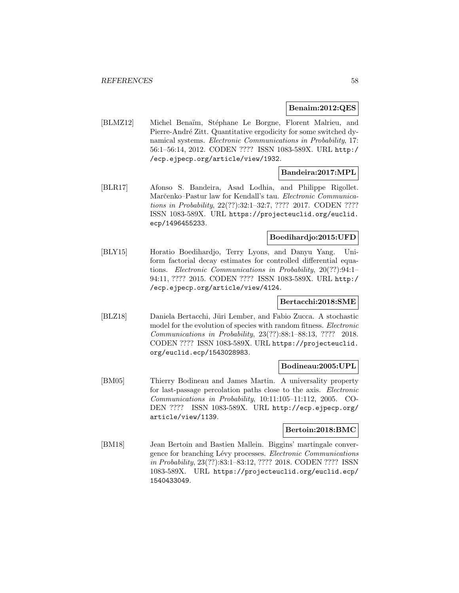#### **Benaim:2012:QES**

[BLMZ12] Michel Benaïm, Stéphane Le Borgne, Florent Malrieu, and Pierre-André Zitt. Quantitative ergodicity for some switched dynamical systems. Electronic Communications in Probability, 17: 56:1–56:14, 2012. CODEN ???? ISSN 1083-589X. URL http:/ /ecp.ejpecp.org/article/view/1932.

## **Bandeira:2017:MPL**

[BLR17] Afonso S. Bandeira, Asad Lodhia, and Philippe Rigollet. Marčenko–Pastur law for Kendall's tau. Electronic Communications in Probability, 22(??):32:1–32:7, ???? 2017. CODEN ???? ISSN 1083-589X. URL https://projecteuclid.org/euclid. ecp/1496455233.

## **Boedihardjo:2015:UFD**

[BLY15] Horatio Boedihardjo, Terry Lyons, and Danyu Yang. Uniform factorial decay estimates for controlled differential equations. Electronic Communications in Probability, 20(??):94:1– 94:11, ???? 2015. CODEN ???? ISSN 1083-589X. URL http:/ /ecp.ejpecp.org/article/view/4124.

### **Bertacchi:2018:SME**

[BLZ18] Daniela Bertacchi, Jüri Lember, and Fabio Zucca. A stochastic model for the evolution of species with random fitness. *Electronic* Communications in Probability, 23(??):88:1–88:13, ???? 2018. CODEN ???? ISSN 1083-589X. URL https://projecteuclid. org/euclid.ecp/1543028983.

#### **Bodineau:2005:UPL**

[BM05] Thierry Bodineau and James Martin. A universality property for last-passage percolation paths close to the axis. Electronic Communications in Probability, 10:11:105–11:112, 2005. CO-DEN ???? ISSN 1083-589X. URL http://ecp.ejpecp.org/ article/view/1139.

### **Bertoin:2018:BMC**

[BM18] Jean Bertoin and Bastien Mallein. Biggins' martingale convergence for branching Lévy processes. Electronic Communications in Probability, 23(??):83:1–83:12, ???? 2018. CODEN ???? ISSN 1083-589X. URL https://projecteuclid.org/euclid.ecp/ 1540433049.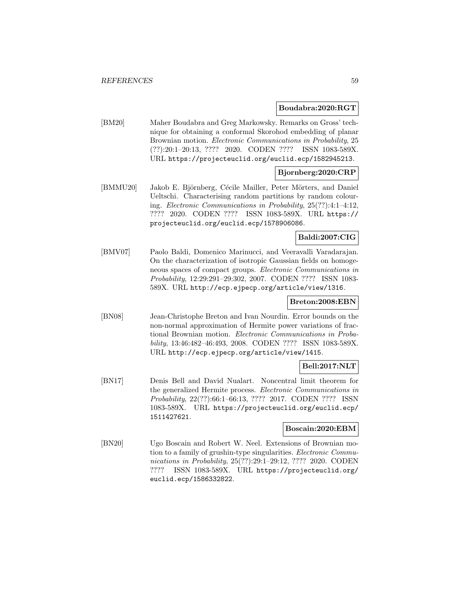#### **Boudabra:2020:RGT**

[BM20] Maher Boudabra and Greg Markowsky. Remarks on Gross' technique for obtaining a conformal Skorohod embedding of planar Brownian motion. Electronic Communications in Probability, 25 (??):20:1–20:13, ???? 2020. CODEN ???? ISSN 1083-589X. URL https://projecteuclid.org/euclid.ecp/1582945213.

### **Bjornberg:2020:CRP**

[BMMU20] Jakob E. Björnberg, Cécile Mailler, Peter Mörters, and Daniel Ueltschi. Characterising random partitions by random colouring. Electronic Communications in Probability, 25(??):4:1–4:12, ???? 2020. CODEN ???? ISSN 1083-589X. URL https:// projecteuclid.org/euclid.ecp/1578906086.

# **Baldi:2007:CIG**

[BMV07] Paolo Baldi, Domenico Marinucci, and Veeravalli Varadarajan. On the characterization of isotropic Gaussian fields on homogeneous spaces of compact groups. Electronic Communications in Probability, 12:29:291–29:302, 2007. CODEN ???? ISSN 1083- 589X. URL http://ecp.ejpecp.org/article/view/1316.

### **Breton:2008:EBN**

[BN08] Jean-Christophe Breton and Ivan Nourdin. Error bounds on the non-normal approximation of Hermite power variations of fractional Brownian motion. Electronic Communications in Probability, 13:46:482–46:493, 2008. CODEN ???? ISSN 1083-589X. URL http://ecp.ejpecp.org/article/view/1415.

## **Bell:2017:NLT**

[BN17] Denis Bell and David Nualart. Noncentral limit theorem for the generalized Hermite process. Electronic Communications in Probability, 22(??):66:1–66:13, ???? 2017. CODEN ???? ISSN 1083-589X. URL https://projecteuclid.org/euclid.ecp/ 1511427621.

### **Boscain:2020:EBM**

[BN20] Ugo Boscain and Robert W. Neel. Extensions of Brownian motion to a family of grushin-type singularities. Electronic Communications in Probability, 25(??):29:1–29:12, ???? 2020. CODEN ???? ISSN 1083-589X. URL https://projecteuclid.org/ euclid.ecp/1586332822.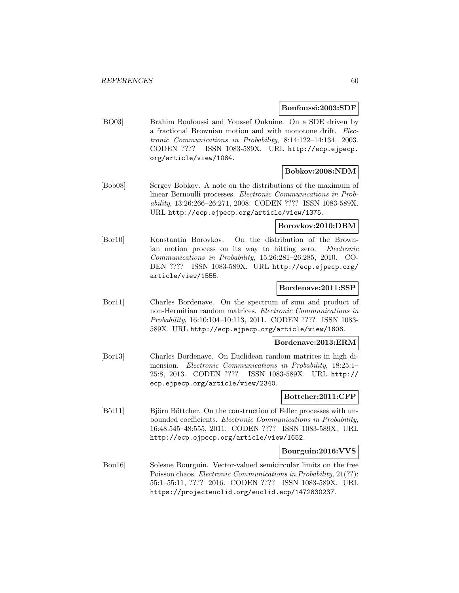#### **Boufoussi:2003:SDF**

[BO03] Brahim Boufoussi and Youssef Ouknine. On a SDE driven by a fractional Brownian motion and with monotone drift. Electronic Communications in Probability, 8:14:122–14:134, 2003. CODEN ???? ISSN 1083-589X. URL http://ecp.ejpecp. org/article/view/1084.

### **Bobkov:2008:NDM**

[Bob08] Sergey Bobkov. A note on the distributions of the maximum of linear Bernoulli processes. Electronic Communications in Probability, 13:26:266–26:271, 2008. CODEN ???? ISSN 1083-589X. URL http://ecp.ejpecp.org/article/view/1375.

# **Borovkov:2010:DBM**

[Bor10] Konstantin Borovkov. On the distribution of the Brownian motion process on its way to hitting zero. Electronic Communications in Probability, 15:26:281–26:285, 2010. CO-DEN ???? ISSN 1083-589X. URL http://ecp.ejpecp.org/ article/view/1555.

### **Bordenave:2011:SSP**

[Bor11] Charles Bordenave. On the spectrum of sum and product of non-Hermitian random matrices. Electronic Communications in Probability, 16:10:104–10:113, 2011. CODEN ???? ISSN 1083- 589X. URL http://ecp.ejpecp.org/article/view/1606.

### **Bordenave:2013:ERM**

[Bor13] Charles Bordenave. On Euclidean random matrices in high dimension. Electronic Communications in Probability, 18:25:1– 25:8, 2013. CODEN ???? ISSN 1083-589X. URL http:// ecp.ejpecp.org/article/view/2340.

### **Bottcher:2011:CFP**

[Böt11] Björn Böttcher. On the construction of Feller processes with unbounded coefficients. Electronic Communications in Probability, 16:48:545–48:555, 2011. CODEN ???? ISSN 1083-589X. URL http://ecp.ejpecp.org/article/view/1652.

### **Bourguin:2016:VVS**

[Bou16] Solesne Bourguin. Vector-valued semicircular limits on the free Poisson chaos. Electronic Communications in Probability, 21(??): 55:1–55:11, ???? 2016. CODEN ???? ISSN 1083-589X. URL https://projecteuclid.org/euclid.ecp/1472830237.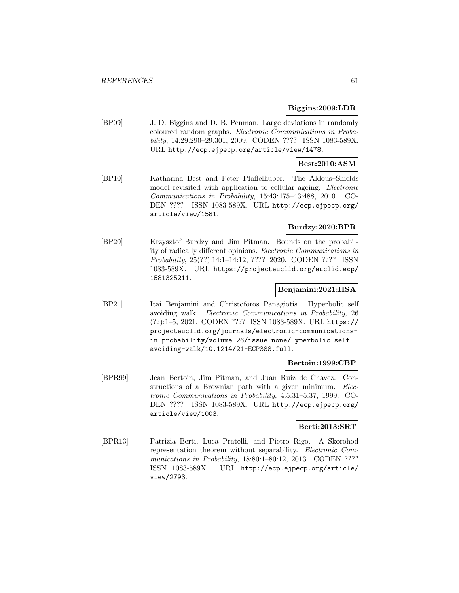#### **Biggins:2009:LDR**

[BP09] J. D. Biggins and D. B. Penman. Large deviations in randomly coloured random graphs. Electronic Communications in Probability, 14:29:290–29:301, 2009. CODEN ???? ISSN 1083-589X. URL http://ecp.ejpecp.org/article/view/1478.

### **Best:2010:ASM**

[BP10] Katharina Best and Peter Pfaffelhuber. The Aldous–Shields model revisited with application to cellular ageing. *Electronic* Communications in Probability, 15:43:475–43:488, 2010. CO-DEN ???? ISSN 1083-589X. URL http://ecp.ejpecp.org/ article/view/1581.

### **Burdzy:2020:BPR**

[BP20] Krzysztof Burdzy and Jim Pitman. Bounds on the probability of radically different opinions. Electronic Communications in Probability, 25(??):14:1–14:12, ???? 2020. CODEN ???? ISSN 1083-589X. URL https://projecteuclid.org/euclid.ecp/ 1581325211.

### **Benjamini:2021:HSA**

[BP21] Itai Benjamini and Christoforos Panagiotis. Hyperbolic self avoiding walk. Electronic Communications in Probability, 26 (??):1–5, 2021. CODEN ???? ISSN 1083-589X. URL https:// projecteuclid.org/journals/electronic-communicationsin-probability/volume-26/issue-none/Hyperbolic-selfavoiding-walk/10.1214/21-ECP388.full.

#### **Bertoin:1999:CBP**

[BPR99] Jean Bertoin, Jim Pitman, and Juan Ruiz de Chavez. Constructions of a Brownian path with a given minimum. Electronic Communications in Probability, 4:5:31–5:37, 1999. CO-DEN ???? ISSN 1083-589X. URL http://ecp.ejpecp.org/ article/view/1003.

#### **Berti:2013:SRT**

[BPR13] Patrizia Berti, Luca Pratelli, and Pietro Rigo. A Skorohod representation theorem without separability. Electronic Communications in Probability, 18:80:1-80:12, 2013. CODEN ???? ISSN 1083-589X. URL http://ecp.ejpecp.org/article/ view/2793.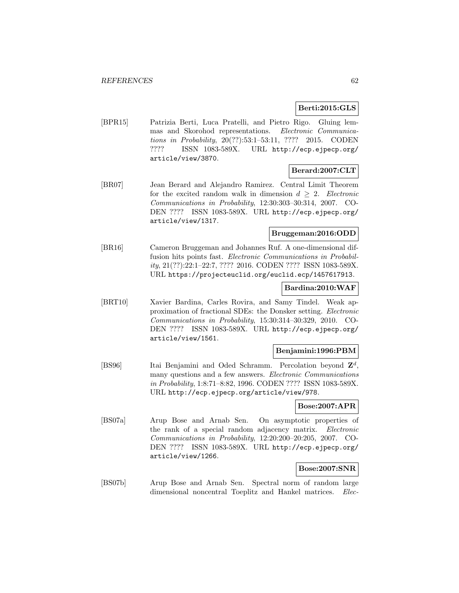### **Berti:2015:GLS**

[BPR15] Patrizia Berti, Luca Pratelli, and Pietro Rigo. Gluing lemmas and Skorohod representations. Electronic Communications in Probability, 20(??):53:1–53:11, ???? 2015. CODEN ???? ISSN 1083-589X. URL http://ecp.ejpecp.org/ article/view/3870.

## **Berard:2007:CLT**

[BR07] Jean Berard and Alejandro Ramirez. Central Limit Theorem for the excited random walk in dimension  $d \geq 2$ . Electronic Communications in Probability, 12:30:303–30:314, 2007. CO-DEN ???? ISSN 1083-589X. URL http://ecp.ejpecp.org/ article/view/1317.

## **Bruggeman:2016:ODD**

[BR16] Cameron Bruggeman and Johannes Ruf. A one-dimensional diffusion hits points fast. Electronic Communications in Probability, 21(??):22:1–22:7, ???? 2016. CODEN ???? ISSN 1083-589X. URL https://projecteuclid.org/euclid.ecp/1457617913.

### **Bardina:2010:WAF**

[BRT10] Xavier Bardina, Carles Rovira, and Samy Tindel. Weak approximation of fractional SDEs: the Donsker setting. Electronic Communications in Probability, 15:30:314–30:329, 2010. CO-DEN ???? ISSN 1083-589X. URL http://ecp.ejpecp.org/ article/view/1561.

### **Benjamini:1996:PBM**

[BS96] Itai Benjamini and Oded Schramm. Percolation beyond **Z**<sup>d</sup>, many questions and a few answers. Electronic Communications in Probability, 1:8:71–8:82, 1996. CODEN ???? ISSN 1083-589X. URL http://ecp.ejpecp.org/article/view/978.

### **Bose:2007:APR**

[BS07a] Arup Bose and Arnab Sen. On asymptotic properties of the rank of a special random adjacency matrix. Electronic Communications in Probability, 12:20:200–20:205, 2007. CO-DEN ???? ISSN 1083-589X. URL http://ecp.ejpecp.org/ article/view/1266.

### **Bose:2007:SNR**

[BS07b] Arup Bose and Arnab Sen. Spectral norm of random large dimensional noncentral Toeplitz and Hankel matrices. Elec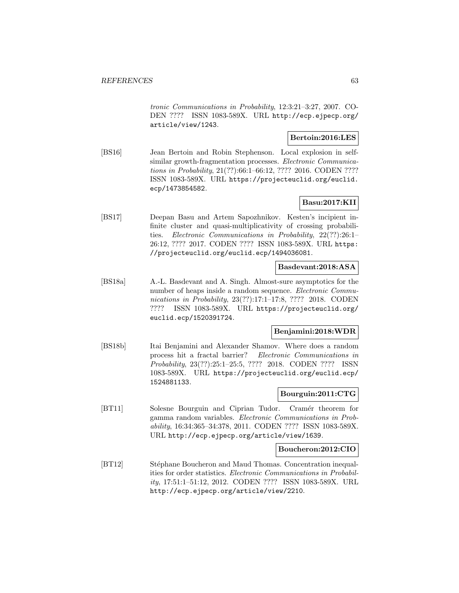tronic Communications in Probability, 12:3:21–3:27, 2007. CO-DEN ???? ISSN 1083-589X. URL http://ecp.ejpecp.org/ article/view/1243.

### **Bertoin:2016:LES**

[BS16] Jean Bertoin and Robin Stephenson. Local explosion in selfsimilar growth-fragmentation processes. *Electronic Communica*tions in Probability, 21(??):66:1–66:12, ???? 2016. CODEN ???? ISSN 1083-589X. URL https://projecteuclid.org/euclid. ecp/1473854582.

## **Basu:2017:KII**

[BS17] Deepan Basu and Artem Sapozhnikov. Kesten's incipient infinite cluster and quasi-multiplicativity of crossing probabilities. Electronic Communications in Probability, 22(??):26:1– 26:12, ???? 2017. CODEN ???? ISSN 1083-589X. URL https: //projecteuclid.org/euclid.ecp/1494036081.

#### **Basdevant:2018:ASA**

[BS18a] A.-L. Basdevant and A. Singh. Almost-sure asymptotics for the number of heaps inside a random sequence. Electronic Communications in Probability, 23(??):17:1–17:8, ???? 2018. CODEN ???? ISSN 1083-589X. URL https://projecteuclid.org/ euclid.ecp/1520391724.

### **Benjamini:2018:WDR**

[BS18b] Itai Benjamini and Alexander Shamov. Where does a random process hit a fractal barrier? Electronic Communications in Probability, 23(??):25:1–25:5, ???? 2018. CODEN ???? ISSN 1083-589X. URL https://projecteuclid.org/euclid.ecp/ 1524881133.

### **Bourguin:2011:CTG**

[BT11] Solesne Bourguin and Ciprian Tudor. Cramér theorem for gamma random variables. Electronic Communications in Probability, 16:34:365–34:378, 2011. CODEN ???? ISSN 1083-589X. URL http://ecp.ejpecp.org/article/view/1639.

### **Boucheron:2012:CIO**

[BT12] Stéphane Boucheron and Maud Thomas. Concentration inequalities for order statistics. Electronic Communications in Probability, 17:51:1–51:12, 2012. CODEN ???? ISSN 1083-589X. URL http://ecp.ejpecp.org/article/view/2210.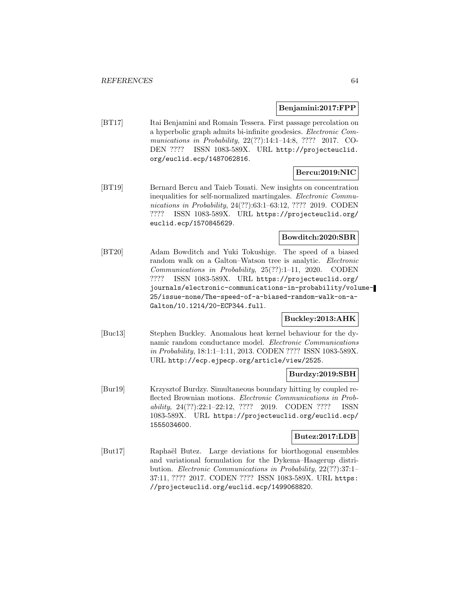#### **Benjamini:2017:FPP**

[BT17] Itai Benjamini and Romain Tessera. First passage percolation on a hyperbolic graph admits bi-infinite geodesics. Electronic Communications in Probability, 22(??):14:1–14:8, ???? 2017. CO-DEN ???? ISSN 1083-589X. URL http://projecteuclid. org/euclid.ecp/1487062816.

# **Bercu:2019:NIC**

[BT19] Bernard Bercu and Taieb Touati. New insights on concentration inequalities for self-normalized martingales. Electronic Communications in Probability, 24(??):63:1-63:12, ???? 2019. CODEN ???? ISSN 1083-589X. URL https://projecteuclid.org/ euclid.ecp/1570845629.

## **Bowditch:2020:SBR**

[BT20] Adam Bowditch and Yuki Tokushige. The speed of a biased random walk on a Galton–Watson tree is analytic. Electronic Communications in Probability, 25(??):1–11, 2020. CODEN ???? ISSN 1083-589X. URL https://projecteuclid.org/ journals/electronic-communications-in-probability/volume-25/issue-none/The-speed-of-a-biased-random-walk-on-a-Galton/10.1214/20-ECP344.full.

### **Buckley:2013:AHK**

[Buc13] Stephen Buckley. Anomalous heat kernel behaviour for the dynamic random conductance model. Electronic Communications in Probability, 18:1:1–1:11, 2013. CODEN ???? ISSN 1083-589X. URL http://ecp.ejpecp.org/article/view/2525.

### **Burdzy:2019:SBH**

[Bur19] Krzysztof Burdzy. Simultaneous boundary hitting by coupled reflected Brownian motions. Electronic Communications in Probability, 24(??):22:1–22:12, ???? 2019. CODEN ???? ISSN 1083-589X. URL https://projecteuclid.org/euclid.ecp/ 1555034600.

### **Butez:2017:LDB**

[But17] Raphaël Butez. Large deviations for biorthogonal ensembles and variational formulation for the Dykema–Haagerup distribution. Electronic Communications in Probability, 22(??):37:1– 37:11, ???? 2017. CODEN ???? ISSN 1083-589X. URL https: //projecteuclid.org/euclid.ecp/1499068820.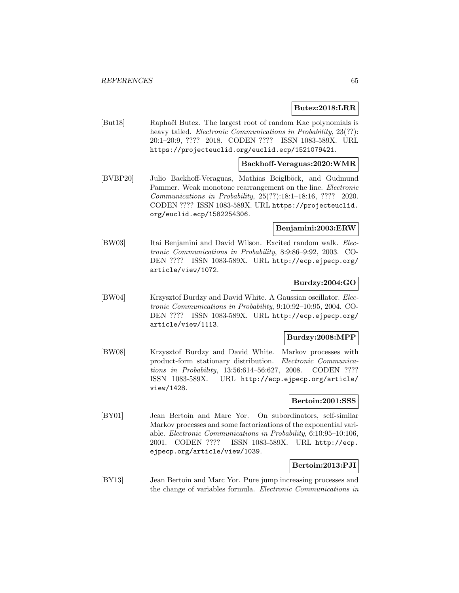#### **Butez:2018:LRR**

[But18] Raphaël Butez. The largest root of random Kac polynomials is heavy tailed. *Electronic Communications in Probability*, 23(??): 20:1–20:9, ???? 2018. CODEN ???? ISSN 1083-589X. URL https://projecteuclid.org/euclid.ecp/1521079421.

#### **Backhoff-Veraguas:2020:WMR**

[BVBP20] Julio Backhoff-Veraguas, Mathias Beiglböck, and Gudmund Pammer. Weak monotone rearrangement on the line. Electronic Communications in Probability, 25(??):18:1–18:16, ???? 2020. CODEN ???? ISSN 1083-589X. URL https://projecteuclid. org/euclid.ecp/1582254306.

#### **Benjamini:2003:ERW**

[BW03] Itai Benjamini and David Wilson. Excited random walk. Electronic Communications in Probability, 8:9:86–9:92, 2003. CO-DEN ???? ISSN 1083-589X. URL http://ecp.ejpecp.org/ article/view/1072.

## **Burdzy:2004:GO**

[BW04] Krzysztof Burdzy and David White. A Gaussian oscillator. Electronic Communications in Probability, 9:10:92–10:95, 2004. CO-DEN ???? ISSN 1083-589X. URL http://ecp.ejpecp.org/ article/view/1113.

### **Burdzy:2008:MPP**

[BW08] Krzysztof Burdzy and David White. Markov processes with product-form stationary distribution. Electronic Communications in Probability, 13:56:614–56:627, 2008. CODEN ???? ISSN 1083-589X. URL http://ecp.ejpecp.org/article/ view/1428.

#### **Bertoin:2001:SSS**

[BY01] Jean Bertoin and Marc Yor. On subordinators, self-similar Markov processes and some factorizations of the exponential variable. Electronic Communications in Probability, 6:10:95–10:106, 2001. CODEN ???? ISSN 1083-589X. URL http://ecp. ejpecp.org/article/view/1039.

### **Bertoin:2013:PJI**

[BY13] Jean Bertoin and Marc Yor. Pure jump increasing processes and the change of variables formula. Electronic Communications in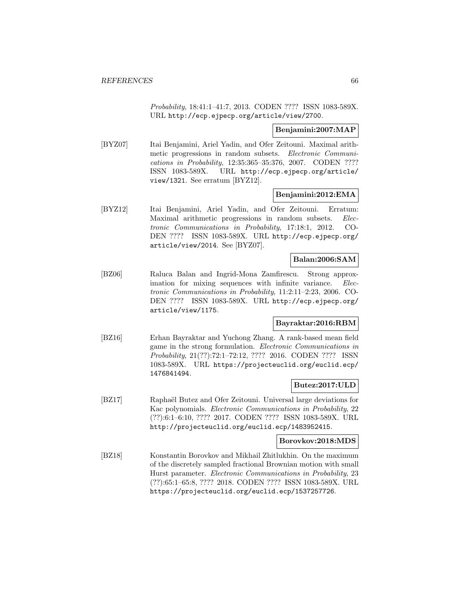Probability, 18:41:1–41:7, 2013. CODEN ???? ISSN 1083-589X. URL http://ecp.ejpecp.org/article/view/2700.

### **Benjamini:2007:MAP**

[BYZ07] Itai Benjamini, Ariel Yadin, and Ofer Zeitouni. Maximal arithmetic progressions in random subsets. Electronic Communications in Probability, 12:35:365–35:376, 2007. CODEN ???? ISSN 1083-589X. URL http://ecp.ejpecp.org/article/ view/1321. See erratum [BYZ12].

### **Benjamini:2012:EMA**

[BYZ12] Itai Benjamini, Ariel Yadin, and Ofer Zeitouni. Erratum: Maximal arithmetic progressions in random subsets. Electronic Communications in Probability, 17:18:1, 2012. CO-DEN ???? ISSN 1083-589X. URL http://ecp.ejpecp.org/ article/view/2014. See [BYZ07].

## **Balan:2006:SAM**

[BZ06] Raluca Balan and Ingrid-Mona Zamfirescu. Strong approximation for mixing sequences with infinite variance. Electronic Communications in Probability, 11:2:11–2:23, 2006. CO-DEN ???? ISSN 1083-589X. URL http://ecp.ejpecp.org/ article/view/1175.

### **Bayraktar:2016:RBM**

[BZ16] Erhan Bayraktar and Yuchong Zhang. A rank-based mean field game in the strong formulation. Electronic Communications in Probability, 21(??):72:1–72:12, ???? 2016. CODEN ???? ISSN 1083-589X. URL https://projecteuclid.org/euclid.ecp/ 1476841494.

## **Butez:2017:ULD**

[BZ17] Raphaël Butez and Ofer Zeitouni. Universal large deviations for Kac polynomials. Electronic Communications in Probability, 22 (??):6:1–6:10, ???? 2017. CODEN ???? ISSN 1083-589X. URL http://projecteuclid.org/euclid.ecp/1483952415.

#### **Borovkov:2018:MDS**

[BZ18] Konstantin Borovkov and Mikhail Zhitlukhin. On the maximum of the discretely sampled fractional Brownian motion with small Hurst parameter. Electronic Communications in Probability, 23 (??):65:1–65:8, ???? 2018. CODEN ???? ISSN 1083-589X. URL https://projecteuclid.org/euclid.ecp/1537257726.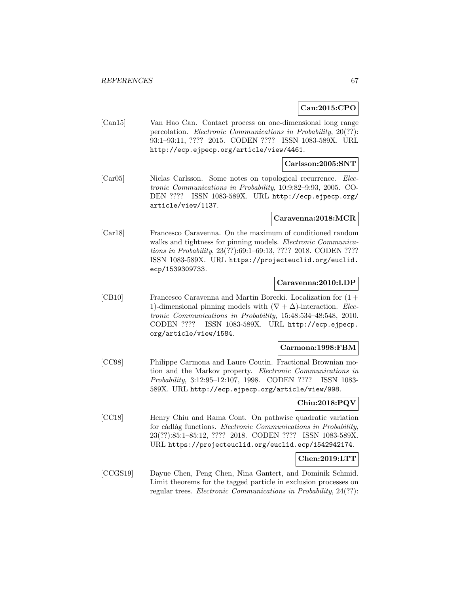## **Can:2015:CPO**

[Can15] Van Hao Can. Contact process on one-dimensional long range percolation. Electronic Communications in Probability, 20(??): 93:1–93:11, ???? 2015. CODEN ???? ISSN 1083-589X. URL http://ecp.ejpecp.org/article/view/4461.

#### **Carlsson:2005:SNT**

[Car05] Niclas Carlsson. Some notes on topological recurrence. Electronic Communications in Probability, 10:9:82–9:93, 2005. CO-DEN ???? ISSN 1083-589X. URL http://ecp.ejpecp.org/ article/view/1137.

#### **Caravenna:2018:MCR**

[Car18] Francesco Caravenna. On the maximum of conditioned random walks and tightness for pinning models. Electronic Communications in Probability, 23(??):69:1–69:13, ???? 2018. CODEN ???? ISSN 1083-589X. URL https://projecteuclid.org/euclid. ecp/1539309733.

#### **Caravenna:2010:LDP**

[CB10] Francesco Caravenna and Martin Borecki. Localization for (1 + 1)-dimensional pinning models with  $(\nabla + \Delta)$ -interaction. Electronic Communications in Probability, 15:48:534–48:548, 2010. CODEN ???? ISSN 1083-589X. URL http://ecp.ejpecp. org/article/view/1584.

#### **Carmona:1998:FBM**

[CC98] Philippe Carmona and Laure Coutin. Fractional Brownian motion and the Markov property. Electronic Communications in Probability, 3:12:95–12:107, 1998. CODEN ???? ISSN 1083- 589X. URL http://ecp.ejpecp.org/article/view/998.

### **Chiu:2018:PQV**

[CC18] Henry Chiu and Rama Cont. On pathwise quadratic variation for càdlàg functions. Electronic Communications in Probability, 23(??):85:1–85:12, ???? 2018. CODEN ???? ISSN 1083-589X. URL https://projecteuclid.org/euclid.ecp/1542942174.

### **Chen:2019:LTT**

[CCGS19] Dayue Chen, Peng Chen, Nina Gantert, and Dominik Schmid. Limit theorems for the tagged particle in exclusion processes on regular trees. Electronic Communications in Probability, 24(??):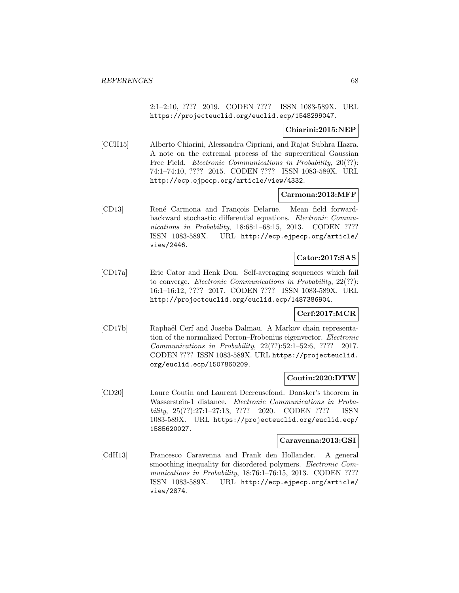2:1–2:10, ???? 2019. CODEN ???? ISSN 1083-589X. URL https://projecteuclid.org/euclid.ecp/1548299047.

### **Chiarini:2015:NEP**

[CCH15] Alberto Chiarini, Alessandra Cipriani, and Rajat Subhra Hazra. A note on the extremal process of the supercritical Gaussian Free Field. *Electronic Communications in Probability*, 20(??): 74:1–74:10, ???? 2015. CODEN ???? ISSN 1083-589X. URL http://ecp.ejpecp.org/article/view/4332.

### **Carmona:2013:MFF**

[CD13] René Carmona and François Delarue. Mean field forwardbackward stochastic differential equations. Electronic Communications in Probability, 18:68:1-68:15, 2013. CODEN ???? ISSN 1083-589X. URL http://ecp.ejpecp.org/article/ view/2446.

### **Cator:2017:SAS**

[CD17a] Eric Cator and Henk Don. Self-averaging sequences which fail to converge. Electronic Communications in Probability, 22(??): 16:1–16:12, ???? 2017. CODEN ???? ISSN 1083-589X. URL http://projecteuclid.org/euclid.ecp/1487386904.

### **Cerf:2017:MCR**

[CD17b] Raphaël Cerf and Joseba Dalmau. A Markov chain representation of the normalized Perron–Frobenius eigenvector. Electronic Communications in Probability, 22(??):52:1–52:6, ???? 2017. CODEN ???? ISSN 1083-589X. URL https://projecteuclid. org/euclid.ecp/1507860209.

## **Coutin:2020:DTW**

[CD20] Laure Coutin and Laurent Decreusefond. Donsker's theorem in Wasserstein-1 distance. Electronic Communications in Probability, 25(??):27:1–27:13, ???? 2020. CODEN ???? ISSN 1083-589X. URL https://projecteuclid.org/euclid.ecp/ 1585620027.

### **Caravenna:2013:GSI**

[CdH13] Francesco Caravenna and Frank den Hollander. A general smoothing inequality for disordered polymers. *Electronic Com*munications in Probability, 18:76:1-76:15, 2013. CODEN ???? ISSN 1083-589X. URL http://ecp.ejpecp.org/article/ view/2874.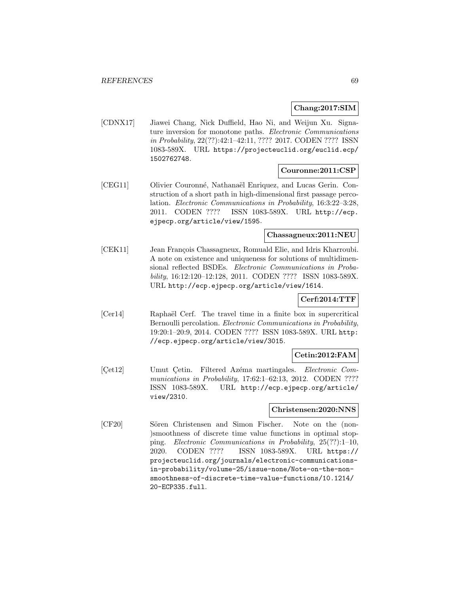## **Chang:2017:SIM**

[CDNX17] Jiawei Chang, Nick Duffield, Hao Ni, and Weijun Xu. Signature inversion for monotone paths. Electronic Communications in Probability, 22(??):42:1–42:11, ???? 2017. CODEN ???? ISSN 1083-589X. URL https://projecteuclid.org/euclid.ecp/ 1502762748.

### **Couronne:2011:CSP**

[CEG11] Olivier Couronné, Nathanaël Enriquez, and Lucas Gerin. Construction of a short path in high-dimensional first passage percolation. Electronic Communications in Probability, 16:3:22–3:28, 2011. CODEN ???? ISSN 1083-589X. URL http://ecp. ejpecp.org/article/view/1595.

## **Chassagneux:2011:NEU**

[CEK11] Jean François Chassagneux, Romuald Elie, and Idris Kharroubi. A note on existence and uniqueness for solutions of multidimensional reflected BSDEs. Electronic Communications in Probability, 16:12:120–12:128, 2011. CODEN ???? ISSN 1083-589X. URL http://ecp.ejpecp.org/article/view/1614.

### **Cerf:2014:TTF**

[Cer<sub>14</sub>] Raphaël Cerf. The travel time in a finite box in supercritical Bernoulli percolation. Electronic Communications in Probability, 19:20:1–20:9, 2014. CODEN ???? ISSN 1083-589X. URL http: //ecp.ejpecp.org/article/view/3015.

### **Cetin:2012:FAM**

[Cet12] Umut Cetin. Filtered Azéma martingales. Electronic Communications in Probability, 17:62:1-62:13, 2012. CODEN ???? ISSN 1083-589X. URL http://ecp.ejpecp.org/article/ view/2310.

### **Christensen:2020:NNS**

[CF20] Sören Christensen and Simon Fischer. Note on the (non-)smoothness of discrete time value functions in optimal stopping. Electronic Communications in Probability, 25(??):1–10, 2020. CODEN ???? ISSN 1083-589X. URL https:// projecteuclid.org/journals/electronic-communicationsin-probability/volume-25/issue-none/Note-on-the-nonsmoothness-of-discrete-time-value-functions/10.1214/ 20-ECP335.full.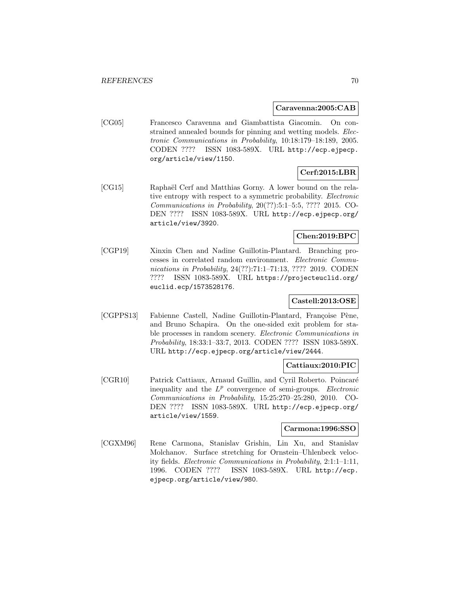#### **Caravenna:2005:CAB**

[CG05] Francesco Caravenna and Giambattista Giacomin. On constrained annealed bounds for pinning and wetting models. Electronic Communications in Probability, 10:18:179–18:189, 2005. CODEN ???? ISSN 1083-589X. URL http://ecp.ejpecp. org/article/view/1150.

# **Cerf:2015:LBR**

[CG15] Raphaël Cerf and Matthias Gorny. A lower bound on the relative entropy with respect to a symmetric probability. Electronic Communications in Probability, 20(??):5:1–5:5, ???? 2015. CO-DEN ???? ISSN 1083-589X. URL http://ecp.ejpecp.org/ article/view/3920.

## **Chen:2019:BPC**

[CGP19] Xinxin Chen and Nadine Guillotin-Plantard. Branching processes in correlated random environment. Electronic Communications in Probability, 24(??):71:1–71:13, ???? 2019. CODEN ???? ISSN 1083-589X. URL https://projecteuclid.org/ euclid.ecp/1573528176.

### **Castell:2013:OSE**

[CGPPS13] Fabienne Castell, Nadine Guillotin-Plantard, Françoise Pène, and Bruno Schapira. On the one-sided exit problem for stable processes in random scenery. *Electronic Communications in* Probability, 18:33:1–33:7, 2013. CODEN ???? ISSN 1083-589X. URL http://ecp.ejpecp.org/article/view/2444.

### **Cattiaux:2010:PIC**

[CGR10] Patrick Cattiaux, Arnaud Guillin, and Cyril Roberto. Poincaré inequality and the  $L^p$  convergence of semi-groups. *Electronic* Communications in Probability, 15:25:270–25:280, 2010. CO-DEN ???? ISSN 1083-589X. URL http://ecp.ejpecp.org/ article/view/1559.

#### **Carmona:1996:SSO**

[CGXM96] Rene Carmona, Stanislav Grishin, Lin Xu, and Stanislav Molchanov. Surface stretching for Ornstein–Uhlenbeck velocity fields. Electronic Communications in Probability, 2:1:1–1:11, 1996. CODEN ???? ISSN 1083-589X. URL http://ecp. ejpecp.org/article/view/980.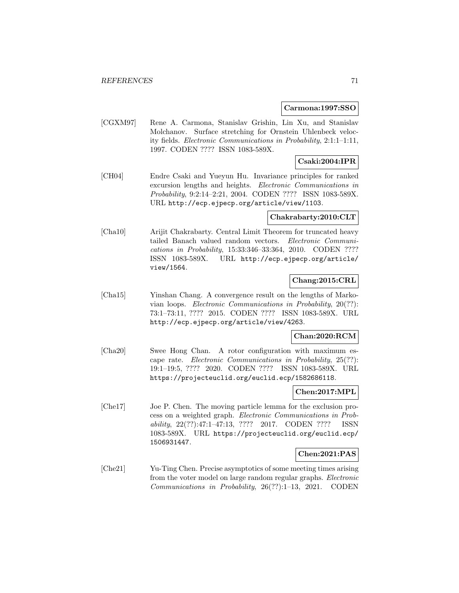#### **Carmona:1997:SSO**

[CGXM97] Rene A. Carmona, Stanislav Grishin, Lin Xu, and Stanislav Molchanov. Surface stretching for Ornstein Uhlenbeck velocity fields. Electronic Communications in Probability, 2:1:1–1:11, 1997. CODEN ???? ISSN 1083-589X.

### **Csaki:2004:IPR**

[CH04] Endre Csaki and Yueyun Hu. Invariance principles for ranked excursion lengths and heights. Electronic Communications in Probability, 9:2:14–2:21, 2004. CODEN ???? ISSN 1083-589X. URL http://ecp.ejpecp.org/article/view/1103.

### **Chakrabarty:2010:CLT**

[Cha10] Arijit Chakrabarty. Central Limit Theorem for truncated heavy tailed Banach valued random vectors. Electronic Communications in Probability, 15:33:346–33:364, 2010. CODEN ???? ISSN 1083-589X. URL http://ecp.ejpecp.org/article/ view/1564.

### **Chang:2015:CRL**

[Cha15] Yinshan Chang. A convergence result on the lengths of Markovian loops. Electronic Communications in Probability, 20(??): 73:1–73:11, ???? 2015. CODEN ???? ISSN 1083-589X. URL http://ecp.ejpecp.org/article/view/4263.

### **Chan:2020:RCM**

[Cha20] Swee Hong Chan. A rotor configuration with maximum escape rate. Electronic Communications in Probability, 25(??): 19:1–19:5, ???? 2020. CODEN ???? ISSN 1083-589X. URL https://projecteuclid.org/euclid.ecp/1582686118.

### **Chen:2017:MPL**

[Che17] Joe P. Chen. The moving particle lemma for the exclusion process on a weighted graph. Electronic Communications in Probability, 22(??):47:1–47:13, ???? 2017. CODEN ???? ISSN 1083-589X. URL https://projecteuclid.org/euclid.ecp/ 1506931447.

### **Chen:2021:PAS**

[Che21] Yu-Ting Chen. Precise asymptotics of some meeting times arising from the voter model on large random regular graphs. Electronic Communications in Probability, 26(??):1–13, 2021. CODEN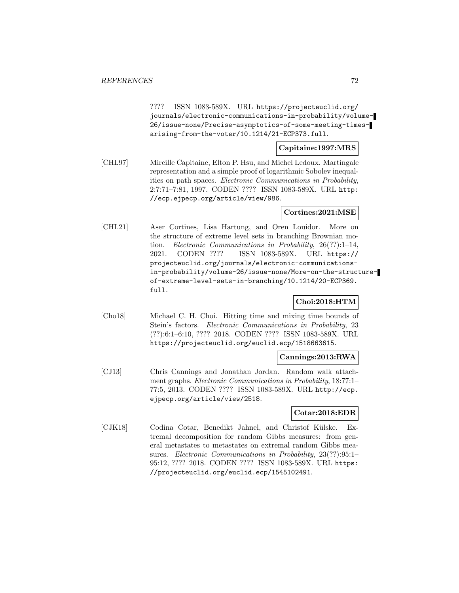???? ISSN 1083-589X. URL https://projecteuclid.org/ journals/electronic-communications-in-probability/volume-26/issue-none/Precise-asymptotics-of-some-meeting-timesarising-from-the-voter/10.1214/21-ECP373.full.

### **Capitaine:1997:MRS**

[CHL97] Mireille Capitaine, Elton P. Hsu, and Michel Ledoux. Martingale representation and a simple proof of logarithmic Sobolev inequalities on path spaces. Electronic Communications in Probability, 2:7:71–7:81, 1997. CODEN ???? ISSN 1083-589X. URL http: //ecp.ejpecp.org/article/view/986.

### **Cortines:2021:MSE**

[CHL21] Aser Cortines, Lisa Hartung, and Oren Louidor. More on the structure of extreme level sets in branching Brownian motion. Electronic Communications in Probability, 26(??):1–14, 2021. CODEN ???? ISSN 1083-589X. URL https:// projecteuclid.org/journals/electronic-communicationsin-probability/volume-26/issue-none/More-on-the-structureof-extreme-level-sets-in-branching/10.1214/20-ECP369. full.

## **Choi:2018:HTM**

[Cho18] Michael C. H. Choi. Hitting time and mixing time bounds of Stein's factors. Electronic Communications in Probability, 23 (??):6:1–6:10, ???? 2018. CODEN ???? ISSN 1083-589X. URL https://projecteuclid.org/euclid.ecp/1518663615.

### **Cannings:2013:RWA**

[CJ13] Chris Cannings and Jonathan Jordan. Random walk attachment graphs. Electronic Communications in Probability, 18:77:1– 77:5, 2013. CODEN ???? ISSN 1083-589X. URL http://ecp. ejpecp.org/article/view/2518.

### **Cotar:2018:EDR**

[CJK18] Codina Cotar, Benedikt Jahnel, and Christof Külske. Extremal decomposition for random Gibbs measures: from general metastates to metastates on extremal random Gibbs measures. Electronic Communications in Probability, 23(??):95:1– 95:12, ???? 2018. CODEN ???? ISSN 1083-589X. URL https: //projecteuclid.org/euclid.ecp/1545102491.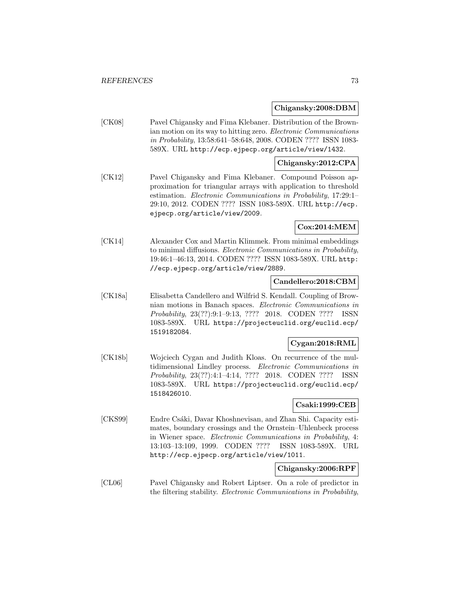### **Chigansky:2008:DBM**

[CK08] Pavel Chigansky and Fima Klebaner. Distribution of the Brownian motion on its way to hitting zero. Electronic Communications in Probability, 13:58:641–58:648, 2008. CODEN ???? ISSN 1083- 589X. URL http://ecp.ejpecp.org/article/view/1432.

## **Chigansky:2012:CPA**

[CK12] Pavel Chigansky and Fima Klebaner. Compound Poisson approximation for triangular arrays with application to threshold estimation. Electronic Communications in Probability, 17:29:1– 29:10, 2012. CODEN ???? ISSN 1083-589X. URL http://ecp. ejpecp.org/article/view/2009.

# **Cox:2014:MEM**

[CK14] Alexander Cox and Martin Klimmek. From minimal embeddings to minimal diffusions. Electronic Communications in Probability, 19:46:1–46:13, 2014. CODEN ???? ISSN 1083-589X. URL http: //ecp.ejpecp.org/article/view/2889.

#### **Candellero:2018:CBM**

[CK18a] Elisabetta Candellero and Wilfrid S. Kendall. Coupling of Brownian motions in Banach spaces. Electronic Communications in Probability, 23(??):9:1–9:13, ???? 2018. CODEN ???? ISSN 1083-589X. URL https://projecteuclid.org/euclid.ecp/ 1519182084.

## **Cygan:2018:RML**

[CK18b] Wojciech Cygan and Judith Kloas. On recurrence of the multidimensional Lindley process. Electronic Communications in Probability, 23(??):4:1–4:14, ???? 2018. CODEN ???? ISSN 1083-589X. URL https://projecteuclid.org/euclid.ecp/ 1518426010.

## **Csaki:1999:CEB**

[CKS99] Endre Csáki, Davar Khoshnevisan, and Zhan Shi. Capacity estimates, boundary crossings and the Ornstein–Uhlenbeck process in Wiener space. Electronic Communications in Probability, 4: 13:103–13:109, 1999. CODEN ???? ISSN 1083-589X. URL http://ecp.ejpecp.org/article/view/1011.

## **Chigansky:2006:RPF**

[CL06] Pavel Chigansky and Robert Liptser. On a role of predictor in the filtering stability. Electronic Communications in Probability,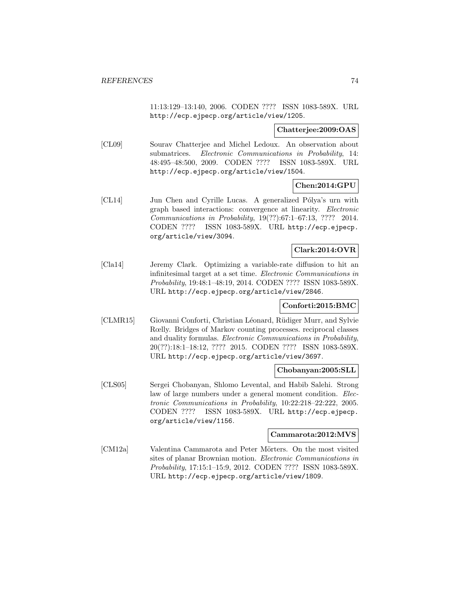11:13:129–13:140, 2006. CODEN ???? ISSN 1083-589X. URL http://ecp.ejpecp.org/article/view/1205.

### **Chatterjee:2009:OAS**

[CL09] Sourav Chatterjee and Michel Ledoux. An observation about submatrices. Electronic Communications in Probability, 14: 48:495–48:500, 2009. CODEN ???? ISSN 1083-589X. URL http://ecp.ejpecp.org/article/view/1504.

# **Chen:2014:GPU**

[CL14] Jun Chen and Cyrille Lucas. A generalized Pólya's urn with graph based interactions: convergence at linearity. Electronic Communications in Probability, 19(??):67:1–67:13, ???? 2014. CODEN ???? ISSN 1083-589X. URL http://ecp.ejpecp. org/article/view/3094.

## **Clark:2014:OVR**

[Cla14] Jeremy Clark. Optimizing a variable-rate diffusion to hit an infinitesimal target at a set time. Electronic Communications in Probability, 19:48:1–48:19, 2014. CODEN ???? ISSN 1083-589X. URL http://ecp.ejpecp.org/article/view/2846.

#### **Conforti:2015:BMC**

[CLMR15] Giovanni Conforti, Christian Léonard, Rüdiger Murr, and Sylvie Rœlly. Bridges of Markov counting processes. reciprocal classes and duality formulas. Electronic Communications in Probability, 20(??):18:1–18:12, ???? 2015. CODEN ???? ISSN 1083-589X. URL http://ecp.ejpecp.org/article/view/3697.

# **Chobanyan:2005:SLL**

[CLS05] Sergei Chobanyan, Shlomo Levental, and Habib Salehi. Strong law of large numbers under a general moment condition. Electronic Communications in Probability, 10:22:218–22:222, 2005. CODEN ???? ISSN 1083-589X. URL http://ecp.ejpecp. org/article/view/1156.

# **Cammarota:2012:MVS**

[CM12a] Valentina Cammarota and Peter Mörters. On the most visited sites of planar Brownian motion. Electronic Communications in Probability, 17:15:1–15:9, 2012. CODEN ???? ISSN 1083-589X. URL http://ecp.ejpecp.org/article/view/1809.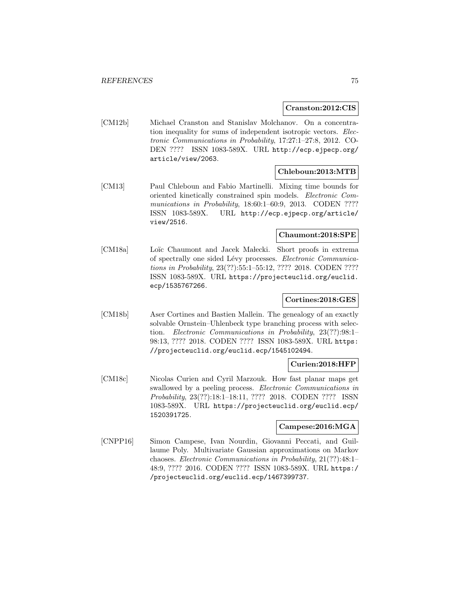### **Cranston:2012:CIS**

[CM12b] Michael Cranston and Stanislav Molchanov. On a concentration inequality for sums of independent isotropic vectors. Electronic Communications in Probability, 17:27:1–27:8, 2012. CO-DEN ???? ISSN 1083-589X. URL http://ecp.ejpecp.org/ article/view/2063.

## **Chleboun:2013:MTB**

[CM13] Paul Chleboun and Fabio Martinelli. Mixing time bounds for oriented kinetically constrained spin models. Electronic Communications in Probability, 18:60:1-60:9, 2013. CODEN ???? ISSN 1083-589X. URL http://ecp.ejpecp.org/article/ view/2516.

# **Chaumont:2018:SPE**

[CM18a] Loïc Chaumont and Jacek Malecki. Short proofs in extrema of spectrally one sided Lévy processes. Electronic Communications in Probability, 23(??):55:1–55:12, ???? 2018. CODEN ???? ISSN 1083-589X. URL https://projecteuclid.org/euclid. ecp/1535767266.

# **Cortines:2018:GES**

[CM18b] Aser Cortines and Bastien Mallein. The genealogy of an exactly solvable Ornstein–Uhlenbeck type branching process with selection. Electronic Communications in Probability, 23(??):98:1– 98:13, ???? 2018. CODEN ???? ISSN 1083-589X. URL https: //projecteuclid.org/euclid.ecp/1545102494.

# **Curien:2018:HFP**

[CM18c] Nicolas Curien and Cyril Marzouk. How fast planar maps get swallowed by a peeling process. Electronic Communications in Probability, 23(??):18:1–18:11, ???? 2018. CODEN ???? ISSN 1083-589X. URL https://projecteuclid.org/euclid.ecp/ 1520391725.

## **Campese:2016:MGA**

[CNPP16] Simon Campese, Ivan Nourdin, Giovanni Peccati, and Guillaume Poly. Multivariate Gaussian approximations on Markov chaoses. Electronic Communications in Probability, 21(??):48:1– 48:9, ???? 2016. CODEN ???? ISSN 1083-589X. URL https:/ /projecteuclid.org/euclid.ecp/1467399737.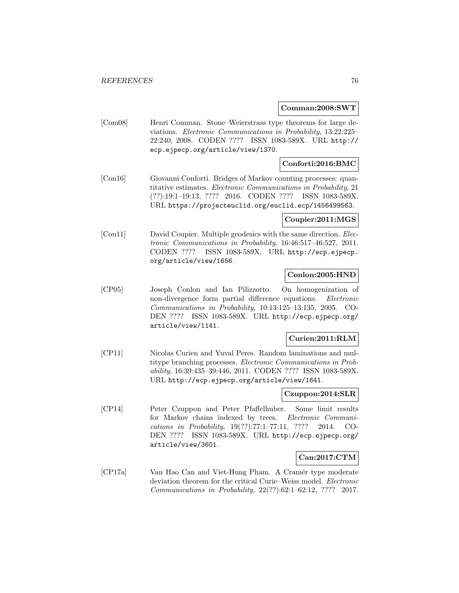#### **Comman:2008:SWT**

[Com08] Henri Comman. Stone–Weierstrass type theorems for large deviations. Electronic Communications in Probability, 13:22:225– 22:240, 2008. CODEN ???? ISSN 1083-589X. URL http:// ecp.ejpecp.org/article/view/1370.

# **Conforti:2016:BMC**

[Con16] Giovanni Conforti. Bridges of Markov counting processes: quantitative estimates. Electronic Communications in Probability, 21 (??):19:1–19:13, ???? 2016. CODEN ???? ISSN 1083-589X. URL https://projecteuclid.org/euclid.ecp/1456499563.

### **Coupier:2011:MGS**

[Cou11] David Coupier. Multiple geodesics with the same direction. *Elec*tronic Communications in Probability, 16:46:517–46:527, 2011. CODEN ???? ISSN 1083-589X. URL http://ecp.ejpecp. org/article/view/1656.

# **Conlon:2005:HND**

[CP05] Joseph Conlon and Ian Pilizzotto. On homogenization of non-divergence form partial difference equations. Electronic Communications in Probability, 10:13:125–13:135, 2005. CO-DEN ???? ISSN 1083-589X. URL http://ecp.ejpecp.org/ article/view/1141.

## **Curien:2011:RLM**

[CP11] Nicolas Curien and Yuval Peres. Random laminations and multitype branching processes. Electronic Communications in Probability, 16:39:435–39:446, 2011. CODEN ???? ISSN 1083-589X. URL http://ecp.ejpecp.org/article/view/1641.

# **Czuppon:2014:SLR**

[CP14] Peter Czuppon and Peter Pfaffelhuber. Some limit results for Markov chains indexed by trees. Electronic Communications in Probability, 19(??):77:1–77:11, ???? 2014. CO-DEN ???? ISSN 1083-589X. URL http://ecp.ejpecp.org/ article/view/3601.

## **Can:2017:CTM**

[CP17a] Van Hao Can and Viet-Hung Pham. A Cramér type moderate deviation theorem for the critical Curie–Weiss model. Electronic Communications in Probability, 22(??):62:1–62:12, ???? 2017.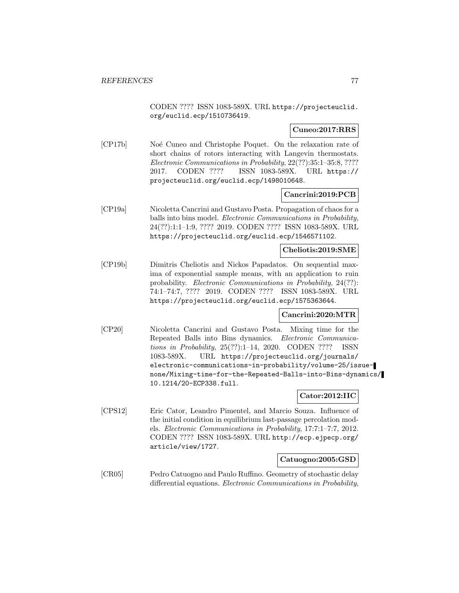CODEN ???? ISSN 1083-589X. URL https://projecteuclid. org/euclid.ecp/1510736419.

**Cuneo:2017:RRS**

[CP17b] Noé Cuneo and Christophe Poquet. On the relaxation rate of short chains of rotors interacting with Langevin thermostats. Electronic Communications in Probability, 22(??):35:1–35:8, ???? 2017. CODEN ???? ISSN 1083-589X. URL https:// projecteuclid.org/euclid.ecp/1498010648.

## **Cancrini:2019:PCB**

[CP19a] Nicoletta Cancrini and Gustavo Posta. Propagation of chaos for a balls into bins model. Electronic Communications in Probability, 24(??):1:1–1:9, ???? 2019. CODEN ???? ISSN 1083-589X. URL https://projecteuclid.org/euclid.ecp/1546571102.

#### **Cheliotis:2019:SME**

[CP19b] Dimitris Cheliotis and Nickos Papadatos. On sequential maxima of exponential sample means, with an application to ruin probability. Electronic Communications in Probability, 24(??): 74:1–74:7, ???? 2019. CODEN ???? ISSN 1083-589X. URL https://projecteuclid.org/euclid.ecp/1575363644.

#### **Cancrini:2020:MTR**

[CP20] Nicoletta Cancrini and Gustavo Posta. Mixing time for the Repeated Balls into Bins dynamics. Electronic Communications in Probability, 25(??):1–14, 2020. CODEN ???? ISSN 1083-589X. URL https://projecteuclid.org/journals/ electronic-communications-in-probability/volume-25/issuenone/Mixing-time-for-the-Repeated-Balls-into-Bins-dynamics/ 10.1214/20-ECP338.full.

# **Cator:2012:IIC**

[CPS12] Eric Cator, Leandro Pimentel, and Marcio Souza. Influence of the initial condition in equilibrium last-passage percolation models. Electronic Communications in Probability, 17:7:1–7:7, 2012. CODEN ???? ISSN 1083-589X. URL http://ecp.ejpecp.org/ article/view/1727.

#### **Catuogno:2005:GSD**

[CR05] Pedro Catuogno and Paulo Ruffino. Geometry of stochastic delay differential equations. Electronic Communications in Probability,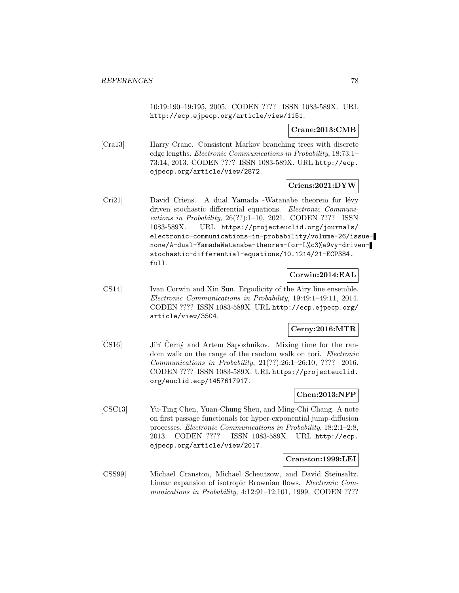10:19:190–19:195, 2005. CODEN ???? ISSN 1083-589X. URL http://ecp.ejpecp.org/article/view/1151.

## **Crane:2013:CMB**

[Cra13] Harry Crane. Consistent Markov branching trees with discrete edge lengths. Electronic Communications in Probability, 18:73:1– 73:14, 2013. CODEN ???? ISSN 1083-589X. URL http://ecp. ejpecp.org/article/view/2872.

## **Criens:2021:DYW**

[Cri21] David Criens. A dual Yamada -Watanabe theorem for lévy driven stochastic differential equations. Electronic Communications in Probability, 26(??):1–10, 2021. CODEN ???? ISSN 1083-589X. URL https://projecteuclid.org/journals/ electronic-communications-in-probability/volume-26/issuenone/A-dual-YamadaWatanabe-theorem-for-L%c3%a9vy-drivenstochastic-differential-equations/10.1214/21-ECP384. full.

## **Corwin:2014:EAL**

[CS14] Ivan Corwin and Xin Sun. Ergodicity of the Airy line ensemble. Electronic Communications in Probability, 19:49:1–49:11, 2014. CODEN ???? ISSN 1083-589X. URL http://ecp.ejpecp.org/ article/view/3504.

# **Cerny:2016:MTR**

[CS16] Jiří Černý and Artem Sapozhnikov. Mixing time for the random walk on the range of the random walk on tori. Electronic Communications in Probability, 21(??):26:1–26:10, ???? 2016. CODEN ???? ISSN 1083-589X. URL https://projecteuclid. org/euclid.ecp/1457617917.

# **Chen:2013:NFP**

[CSC13] Yu-Ting Chen, Yuan-Chung Sheu, and Ming-Chi Chang. A note on first passage functionals for hyper-exponential jump-diffusion processes. Electronic Communications in Probability, 18:2:1–2:8, 2013. CODEN ???? ISSN 1083-589X. URL http://ecp. ejpecp.org/article/view/2017.

## **Cranston:1999:LEI**

[CSS99] Michael Cranston, Michael Scheutzow, and David Steinsaltz. Linear expansion of isotropic Brownian flows. Electronic Communications in Probability, 4:12:91–12:101, 1999. CODEN ????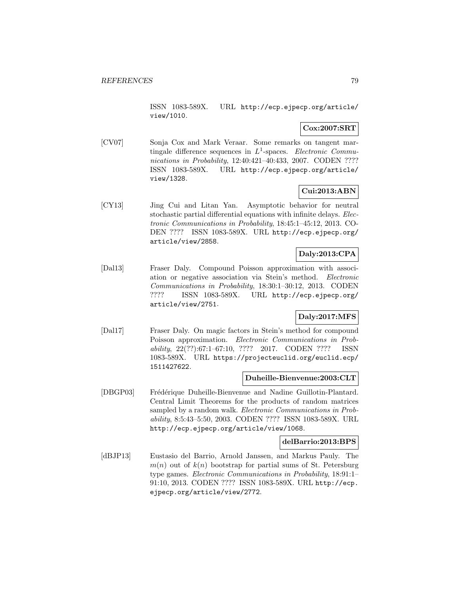ISSN 1083-589X. URL http://ecp.ejpecp.org/article/ view/1010.

# **Cox:2007:SRT**

[CV07] Sonja Cox and Mark Veraar. Some remarks on tangent martingale difference sequences in  $L^1$ -spaces. *Electronic Commu*nications in Probability, 12:40:421–40:433, 2007. CODEN ???? ISSN 1083-589X. URL http://ecp.ejpecp.org/article/ view/1328.

# **Cui:2013:ABN**

[CY13] Jing Cui and Litan Yan. Asymptotic behavior for neutral stochastic partial differential equations with infinite delays. Electronic Communications in Probability, 18:45:1–45:12, 2013. CO-DEN ???? ISSN 1083-589X. URL http://ecp.ejpecp.org/ article/view/2858.

# **Daly:2013:CPA**

[Dal13] Fraser Daly. Compound Poisson approximation with association or negative association via Stein's method. Electronic Communications in Probability, 18:30:1–30:12, 2013. CODEN ???? ISSN 1083-589X. URL http://ecp.ejpecp.org/ article/view/2751.

# **Daly:2017:MFS**

[Dal17] Fraser Daly. On magic factors in Stein's method for compound Poisson approximation. Electronic Communications in Probability, 22(??):67:1–67:10, ???? 2017. CODEN ???? ISSN 1083-589X. URL https://projecteuclid.org/euclid.ecp/ 1511427622.

## **Duheille-Bienvenue:2003:CLT**

[DBGP03] Frédérique Duheille-Bienvenue and Nadine Guillotin-Plantard. Central Limit Theorems for the products of random matrices sampled by a random walk. *Electronic Communications in Prob*ability, 8:5:43–5:50, 2003. CODEN ???? ISSN 1083-589X. URL http://ecp.ejpecp.org/article/view/1068.

# **delBarrio:2013:BPS**

[dBJP13] Eustasio del Barrio, Arnold Janssen, and Markus Pauly. The  $m(n)$  out of  $k(n)$  bootstrap for partial sums of St. Petersburg type games. Electronic Communications in Probability, 18:91:1– 91:10, 2013. CODEN ???? ISSN 1083-589X. URL http://ecp. ejpecp.org/article/view/2772.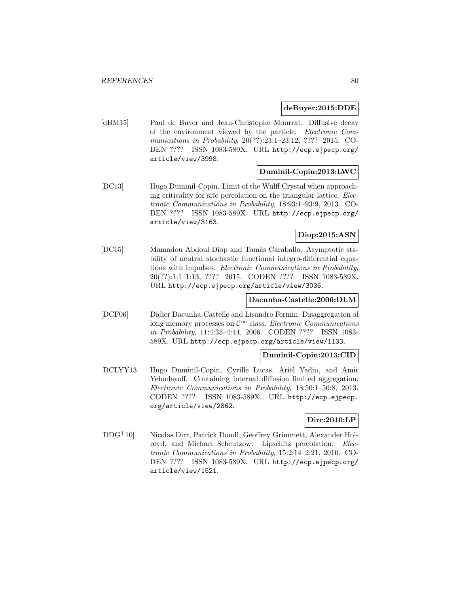#### **deBuyer:2015:DDE**

[dBM15] Paul de Buyer and Jean-Christophe Mourrat. Diffusive decay of the environment viewed by the particle. Electronic Communications in Probability, 20(??):23:1–23:12, ???? 2015. CO-DEN ???? ISSN 1083-589X. URL http://ecp.ejpecp.org/ article/view/3998.

## **Duminil-Copin:2013:LWC**

[DC13] Hugo Duminil-Copin. Limit of the Wulff Crystal when approaching criticality for site percolation on the triangular lattice. Electronic Communications in Probability, 18:93:1–93:9, 2013. CO-DEN ???? ISSN 1083-589X. URL http://ecp.ejpecp.org/ article/view/3163.

# **Diop:2015:ASN**

[DC15] Mamadou Abdoul Diop and Tomàs Caraballo. Asymptotic stability of neutral stochastic functional integro-differential equations with impulses. Electronic Communications in Probability, 20(??):1:1–1:13, ???? 2015. CODEN ???? ISSN 1083-589X. URL http://ecp.ejpecp.org/article/view/3036.

## **Dacunha-Castelle:2006:DLM**

[DCF06] Didier Dacunha-Castelle and Lisandro Fermin. Disaggregation of long memory processes on  $\mathcal{C}^{\infty}$  class. Electronic Communications in Probability, 11:4:35–4:44, 2006. CODEN ???? ISSN 1083- 589X. URL http://ecp.ejpecp.org/article/view/1133.

## **Duminil-Copin:2013:CID**

[DCLYY13] Hugo Duminil-Copin, Cyrille Lucas, Ariel Yadin, and Amir Yehudayoff. Containing internal diffusion limited aggregation. Electronic Communications in Probability, 18:50:1–50:8, 2013. CODEN ???? ISSN 1083-589X. URL http://ecp.ejpecp. org/article/view/2862.

# **Dirr:2010:LP**

[DDG<sup>+</sup>10] Nicolas Dirr, Patrick Dondl, Geoffrey Grimmett, Alexander Holroyd, and Michael Scheutzow. Lipschitz percolation. Electronic Communications in Probability, 15:2:14–2:21, 2010. CO-DEN ???? ISSN 1083-589X. URL http://ecp.ejpecp.org/ article/view/1521.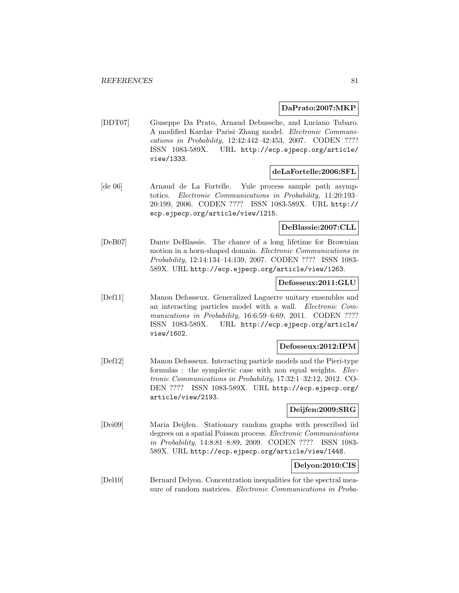### **DaPrato:2007:MKP**

[DDT07] Giuseppe Da Prato, Arnaud Debussche, and Luciano Tubaro. A modified Kardar–Parisi–Zhang model. Electronic Communications in Probability, 12:42:442–42:453, 2007. CODEN ???? ISSN 1083-589X. URL http://ecp.ejpecp.org/article/ view/1333.

### **deLaFortelle:2006:SFL**

[de 06] Arnaud de La Fortelle. Yule process sample path asymptotics. Electronic Communications in Probability, 11:20:193– 20:199, 2006. CODEN ???? ISSN 1083-589X. URL http:// ecp.ejpecp.org/article/view/1215.

# **DeBlassie:2007:CLL**

[DeB07] Dante DeBlassie. The chance of a long lifetime for Brownian motion in a horn-shaped domain. Electronic Communications in Probability, 12:14:134–14:139, 2007. CODEN ???? ISSN 1083- 589X. URL http://ecp.ejpecp.org/article/view/1263.

# **Defosseux:2011:GLU**

[Def11] Manon Defosseux. Generalized Laguerre unitary ensembles and an interacting particles model with a wall. Electronic Communications in Probability, 16:6:59–6:69, 2011. CODEN ???? ISSN 1083-589X. URL http://ecp.ejpecp.org/article/ view/1602.

# **Defosseux:2012:IPM**

[Def12] Manon Defosseux. Interacting particle models and the Pieri-type formulas : the symplectic case with non equal weights. Electronic Communications in Probability, 17:32:1–32:12, 2012. CO-DEN ???? ISSN 1083-589X. URL http://ecp.ejpecp.org/ article/view/2193.

# **Deijfen:2009:SRG**

[Dei09] Maria Deijfen. Stationary random graphs with prescribed iid degrees on a spatial Poisson process. Electronic Communications in Probability, 14:8:81–8:89, 2009. CODEN ???? ISSN 1083- 589X. URL http://ecp.ejpecp.org/article/view/1448.

## **Delyon:2010:CIS**

[Del10] Bernard Delyon. Concentration inequalities for the spectral measure of random matrices. Electronic Communications in Proba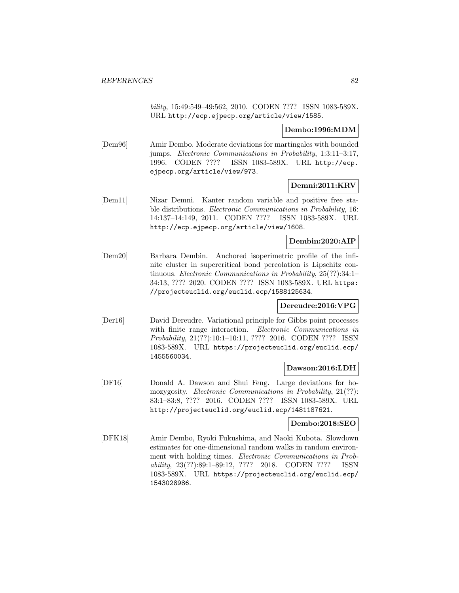bility, 15:49:549–49:562, 2010. CODEN ???? ISSN 1083-589X. URL http://ecp.ejpecp.org/article/view/1585.

# **Dembo:1996:MDM**

[Dem96] Amir Dembo. Moderate deviations for martingales with bounded jumps. Electronic Communications in Probability, 1:3:11–3:17, 1996. CODEN ???? ISSN 1083-589X. URL http://ecp. ejpecp.org/article/view/973.

# **Demni:2011:KRV**

[Dem11] Nizar Demni. Kanter random variable and positive free stable distributions. *Electronic Communications in Probability*, 16: 14:137–14:149, 2011. CODEN ???? ISSN 1083-589X. URL http://ecp.ejpecp.org/article/view/1608.

# **Dembin:2020:AIP**

[Dem20] Barbara Dembin. Anchored isoperimetric profile of the infinite cluster in supercritical bond percolation is Lipschitz continuous. Electronic Communications in Probability, 25(??):34:1– 34:13, ???? 2020. CODEN ???? ISSN 1083-589X. URL https: //projecteuclid.org/euclid.ecp/1588125634.

## **Dereudre:2016:VPG**

[Der16] David Dereudre. Variational principle for Gibbs point processes with finite range interaction. *Electronic Communications in* Probability, 21(??):10:1–10:11, ???? 2016. CODEN ???? ISSN 1083-589X. URL https://projecteuclid.org/euclid.ecp/ 1455560034.

## **Dawson:2016:LDH**

[DF16] Donald A. Dawson and Shui Feng. Large deviations for homozygosity. Electronic Communications in Probability, 21(??): 83:1–83:8, ???? 2016. CODEN ???? ISSN 1083-589X. URL http://projecteuclid.org/euclid.ecp/1481187621.

## **Dembo:2018:SEO**

[DFK18] Amir Dembo, Ryoki Fukushima, and Naoki Kubota. Slowdown estimates for one-dimensional random walks in random environment with holding times. Electronic Communications in Probability, 23(??):89:1–89:12, ???? 2018. CODEN ???? ISSN 1083-589X. URL https://projecteuclid.org/euclid.ecp/ 1543028986.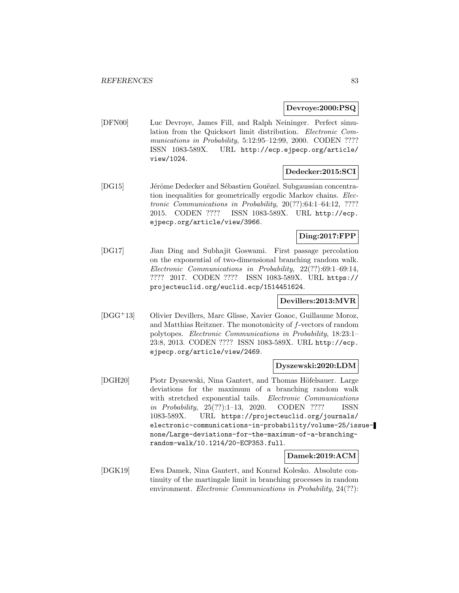### **Devroye:2000:PSQ**

[DFN00] Luc Devroye, James Fill, and Ralph Neininger. Perfect simulation from the Quicksort limit distribution. Electronic Communications in Probability, 5:12:95-12:99, 2000. CODEN ???? ISSN 1083-589X. URL http://ecp.ejpecp.org/article/ view/1024.

# **Dedecker:2015:SCI**

[DG15] Jérôme Dedecker and Sébastien Gouëzel. Subgaussian concentration inequalities for geometrically ergodic Markov chains. Electronic Communications in Probability, 20(??):64:1–64:12, ???? 2015. CODEN ???? ISSN 1083-589X. URL http://ecp. ejpecp.org/article/view/3966.

# **Ding:2017:FPP**

[DG17] Jian Ding and Subhajit Goswami. First passage percolation on the exponential of two-dimensional branching random walk. Electronic Communications in Probability, 22(??):69:1–69:14, ???? 2017. CODEN ???? ISSN 1083-589X. URL https:// projecteuclid.org/euclid.ecp/1514451624.

# **Devillers:2013:MVR**

[DGG<sup>+</sup>13] Olivier Devillers, Marc Glisse, Xavier Goaoc, Guillaume Moroz, and Matthias Reitzner. The monotonicity of f-vectors of random polytopes. Electronic Communications in Probability, 18:23:1– 23:8, 2013. CODEN ???? ISSN 1083-589X. URL http://ecp. ejpecp.org/article/view/2469.

#### **Dyszewski:2020:LDM**

[DGH20] Piotr Dyszewski, Nina Gantert, and Thomas Höfelsauer. Large deviations for the maximum of a branching random walk with stretched exponential tails. Electronic Communications in Probability, 25(??):1–13, 2020. CODEN ???? ISSN 1083-589X. URL https://projecteuclid.org/journals/ electronic-communications-in-probability/volume-25/issuenone/Large-deviations-for-the-maximum-of-a-branchingrandom-walk/10.1214/20-ECP353.full.

# **Damek:2019:ACM**

[DGK19] Ewa Damek, Nina Gantert, and Konrad Kolesko. Absolute continuity of the martingale limit in branching processes in random environment. *Electronic Communications in Probability*, 24(??):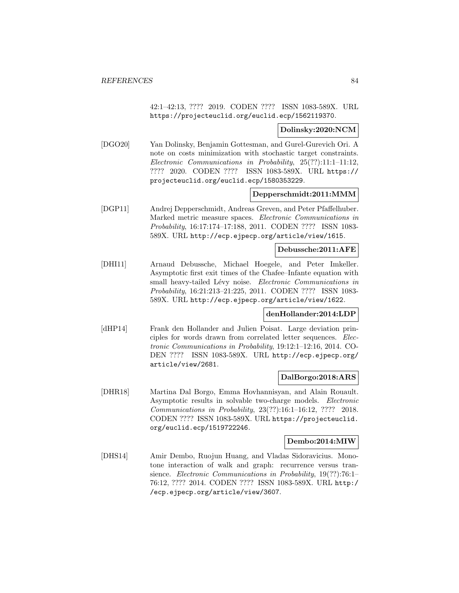42:1–42:13, ???? 2019. CODEN ???? ISSN 1083-589X. URL https://projecteuclid.org/euclid.ecp/1562119370.

#### **Dolinsky:2020:NCM**

[DGO20] Yan Dolinsky, Benjamin Gottesman, and Gurel-Gurevich Ori. A note on costs minimization with stochastic target constraints. Electronic Communications in Probability, 25(??):11:1–11:12, ???? 2020. CODEN ???? ISSN 1083-589X. URL https:// projecteuclid.org/euclid.ecp/1580353229.

### **Depperschmidt:2011:MMM**

[DGP11] Andrej Depperschmidt, Andreas Greven, and Peter Pfaffelhuber. Marked metric measure spaces. Electronic Communications in Probability, 16:17:174–17:188, 2011. CODEN ???? ISSN 1083- 589X. URL http://ecp.ejpecp.org/article/view/1615.

#### **Debussche:2011:AFE**

[DHI11] Arnaud Debussche, Michael Hoegele, and Peter Imkeller. Asymptotic first exit times of the Chafee–Infante equation with small heavy-tailed Lévy noise. Electronic Communications in Probability, 16:21:213–21:225, 2011. CODEN ???? ISSN 1083- 589X. URL http://ecp.ejpecp.org/article/view/1622.

# **denHollander:2014:LDP**

[dHP14] Frank den Hollander and Julien Poisat. Large deviation principles for words drawn from correlated letter sequences. Electronic Communications in Probability, 19:12:1–12:16, 2014. CO-DEN ???? ISSN 1083-589X. URL http://ecp.ejpecp.org/ article/view/2681.

## **DalBorgo:2018:ARS**

[DHR18] Martina Dal Borgo, Emma Hovhannisyan, and Alain Rouault. Asymptotic results in solvable two-charge models. Electronic Communications in Probability, 23(??):16:1–16:12, ???? 2018. CODEN ???? ISSN 1083-589X. URL https://projecteuclid. org/euclid.ecp/1519722246.

#### **Dembo:2014:MIW**

[DHS14] Amir Dembo, Ruojun Huang, and Vladas Sidoravicius. Monotone interaction of walk and graph: recurrence versus transience. Electronic Communications in Probability, 19(??):76:1-76:12, ???? 2014. CODEN ???? ISSN 1083-589X. URL http:/ /ecp.ejpecp.org/article/view/3607.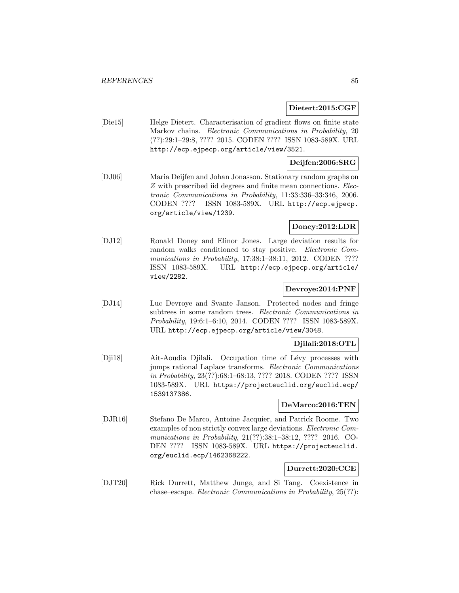## **Dietert:2015:CGF**

[Die15] Helge Dietert. Characterisation of gradient flows on finite state Markov chains. Electronic Communications in Probability, 20 (??):29:1–29:8, ???? 2015. CODEN ???? ISSN 1083-589X. URL http://ecp.ejpecp.org/article/view/3521.

# **Deijfen:2006:SRG**

[DJ06] Maria Deijfen and Johan Jonasson. Stationary random graphs on Z with prescribed iid degrees and finite mean connections. Electronic Communications in Probability, 11:33:336–33:346, 2006. CODEN ???? ISSN 1083-589X. URL http://ecp.ejpecp. org/article/view/1239.

# **Doney:2012:LDR**

[DJ12] Ronald Doney and Elinor Jones. Large deviation results for random walks conditioned to stay positive. Electronic Communications in Probability, 17:38:1-38:11, 2012. CODEN ???? ISSN 1083-589X. URL http://ecp.ejpecp.org/article/ view/2282.

# **Devroye:2014:PNF**

[DJ14] Luc Devroye and Svante Janson. Protected nodes and fringe subtrees in some random trees. Electronic Communications in Probability, 19:6:1–6:10, 2014. CODEN ???? ISSN 1083-589X. URL http://ecp.ejpecp.org/article/view/3048.

## **Djilali:2018:OTL**

[Dji18] Ait-Aoudia Djilali. Occupation time of Lévy processes with jumps rational Laplace transforms. Electronic Communications in Probability, 23(??):68:1–68:13, ???? 2018. CODEN ???? ISSN 1083-589X. URL https://projecteuclid.org/euclid.ecp/ 1539137386.

### **DeMarco:2016:TEN**

[DJR16] Stefano De Marco, Antoine Jacquier, and Patrick Roome. Two examples of non strictly convex large deviations. Electronic Communications in Probability, 21(??):38:1–38:12, ???? 2016. CO-DEN ???? ISSN 1083-589X. URL https://projecteuclid. org/euclid.ecp/1462368222.

# **Durrett:2020:CCE**

[DJT20] Rick Durrett, Matthew Junge, and Si Tang. Coexistence in chase–escape. Electronic Communications in Probability, 25(??):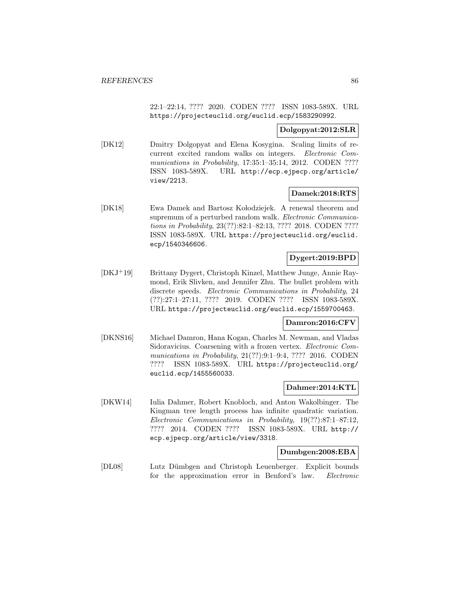22:1–22:14, ???? 2020. CODEN ???? ISSN 1083-589X. URL https://projecteuclid.org/euclid.ecp/1583290992.

### **Dolgopyat:2012:SLR**

[DK12] Dmitry Dolgopyat and Elena Kosygina. Scaling limits of recurrent excited random walks on integers. Electronic Communications in Probability, 17:35:1-35:14, 2012. CODEN ???? ISSN 1083-589X. URL http://ecp.ejpecp.org/article/ view/2213.

## **Damek:2018:RTS**

[DK18] Ewa Damek and Bartosz Kołodziejek. A renewal theorem and supremum of a perturbed random walk. Electronic Communications in Probability, 23(??):82:1–82:13, ???? 2018. CODEN ???? ISSN 1083-589X. URL https://projecteuclid.org/euclid. ecp/1540346606.

# **Dygert:2019:BPD**

[DKJ<sup>+</sup>19] Brittany Dygert, Christoph Kinzel, Matthew Junge, Annie Raymond, Erik Slivken, and Jennifer Zhu. The bullet problem with discrete speeds. Electronic Communications in Probability, 24 (??):27:1–27:11, ???? 2019. CODEN ???? ISSN 1083-589X. URL https://projecteuclid.org/euclid.ecp/1559700463.

## **Damron:2016:CFV**

[DKNS16] Michael Damron, Hana Kogan, Charles M. Newman, and Vladas Sidoravicius. Coarsening with a frozen vertex. Electronic Communications in Probability, 21(??):9:1–9:4, ???? 2016. CODEN ???? ISSN 1083-589X. URL https://projecteuclid.org/ euclid.ecp/1455560033.

## **Dahmer:2014:KTL**

[DKW14] Iulia Dahmer, Robert Knobloch, and Anton Wakolbinger. The Kingman tree length process has infinite quadratic variation. Electronic Communications in Probability, 19(??):87:1–87:12, ???? 2014. CODEN ???? ISSN 1083-589X. URL http:// ecp.ejpecp.org/article/view/3318.

## **Dumbgen:2008:EBA**

[DL08] Lutz D¨umbgen and Christoph Leuenberger. Explicit bounds for the approximation error in Benford's law. Electronic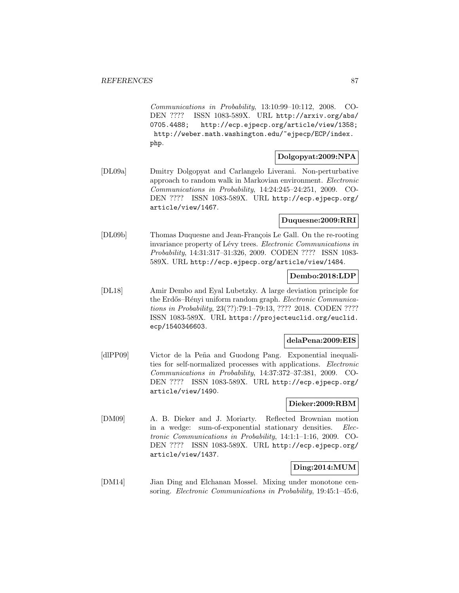Communications in Probability, 13:10:99–10:112, 2008. CO-DEN ???? ISSN 1083-589X. URL http://arxiv.org/abs/ 0705.4488; http://ecp.ejpecp.org/article/view/1358; http://weber.math.washington.edu/~ejpecp/ECP/index. php.

# **Dolgopyat:2009:NPA**

[DL09a] Dmitry Dolgopyat and Carlangelo Liverani. Non-perturbative approach to random walk in Markovian environment. Electronic Communications in Probability, 14:24:245–24:251, 2009. CO-DEN ???? ISSN 1083-589X. URL http://ecp.ejpecp.org/ article/view/1467.

## **Duquesne:2009:RRI**

[DL09b] Thomas Duquesne and Jean-François Le Gall. On the re-rooting invariance property of Lévy trees. Electronic Communications in Probability, 14:31:317–31:326, 2009. CODEN ???? ISSN 1083- 589X. URL http://ecp.ejpecp.org/article/view/1484.

# **Dembo:2018:LDP**

[DL18] Amir Dembo and Eyal Lubetzky. A large deviation principle for the Erdős–Rényi uniform random graph. Electronic Communications in Probability, 23(??):79:1–79:13, ???? 2018. CODEN ???? ISSN 1083-589X. URL https://projecteuclid.org/euclid. ecp/1540346603.

### **delaPena:2009:EIS**

[dlPP09] Victor de la Peña and Guodong Pang. Exponential inequalities for self-normalized processes with applications. Electronic Communications in Probability, 14:37:372–37:381, 2009. CO-DEN ???? ISSN 1083-589X. URL http://ecp.ejpecp.org/ article/view/1490.

#### **Dieker:2009:RBM**

[DM09] A. B. Dieker and J. Moriarty. Reflected Brownian motion in a wedge: sum-of-exponential stationary densities. Electronic Communications in Probability, 14:1:1–1:16, 2009. CO-DEN ???? ISSN 1083-589X. URL http://ecp.ejpecp.org/ article/view/1437.

# **Ding:2014:MUM**

[DM14] Jian Ding and Elchanan Mossel. Mixing under monotone censoring. Electronic Communications in Probability, 19:45:1–45:6,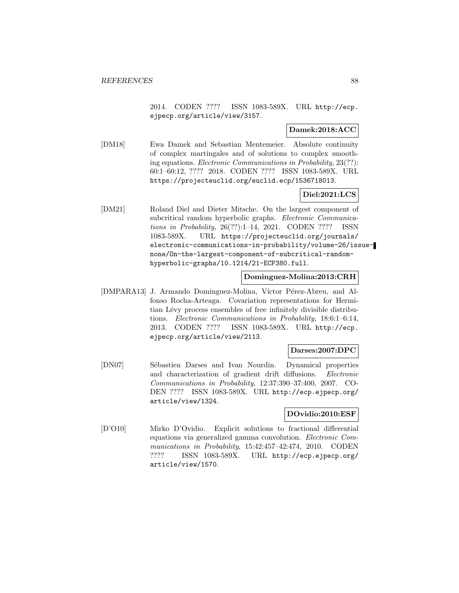2014. CODEN ???? ISSN 1083-589X. URL http://ecp. ejpecp.org/article/view/3157.

#### **Damek:2018:ACC**

[DM18] Ewa Damek and Sebastian Mentemeier. Absolute continuity of complex martingales and of solutions to complex smoothing equations. Electronic Communications in Probability, 23(??): 60:1–60:12, ???? 2018. CODEN ???? ISSN 1083-589X. URL https://projecteuclid.org/euclid.ecp/1536718013.

# **Diel:2021:LCS**

[DM21] Roland Diel and Dieter Mitsche. On the largest component of subcritical random hyperbolic graphs. Electronic Communications in Probability, 26(??):1–14, 2021. CODEN ???? ISSN 1083-589X. URL https://projecteuclid.org/journals/ electronic-communications-in-probability/volume-26/issuenone/On-the-largest-component-of-subcritical-randomhyperbolic-graphs/10.1214/21-ECP380.full.

#### **Dominguez-Molina:2013:CRH**

[DMPARA13] J. Armando Dominguez-Molina, Víctor Pérez-Abreu, and Alfonso Rocha-Arteaga. Covariation representations for Hermitian Lévy process ensembles of free infinitely divisible distributions. Electronic Communications in Probability, 18:6:1–6:14, 2013. CODEN ???? ISSN 1083-589X. URL http://ecp. ejpecp.org/article/view/2113.

# **Darses:2007:DPC**

[DN07] Sébastien Darses and Ivan Nourdin. Dynamical properties and characterization of gradient drift diffusions. Electronic Communications in Probability, 12:37:390–37:400, 2007. CO-DEN ???? ISSN 1083-589X. URL http://ecp.ejpecp.org/ article/view/1324.

## **DOvidio:2010:ESF**

[D'O10] Mirko D'Ovidio. Explicit solutions to fractional differential equations via generalized gamma convolution. Electronic Communications in Probability, 15:42:457–42:474, 2010. CODEN ???? ISSN 1083-589X. URL http://ecp.ejpecp.org/ article/view/1570.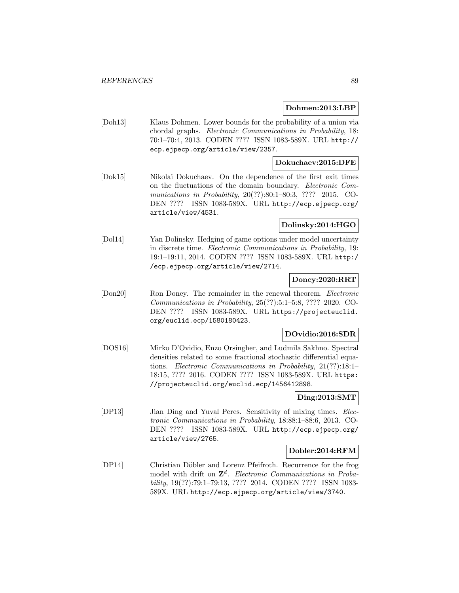## **Dohmen:2013:LBP**

[Doh13] Klaus Dohmen. Lower bounds for the probability of a union via chordal graphs. Electronic Communications in Probability, 18: 70:1–70:4, 2013. CODEN ???? ISSN 1083-589X. URL http:// ecp.ejpecp.org/article/view/2357.

# **Dokuchaev:2015:DFE**

[Dok15] Nikolai Dokuchaev. On the dependence of the first exit times on the fluctuations of the domain boundary. Electronic Communications in Probability, 20(??):80:1-80:3, ???? 2015. CO-DEN ???? ISSN 1083-589X. URL http://ecp.ejpecp.org/ article/view/4531.

# **Dolinsky:2014:HGO**

[Dol14] Yan Dolinsky. Hedging of game options under model uncertainty in discrete time. Electronic Communications in Probability, 19: 19:1–19:11, 2014. CODEN ???? ISSN 1083-589X. URL http:/ /ecp.ejpecp.org/article/view/2714.

## **Doney:2020:RRT**

[Don20] Ron Doney. The remainder in the renewal theorem. Electronic Communications in Probability, 25(??):5:1–5:8, ???? 2020. CO-DEN ???? ISSN 1083-589X. URL https://projecteuclid. org/euclid.ecp/1580180423.

# **DOvidio:2016:SDR**

[DOS16] Mirko D'Ovidio, Enzo Orsingher, and Ludmila Sakhno. Spectral densities related to some fractional stochastic differential equations. Electronic Communications in Probability, 21(??):18:1– 18:15, ???? 2016. CODEN ???? ISSN 1083-589X. URL https: //projecteuclid.org/euclid.ecp/1456412898.

## **Ding:2013:SMT**

[DP13] Jian Ding and Yuval Peres. Sensitivity of mixing times. Electronic Communications in Probability, 18:88:1–88:6, 2013. CO-DEN ???? ISSN 1083-589X. URL http://ecp.ejpecp.org/ article/view/2765.

## **Dobler:2014:RFM**

[DP14] Christian Döbler and Lorenz Pfeifroth. Recurrence for the frog model with drift on **Z**<sup>d</sup>. Electronic Communications in Probability, 19(??):79:1–79:13, ???? 2014. CODEN ???? ISSN 1083- 589X. URL http://ecp.ejpecp.org/article/view/3740.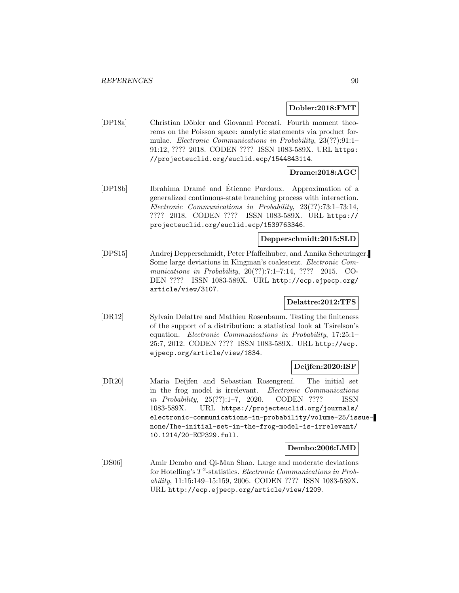#### **Dobler:2018:FMT**

[DP18a] Christian Döbler and Giovanni Peccati. Fourth moment theorems on the Poisson space: analytic statements via product formulae. Electronic Communications in Probability, 23(??):91:1– 91:12, ???? 2018. CODEN ???? ISSN 1083-589X. URL https: //projecteuclid.org/euclid.ecp/1544843114.

# **Drame:2018:AGC**

[DP18b] Ibrahima Dram´e and Etienne Pardoux. Approximation of a ´ generalized continuous-state branching process with interaction. Electronic Communications in Probability, 23(??):73:1–73:14, ???? 2018. CODEN ???? ISSN 1083-589X. URL https:// projecteuclid.org/euclid.ecp/1539763346.

# **Depperschmidt:2015:SLD**

[DPS15] Andrej Depperschmidt, Peter Pfaffelhuber, and Annika Scheuringer. Some large deviations in Kingman's coalescent. Electronic Communications in Probability, 20(??):7:1–7:14, ???? 2015. CO-DEN ???? ISSN 1083-589X. URL http://ecp.ejpecp.org/ article/view/3107.

## **Delattre:2012:TFS**

[DR12] Sylvain Delattre and Mathieu Rosenbaum. Testing the finiteness of the support of a distribution: a statistical look at Tsirelson's equation. Electronic Communications in Probability, 17:25:1– 25:7, 2012. CODEN ???? ISSN 1083-589X. URL http://ecp. ejpecp.org/article/view/1834.

## **Deijfen:2020:ISF**

[DR20] Maria Deijfen and Sebastian Rosengren¨ı. The initial set in the frog model is irrelevant. Electronic Communications in Probability, 25(??):1–7, 2020. CODEN ???? ISSN 1083-589X. URL https://projecteuclid.org/journals/ electronic-communications-in-probability/volume-25/issuenone/The-initial-set-in-the-frog-model-is-irrelevant/ 10.1214/20-ECP329.full.

## **Dembo:2006:LMD**

[DS06] Amir Dembo and Qi-Man Shao. Large and moderate deviations for Hotelling's  $T^2$ -statistics. Electronic Communications in Probability, 11:15:149–15:159, 2006. CODEN ???? ISSN 1083-589X. URL http://ecp.ejpecp.org/article/view/1209.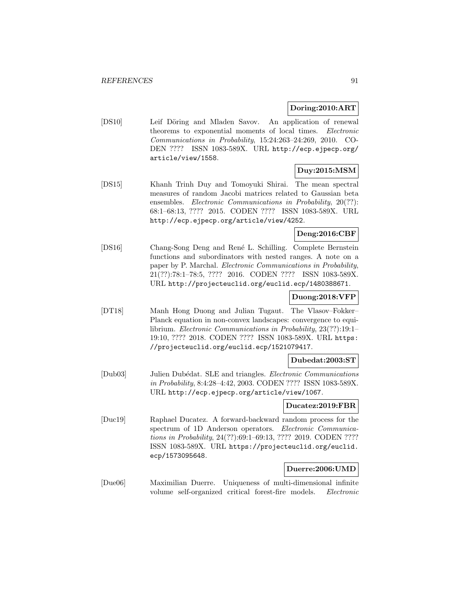### **Doring:2010:ART**

[DS10] Leif Döring and Mladen Savov. An application of renewal theorems to exponential moments of local times. Electronic Communications in Probability, 15:24:263–24:269, 2010. CO-DEN ???? ISSN 1083-589X. URL http://ecp.ejpecp.org/ article/view/1558.

## **Duy:2015:MSM**

[DS15] Khanh Trinh Duy and Tomoyuki Shirai. The mean spectral measures of random Jacobi matrices related to Gaussian beta ensembles. *Electronic Communications in Probability*, 20(??): 68:1–68:13, ???? 2015. CODEN ???? ISSN 1083-589X. URL http://ecp.ejpecp.org/article/view/4252.

# **Deng:2016:CBF**

[DS16] Chang-Song Deng and René L. Schilling. Complete Bernstein functions and subordinators with nested ranges. A note on a paper by P. Marchal. Electronic Communications in Probability, 21(??):78:1–78:5, ???? 2016. CODEN ???? ISSN 1083-589X. URL http://projecteuclid.org/euclid.ecp/1480388671.

# **Duong:2018:VFP**

[DT18] Manh Hong Duong and Julian Tugaut. The Vlasov–Fokker– Planck equation in non-convex landscapes: convergence to equilibrium. Electronic Communications in Probability, 23(??):19:1– 19:10, ???? 2018. CODEN ???? ISSN 1083-589X. URL https: //projecteuclid.org/euclid.ecp/1521079417.

## **Dubedat:2003:ST**

[Dub03] Julien Dubédat. SLE and triangles. *Electronic Communications* in Probability, 8:4:28–4:42, 2003. CODEN ???? ISSN 1083-589X. URL http://ecp.ejpecp.org/article/view/1067.

# **Ducatez:2019:FBR**

[Duc19] Raphael Ducatez. A forward-backward random process for the spectrum of 1D Anderson operators. Electronic Communications in Probability, 24(??):69:1–69:13, ???? 2019. CODEN ???? ISSN 1083-589X. URL https://projecteuclid.org/euclid. ecp/1573095648.

# **Duerre:2006:UMD**

[Due06] Maximilian Duerre. Uniqueness of multi-dimensional infinite volume self-organized critical forest-fire models. Electronic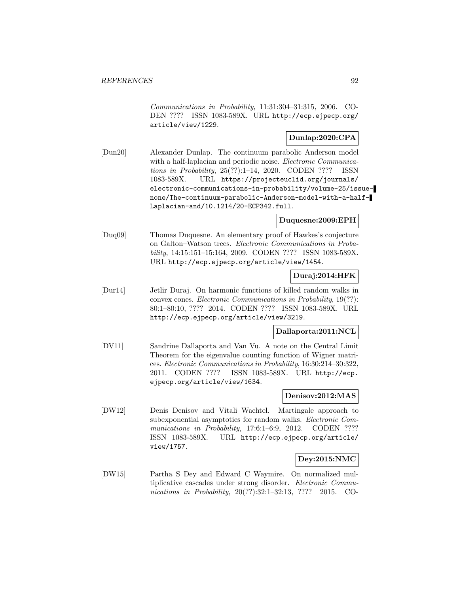Communications in Probability, 11:31:304–31:315, 2006. CO-DEN ???? ISSN 1083-589X. URL http://ecp.ejpecp.org/ article/view/1229.

# **Dunlap:2020:CPA**

[Dun20] Alexander Dunlap. The continuum parabolic Anderson model with a half-laplacian and periodic noise. *Electronic Communica*tions in Probability, 25(??):1–14, 2020. CODEN ???? ISSN 1083-589X. URL https://projecteuclid.org/journals/ electronic-communications-in-probability/volume-25/issuenone/The-continuum-parabolic-Anderson-model-with-a-half-Laplacian-and/10.1214/20-ECP342.full.

### **Duquesne:2009:EPH**

[Duq09] Thomas Duquesne. An elementary proof of Hawkes's conjecture on Galton–Watson trees. Electronic Communications in Probability, 14:15:151–15:164, 2009. CODEN ???? ISSN 1083-589X. URL http://ecp.ejpecp.org/article/view/1454.

# **Duraj:2014:HFK**

[Dur14] Jetlir Duraj. On harmonic functions of killed random walks in convex cones. Electronic Communications in Probability, 19(??): 80:1–80:10, ???? 2014. CODEN ???? ISSN 1083-589X. URL http://ecp.ejpecp.org/article/view/3219.

## **Dallaporta:2011:NCL**

[DV11] Sandrine Dallaporta and Van Vu. A note on the Central Limit Theorem for the eigenvalue counting function of Wigner matrices. Electronic Communications in Probability, 16:30:214–30:322, 2011. CODEN ???? ISSN 1083-589X. URL http://ecp. ejpecp.org/article/view/1634.

# **Denisov:2012:MAS**

[DW12] Denis Denisov and Vitali Wachtel. Martingale approach to subexponential asymptotics for random walks. Electronic Communications in Probability, 17:6:1-6:9, 2012. CODEN ???? ISSN 1083-589X. URL http://ecp.ejpecp.org/article/ view/1757.

## **Dey:2015:NMC**

[DW15] Partha S Dey and Edward C Waymire. On normalized multiplicative cascades under strong disorder. Electronic Communications in Probability, 20(??):32:1-32:13, ???? 2015. CO-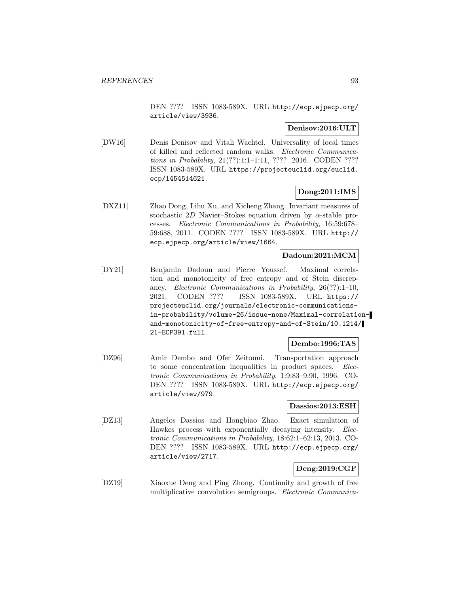DEN ???? ISSN 1083-589X. URL http://ecp.ejpecp.org/ article/view/3936.

# **Denisov:2016:ULT**

[DW16] Denis Denisov and Vitali Wachtel. Universality of local times of killed and reflected random walks. Electronic Communications in Probability, 21(??):1:1–1:11, ???? 2016. CODEN ???? ISSN 1083-589X. URL https://projecteuclid.org/euclid. ecp/1454514621.

# **Dong:2011:IMS**

[DXZ11] Zhao Dong, Lihu Xu, and Xicheng Zhang. Invariant measures of stochastic 2D Navier–Stokes equation driven by  $\alpha$ -stable processes. Electronic Communications in Probability, 16:59:678– 59:688, 2011. CODEN ???? ISSN 1083-589X. URL http:// ecp.ejpecp.org/article/view/1664.

## **Dadoun:2021:MCM**

[DY21] Benjamin Dadoun and Pierre Youssef. Maximal correlation and monotonicity of free entropy and of Stein discrepancy. Electronic Communications in Probability, 26(??):1–10, 2021. CODEN ???? ISSN 1083-589X. URL https:// projecteuclid.org/journals/electronic-communicationsin-probability/volume-26/issue-none/Maximal-correlationand-monotonicity-of-free-entropy-and-of-Stein/10.1214/ 21-ECP391.full.

# **Dembo:1996:TAS**

[DZ96] Amir Dembo and Ofer Zeitouni. Transportation approach to some concentration inequalities in product spaces. Electronic Communications in Probability, 1:9:83–9:90, 1996. CO-DEN ???? ISSN 1083-589X. URL http://ecp.ejpecp.org/ article/view/979.

#### **Dassios:2013:ESH**

[DZ13] Angelos Dassios and Hongbiao Zhao. Exact simulation of Hawkes process with exponentially decaying intensity. Electronic Communications in Probability, 18:62:1–62:13, 2013. CO-DEN ???? ISSN 1083-589X. URL http://ecp.ejpecp.org/ article/view/2717.

# **Deng:2019:CGF**

[DZ19] Xiaoxue Deng and Ping Zhong. Continuity and growth of free multiplicative convolution semigroups. Electronic Communica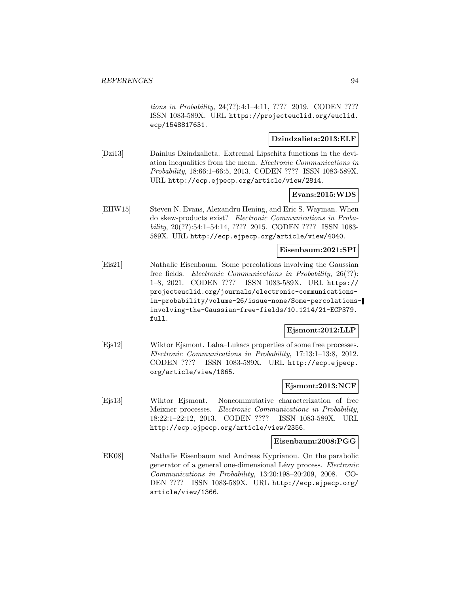tions in Probability, 24(??):4:1–4:11, ???? 2019. CODEN ???? ISSN 1083-589X. URL https://projecteuclid.org/euclid. ecp/1548817631.

# **Dzindzalieta:2013:ELF**

[Dzi13] Dainius Dzindzalieta. Extremal Lipschitz functions in the deviation inequalities from the mean. Electronic Communications in Probability, 18:66:1–66:5, 2013. CODEN ???? ISSN 1083-589X. URL http://ecp.ejpecp.org/article/view/2814.

#### **Evans:2015:WDS**

[EHW15] Steven N. Evans, Alexandru Hening, and Eric S. Wayman. When do skew-products exist? Electronic Communications in Probability, 20(??):54:1–54:14, ???? 2015. CODEN ???? ISSN 1083- 589X. URL http://ecp.ejpecp.org/article/view/4040.

#### **Eisenbaum:2021:SPI**

[Eis21] Nathalie Eisenbaum. Some percolations involving the Gaussian free fields. Electronic Communications in Probability, 26(??): 1–8, 2021. CODEN ???? ISSN 1083-589X. URL https:// projecteuclid.org/journals/electronic-communicationsin-probability/volume-26/issue-none/Some-percolationsinvolving-the-Gaussian-free-fields/10.1214/21-ECP379. full.

## **Ejsmont:2012:LLP**

[Ejs12] Wiktor Ejsmont. Laha–Lukacs properties of some free processes. Electronic Communications in Probability, 17:13:1–13:8, 2012. CODEN ???? ISSN 1083-589X. URL http://ecp.ejpecp. org/article/view/1865.

## **Ejsmont:2013:NCF**

[Ejs13] Wiktor Ejsmont. Noncommutative characterization of free Meixner processes. Electronic Communications in Probability, 18:22:1–22:12, 2013. CODEN ???? ISSN 1083-589X. URL http://ecp.ejpecp.org/article/view/2356.

#### **Eisenbaum:2008:PGG**

[EK08] Nathalie Eisenbaum and Andreas Kyprianou. On the parabolic generator of a general one-dimensional Lévy process. Electronic Communications in Probability, 13:20:198–20:209, 2008. CO-DEN ???? ISSN 1083-589X. URL http://ecp.ejpecp.org/ article/view/1366.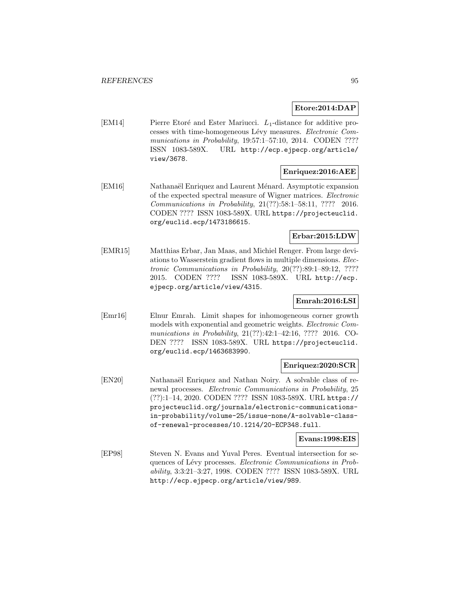**Etore:2014:DAP**

[EM14] Pierre Etoré and Ester Mariucci.  $L_1$ -distance for additive processes with time-homogeneous Lévy measures. Electronic Communications in Probability, 19:57:1-57:10, 2014. CODEN ???? ISSN 1083-589X. URL http://ecp.ejpecp.org/article/ view/3678.

# **Enriquez:2016:AEE**

[EM16] Nathanaël Enriquez and Laurent Ménard. Asymptotic expansion of the expected spectral measure of Wigner matrices. Electronic Communications in Probability, 21(??):58:1–58:11, ???? 2016. CODEN ???? ISSN 1083-589X. URL https://projecteuclid. org/euclid.ecp/1473186615.

## **Erbar:2015:LDW**

[EMR15] Matthias Erbar, Jan Maas, and Michiel Renger. From large deviations to Wasserstein gradient flows in multiple dimensions. Electronic Communications in Probability, 20(??):89:1–89:12, ???? 2015. CODEN ???? ISSN 1083-589X. URL http://ecp. ejpecp.org/article/view/4315.

## **Emrah:2016:LSI**

[Emr16] Elnur Emrah. Limit shapes for inhomogeneous corner growth models with exponential and geometric weights. Electronic Communications in Probability, 21(??):42:1–42:16, ???? 2016. CO-DEN ???? ISSN 1083-589X. URL https://projecteuclid. org/euclid.ecp/1463683990.

## **Enriquez:2020:SCR**

[EN20] Nathanaël Enriquez and Nathan Noiry. A solvable class of renewal processes. Electronic Communications in Probability, 25 (??):1–14, 2020. CODEN ???? ISSN 1083-589X. URL https:// projecteuclid.org/journals/electronic-communicationsin-probability/volume-25/issue-none/A-solvable-classof-renewal-processes/10.1214/20-ECP348.full.

**Evans:1998:EIS**

[EP98] Steven N. Evans and Yuval Peres. Eventual intersection for sequences of Lévy processes. Electronic Communications in Probability, 3:3:21–3:27, 1998. CODEN ???? ISSN 1083-589X. URL http://ecp.ejpecp.org/article/view/989.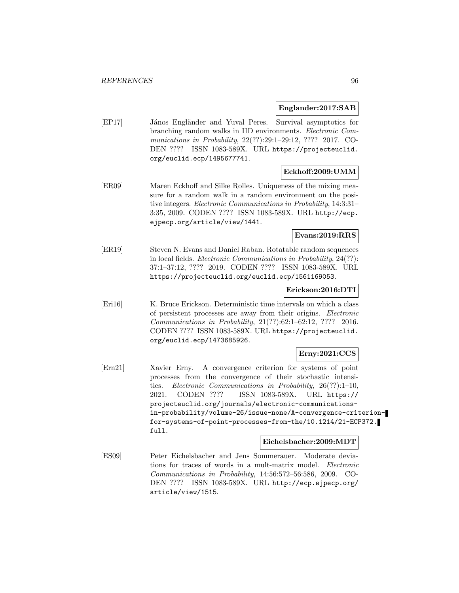**Englander:2017:SAB**

[EP17] János Engländer and Yuval Peres. Survival asymptotics for branching random walks in IID environments. Electronic Communications in Probability, 22(??):29:1–29:12, ???? 2017. CO-DEN ???? ISSN 1083-589X. URL https://projecteuclid. org/euclid.ecp/1495677741.

# **Eckhoff:2009:UMM**

[ER09] Maren Eckhoff and Silke Rolles. Uniqueness of the mixing measure for a random walk in a random environment on the positive integers. Electronic Communications in Probability, 14:3:31– 3:35, 2009. CODEN ???? ISSN 1083-589X. URL http://ecp. ejpecp.org/article/view/1441.

# **Evans:2019:RRS**

[ER19] Steven N. Evans and Daniel Raban. Rotatable random sequences in local fields. Electronic Communications in Probability, 24(??): 37:1–37:12, ???? 2019. CODEN ???? ISSN 1083-589X. URL https://projecteuclid.org/euclid.ecp/1561169053.

#### **Erickson:2016:DTI**

[Eri16] K. Bruce Erickson. Deterministic time intervals on which a class of persistent processes are away from their origins. Electronic Communications in Probability, 21(??):62:1–62:12, ???? 2016. CODEN ???? ISSN 1083-589X. URL https://projecteuclid. org/euclid.ecp/1473685926.

# **Erny:2021:CCS**

[Ern21] Xavier Erny. A convergence criterion for systems of point processes from the convergence of their stochastic intensities. Electronic Communications in Probability, 26(??):1–10, 2021. CODEN ???? ISSN 1083-589X. URL https:// projecteuclid.org/journals/electronic-communicationsin-probability/volume-26/issue-none/A-convergence-criterionfor-systems-of-point-processes-from-the/10.1214/21-ECP372. full.

## **Eichelsbacher:2009:MDT**

[ES09] Peter Eichelsbacher and Jens Sommerauer. Moderate deviations for traces of words in a mult-matrix model. Electronic Communications in Probability, 14:56:572–56:586, 2009. CO-DEN ???? ISSN 1083-589X. URL http://ecp.ejpecp.org/ article/view/1515.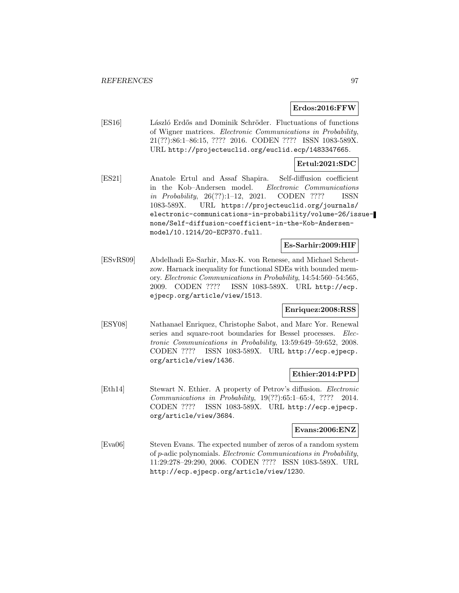## **Erdos:2016:FFW**

[ES16] László Erdős and Dominik Schröder. Fluctuations of functions of Wigner matrices. Electronic Communications in Probability, 21(??):86:1–86:15, ???? 2016. CODEN ???? ISSN 1083-589X. URL http://projecteuclid.org/euclid.ecp/1483347665.

## **Ertul:2021:SDC**

[ES21] Anatole Ertul and Assaf Shapira. Self-diffusion coefficient in the Kob–Andersen model. Electronic Communications in Probability, 26(??):1–12, 2021. CODEN ???? ISSN 1083-589X. URL https://projecteuclid.org/journals/ electronic-communications-in-probability/volume-26/issuenone/Self-diffusion-coefficient-in-the-Kob-Andersenmodel/10.1214/20-ECP370.full.

# **Es-Sarhir:2009:HIF**

[ESvRS09] Abdelhadi Es-Sarhir, Max-K. von Renesse, and Michael Scheutzow. Harnack inequality for functional SDEs with bounded memory. Electronic Communications in Probability, 14:54:560–54:565, 2009. CODEN ???? ISSN 1083-589X. URL http://ecp. ejpecp.org/article/view/1513.

## **Enriquez:2008:RSS**

[ESY08] Nathanael Enriquez, Christophe Sabot, and Marc Yor. Renewal series and square-root boundaries for Bessel processes. Electronic Communications in Probability, 13:59:649–59:652, 2008. CODEN ???? ISSN 1083-589X. URL http://ecp.ejpecp. org/article/view/1436.

## **Ethier:2014:PPD**

[Eth14] Stewart N. Ethier. A property of Petrov's diffusion. Electronic Communications in Probability, 19(??):65:1–65:4, ???? 2014. CODEN ???? ISSN 1083-589X. URL http://ecp.ejpecp. org/article/view/3684.

## **Evans:2006:ENZ**

[Eva06] Steven Evans. The expected number of zeros of a random system of p-adic polynomials. Electronic Communications in Probability, 11:29:278–29:290, 2006. CODEN ???? ISSN 1083-589X. URL http://ecp.ejpecp.org/article/view/1230.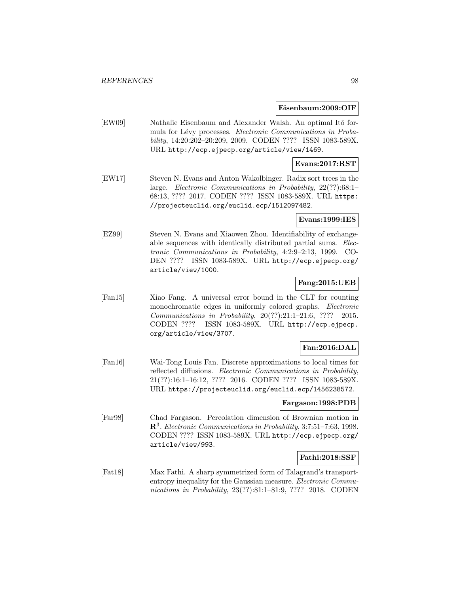#### **Eisenbaum:2009:OIF**

[EW09] Nathalie Eisenbaum and Alexander Walsh. An optimal Itô formula for Lévy processes. Electronic Communications in Probability, 14:20:202–20:209, 2009. CODEN ???? ISSN 1083-589X. URL http://ecp.ejpecp.org/article/view/1469.

# **Evans:2017:RST**

[EW17] Steven N. Evans and Anton Wakolbinger. Radix sort trees in the large. Electronic Communications in Probability, 22(??):68:1– 68:13, ???? 2017. CODEN ???? ISSN 1083-589X. URL https: //projecteuclid.org/euclid.ecp/1512097482.

#### **Evans:1999:IES**

[EZ99] Steven N. Evans and Xiaowen Zhou. Identifiability of exchangeable sequences with identically distributed partial sums. Electronic Communications in Probability, 4:2:9–2:13, 1999. CO-DEN ???? ISSN 1083-589X. URL http://ecp.ejpecp.org/ article/view/1000.

# **Fang:2015:UEB**

[Fan15] Xiao Fang. A universal error bound in the CLT for counting monochromatic edges in uniformly colored graphs. Electronic Communications in Probability, 20(??):21:1–21:6, ???? 2015. CODEN ???? ISSN 1083-589X. URL http://ecp.ejpecp. org/article/view/3707.

# **Fan:2016:DAL**

[Fan16] Wai-Tong Louis Fan. Discrete approximations to local times for reflected diffusions. Electronic Communications in Probability, 21(??):16:1–16:12, ???? 2016. CODEN ???? ISSN 1083-589X. URL https://projecteuclid.org/euclid.ecp/1456238572.

#### **Fargason:1998:PDB**

[Far98] Chad Fargason. Percolation dimension of Brownian motion in **R**<sup>3</sup>. Electronic Communications in Probability, 3:7:51–7:63, 1998. CODEN ???? ISSN 1083-589X. URL http://ecp.ejpecp.org/ article/view/993.

## **Fathi:2018:SSF**

[Fat18] Max Fathi. A sharp symmetrized form of Talagrand's transportentropy inequality for the Gaussian measure. Electronic Communications in Probability, 23(??):81:1–81:9, ???? 2018. CODEN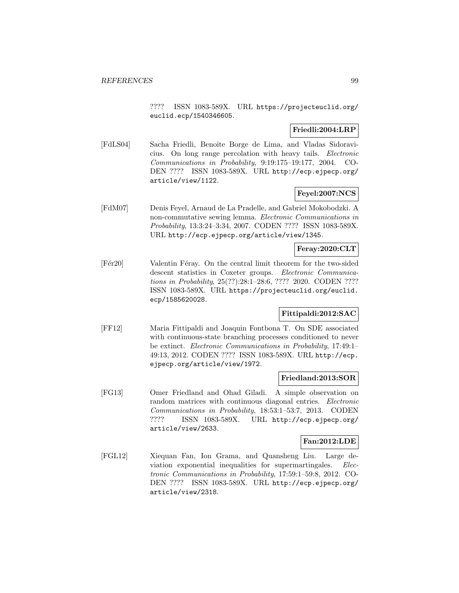???? ISSN 1083-589X. URL https://projecteuclid.org/ euclid.ecp/1540346605.

# **Friedli:2004:LRP**

[FdLS04] Sacha Friedli, Benoîte Borge de Lima, and Vladas Sidoravicius. On long range percolation with heavy tails. Electronic Communications in Probability, 9:19:175–19:177, 2004. CO-DEN ???? ISSN 1083-589X. URL http://ecp.ejpecp.org/ article/view/1122.

# **Feyel:2007:NCS**

[FdM07] Denis Feyel, Arnaud de La Pradelle, and Gabriel Mokobodzki. A non-commutative sewing lemma. Electronic Communications in Probability, 13:3:24–3:34, 2007. CODEN ???? ISSN 1083-589X. URL http://ecp.ejpecp.org/article/view/1345.

# **Feray:2020:CLT**

[Fér20] Valentin Féray. On the central limit theorem for the two-sided descent statistics in Coxeter groups. Electronic Communications in Probability, 25(??):28:1–28:6, ???? 2020. CODEN ???? ISSN 1083-589X. URL https://projecteuclid.org/euclid. ecp/1585620028.

# **Fittipaldi:2012:SAC**

[FF12] Maria Fittipaldi and Joaquin Fontbona T. On SDE associated with continuous-state branching processes conditioned to never be extinct. Electronic Communications in Probability, 17:49:1– 49:13, 2012. CODEN ???? ISSN 1083-589X. URL http://ecp. ejpecp.org/article/view/1972.

## **Friedland:2013:SOR**

[FG13] Omer Friedland and Ohad Giladi. A simple observation on random matrices with continuous diagonal entries. Electronic Communications in Probability, 18:53:1–53:7, 2013. CODEN ???? ISSN 1083-589X. URL http://ecp.ejpecp.org/ article/view/2633.

#### **Fan:2012:LDE**

[FGL12] Xiequan Fan, Ion Grama, and Quansheng Liu. Large deviation exponential inequalities for supermartingales. Electronic Communications in Probability, 17:59:1–59:8, 2012. CO-DEN ???? ISSN 1083-589X. URL http://ecp.ejpecp.org/ article/view/2318.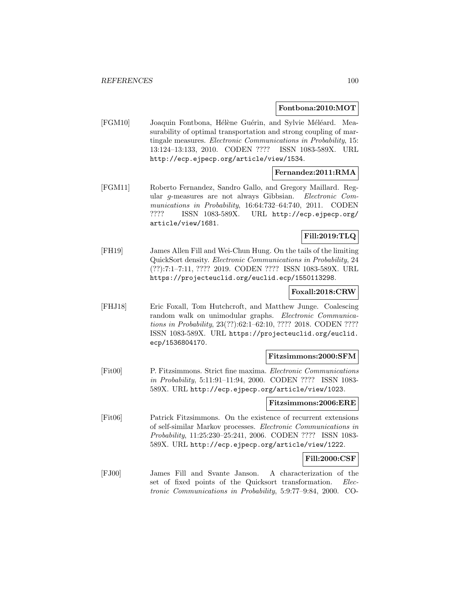#### **Fontbona:2010:MOT**

[FGM10] Joaquin Fontbona, Hélène Guérin, and Sylvie Méléard. Measurability of optimal transportation and strong coupling of martingale measures. Electronic Communications in Probability, 15: 13:124–13:133, 2010. CODEN ???? ISSN 1083-589X. URL http://ecp.ejpecp.org/article/view/1534.

# **Fernandez:2011:RMA**

[FGM11] Roberto Fernandez, Sandro Gallo, and Gregory Maillard. Regular g-measures are not always Gibbsian. Electronic Communications in Probability, 16:64:732–64:740, 2011. CODEN ???? ISSN 1083-589X. URL http://ecp.ejpecp.org/ article/view/1681.

# **Fill:2019:TLQ**

[FH19] James Allen Fill and Wei-Chun Hung. On the tails of the limiting QuickSort density. Electronic Communications in Probability, 24 (??):7:1–7:11, ???? 2019. CODEN ???? ISSN 1083-589X. URL https://projecteuclid.org/euclid.ecp/1550113298.

#### **Foxall:2018:CRW**

[FHJ18] Eric Foxall, Tom Hutchcroft, and Matthew Junge. Coalescing random walk on unimodular graphs. Electronic Communications in Probability, 23(??):62:1–62:10, ???? 2018. CODEN ???? ISSN 1083-589X. URL https://projecteuclid.org/euclid. ecp/1536804170.

#### **Fitzsimmons:2000:SFM**

[Fit00] P. Fitzsimmons. Strict fine maxima. Electronic Communications in Probability, 5:11:91–11:94, 2000. CODEN ???? ISSN 1083- 589X. URL http://ecp.ejpecp.org/article/view/1023.

#### **Fitzsimmons:2006:ERE**

[Fit06] Patrick Fitzsimmons. On the existence of recurrent extensions of self-similar Markov processes. Electronic Communications in Probability, 11:25:230–25:241, 2006. CODEN ???? ISSN 1083- 589X. URL http://ecp.ejpecp.org/article/view/1222.

# **Fill:2000:CSF**

[FJ00] James Fill and Svante Janson. A characterization of the set of fixed points of the Quicksort transformation. Electronic Communications in Probability, 5:9:77–9:84, 2000. CO-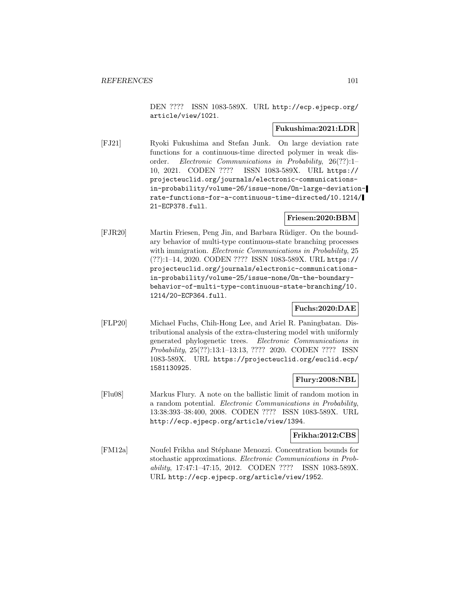DEN ???? ISSN 1083-589X. URL http://ecp.ejpecp.org/ article/view/1021.

## **Fukushima:2021:LDR**

[FJ21] Ryoki Fukushima and Stefan Junk. On large deviation rate functions for a continuous-time directed polymer in weak disorder. Electronic Communications in Probability, 26(??):1– 10, 2021. CODEN ???? ISSN 1083-589X. URL https:// projecteuclid.org/journals/electronic-communicationsin-probability/volume-26/issue-none/On-large-deviationrate-functions-for-a-continuous-time-directed/10.1214/ 21-ECP378.full.

## **Friesen:2020:BBM**

[FJR20] Martin Friesen, Peng Jin, and Barbara R¨udiger. On the boundary behavior of multi-type continuous-state branching processes with immigration. *Electronic Communications in Probability*, 25 (??):1–14, 2020. CODEN ???? ISSN 1083-589X. URL https:// projecteuclid.org/journals/electronic-communicationsin-probability/volume-25/issue-none/On-the-boundarybehavior-of-multi-type-continuous-state-branching/10. 1214/20-ECP364.full.

# **Fuchs:2020:DAE**

[FLP20] Michael Fuchs, Chih-Hong Lee, and Ariel R. Paningbatan. Distributional analysis of the extra-clustering model with uniformly generated phylogenetic trees. Electronic Communications in Probability, 25(??):13:1–13:13, ???? 2020. CODEN ???? ISSN 1083-589X. URL https://projecteuclid.org/euclid.ecp/ 1581130925.

## **Flury:2008:NBL**

[Flu08] Markus Flury. A note on the ballistic limit of random motion in a random potential. Electronic Communications in Probability, 13:38:393–38:400, 2008. CODEN ???? ISSN 1083-589X. URL http://ecp.ejpecp.org/article/view/1394.

# **Frikha:2012:CBS**

[FM12a] Noufel Frikha and Stéphane Menozzi. Concentration bounds for stochastic approximations. Electronic Communications in Probability, 17:47:1–47:15, 2012. CODEN ???? ISSN 1083-589X. URL http://ecp.ejpecp.org/article/view/1952.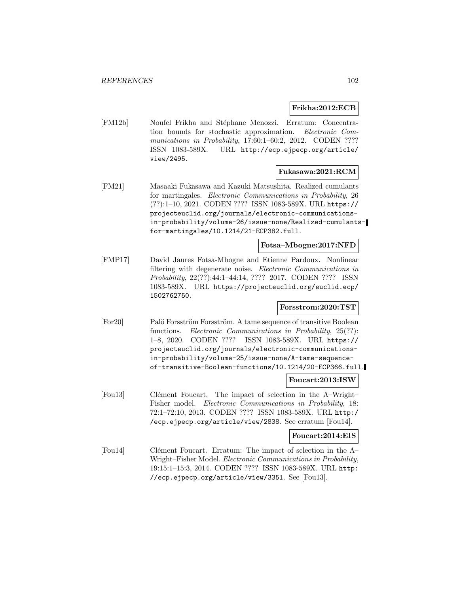# **Frikha:2012:ECB**

[FM12b] Noufel Frikha and Stéphane Menozzi. Erratum: Concentration bounds for stochastic approximation. Electronic Communications in Probability, 17:60:1-60:2, 2012. CODEN ???? ISSN 1083-589X. URL http://ecp.ejpecp.org/article/ view/2495.

#### **Fukasawa:2021:RCM**

[FM21] Masaaki Fukasawa and Kazuki Matsushita. Realized cumulants for martingales. Electronic Communications in Probability, 26 (??):1–10, 2021. CODEN ???? ISSN 1083-589X. URL https:// projecteuclid.org/journals/electronic-communicationsin-probability/volume-26/issue-none/Realized-cumulantsfor-martingales/10.1214/21-ECP382.full.

# **Fotsa–Mbogne:2017:NFD**

[FMP17] David Jaures Fotsa-Mbogne and Etienne Pardoux. Nonlinear filtering with degenerate noise. Electronic Communications in Probability, 22(??):44:1–44:14, ???? 2017. CODEN ???? ISSN 1083-589X. URL https://projecteuclid.org/euclid.ecp/ 1502762750.

# **Forsstrom:2020:TST**

[For20] Palö Forsström Forsström. A tame sequence of transitive Boolean functions. *Electronic Communications in Probability*, 25(??): 1–8, 2020. CODEN ???? ISSN 1083-589X. URL https:// projecteuclid.org/journals/electronic-communicationsin-probability/volume-25/issue-none/A-tame-sequenceof-transitive-Boolean-functions/10.1214/20-ECP366.full.

### **Foucart:2013:ISW**

[Fou13] Clément Foucart. The impact of selection in the Λ–Wright– Fisher model. Electronic Communications in Probability, 18: 72:1–72:10, 2013. CODEN ???? ISSN 1083-589X. URL http:/ /ecp.ejpecp.org/article/view/2838. See erratum [Fou14].

#### **Foucart:2014:EIS**

[Fou14] Clément Foucart. Erratum: The impact of selection in the  $\Lambda$ – Wright–Fisher Model. Electronic Communications in Probability, 19:15:1–15:3, 2014. CODEN ???? ISSN 1083-589X. URL http: //ecp.ejpecp.org/article/view/3351. See [Fou13].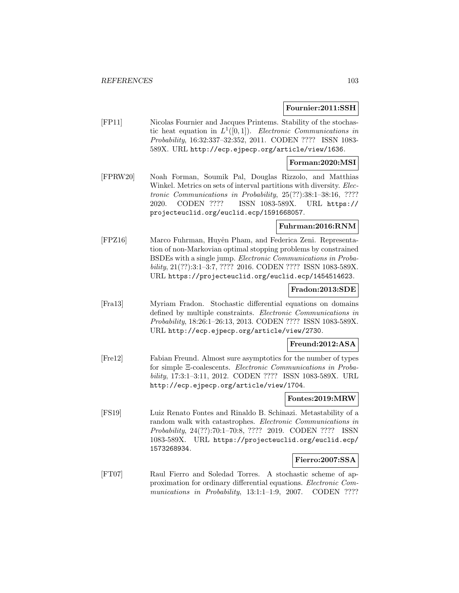### **Fournier:2011:SSH**

[FP11] Nicolas Fournier and Jacques Printems. Stability of the stochastic heat equation in  $L^1([0,1])$ . Electronic Communications in Probability, 16:32:337–32:352, 2011. CODEN ???? ISSN 1083- 589X. URL http://ecp.ejpecp.org/article/view/1636.

## **Forman:2020:MSI**

[FPRW20] Noah Forman, Soumik Pal, Douglas Rizzolo, and Matthias Winkel. Metrics on sets of interval partitions with diversity. Electronic Communications in Probability, 25(??):38:1–38:16, ???? 2020. CODEN ???? ISSN 1083-589X. URL https:// projecteuclid.org/euclid.ecp/1591668057.

# **Fuhrman:2016:RNM**

[FPZ16] Marco Fuhrman, Huyên Pham, and Federica Zeni. Representation of non-Markovian optimal stopping problems by constrained BSDEs with a single jump. Electronic Communications in Probability, 21(??):3:1–3:7, ???? 2016. CODEN ???? ISSN 1083-589X. URL https://projecteuclid.org/euclid.ecp/1454514623.

#### **Fradon:2013:SDE**

[Fra13] Myriam Fradon. Stochastic differential equations on domains defined by multiple constraints. Electronic Communications in Probability, 18:26:1–26:13, 2013. CODEN ???? ISSN 1083-589X. URL http://ecp.ejpecp.org/article/view/2730.

# **Freund:2012:ASA**

[Fre12] Fabian Freund. Almost sure asymptotics for the number of types for simple Ξ-coalescents. Electronic Communications in Probability, 17:3:1–3:11, 2012. CODEN ???? ISSN 1083-589X. URL http://ecp.ejpecp.org/article/view/1704.

## **Fontes:2019:MRW**

[FS19] Luiz Renato Fontes and Rinaldo B. Schinazi. Metastability of a random walk with catastrophes. Electronic Communications in Probability, 24(??):70:1–70:8, ???? 2019. CODEN ???? ISSN 1083-589X. URL https://projecteuclid.org/euclid.ecp/ 1573268934.

## **Fierro:2007:SSA**

[FT07] Raul Fierro and Soledad Torres. A stochastic scheme of approximation for ordinary differential equations. Electronic Communications in Probability, 13:1:1-1:9, 2007. CODEN ????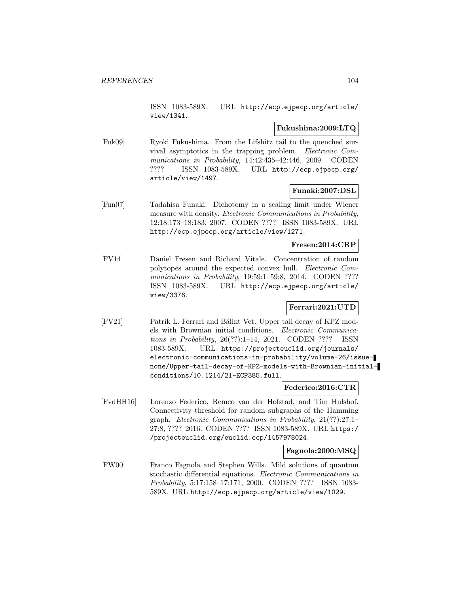ISSN 1083-589X. URL http://ecp.ejpecp.org/article/ view/1341.

### **Fukushima:2009:LTQ**

[Fuk09] Ryoki Fukushima. From the Lifshitz tail to the quenched survival asymptotics in the trapping problem. Electronic Communications in Probability, 14:42:435–42:446, 2009. CODEN ???? ISSN 1083-589X. URL http://ecp.ejpecp.org/ article/view/1497.

# **Funaki:2007:DSL**

[Fun07] Tadahisa Funaki. Dichotomy in a scaling limit under Wiener measure with density. Electronic Communications in Probability, 12:18:173–18:183, 2007. CODEN ???? ISSN 1083-589X. URL http://ecp.ejpecp.org/article/view/1271.

# **Fresen:2014:CRP**

[FV14] Daniel Fresen and Richard Vitale. Concentration of random polytopes around the expected convex hull. Electronic Communications in Probability, 19:59:1-59:8, 2014. CODEN ???? ISSN 1083-589X. URL http://ecp.ejpecp.org/article/ view/3376.

# **Ferrari:2021:UTD**

[FV21] Patrik L. Ferrari and Bálint Vet. Upper tail decay of KPZ models with Brownian initial conditions. Electronic Communications in Probability, 26(??):1–14, 2021. CODEN ???? ISSN 1083-589X. URL https://projecteuclid.org/journals/ electronic-communications-in-probability/volume-26/issuenone/Upper-tail-decay-of-KPZ-models-with-Brownian-initialconditions/10.1214/21-ECP385.full.

## **Federico:2016:CTR**

[FvdHH16] Lorenzo Federico, Remco van der Hofstad, and Tim Hulshof. Connectivity threshold for random subgraphs of the Hamming graph. Electronic Communications in Probability, 21(??):27:1– 27:8, ???? 2016. CODEN ???? ISSN 1083-589X. URL https:/ /projecteuclid.org/euclid.ecp/1457978024.

## **Fagnola:2000:MSQ**

[FW00] Franco Fagnola and Stephen Wills. Mild solutions of quantum stochastic differential equations. Electronic Communications in Probability, 5:17:158–17:171, 2000. CODEN ???? ISSN 1083- 589X. URL http://ecp.ejpecp.org/article/view/1029.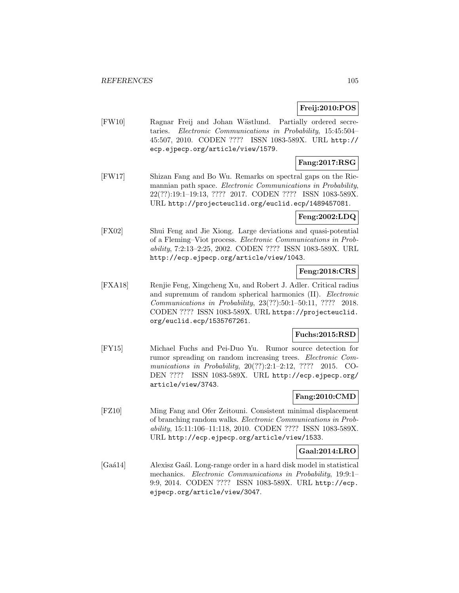# **Freij:2010:POS**

[FW10] Ragnar Freij and Johan Wästlund. Partially ordered secretaries. Electronic Communications in Probability, 15:45:504– 45:507, 2010. CODEN ???? ISSN 1083-589X. URL http:// ecp.ejpecp.org/article/view/1579.

# **Fang:2017:RSG**

[FW17] Shizan Fang and Bo Wu. Remarks on spectral gaps on the Riemannian path space. Electronic Communications in Probability, 22(??):19:1–19:13, ???? 2017. CODEN ???? ISSN 1083-589X. URL http://projecteuclid.org/euclid.ecp/1489457081.

## **Feng:2002:LDQ**

[FX02] Shui Feng and Jie Xiong. Large deviations and quasi-potential of a Fleming–Viot process. Electronic Communications in Probability, 7:2:13–2:25, 2002. CODEN ???? ISSN 1083-589X. URL http://ecp.ejpecp.org/article/view/1043.

# **Feng:2018:CRS**

[FXA18] Renjie Feng, Xingcheng Xu, and Robert J. Adler. Critical radius and supremum of random spherical harmonics (II). Electronic Communications in Probability, 23(??):50:1–50:11, ???? 2018. CODEN ???? ISSN 1083-589X. URL https://projecteuclid. org/euclid.ecp/1535767261.

# **Fuchs:2015:RSD**

[FY15] Michael Fuchs and Pei-Duo Yu. Rumor source detection for rumor spreading on random increasing trees. Electronic Communications in Probability, 20(??):2:1-2:12, ???? 2015. CO-DEN ???? ISSN 1083-589X. URL http://ecp.ejpecp.org/ article/view/3743.

# **Fang:2010:CMD**

[FZ10] Ming Fang and Ofer Zeitouni. Consistent minimal displacement of branching random walks. Electronic Communications in Probability, 15:11:106–11:118, 2010. CODEN ???? ISSN 1083-589X. URL http://ecp.ejpecp.org/article/view/1533.

## **Gaal:2014:LRO**

[Gaá14] Alexisz Gaál. Long-range order in a hard disk model in statistical mechanics. Electronic Communications in Probability, 19:9:1– 9:9, 2014. CODEN ???? ISSN 1083-589X. URL http://ecp. ejpecp.org/article/view/3047.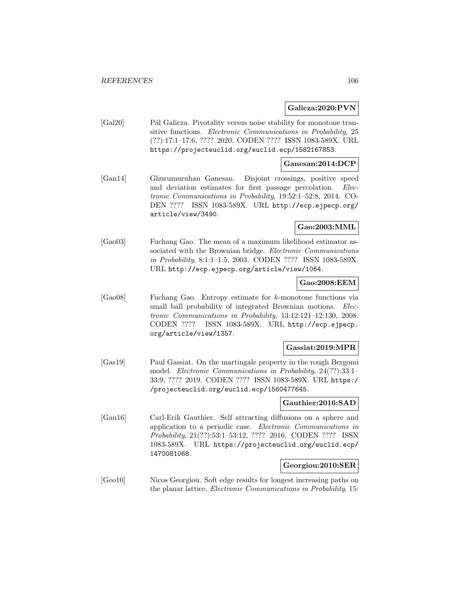### **Galicza:2020:PVN**

[Gal20] Pál Galicza. Pivotality versus noise stability for monotone transitive functions. Electronic Communications in Probability, 25 (??):17:1–17:6, ???? 2020. CODEN ???? ISSN 1083-589X. URL https://projecteuclid.org/euclid.ecp/1582167853.

### **Ganesan:2014:DCP**

[Gan14] Ghurumuruhan Ganesan. Disjoint crossings, positive speed and deviation estimates for first passage percolation. Electronic Communications in Probability, 19:52:1–52:8, 2014. CO-DEN ???? ISSN 1083-589X. URL http://ecp.ejpecp.org/ article/view/3490.

# **Gao:2003:MML**

[Gao03] Fuchang Gao. The mean of a maximum likelihood estimator associated with the Brownian bridge. Electronic Communications in Probability, 8:1:1–1:5, 2003. CODEN ???? ISSN 1083-589X. URL http://ecp.ejpecp.org/article/view/1064.

# **Gao:2008:EEM**

[Gao08] Fuchang Gao. Entropy estimate for k-monotone functions via small ball probability of integrated Brownian motions. Electronic Communications in Probability, 13:12:121–12:130, 2008. CODEN ???? ISSN 1083-589X. URL http://ecp.ejpecp. org/article/view/1357.

## **Gassiat:2019:MPR**

[Gas19] Paul Gassiat. On the martingale property in the rough Bergomi model. Electronic Communications in Probability, 24(??):33:1– 33:9, ???? 2019. CODEN ???? ISSN 1083-589X. URL https:/ /projecteuclid.org/euclid.ecp/1560477645.

#### **Gauthier:2016:SAD**

[Gau16] Carl-Erik Gauthier. Self attracting diffusions on a sphere and application to a periodic case. Electronic Communications in Probability, 21(??):53:1–53:12, ???? 2016. CODEN ???? ISSN 1083-589X. URL https://projecteuclid.org/euclid.ecp/ 1470081068.

## **Georgiou:2010:SER**

[Geo10] Nicos Georgiou. Soft edge results for longest increasing paths on the planar lattice. Electronic Communications in Probability, 15: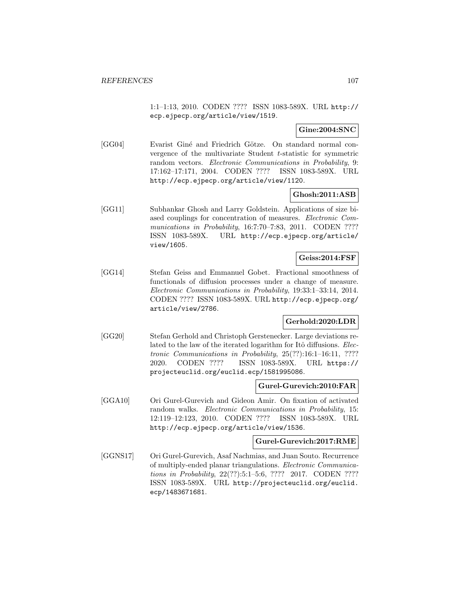1:1–1:13, 2010. CODEN ???? ISSN 1083-589X. URL http:// ecp.ejpecp.org/article/view/1519.

**Gine:2004:SNC**

[GG04] Evarist Giné and Friedrich Götze. On standard normal convergence of the multivariate Student t-statistic for symmetric random vectors. Electronic Communications in Probability, 9: 17:162–17:171, 2004. CODEN ???? ISSN 1083-589X. URL http://ecp.ejpecp.org/article/view/1120.

# **Ghosh:2011:ASB**

[GG11] Subhankar Ghosh and Larry Goldstein. Applications of size biased couplings for concentration of measures. Electronic Communications in Probability, 16:7:70–7:83, 2011. CODEN ???? ISSN 1083-589X. URL http://ecp.ejpecp.org/article/ view/1605.

## **Geiss:2014:FSF**

[GG14] Stefan Geiss and Emmanuel Gobet. Fractional smoothness of functionals of diffusion processes under a change of measure. Electronic Communications in Probability, 19:33:1–33:14, 2014. CODEN ???? ISSN 1083-589X. URL http://ecp.ejpecp.org/ article/view/2786.

# **Gerhold:2020:LDR**

[GG20] Stefan Gerhold and Christoph Gerstenecker. Large deviations related to the law of the iterated logarithm for Itô diffusions. Electronic Communications in Probability, 25(??):16:1–16:11, ???? 2020. CODEN ???? ISSN 1083-589X. URL https:// projecteuclid.org/euclid.ecp/1581995086.

#### **Gurel-Gurevich:2010:FAR**

[GGA10] Ori Gurel-Gurevich and Gideon Amir. On fixation of activated random walks. Electronic Communications in Probability, 15: 12:119–12:123, 2010. CODEN ???? ISSN 1083-589X. URL http://ecp.ejpecp.org/article/view/1536.

#### **Gurel-Gurevich:2017:RME**

[GGNS17] Ori Gurel-Gurevich, Asaf Nachmias, and Juan Souto. Recurrence of multiply-ended planar triangulations. Electronic Communications in Probability, 22(??):5:1–5:6, ???? 2017. CODEN ???? ISSN 1083-589X. URL http://projecteuclid.org/euclid. ecp/1483671681.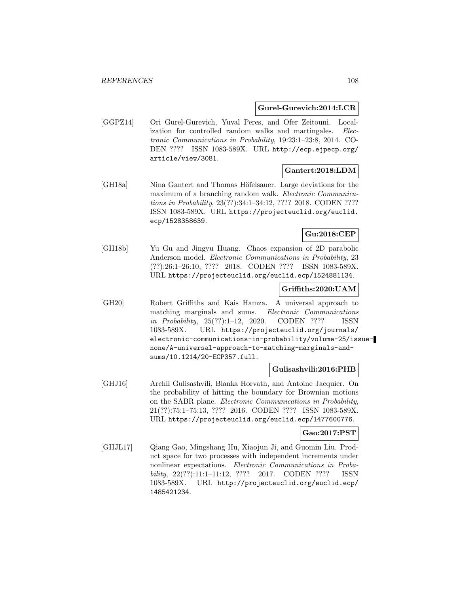#### **Gurel-Gurevich:2014:LCR**

[GGPZ14] Ori Gurel-Gurevich, Yuval Peres, and Ofer Zeitouni. Localization for controlled random walks and martingales. Electronic Communications in Probability, 19:23:1–23:8, 2014. CO-DEN ???? ISSN 1083-589X. URL http://ecp.ejpecp.org/ article/view/3081.

# **Gantert:2018:LDM**

[GH18a] Nina Gantert and Thomas Höfelsauer. Large deviations for the maximum of a branching random walk. Electronic Communications in Probability, 23(??):34:1–34:12, ???? 2018. CODEN ???? ISSN 1083-589X. URL https://projecteuclid.org/euclid. ecp/1528358639.

# **Gu:2018:CEP**

[GH18b] Yu Gu and Jingyu Huang. Chaos expansion of 2D parabolic Anderson model. Electronic Communications in Probability, 23 (??):26:1–26:10, ???? 2018. CODEN ???? ISSN 1083-589X. URL https://projecteuclid.org/euclid.ecp/1524881134.

### **Griffiths:2020:UAM**

[GH20] Robert Griffiths and Kais Hamza. A universal approach to matching marginals and sums. Electronic Communications in Probability, 25(??):1–12, 2020. CODEN ???? ISSN 1083-589X. URL https://projecteuclid.org/journals/ electronic-communications-in-probability/volume-25/issuenone/A-universal-approach-to-matching-marginals-andsums/10.1214/20-ECP357.full.

## **Gulisashvili:2016:PHB**

[GHJ16] Archil Gulisashvili, Blanka Horvath, and Antoine Jacquier. On the probability of hitting the boundary for Brownian motions on the SABR plane. Electronic Communications in Probability, 21(??):75:1–75:13, ???? 2016. CODEN ???? ISSN 1083-589X. URL https://projecteuclid.org/euclid.ecp/1477600776.

### **Gao:2017:PST**

[GHJL17] Qiang Gao, Mingshang Hu, Xiaojun Ji, and Guomin Liu. Product space for two processes with independent increments under nonlinear expectations. Electronic Communications in Probability, 22(??):11:1–11:12, ???? 2017. CODEN ???? ISSN 1083-589X. URL http://projecteuclid.org/euclid.ecp/ 1485421234.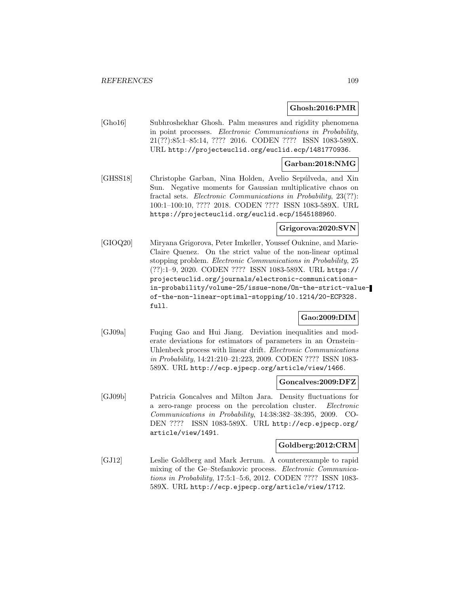### **Ghosh:2016:PMR**

[Gho16] Subhroshekhar Ghosh. Palm measures and rigidity phenomena in point processes. Electronic Communications in Probability, 21(??):85:1–85:14, ???? 2016. CODEN ???? ISSN 1083-589X. URL http://projecteuclid.org/euclid.ecp/1481770936.

### **Garban:2018:NMG**

[GHSS18] Christophe Garban, Nina Holden, Avelio Sepúlveda, and Xin Sun. Negative moments for Gaussian multiplicative chaos on fractal sets. Electronic Communications in Probability, 23(??): 100:1–100:10, ???? 2018. CODEN ???? ISSN 1083-589X. URL https://projecteuclid.org/euclid.ecp/1545188960.

### **Grigorova:2020:SVN**

[GIOQ20] Miryana Grigorova, Peter Imkeller, Youssef Ouknine, and Marie-Claire Quenez. On the strict value of the non-linear optimal stopping problem. Electronic Communications in Probability, 25 (??):1–9, 2020. CODEN ???? ISSN 1083-589X. URL https:// projecteuclid.org/journals/electronic-communicationsin-probability/volume-25/issue-none/On-the-strict-valueof-the-non-linear-optimal-stopping/10.1214/20-ECP328. full.

### **Gao:2009:DIM**

[GJ09a] Fuqing Gao and Hui Jiang. Deviation inequalities and moderate deviations for estimators of parameters in an Ornstein– Uhlenbeck process with linear drift. Electronic Communications in Probability, 14:21:210–21:223, 2009. CODEN ???? ISSN 1083- 589X. URL http://ecp.ejpecp.org/article/view/1466.

# **Goncalves:2009:DFZ**

[GJ09b] Patricia Goncalves and Milton Jara. Density fluctuations for a zero-range process on the percolation cluster. Electronic Communications in Probability, 14:38:382–38:395, 2009. CO-DEN ???? ISSN 1083-589X. URL http://ecp.ejpecp.org/ article/view/1491.

### **Goldberg:2012:CRM**

[GJ12] Leslie Goldberg and Mark Jerrum. A counterexample to rapid mixing of the Ge–Stefankovic process. Electronic Communications in Probability, 17:5:1–5:6, 2012. CODEN ???? ISSN 1083- 589X. URL http://ecp.ejpecp.org/article/view/1712.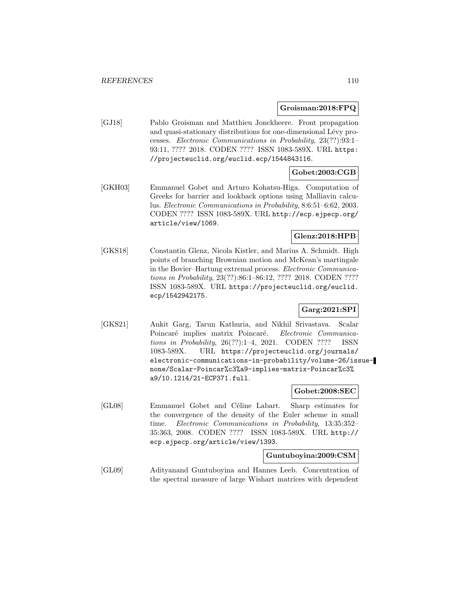#### **Groisman:2018:FPQ**

[GJ18] Pablo Groisman and Matthieu Jonckheere. Front propagation and quasi-stationary distributions for one-dimensional Lévy processes. Electronic Communications in Probability, 23(??):93:1– 93:11, ???? 2018. CODEN ???? ISSN 1083-589X. URL https: //projecteuclid.org/euclid.ecp/1544843116.

## **Gobet:2003:CGB**

[GKH03] Emmanuel Gobet and Arturo Kohatsu-Higa. Computation of Greeks for barrier and lookback options using Malliavin calculus. Electronic Communications in Probability, 8:6:51–6:62, 2003. CODEN ???? ISSN 1083-589X. URL http://ecp.ejpecp.org/ article/view/1069.

## **Glenz:2018:HPB**

[GKS18] Constantin Glenz, Nicola Kistler, and Marius A. Schmidt. High points of branching Brownian motion and McKean's martingale in the Bovier–Hartung extremal process. Electronic Communications in Probability, 23(??):86:1–86:12, ???? 2018. CODEN ???? ISSN 1083-589X. URL https://projecteuclid.org/euclid. ecp/1542942175.

## **Garg:2021:SPI**

[GKS21] Ankit Garg, Tarun Kathuria, and Nikhil Srivastava. Scalar Poincaré implies matrix Poincaré. Electronic Communications in Probability, 26(??):1–4, 2021. CODEN ???? ISSN 1083-589X. URL https://projecteuclid.org/journals/ electronic-communications-in-probability/volume-26/issuenone/Scalar-Poincar%c3%a9-implies-matrix-Poincar%c3% a9/10.1214/21-ECP371.full.

### **Gobet:2008:SEC**

[GL08] Emmanuel Gobet and Céline Labart. Sharp estimates for the convergence of the density of the Euler scheme in small time. Electronic Communications in Probability, 13:35:352– 35:363, 2008. CODEN ???? ISSN 1083-589X. URL http:// ecp.ejpecp.org/article/view/1393.

#### **Guntuboyina:2009:CSM**

[GL09] Adityanand Guntuboyina and Hannes Leeb. Concentration of the spectral measure of large Wishart matrices with dependent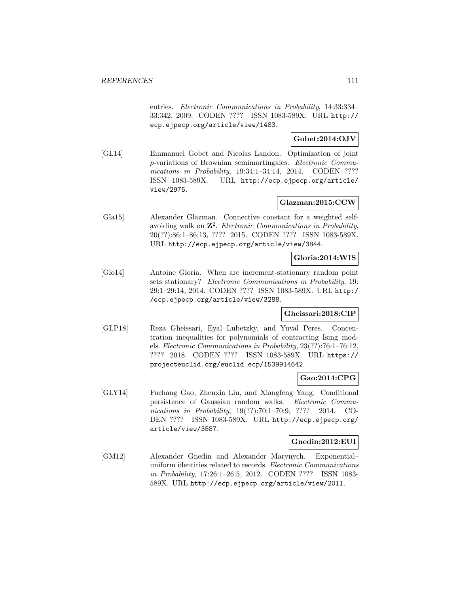entries. Electronic Communications in Probability, 14:33:334– 33:342, 2009. CODEN ???? ISSN 1083-589X. URL http:// ecp.ejpecp.org/article/view/1483.

# **Gobet:2014:OJV**

[GL14] Emmanuel Gobet and Nicolas Landon. Optimization of joint p-variations of Brownian semimartingales. Electronic Communications in Probability, 19:34:1-34:14, 2014. CODEN ???? ISSN 1083-589X. URL http://ecp.ejpecp.org/article/ view/2975.

### **Glazman:2015:CCW**

[Gla15] Alexander Glazman. Connective constant for a weighted selfavoiding walk on **Z**<sup>2</sup>. Electronic Communications in Probability, 20(??):86:1–86:13, ???? 2015. CODEN ???? ISSN 1083-589X. URL http://ecp.ejpecp.org/article/view/3844.

## **Gloria:2014:WIS**

[Glo14] Antoine Gloria. When are increment-stationary random point sets stationary? Electronic Communications in Probability, 19: 29:1–29:14, 2014. CODEN ???? ISSN 1083-589X. URL http:/ /ecp.ejpecp.org/article/view/3288.

### **Gheissari:2018:CIP**

[GLP18] Reza Gheissari, Eyal Lubetzky, and Yuval Peres. Concentration inequalities for polynomials of contracting Ising models. Electronic Communications in Probability, 23(??):76:1–76:12, ???? 2018. CODEN ???? ISSN 1083-589X. URL https:// projecteuclid.org/euclid.ecp/1539914642.

### **Gao:2014:CPG**

[GLY14] Fuchang Gao, Zhenxia Liu, and Xiangfeng Yang. Conditional persistence of Gaussian random walks. Electronic Communications in Probability, 19(??):70:1–70:9, ???? 2014. CO-DEN ???? ISSN 1083-589X. URL http://ecp.ejpecp.org/ article/view/3587.

### **Gnedin:2012:EUI**

[GM12] Alexander Gnedin and Alexander Marynych. Exponential– uniform identities related to records. Electronic Communications in Probability, 17:26:1–26:5, 2012. CODEN ???? ISSN 1083- 589X. URL http://ecp.ejpecp.org/article/view/2011.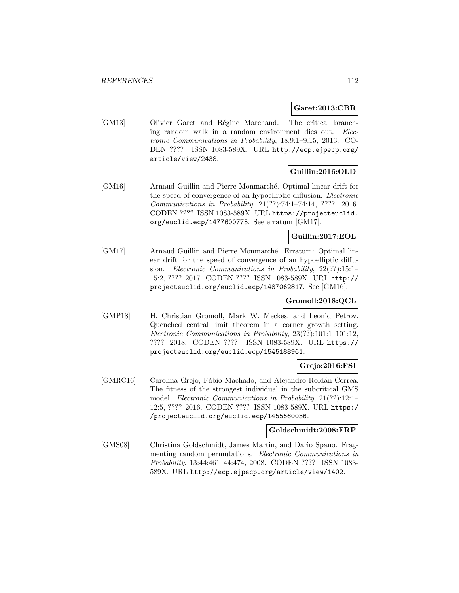**Garet:2013:CBR**

[GM13] Olivier Garet and Régine Marchand. The critical branching random walk in a random environment dies out. Electronic Communications in Probability, 18:9:1–9:15, 2013. CO-DEN ???? ISSN 1083-589X. URL http://ecp.ejpecp.org/ article/view/2438.

## **Guillin:2016:OLD**

[GM16] Arnaud Guillin and Pierre Monmarché. Optimal linear drift for the speed of convergence of an hypoelliptic diffusion. Electronic Communications in Probability, 21(??):74:1–74:14, ???? 2016. CODEN ???? ISSN 1083-589X. URL https://projecteuclid. org/euclid.ecp/1477600775. See erratum [GM17].

## **Guillin:2017:EOL**

[GM17] Arnaud Guillin and Pierre Monmarché. Erratum: Optimal linear drift for the speed of convergence of an hypoelliptic diffusion. Electronic Communications in Probability, 22(??):15:1– 15:2, ???? 2017. CODEN ???? ISSN 1083-589X. URL http:// projecteuclid.org/euclid.ecp/1487062817. See [GM16].

## **Gromoll:2018:QCL**

[GMP18] H. Christian Gromoll, Mark W. Meckes, and Leonid Petrov. Quenched central limit theorem in a corner growth setting. Electronic Communications in Probability, 23(??):101:1–101:12, ???? 2018. CODEN ???? ISSN 1083-589X. URL https:// projecteuclid.org/euclid.ecp/1545188961.

## **Grejo:2016:FSI**

[GMRC16] Carolina Grejo, Fábio Machado, and Alejandro Roldán-Correa. The fitness of the strongest individual in the subcritical GMS model. Electronic Communications in Probability, 21(??):12:1– 12:5, ???? 2016. CODEN ???? ISSN 1083-589X. URL https:/ /projecteuclid.org/euclid.ecp/1455560036.

### **Goldschmidt:2008:FRP**

[GMS08] Christina Goldschmidt, James Martin, and Dario Spano. Fragmenting random permutations. Electronic Communications in Probability, 13:44:461–44:474, 2008. CODEN ???? ISSN 1083- 589X. URL http://ecp.ejpecp.org/article/view/1402.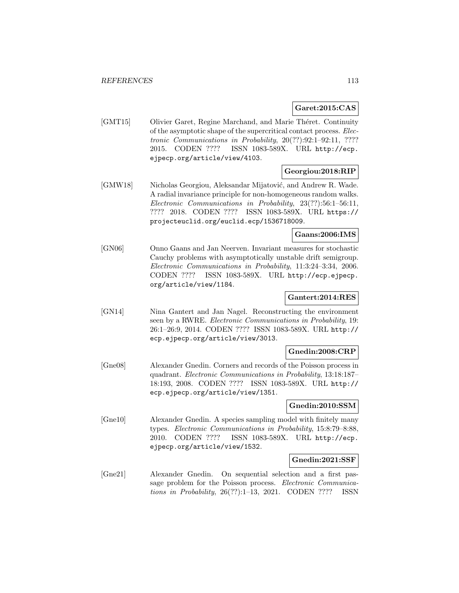## **Garet:2015:CAS**

[GMT15] Olivier Garet, Regine Marchand, and Marie Théret. Continuity of the asymptotic shape of the supercritical contact process. Electronic Communications in Probability, 20(??):92:1–92:11, ???? 2015. CODEN ???? ISSN 1083-589X. URL http://ecp. ejpecp.org/article/view/4103.

## **Georgiou:2018:RIP**

[GMW18] Nicholas Georgiou, Aleksandar Mijatović, and Andrew R. Wade. A radial invariance principle for non-homogeneous random walks. Electronic Communications in Probability, 23(??):56:1–56:11, ???? 2018. CODEN ???? ISSN 1083-589X. URL https:// projecteuclid.org/euclid.ecp/1536718009.

## **Gaans:2006:IMS**

[GN06] Onno Gaans and Jan Neerven. Invariant measures for stochastic Cauchy problems with asymptotically unstable drift semigroup. Electronic Communications in Probability, 11:3:24–3:34, 2006. CODEN ???? ISSN 1083-589X. URL http://ecp.ejpecp. org/article/view/1184.

## **Gantert:2014:RES**

[GN14] Nina Gantert and Jan Nagel. Reconstructing the environment seen by a RWRE. *Electronic Communications in Probability*, 19: 26:1–26:9, 2014. CODEN ???? ISSN 1083-589X. URL http:// ecp.ejpecp.org/article/view/3013.

### **Gnedin:2008:CRP**

[Gne08] Alexander Gnedin. Corners and records of the Poisson process in quadrant. Electronic Communications in Probability, 13:18:187– 18:193, 2008. CODEN ???? ISSN 1083-589X. URL http:// ecp.ejpecp.org/article/view/1351.

### **Gnedin:2010:SSM**

[Gne10] Alexander Gnedin. A species sampling model with finitely many types. Electronic Communications in Probability, 15:8:79–8:88, 2010. CODEN ???? ISSN 1083-589X. URL http://ecp. ejpecp.org/article/view/1532.

### **Gnedin:2021:SSF**

[Gne21] Alexander Gnedin. On sequential selection and a first passage problem for the Poisson process. Electronic Communications in Probability, 26(??):1–13, 2021. CODEN ???? ISSN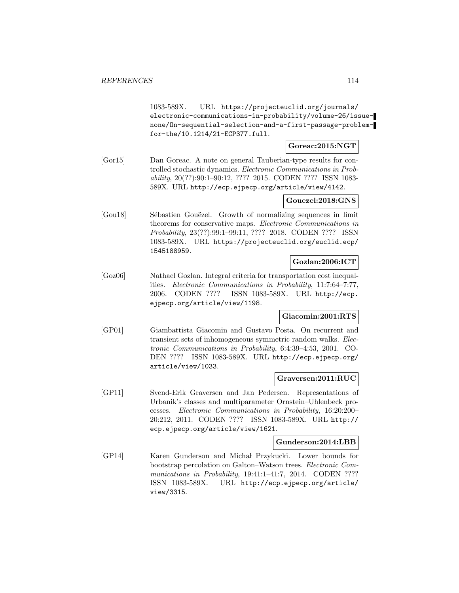1083-589X. URL https://projecteuclid.org/journals/ electronic-communications-in-probability/volume-26/issuenone/On-sequential-selection-and-a-first-passage-problemfor-the/10.1214/21-ECP377.full.

### **Goreac:2015:NGT**

[Gor15] Dan Goreac. A note on general Tauberian-type results for controlled stochastic dynamics. Electronic Communications in Probability, 20(??):90:1–90:12, ???? 2015. CODEN ???? ISSN 1083- 589X. URL http://ecp.ejpecp.org/article/view/4142.

## **Gouezel:2018:GNS**

[Gou18] Sébastien Gouëzel. Growth of normalizing sequences in limit theorems for conservative maps. Electronic Communications in Probability, 23(??):99:1–99:11, ???? 2018. CODEN ???? ISSN 1083-589X. URL https://projecteuclid.org/euclid.ecp/ 1545188959.

# **Gozlan:2006:ICT**

[Goz06] Nathael Gozlan. Integral criteria for transportation cost inequalities. Electronic Communications in Probability, 11:7:64–7:77, 2006. CODEN ???? ISSN 1083-589X. URL http://ecp. ejpecp.org/article/view/1198.

### **Giacomin:2001:RTS**

[GP01] Giambattista Giacomin and Gustavo Posta. On recurrent and transient sets of inhomogeneous symmetric random walks. Electronic Communications in Probability, 6:4:39–4:53, 2001. CO-DEN ???? ISSN 1083-589X. URL http://ecp.ejpecp.org/ article/view/1033.

### **Graversen:2011:RUC**

[GP11] Svend-Erik Graversen and Jan Pedersen. Representations of Urbanik's classes and multiparameter Ornstein–Uhlenbeck processes. Electronic Communications in Probability, 16:20:200– 20:212, 2011. CODEN ???? ISSN 1083-589X. URL http:// ecp.ejpecp.org/article/view/1621.

#### **Gunderson:2014:LBB**

[GP14] Karen Gunderson and Michał Przykucki. Lower bounds for bootstrap percolation on Galton–Watson trees. Electronic Communications in Probability, 19:41:1-41:7, 2014. CODEN ???? ISSN 1083-589X. URL http://ecp.ejpecp.org/article/ view/3315.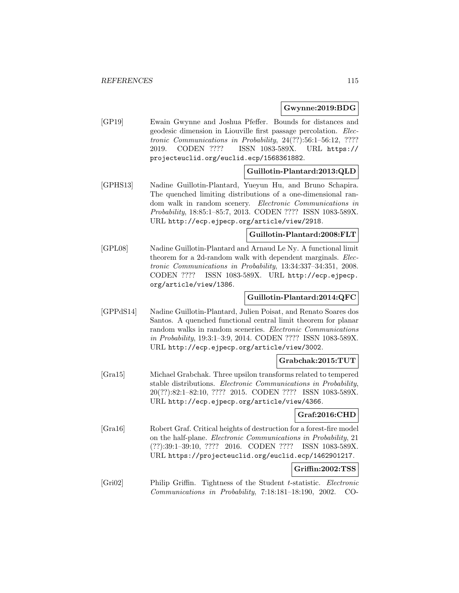#### **Gwynne:2019:BDG**

[GP19] Ewain Gwynne and Joshua Pfeffer. Bounds for distances and geodesic dimension in Liouville first passage percolation. Electronic Communications in Probability, 24(??):56:1–56:12, ???? 2019. CODEN ???? ISSN 1083-589X. URL https:// projecteuclid.org/euclid.ecp/1568361882.

## **Guillotin-Plantard:2013:QLD**

[GPHS13] Nadine Guillotin-Plantard, Yueyun Hu, and Bruno Schapira. The quenched limiting distributions of a one-dimensional random walk in random scenery. Electronic Communications in Probability, 18:85:1–85:7, 2013. CODEN ???? ISSN 1083-589X. URL http://ecp.ejpecp.org/article/view/2918.

### **Guillotin-Plantard:2008:FLT**

[GPL08] Nadine Guillotin-Plantard and Arnaud Le Ny. A functional limit theorem for a 2d-random walk with dependent marginals. Electronic Communications in Probability, 13:34:337–34:351, 2008. CODEN ???? ISSN 1083-589X. URL http://ecp.ejpecp. org/article/view/1386.

### **Guillotin-Plantard:2014:QFC**

[GPPdS14] Nadine Guillotin-Plantard, Julien Poisat, and Renato Soares dos Santos. A quenched functional central limit theorem for planar random walks in random sceneries. Electronic Communications in Probability, 19:3:1–3:9, 2014. CODEN ???? ISSN 1083-589X. URL http://ecp.ejpecp.org/article/view/3002.

### **Grabchak:2015:TUT**

[Gra15] Michael Grabchak. Three upsilon transforms related to tempered stable distributions. Electronic Communications in Probability, 20(??):82:1–82:10, ???? 2015. CODEN ???? ISSN 1083-589X. URL http://ecp.ejpecp.org/article/view/4366.

### **Graf:2016:CHD**

[Gra16] Robert Graf. Critical heights of destruction for a forest-fire model on the half-plane. Electronic Communications in Probability, 21 (??):39:1–39:10, ???? 2016. CODEN ???? ISSN 1083-589X. URL https://projecteuclid.org/euclid.ecp/1462901217.

#### **Griffin:2002:TSS**

[Gri02] Philip Griffin. Tightness of the Student t-statistic. Electronic Communications in Probability, 7:18:181–18:190, 2002. CO-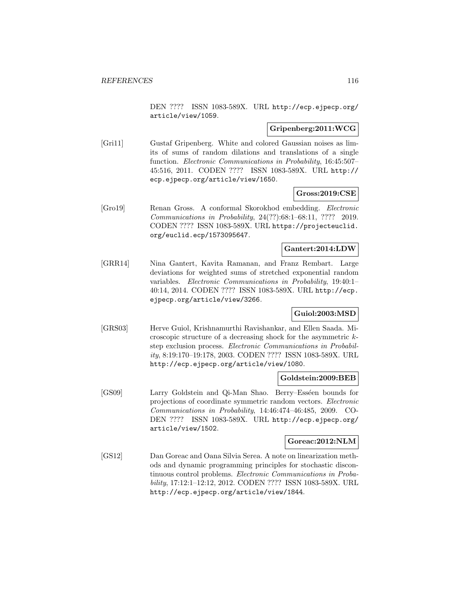DEN ???? ISSN 1083-589X. URL http://ecp.ejpecp.org/ article/view/1059.

## **Gripenberg:2011:WCG**

[Gri11] Gustaf Gripenberg. White and colored Gaussian noises as limits of sums of random dilations and translations of a single function. Electronic Communications in Probability, 16:45:507– 45:516, 2011. CODEN ???? ISSN 1083-589X. URL http:// ecp.ejpecp.org/article/view/1650.

#### **Gross:2019:CSE**

[Gro19] Renan Gross. A conformal Skorokhod embedding. Electronic Communications in Probability, 24(??):68:1–68:11, ???? 2019. CODEN ???? ISSN 1083-589X. URL https://projecteuclid. org/euclid.ecp/1573095647.

### **Gantert:2014:LDW**

[GRR14] Nina Gantert, Kavita Ramanan, and Franz Rembart. Large deviations for weighted sums of stretched exponential random variables. Electronic Communications in Probability, 19:40:1– 40:14, 2014. CODEN ???? ISSN 1083-589X. URL http://ecp. ejpecp.org/article/view/3266.

### **Guiol:2003:MSD**

[GRS03] Herve Guiol, Krishnamurthi Ravishankar, and Ellen Saada. Microscopic structure of a decreasing shock for the asymmetric kstep exclusion process. Electronic Communications in Probability, 8:19:170–19:178, 2003. CODEN ???? ISSN 1083-589X. URL http://ecp.ejpecp.org/article/view/1080.

#### **Goldstein:2009:BEB**

[GS09] Larry Goldstein and Qi-Man Shao. Berry–Esséen bounds for projections of coordinate symmetric random vectors. Electronic Communications in Probability, 14:46:474–46:485, 2009. CO-DEN ???? ISSN 1083-589X. URL http://ecp.ejpecp.org/ article/view/1502.

#### **Goreac:2012:NLM**

[GS12] Dan Goreac and Oana Silvia Serea. A note on linearization methods and dynamic programming principles for stochastic discontinuous control problems. Electronic Communications in Probability, 17:12:1–12:12, 2012. CODEN ???? ISSN 1083-589X. URL http://ecp.ejpecp.org/article/view/1844.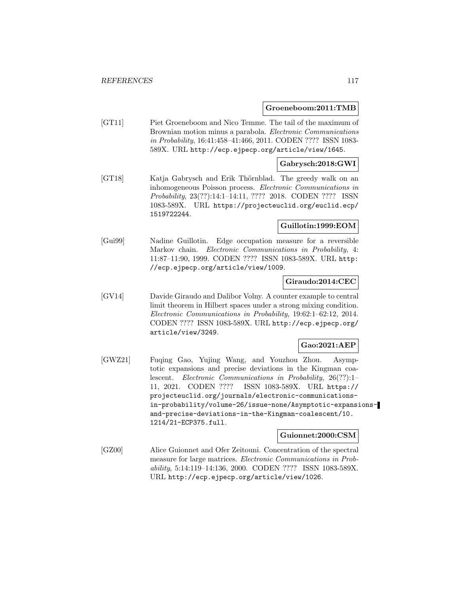#### **Groeneboom:2011:TMB**

[GT11] Piet Groeneboom and Nico Temme. The tail of the maximum of Brownian motion minus a parabola. Electronic Communications in Probability, 16:41:458–41:466, 2011. CODEN ???? ISSN 1083- 589X. URL http://ecp.ejpecp.org/article/view/1645.

#### **Gabrysch:2018:GWI**

[GT18] Katja Gabrysch and Erik Thörnblad. The greedy walk on an inhomogeneous Poisson process. Electronic Communications in Probability, 23(??):14:1–14:11, ???? 2018. CODEN ???? ISSN 1083-589X. URL https://projecteuclid.org/euclid.ecp/ 1519722244.

### **Guillotin:1999:EOM**

[Gui99] Nadine Guillotin. Edge occupation measure for a reversible Markov chain. Electronic Communications in Probability, 4: 11:87–11:90, 1999. CODEN ???? ISSN 1083-589X. URL http: //ecp.ejpecp.org/article/view/1009.

#### **Giraudo:2014:CEC**

[GV14] Davide Giraudo and Dalibor Volny. A counter example to central limit theorem in Hilbert spaces under a strong mixing condition. Electronic Communications in Probability, 19:62:1–62:12, 2014. CODEN ???? ISSN 1083-589X. URL http://ecp.ejpecp.org/ article/view/3249.

# **Gao:2021:AEP**

[GWZ21] Fuqing Gao, Yujing Wang, and Youzhou Zhou. Asymptotic expansions and precise deviations in the Kingman coalescent. Electronic Communications in Probability, 26(??):1– 11, 2021. CODEN ???? ISSN 1083-589X. URL https:// projecteuclid.org/journals/electronic-communicationsin-probability/volume-26/issue-none/Asymptotic-expansionsand-precise-deviations-in-the-Kingman-coalescent/10. 1214/21-ECP375.full.

#### **Guionnet:2000:CSM**

[GZ00] Alice Guionnet and Ofer Zeitouni. Concentration of the spectral measure for large matrices. Electronic Communications in Probability, 5:14:119–14:136, 2000. CODEN ???? ISSN 1083-589X. URL http://ecp.ejpecp.org/article/view/1026.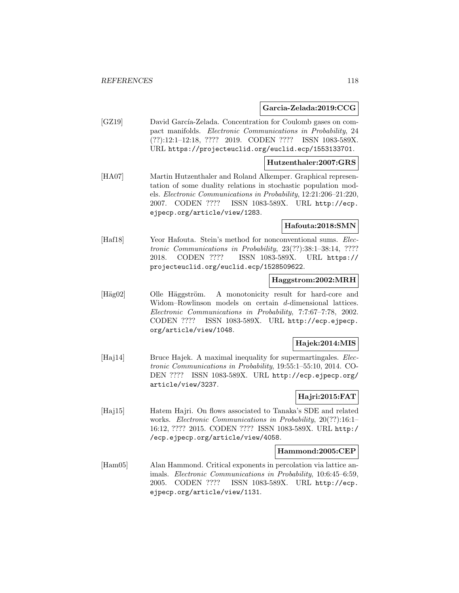#### **Garcia-Zelada:2019:CCG**

[GZ19] David García-Zelada. Concentration for Coulomb gases on compact manifolds. Electronic Communications in Probability, 24 (??):12:1–12:18, ???? 2019. CODEN ???? ISSN 1083-589X. URL https://projecteuclid.org/euclid.ecp/1553133701.

#### **Hutzenthaler:2007:GRS**

[HA07] Martin Hutzenthaler and Roland Alkemper. Graphical representation of some duality relations in stochastic population models. Electronic Communications in Probability, 12:21:206–21:220, 2007. CODEN ???? ISSN 1083-589X. URL http://ecp. ejpecp.org/article/view/1283.

## **Hafouta:2018:SMN**

[Haf18] Yeor Hafouta. Stein's method for nonconventional sums. *Elec*tronic Communications in Probability, 23(??):38:1–38:14, ???? 2018. CODEN ???? ISSN 1083-589X. URL https:// projecteuclid.org/euclid.ecp/1528509622.

## **Haggstrom:2002:MRH**

[Häg02] Olle Häggström. A monotonicity result for hard-core and Widom–Rowlinson models on certain d-dimensional lattices. Electronic Communications in Probability, 7:7:67–7:78, 2002. CODEN ???? ISSN 1083-589X. URL http://ecp.ejpecp. org/article/view/1048.

### **Hajek:2014:MIS**

[Haj14] Bruce Hajek. A maximal inequality for supermartingales. *Elec*tronic Communications in Probability, 19:55:1–55:10, 2014. CO-DEN ???? ISSN 1083-589X. URL http://ecp.ejpecp.org/ article/view/3237.

### **Hajri:2015:FAT**

[Haj15] Hatem Hajri. On flows associated to Tanaka's SDE and related works. *Electronic Communications in Probability*, 20(??):16:1-16:12, ???? 2015. CODEN ???? ISSN 1083-589X. URL http:/ /ecp.ejpecp.org/article/view/4058.

#### **Hammond:2005:CEP**

[Ham05] Alan Hammond. Critical exponents in percolation via lattice animals. Electronic Communications in Probability, 10:6:45–6:59, 2005. CODEN ???? ISSN 1083-589X. URL http://ecp. ejpecp.org/article/view/1131.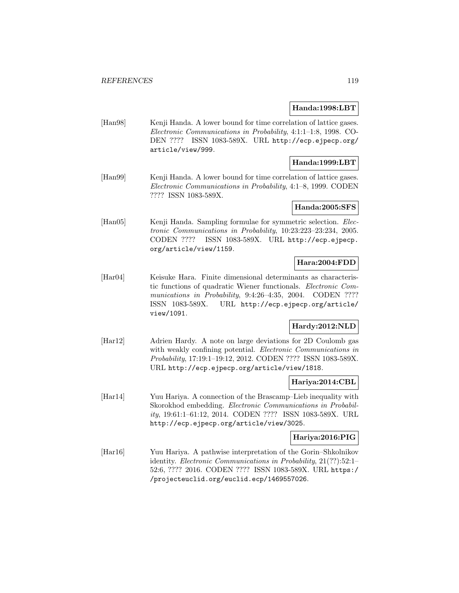#### **Handa:1998:LBT**

[Han98] Kenji Handa. A lower bound for time correlation of lattice gases. Electronic Communications in Probability, 4:1:1–1:8, 1998. CO-DEN ???? ISSN 1083-589X. URL http://ecp.ejpecp.org/ article/view/999.

## **Handa:1999:LBT**

[Han99] Kenji Handa. A lower bound for time correlation of lattice gases. Electronic Communications in Probability, 4:1–8, 1999. CODEN ???? ISSN 1083-589X.

### **Handa:2005:SFS**

[Han05] Kenji Handa. Sampling formulae for symmetric selection. *Elec*tronic Communications in Probability, 10:23:223–23:234, 2005. CODEN ???? ISSN 1083-589X. URL http://ecp.ejpecp. org/article/view/1159.

## **Hara:2004:FDD**

[Har04] Keisuke Hara. Finite dimensional determinants as characteristic functions of quadratic Wiener functionals. Electronic Communications in Probability, 9:4:26-4:35, 2004. CODEN ???? ISSN 1083-589X. URL http://ecp.ejpecp.org/article/ view/1091.

# **Hardy:2012:NLD**

[Har12] Adrien Hardy. A note on large deviations for 2D Coulomb gas with weakly confining potential. Electronic Communications in Probability, 17:19:1–19:12, 2012. CODEN ???? ISSN 1083-589X. URL http://ecp.ejpecp.org/article/view/1818.

## **Hariya:2014:CBL**

[Har14] Yuu Hariya. A connection of the Brascamp–Lieb inequality with Skorokhod embedding. Electronic Communications in Probability, 19:61:1–61:12, 2014. CODEN ???? ISSN 1083-589X. URL http://ecp.ejpecp.org/article/view/3025.

### **Hariya:2016:PIG**

[Har16] Yuu Hariya. A pathwise interpretation of the Gorin–Shkolnikov identity. Electronic Communications in Probability, 21(??):52:1– 52:6, ???? 2016. CODEN ???? ISSN 1083-589X. URL https:/ /projecteuclid.org/euclid.ecp/1469557026.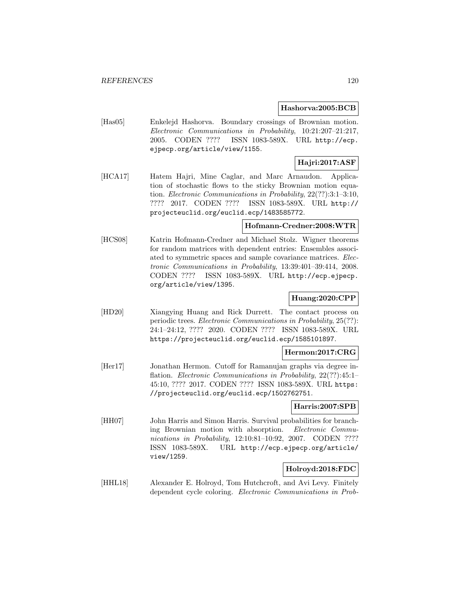#### **Hashorva:2005:BCB**

[Has05] Enkelejd Hashorva. Boundary crossings of Brownian motion. Electronic Communications in Probability, 10:21:207–21:217, 2005. CODEN ???? ISSN 1083-589X. URL http://ecp. ejpecp.org/article/view/1155.

# **Hajri:2017:ASF**

[HCA17] Hatem Hajri, Mine Caglar, and Marc Arnaudon. Application of stochastic flows to the sticky Brownian motion equation. Electronic Communications in Probability, 22(??):3:1–3:10, ???? 2017. CODEN ???? ISSN 1083-589X. URL http:// projecteuclid.org/euclid.ecp/1483585772.

### **Hofmann-Credner:2008:WTR**

[HCS08] Katrin Hofmann-Credner and Michael Stolz. Wigner theorems for random matrices with dependent entries: Ensembles associated to symmetric spaces and sample covariance matrices. Electronic Communications in Probability, 13:39:401–39:414, 2008. CODEN ???? ISSN 1083-589X. URL http://ecp.ejpecp. org/article/view/1395.

## **Huang:2020:CPP**

[HD20] Xiangying Huang and Rick Durrett. The contact process on periodic trees. Electronic Communications in Probability, 25(??): 24:1–24:12, ???? 2020. CODEN ???? ISSN 1083-589X. URL https://projecteuclid.org/euclid.ecp/1585101897.

### **Hermon:2017:CRG**

[Her17] Jonathan Hermon. Cutoff for Ramanujan graphs via degree inflation. *Electronic Communications in Probability*, 22(??):45:1-45:10, ???? 2017. CODEN ???? ISSN 1083-589X. URL https: //projecteuclid.org/euclid.ecp/1502762751.

## **Harris:2007:SPB**

[HH07] John Harris and Simon Harris. Survival probabilities for branching Brownian motion with absorption. Electronic Communications in Probability, 12:10:81-10:92, 2007. CODEN ???? ISSN 1083-589X. URL http://ecp.ejpecp.org/article/ view/1259.

## **Holroyd:2018:FDC**

[HHL18] Alexander E. Holroyd, Tom Hutchcroft, and Avi Levy. Finitely dependent cycle coloring. Electronic Communications in Prob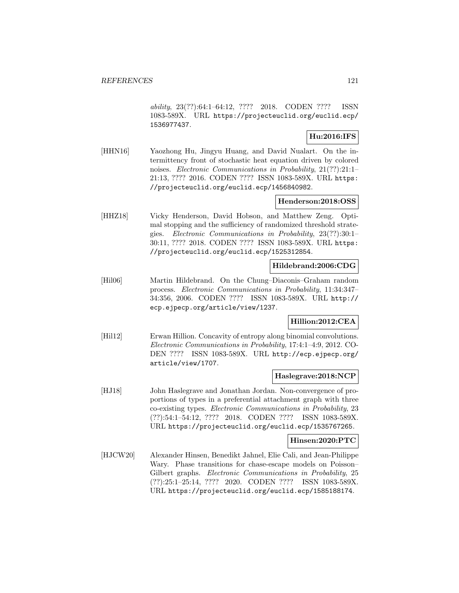ability, 23(??):64:1–64:12, ???? 2018. CODEN ???? ISSN 1083-589X. URL https://projecteuclid.org/euclid.ecp/ 1536977437.

# **Hu:2016:IFS**

[HHN16] Yaozhong Hu, Jingyu Huang, and David Nualart. On the intermittency front of stochastic heat equation driven by colored noises. Electronic Communications in Probability, 21(??):21:1– 21:13, ???? 2016. CODEN ???? ISSN 1083-589X. URL https: //projecteuclid.org/euclid.ecp/1456840982.

### **Henderson:2018:OSS**

[HHZ18] Vicky Henderson, David Hobson, and Matthew Zeng. Optimal stopping and the sufficiency of randomized threshold strategies. Electronic Communications in Probability, 23(??):30:1– 30:11, ???? 2018. CODEN ???? ISSN 1083-589X. URL https: //projecteuclid.org/euclid.ecp/1525312854.

### **Hildebrand:2006:CDG**

[Hil06] Martin Hildebrand. On the Chung–Diaconis–Graham random process. Electronic Communications in Probability, 11:34:347– 34:356, 2006. CODEN ???? ISSN 1083-589X. URL http:// ecp.ejpecp.org/article/view/1237.

## **Hillion:2012:CEA**

[Hil12] Erwan Hillion. Concavity of entropy along binomial convolutions. Electronic Communications in Probability, 17:4:1–4:9, 2012. CO-DEN ???? ISSN 1083-589X. URL http://ecp.ejpecp.org/ article/view/1707.

### **Haslegrave:2018:NCP**

[HJ18] John Haslegrave and Jonathan Jordan. Non-convergence of proportions of types in a preferential attachment graph with three co-existing types. Electronic Communications in Probability, 23 (??):54:1–54:12, ???? 2018. CODEN ???? ISSN 1083-589X. URL https://projecteuclid.org/euclid.ecp/1535767265.

### **Hinsen:2020:PTC**

[HJCW20] Alexander Hinsen, Benedikt Jahnel, Elie Cali, and Jean-Philippe Wary. Phase transitions for chase-escape models on Poisson– Gilbert graphs. Electronic Communications in Probability, 25 (??):25:1–25:14, ???? 2020. CODEN ???? ISSN 1083-589X. URL https://projecteuclid.org/euclid.ecp/1585188174.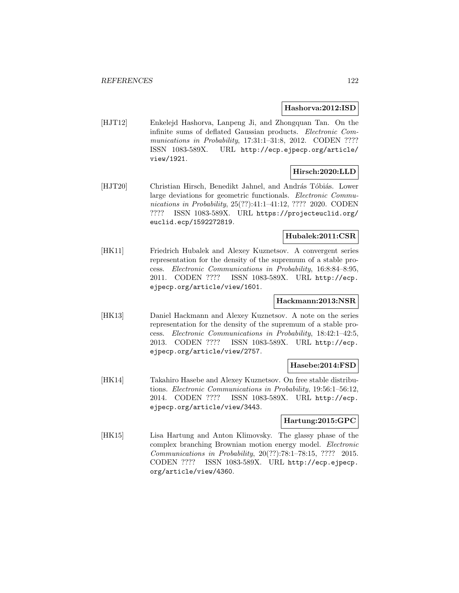### **Hashorva:2012:ISD**

[HJT12] Enkelejd Hashorva, Lanpeng Ji, and Zhongquan Tan. On the infinite sums of deflated Gaussian products. Electronic Communications in Probability, 17:31:1-31:8, 2012. CODEN ???? ISSN 1083-589X. URL http://ecp.ejpecp.org/article/ view/1921.

## **Hirsch:2020:LLD**

[HJT20] Christian Hirsch, Benedikt Jahnel, and András Tóbiás. Lower large deviations for geometric functionals. *Electronic Commu*nications in Probability, 25(??):41:1-41:12, ???? 2020. CODEN ???? ISSN 1083-589X. URL https://projecteuclid.org/ euclid.ecp/1592272819.

### **Hubalek:2011:CSR**

[HK11] Friedrich Hubalek and Alexey Kuznetsov. A convergent series representation for the density of the supremum of a stable process. Electronic Communications in Probability, 16:8:84–8:95, 2011. CODEN ???? ISSN 1083-589X. URL http://ecp. ejpecp.org/article/view/1601.

## **Hackmann:2013:NSR**

[HK13] Daniel Hackmann and Alexey Kuznetsov. A note on the series representation for the density of the supremum of a stable process. Electronic Communications in Probability, 18:42:1–42:5, 2013. CODEN ???? ISSN 1083-589X. URL http://ecp. ejpecp.org/article/view/2757.

#### **Hasebe:2014:FSD**

[HK14] Takahiro Hasebe and Alexey Kuznetsov. On free stable distributions. Electronic Communications in Probability, 19:56:1–56:12, 2014. CODEN ???? ISSN 1083-589X. URL http://ecp. ejpecp.org/article/view/3443.

## **Hartung:2015:GPC**

[HK15] Lisa Hartung and Anton Klimovsky. The glassy phase of the complex branching Brownian motion energy model. Electronic Communications in Probability, 20(??):78:1–78:15, ???? 2015. CODEN ???? ISSN 1083-589X. URL http://ecp.ejpecp. org/article/view/4360.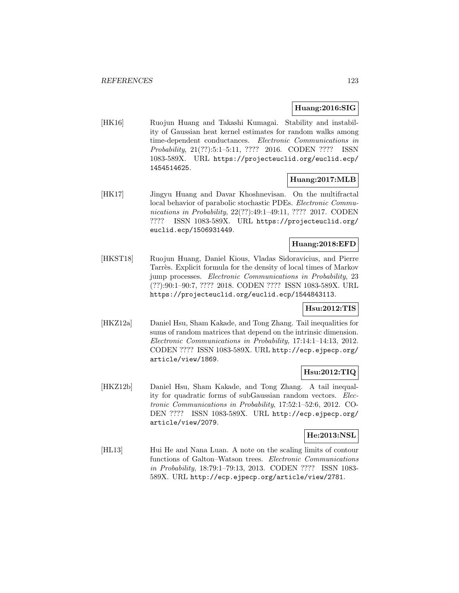## **Huang:2016:SIG**

[HK16] Ruojun Huang and Takashi Kumagai. Stability and instability of Gaussian heat kernel estimates for random walks among time-dependent conductances. Electronic Communications in Probability, 21(??):5:1–5:11, ???? 2016. CODEN ???? ISSN 1083-589X. URL https://projecteuclid.org/euclid.ecp/ 1454514625.

## **Huang:2017:MLB**

[HK17] Jingyu Huang and Davar Khoshnevisan. On the multifractal local behavior of parabolic stochastic PDEs. Electronic Communications in Probability, 22(??):49:1-49:11, ???? 2017. CODEN ???? ISSN 1083-589X. URL https://projecteuclid.org/ euclid.ecp/1506931449.

### **Huang:2018:EFD**

[HKST18] Ruojun Huang, Daniel Kious, Vladas Sidoravicius, and Pierre Tarrès. Explicit formula for the density of local times of Markov jump processes. Electronic Communications in Probability, 23 (??):90:1–90:7, ???? 2018. CODEN ???? ISSN 1083-589X. URL https://projecteuclid.org/euclid.ecp/1544843113.

# **Hsu:2012:TIS**

[HKZ12a] Daniel Hsu, Sham Kakade, and Tong Zhang. Tail inequalities for sums of random matrices that depend on the intrinsic dimension. Electronic Communications in Probability, 17:14:1–14:13, 2012. CODEN ???? ISSN 1083-589X. URL http://ecp.ejpecp.org/ article/view/1869.

## **Hsu:2012:TIQ**

[HKZ12b] Daniel Hsu, Sham Kakade, and Tong Zhang. A tail inequality for quadratic forms of subGaussian random vectors. Electronic Communications in Probability, 17:52:1–52:6, 2012. CO-DEN ???? ISSN 1083-589X. URL http://ecp.ejpecp.org/ article/view/2079.

### **He:2013:NSL**

[HL13] Hui He and Nana Luan. A note on the scaling limits of contour functions of Galton–Watson trees. Electronic Communications in Probability, 18:79:1–79:13, 2013. CODEN ???? ISSN 1083- 589X. URL http://ecp.ejpecp.org/article/view/2781.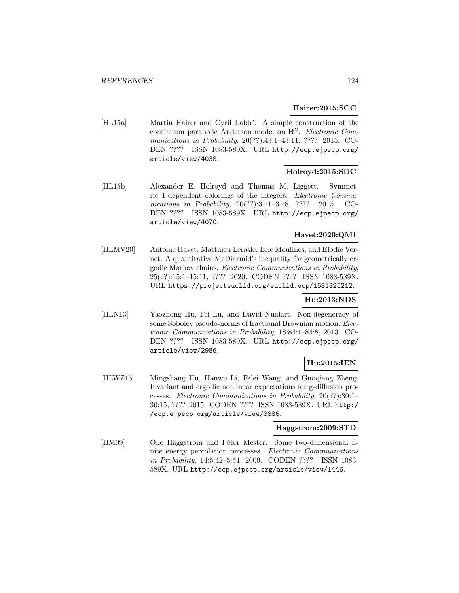## **Hairer:2015:SCC**

[HL15a] Martin Hairer and Cyril Labbé. A simple construction of the continuum parabolic Anderson model on **R**<sup>2</sup>. Electronic Communications in Probability, 20(??):43:1–43:11, ???? 2015. CO-DEN ???? ISSN 1083-589X. URL http://ecp.ejpecp.org/ article/view/4038.

### **Holroyd:2015:SDC**

[HL15b] Alexander E. Holroyd and Thomas M. Liggett. Symmetric 1-dependent colorings of the integers. Electronic Communications in Probability, 20(??):31:1-31:8, ???? 2015. CO-DEN ???? ISSN 1083-589X. URL http://ecp.ejpecp.org/ article/view/4070.

# **Havet:2020:QMI**

[HLMV20] Antoine Havet, Matthieu Lerasle, Eric Moulines, and Elodie Vernet. A quantitative McDiarmid's inequality for geometrically ergodic Markov chains. Electronic Communications in Probability, 25(??):15:1–15:11, ???? 2020. CODEN ???? ISSN 1083-589X. URL https://projecteuclid.org/euclid.ecp/1581325212.

### **Hu:2013:NDS**

[HLN13] Yaozhong Hu, Fei Lu, and David Nualart. Non-degeneracy of some Sobolev pseudo-norms of fractional Brownian motion. Electronic Communications in Probability, 18:84:1–84:8, 2013. CO-DEN ???? ISSN 1083-589X. URL http://ecp.ejpecp.org/ article/view/2986.

## **Hu:2015:IEN**

[HLWZ15] Mingshang Hu, Hanwu Li, Falei Wang, and Guoqiang Zheng. Invariant and ergodic nonlinear expectations for g-diffusion processes. Electronic Communications in Probability, 20(??):30:1– 30:15, ???? 2015. CODEN ???? ISSN 1083-589X. URL http:/ /ecp.ejpecp.org/article/view/3886.

#### **Haggstrom:2009:STD**

[HM09] Olle Häggström and Péter Mester. Some two-dimensional finite energy percolation processes. Electronic Communications in Probability, 14:5:42–5:54, 2009. CODEN ???? ISSN 1083- 589X. URL http://ecp.ejpecp.org/article/view/1446.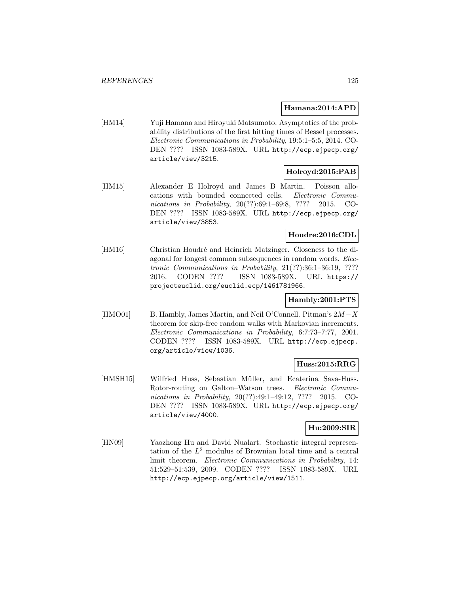#### **Hamana:2014:APD**

[HM14] Yuji Hamana and Hiroyuki Matsumoto. Asymptotics of the probability distributions of the first hitting times of Bessel processes. Electronic Communications in Probability, 19:5:1–5:5, 2014. CO-DEN ???? ISSN 1083-589X. URL http://ecp.ejpecp.org/ article/view/3215.

## **Holroyd:2015:PAB**

[HM15] Alexander E Holroyd and James B Martin. Poisson allocations with bounded connected cells. Electronic Communications in Probability, 20(??):69:1-69:8, ???? 2015. CO-DEN ???? ISSN 1083-589X. URL http://ecp.ejpecp.org/ article/view/3853.

## **Houdre:2016:CDL**

[HM16] Christian Houdré and Heinrich Matzinger. Closeness to the diagonal for longest common subsequences in random words. Electronic Communications in Probability, 21(??):36:1–36:19, ???? 2016. CODEN ???? ISSN 1083-589X. URL https:// projecteuclid.org/euclid.ecp/1461781966.

## **Hambly:2001:PTS**

[HMO01] B. Hambly, James Martin, and Neil O'Connell. Pitman's 2M−X theorem for skip-free random walks with Markovian increments. Electronic Communications in Probability, 6:7:73–7:77, 2001. CODEN ???? ISSN 1083-589X. URL http://ecp.ejpecp. org/article/view/1036.

## **Huss:2015:RRG**

[HMSH15] Wilfried Huss, Sebastian Müller, and Ecaterina Sava-Huss. Rotor-routing on Galton–Watson trees. Electronic Communications in Probability, 20(??):49:1-49:12, ???? 2015. CO-DEN ???? ISSN 1083-589X. URL http://ecp.ejpecp.org/ article/view/4000.

## **Hu:2009:SIR**

[HN09] Yaozhong Hu and David Nualart. Stochastic integral representation of the  $L^2$  modulus of Brownian local time and a central limit theorem. Electronic Communications in Probability, 14: 51:529–51:539, 2009. CODEN ???? ISSN 1083-589X. URL http://ecp.ejpecp.org/article/view/1511.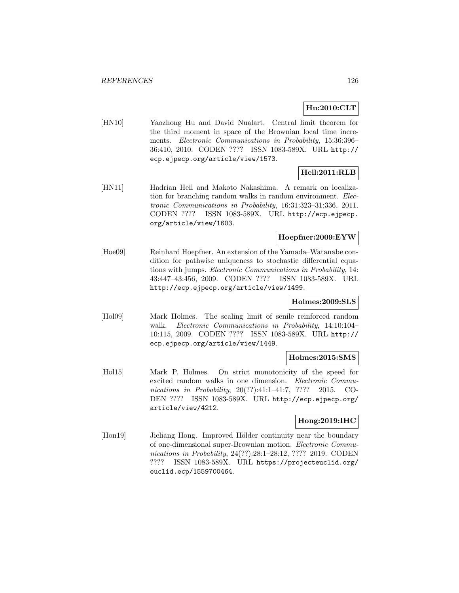# **Hu:2010:CLT**

[HN10] Yaozhong Hu and David Nualart. Central limit theorem for the third moment in space of the Brownian local time increments. Electronic Communications in Probability, 15:36:396– 36:410, 2010. CODEN ???? ISSN 1083-589X. URL http:// ecp.ejpecp.org/article/view/1573.

# **Heil:2011:RLB**

[HN11] Hadrian Heil and Makoto Nakashima. A remark on localization for branching random walks in random environment. Electronic Communications in Probability, 16:31:323–31:336, 2011. CODEN ???? ISSN 1083-589X. URL http://ecp.ejpecp. org/article/view/1603.

## **Hoepfner:2009:EYW**

[Hoe09] Reinhard Hoepfner. An extension of the Yamada–Watanabe condition for pathwise uniqueness to stochastic differential equations with jumps. Electronic Communications in Probability, 14: 43:447–43:456, 2009. CODEN ???? ISSN 1083-589X. URL http://ecp.ejpecp.org/article/view/1499.

### **Holmes:2009:SLS**

[Hol09] Mark Holmes. The scaling limit of senile reinforced random walk. Electronic Communications in Probability, 14:10:104– 10:115, 2009. CODEN ???? ISSN 1083-589X. URL http:// ecp.ejpecp.org/article/view/1449.

#### **Holmes:2015:SMS**

[Hol15] Mark P. Holmes. On strict monotonicity of the speed for excited random walks in one dimension. Electronic Communications in Probability, 20(??):41:1-41:7, ???? 2015. CO-DEN ???? ISSN 1083-589X. URL http://ecp.ejpecp.org/ article/view/4212.

## **Hong:2019:IHC**

[Hon19] Jieliang Hong. Improved Hölder continuity near the boundary of one-dimensional super-Brownian motion. Electronic Communications in Probability, 24(??):28:1–28:12, ???? 2019. CODEN ???? ISSN 1083-589X. URL https://projecteuclid.org/ euclid.ecp/1559700464.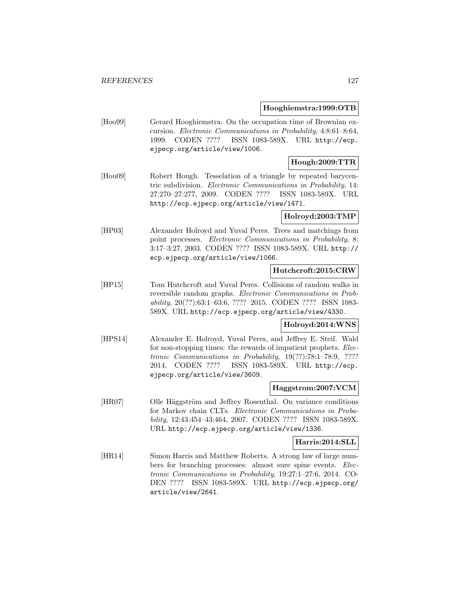#### **Hooghiemstra:1999:OTB**

[Hoo99] Gerard Hooghiemstra. On the occupation time of Brownian excursion. Electronic Communications in Probability, 4:8:61–8:64, 1999. CODEN ???? ISSN 1083-589X. URL http://ecp. ejpecp.org/article/view/1006.

## **Hough:2009:TTR**

[Hou09] Robert Hough. Tesselation of a triangle by repeated barycentric subdivision. Electronic Communications in Probability, 14: 27:270–27:277, 2009. CODEN ???? ISSN 1083-589X. URL http://ecp.ejpecp.org/article/view/1471.

#### **Holroyd:2003:TMP**

[HP03] Alexander Holroyd and Yuval Peres. Trees and matchings from point processes. Electronic Communications in Probability, 8: 3:17–3:27, 2003. CODEN ???? ISSN 1083-589X. URL http:// ecp.ejpecp.org/article/view/1066.

### **Hutchcroft:2015:CRW**

[HP15] Tom Hutchcroft and Yuval Peres. Collisions of random walks in reversible random graphs. Electronic Communications in Probability, 20(??):63:1–63:6, ???? 2015. CODEN ???? ISSN 1083- 589X. URL http://ecp.ejpecp.org/article/view/4330.

### **Holroyd:2014:WNS**

[HPS14] Alexander E. Holroyd, Yuval Peres, and Jeffrey E. Steif. Wald for non-stopping times: the rewards of impatient prophets. *Elec*tronic Communications in Probability, 19(??):78:1–78:9, ???? 2014. CODEN ???? ISSN 1083-589X. URL http://ecp. ejpecp.org/article/view/3609.

#### **Haggstrom:2007:VCM**

[HR07] Olle Häggström and Jeffrey Rosenthal. On variance conditions for Markov chain CLTs. Electronic Communications in Probability, 12:43:454–43:464, 2007. CODEN ???? ISSN 1083-589X. URL http://ecp.ejpecp.org/article/view/1336.

#### **Harris:2014:SLL**

[HR14] Simon Harris and Matthew Roberts. A strong law of large numbers for branching processes: almost sure spine events. Electronic Communications in Probability, 19:27:1–27:6, 2014. CO-DEN ???? ISSN 1083-589X. URL http://ecp.ejpecp.org/ article/view/2641.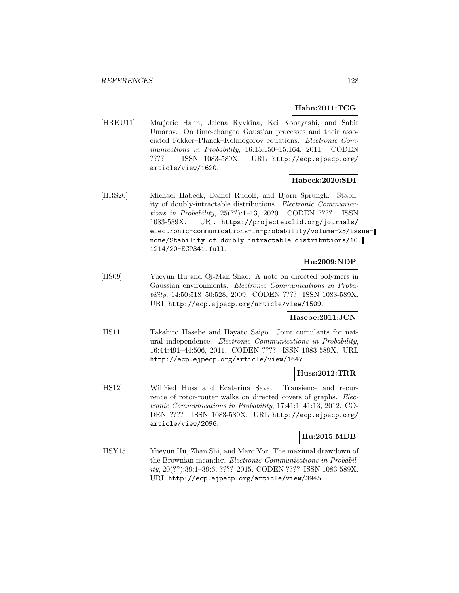## **Hahn:2011:TCG**

[HRKU11] Marjorie Hahn, Jelena Ryvkina, Kei Kobayashi, and Sabir Umarov. On time-changed Gaussian processes and their associated Fokker–Planck–Kolmogorov equations. Electronic Communications in Probability, 16:15:150-15:164, 2011. CODEN ???? ISSN 1083-589X. URL http://ecp.ejpecp.org/ article/view/1620.

### **Habeck:2020:SDI**

[HRS20] Michael Habeck, Daniel Rudolf, and Björn Sprungk. Stability of doubly-intractable distributions. Electronic Communications in Probability, 25(??):1–13, 2020. CODEN ???? ISSN 1083-589X. URL https://projecteuclid.org/journals/ electronic-communications-in-probability/volume-25/issuenone/Stability-of-doubly-intractable-distributions/10. 1214/20-ECP341.full.

# **Hu:2009:NDP**

[HS09] Yueyun Hu and Qi-Man Shao. A note on directed polymers in Gaussian environments. Electronic Communications in Probability, 14:50:518–50:528, 2009. CODEN ???? ISSN 1083-589X. URL http://ecp.ejpecp.org/article/view/1509.

### **Hasebe:2011:JCN**

[HS11] Takahiro Hasebe and Hayato Saigo. Joint cumulants for natural independence. Electronic Communications in Probability, 16:44:491–44:506, 2011. CODEN ???? ISSN 1083-589X. URL http://ecp.ejpecp.org/article/view/1647.

### **Huss:2012:TRR**

[HS12] Wilfried Huss and Ecaterina Sava. Transience and recurrence of rotor-router walks on directed covers of graphs. Electronic Communications in Probability, 17:41:1–41:13, 2012. CO-DEN ???? ISSN 1083-589X. URL http://ecp.ejpecp.org/ article/view/2096.

### **Hu:2015:MDB**

[HSY15] Yueyun Hu, Zhan Shi, and Marc Yor. The maximal drawdown of the Brownian meander. Electronic Communications in Probability, 20(??):39:1–39:6, ???? 2015. CODEN ???? ISSN 1083-589X. URL http://ecp.ejpecp.org/article/view/3945.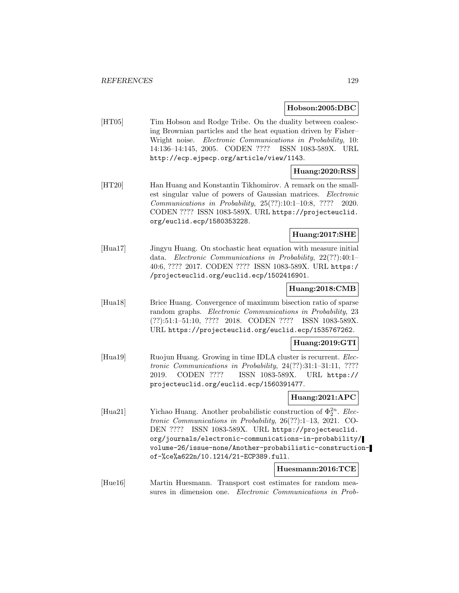#### **Hobson:2005:DBC**

[HT05] Tim Hobson and Rodge Tribe. On the duality between coalescing Brownian particles and the heat equation driven by Fisher– Wright noise. Electronic Communications in Probability, 10: 14:136–14:145, 2005. CODEN ???? ISSN 1083-589X. URL http://ecp.ejpecp.org/article/view/1143.

### **Huang:2020:RSS**

[HT20] Han Huang and Konstantin Tikhomirov. A remark on the smallest singular value of powers of Gaussian matrices. Electronic Communications in Probability, 25(??):10:1–10:8, ???? 2020. CODEN ???? ISSN 1083-589X. URL https://projecteuclid. org/euclid.ecp/1580353228.

## **Huang:2017:SHE**

[Hua17] Jingyu Huang. On stochastic heat equation with measure initial data. Electronic Communications in Probability, 22(??):40:1– 40:6, ???? 2017. CODEN ???? ISSN 1083-589X. URL https:/ /projecteuclid.org/euclid.ecp/1502416901.

### **Huang:2018:CMB**

[Hua18] Brice Huang. Convergence of maximum bisection ratio of sparse random graphs. Electronic Communications in Probability, 23 (??):51:1–51:10, ???? 2018. CODEN ???? ISSN 1083-589X. URL https://projecteuclid.org/euclid.ecp/1535767262.

### **Huang:2019:GTI**

[Hua19] Ruojun Huang. Growing in time IDLA cluster is recurrent. *Elec*tronic Communications in Probability, 24(??):31:1–31:11, ???? 2019. CODEN ???? ISSN 1083-589X. URL https:// projecteuclid.org/euclid.ecp/1560391477.

### **Huang:2021:APC**

[Hua21] Yichao Huang. Another probabilistic construction of  $\Phi_2^{2n}$ . Electronic Communications in Probability, 26(??):1–13, 2021. CO-DEN ???? ISSN 1083-589X. URL https://projecteuclid. org/journals/electronic-communications-in-probability/ volume-26/issue-none/Another-probabilistic-constructionof-%ce%a622n/10.1214/21-ECP389.full.

# **Huesmann:2016:TCE**

[Hue16] Martin Huesmann. Transport cost estimates for random measures in dimension one. Electronic Communications in Prob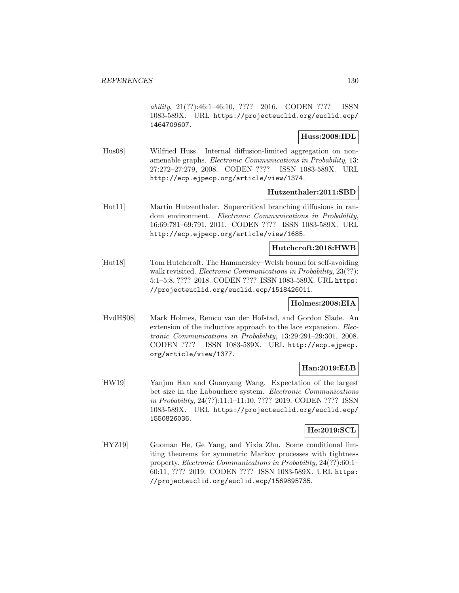ability, 21(??):46:1–46:10, ???? 2016. CODEN ???? ISSN 1083-589X. URL https://projecteuclid.org/euclid.ecp/ 1464709607.

### **Huss:2008:IDL**

[Hus08] Wilfried Huss. Internal diffusion-limited aggregation on nonamenable graphs. Electronic Communications in Probability, 13: 27:272–27:279, 2008. CODEN ???? ISSN 1083-589X. URL http://ecp.ejpecp.org/article/view/1374.

### **Hutzenthaler:2011:SBD**

[Hut11] Martin Hutzenthaler. Supercritical branching diffusions in random environment. Electronic Communications in Probability, 16:69:781–69:791, 2011. CODEN ???? ISSN 1083-589X. URL http://ecp.ejpecp.org/article/view/1685.

## **Hutchcroft:2018:HWB**

[Hut18] Tom Hutchcroft. The Hammersley–Welsh bound for self-avoiding walk revisited. Electronic Communications in Probability, 23(??): 5:1–5:8, ???? 2018. CODEN ???? ISSN 1083-589X. URL https: //projecteuclid.org/euclid.ecp/1518426011.

## **Holmes:2008:EIA**

[HvdHS08] Mark Holmes, Remco van der Hofstad, and Gordon Slade. An extension of the inductive approach to the lace expansion. *Elec*tronic Communications in Probability, 13:29:291–29:301, 2008. CODEN ???? ISSN 1083-589X. URL http://ecp.ejpecp. org/article/view/1377.

## **Han:2019:ELB**

[HW19] Yanjun Han and Guanyang Wang. Expectation of the largest bet size in the Labouchere system. Electronic Communications in Probability, 24(??):11:1–11:10, ???? 2019. CODEN ???? ISSN 1083-589X. URL https://projecteuclid.org/euclid.ecp/ 1550826036.

#### **He:2019:SCL**

[HYZ19] Guoman He, Ge Yang, and Yixia Zhu. Some conditional limiting theorems for symmetric Markov processes with tightness property. Electronic Communications in Probability, 24(??):60:1– 60:11, ???? 2019. CODEN ???? ISSN 1083-589X. URL https: //projecteuclid.org/euclid.ecp/1569895735.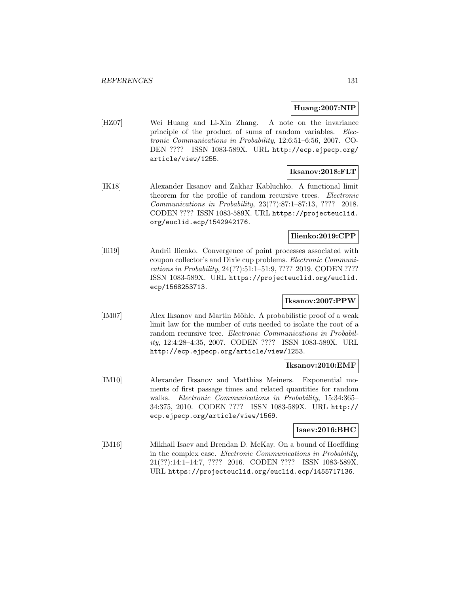### **Huang:2007:NIP**

[HZ07] Wei Huang and Li-Xin Zhang. A note on the invariance principle of the product of sums of random variables. *Elec*tronic Communications in Probability, 12:6:51–6:56, 2007. CO-DEN ???? ISSN 1083-589X. URL http://ecp.ejpecp.org/ article/view/1255.

## **Iksanov:2018:FLT**

[IK18] Alexander Iksanov and Zakhar Kabluchko. A functional limit theorem for the profile of random recursive trees. Electronic Communications in Probability, 23(??):87:1–87:13, ???? 2018. CODEN ???? ISSN 1083-589X. URL https://projecteuclid. org/euclid.ecp/1542942176.

#### **Ilienko:2019:CPP**

[Ili19] Andrii Ilienko. Convergence of point processes associated with coupon collector's and Dixie cup problems. Electronic Communications in Probability, 24(??):51:1–51:9, ???? 2019. CODEN ???? ISSN 1083-589X. URL https://projecteuclid.org/euclid. ecp/1568253713.

### **Iksanov:2007:PPW**

[IM07] Alex Iksanov and Martin Möhle. A probabilistic proof of a weak limit law for the number of cuts needed to isolate the root of a random recursive tree. Electronic Communications in Probability, 12:4:28–4:35, 2007. CODEN ???? ISSN 1083-589X. URL http://ecp.ejpecp.org/article/view/1253.

#### **Iksanov:2010:EMF**

[IM10] Alexander Iksanov and Matthias Meiners. Exponential moments of first passage times and related quantities for random walks. Electronic Communications in Probability, 15:34:365– 34:375, 2010. CODEN ???? ISSN 1083-589X. URL http:// ecp.ejpecp.org/article/view/1569.

## **Isaev:2016:BHC**

[IM16] Mikhail Isaev and Brendan D. McKay. On a bound of Hoeffding in the complex case. Electronic Communications in Probability, 21(??):14:1–14:7, ???? 2016. CODEN ???? ISSN 1083-589X. URL https://projecteuclid.org/euclid.ecp/1455717136.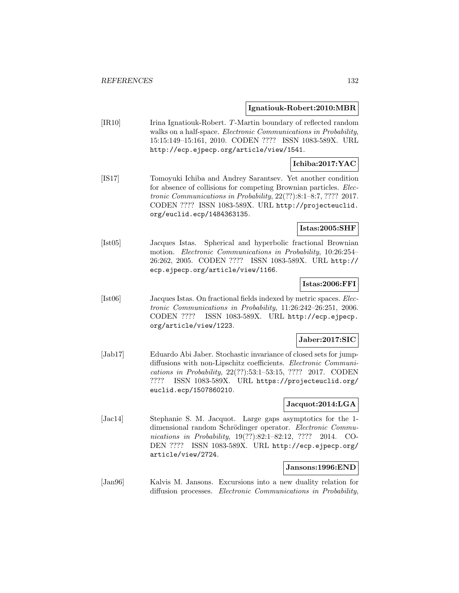### **Ignatiouk-Robert:2010:MBR**

[IR10] Irina Ignatiouk-Robert. T-Martin boundary of reflected random walks on a half-space. Electronic Communications in Probability, 15:15:149–15:161, 2010. CODEN ???? ISSN 1083-589X. URL http://ecp.ejpecp.org/article/view/1541.

### **Ichiba:2017:YAC**

[IS17] Tomoyuki Ichiba and Andrey Sarantsev. Yet another condition for absence of collisions for competing Brownian particles. Electronic Communications in Probability, 22(??):8:1–8:7, ???? 2017. CODEN ???? ISSN 1083-589X. URL http://projecteuclid. org/euclid.ecp/1484363135.

## **Istas:2005:SHF**

[Ist05] Jacques Istas. Spherical and hyperbolic fractional Brownian motion. Electronic Communications in Probability, 10:26:254– 26:262, 2005. CODEN ???? ISSN 1083-589X. URL http:// ecp.ejpecp.org/article/view/1166.

## **Istas:2006:FFI**

[Ist06] Jacques Istas. On fractional fields indexed by metric spaces. Electronic Communications in Probability, 11:26:242–26:251, 2006. CODEN ???? ISSN 1083-589X. URL http://ecp.ejpecp. org/article/view/1223.

### **Jaber:2017:SIC**

[Jab17] Eduardo Abi Jaber. Stochastic invariance of closed sets for jumpdiffusions with non-Lipschitz coefficients. Electronic Communications in Probability, 22(??):53:1–53:15, ???? 2017. CODEN ???? ISSN 1083-589X. URL https://projecteuclid.org/ euclid.ecp/1507860210.

### **Jacquot:2014:LGA**

[Jac14] Stephanie S. M. Jacquot. Large gaps asymptotics for the 1 dimensional random Schrödinger operator. Electronic Communications in Probability, 19(??):82:1-82:12, ???? 2014. CO-DEN ???? ISSN 1083-589X. URL http://ecp.ejpecp.org/ article/view/2724.

### **Jansons:1996:END**

[Jan96] Kalvis M. Jansons. Excursions into a new duality relation for diffusion processes. Electronic Communications in Probability,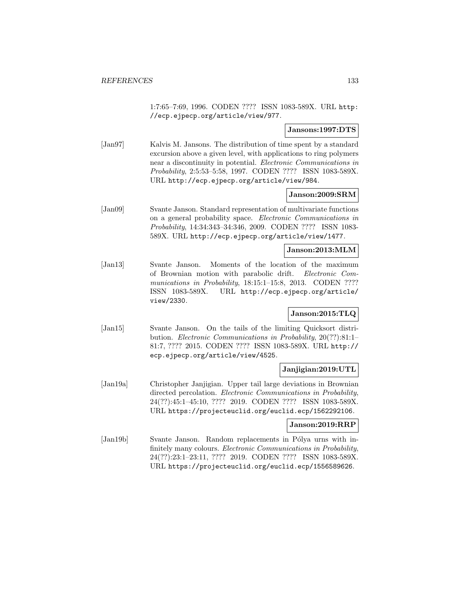1:7:65–7:69, 1996. CODEN ???? ISSN 1083-589X. URL http: //ecp.ejpecp.org/article/view/977.

#### **Jansons:1997:DTS**

[Jan97] Kalvis M. Jansons. The distribution of time spent by a standard excursion above a given level, with applications to ring polymers near a discontinuity in potential. Electronic Communications in Probability, 2:5:53–5:58, 1997. CODEN ???? ISSN 1083-589X. URL http://ecp.ejpecp.org/article/view/984.

#### **Janson:2009:SRM**

[Jan09] Svante Janson. Standard representation of multivariate functions on a general probability space. Electronic Communications in Probability, 14:34:343–34:346, 2009. CODEN ???? ISSN 1083- 589X. URL http://ecp.ejpecp.org/article/view/1477.

#### **Janson:2013:MLM**

[Jan13] Svante Janson. Moments of the location of the maximum of Brownian motion with parabolic drift. Electronic Communications in Probability, 18:15:1-15:8, 2013. CODEN ???? ISSN 1083-589X. URL http://ecp.ejpecp.org/article/ view/2330.

### **Janson:2015:TLQ**

[Jan15] Svante Janson. On the tails of the limiting Quicksort distribution. Electronic Communications in Probability, 20(??):81:1– 81:7, ???? 2015. CODEN ???? ISSN 1083-589X. URL http:// ecp.ejpecp.org/article/view/4525.

### **Janjigian:2019:UTL**

[Jan19a] Christopher Janjigian. Upper tail large deviations in Brownian directed percolation. Electronic Communications in Probability, 24(??):45:1–45:10, ???? 2019. CODEN ???? ISSN 1083-589X. URL https://projecteuclid.org/euclid.ecp/1562292106.

#### **Janson:2019:RRP**

[Jan19b] Svante Janson. Random replacements in Pólya urns with infinitely many colours. Electronic Communications in Probability, 24(??):23:1–23:11, ???? 2019. CODEN ???? ISSN 1083-589X. URL https://projecteuclid.org/euclid.ecp/1556589626.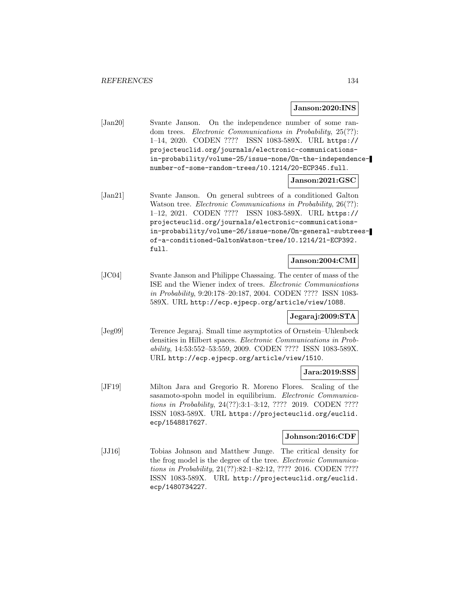#### **Janson:2020:INS**

[Jan20] Svante Janson. On the independence number of some random trees. Electronic Communications in Probability, 25(??): 1–14, 2020. CODEN ???? ISSN 1083-589X. URL https:// projecteuclid.org/journals/electronic-communicationsin-probability/volume-25/issue-none/On-the-independencenumber-of-some-random-trees/10.1214/20-ECP345.full.

#### **Janson:2021:GSC**

[Jan21] Svante Janson. On general subtrees of a conditioned Galton Watson tree. *Electronic Communications in Probability*, 26(??): 1–12, 2021. CODEN ???? ISSN 1083-589X. URL https:// projecteuclid.org/journals/electronic-communicationsin-probability/volume-26/issue-none/On-general-subtreesof-a-conditioned-GaltonWatson-tree/10.1214/21-ECP392. full.

## **Janson:2004:CMI**

[JC04] Svante Janson and Philippe Chassaing. The center of mass of the ISE and the Wiener index of trees. Electronic Communications in Probability, 9:20:178–20:187, 2004. CODEN ???? ISSN 1083- 589X. URL http://ecp.ejpecp.org/article/view/1088.

#### **Jegaraj:2009:STA**

[Jeg09] Terence Jegaraj. Small time asymptotics of Ornstein–Uhlenbeck densities in Hilbert spaces. Electronic Communications in Probability, 14:53:552–53:559, 2009. CODEN ???? ISSN 1083-589X. URL http://ecp.ejpecp.org/article/view/1510.

### **Jara:2019:SSS**

[JF19] Milton Jara and Gregorio R. Moreno Flores. Scaling of the sasamoto-spohn model in equilibrium. Electronic Communications in Probability, 24(??):3:1–3:12, ???? 2019. CODEN ???? ISSN 1083-589X. URL https://projecteuclid.org/euclid. ecp/1548817627.

### **Johnson:2016:CDF**

[JJ16] Tobias Johnson and Matthew Junge. The critical density for the frog model is the degree of the tree. Electronic Communications in Probability, 21(??):82:1-82:12, ???? 2016. CODEN ???? ISSN 1083-589X. URL http://projecteuclid.org/euclid. ecp/1480734227.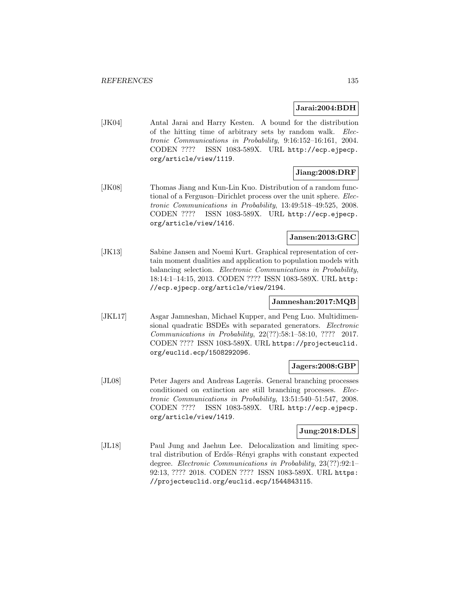### **Jarai:2004:BDH**

[JK04] Antal Jarai and Harry Kesten. A bound for the distribution of the hitting time of arbitrary sets by random walk. Electronic Communications in Probability, 9:16:152–16:161, 2004. CODEN ???? ISSN 1083-589X. URL http://ecp.ejpecp. org/article/view/1119.

# **Jiang:2008:DRF**

[JK08] Thomas Jiang and Kun-Lin Kuo. Distribution of a random functional of a Ferguson–Dirichlet process over the unit sphere. Electronic Communications in Probability, 13:49:518–49:525, 2008. CODEN ???? ISSN 1083-589X. URL http://ecp.ejpecp. org/article/view/1416.

## **Jansen:2013:GRC**

[JK13] Sabine Jansen and Noemi Kurt. Graphical representation of certain moment dualities and application to population models with balancing selection. Electronic Communications in Probability, 18:14:1–14:15, 2013. CODEN ???? ISSN 1083-589X. URL http: //ecp.ejpecp.org/article/view/2194.

### **Jamneshan:2017:MQB**

[JKL17] Asgar Jamneshan, Michael Kupper, and Peng Luo. Multidimensional quadratic BSDEs with separated generators. Electronic Communications in Probability, 22(??):58:1–58:10, ???? 2017. CODEN ???? ISSN 1083-589X. URL https://projecteuclid. org/euclid.ecp/1508292096.

## **Jagers:2008:GBP**

[JL08] Peter Jagers and Andreas Lagerås. General branching processes conditioned on extinction are still branching processes. Electronic Communications in Probability, 13:51:540–51:547, 2008. CODEN ???? ISSN 1083-589X. URL http://ecp.ejpecp. org/article/view/1419.

### **Jung:2018:DLS**

[JL18] Paul Jung and Jaehun Lee. Delocalization and limiting spectral distribution of Erdős–Rényi graphs with constant expected degree. Electronic Communications in Probability, 23(??):92:1– 92:13, ???? 2018. CODEN ???? ISSN 1083-589X. URL https: //projecteuclid.org/euclid.ecp/1544843115.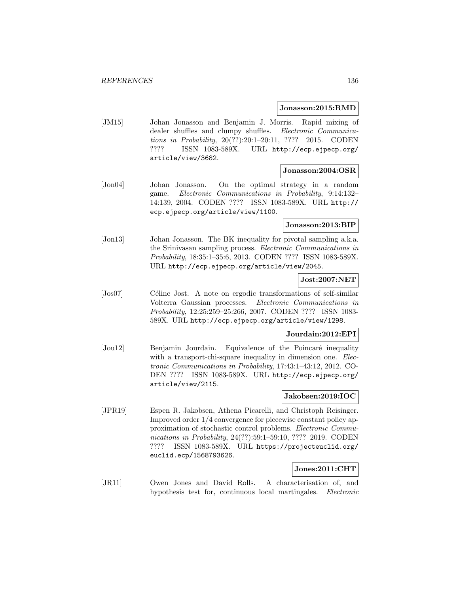#### **Jonasson:2015:RMD**

[JM15] Johan Jonasson and Benjamin J. Morris. Rapid mixing of dealer shuffles and clumpy shuffles. Electronic Communications in Probability, 20(??):20:1–20:11, ???? 2015. CODEN ???? ISSN 1083-589X. URL http://ecp.ejpecp.org/ article/view/3682.

## **Jonasson:2004:OSR**

[Jon04] Johan Jonasson. On the optimal strategy in a random game. Electronic Communications in Probability, 9:14:132– 14:139, 2004. CODEN ???? ISSN 1083-589X. URL http:// ecp.ejpecp.org/article/view/1100.

#### **Jonasson:2013:BIP**

[Jon13] Johan Jonasson. The BK inequality for pivotal sampling a.k.a. the Srinivasan sampling process. Electronic Communications in Probability, 18:35:1–35:6, 2013. CODEN ???? ISSN 1083-589X. URL http://ecp.ejpecp.org/article/view/2045.

### **Jost:2007:NET**

[Jos07] Céline Jost. A note on ergodic transformations of self-similar Volterra Gaussian processes. Electronic Communications in Probability, 12:25:259–25:266, 2007. CODEN ???? ISSN 1083- 589X. URL http://ecp.ejpecp.org/article/view/1298.

## **Jourdain:2012:EPI**

[Jou12] Benjamin Jourdain. Equivalence of the Poincaré inequality with a transport-chi-square inequality in dimension one. Electronic Communications in Probability, 17:43:1–43:12, 2012. CO-DEN ???? ISSN 1083-589X. URL http://ecp.ejpecp.org/ article/view/2115.

# **Jakobsen:2019:IOC**

[JPR19] Espen R. Jakobsen, Athena Picarelli, and Christoph Reisinger. Improved order 1/4 convergence for piecewise constant policy approximation of stochastic control problems. Electronic Communications in Probability, 24(??):59:1–59:10, ???? 2019. CODEN ???? ISSN 1083-589X. URL https://projecteuclid.org/ euclid.ecp/1568793626.

## **Jones:2011:CHT**

[JR11] Owen Jones and David Rolls. A characterisation of, and hypothesis test for, continuous local martingales. *Electronic*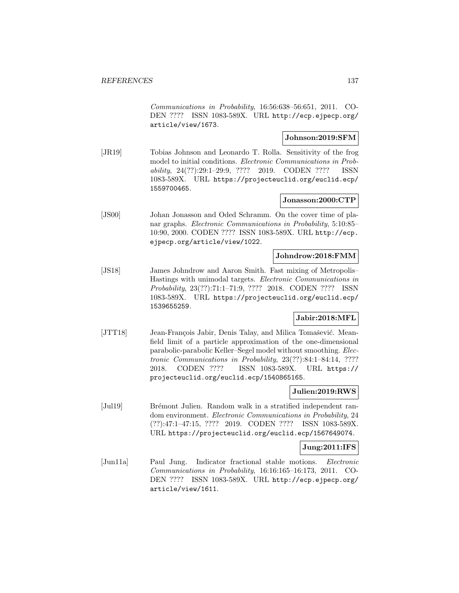Communications in Probability, 16:56:638–56:651, 2011. CO-DEN ???? ISSN 1083-589X. URL http://ecp.ejpecp.org/ article/view/1673.

### **Johnson:2019:SFM**

[JR19] Tobias Johnson and Leonardo T. Rolla. Sensitivity of the frog model to initial conditions. Electronic Communications in Probability, 24(??):29:1–29:9, ???? 2019. CODEN ???? ISSN 1083-589X. URL https://projecteuclid.org/euclid.ecp/ 1559700465.

# **Jonasson:2000:CTP**

[JS00] Johan Jonasson and Oded Schramm. On the cover time of planar graphs. Electronic Communications in Probability, 5:10:85– 10:90, 2000. CODEN ???? ISSN 1083-589X. URL http://ecp. ejpecp.org/article/view/1022.

#### **Johndrow:2018:FMM**

[JS18] James Johndrow and Aaron Smith. Fast mixing of Metropolis– Hastings with unimodal targets. Electronic Communications in Probability, 23(??):71:1–71:9, ???? 2018. CODEN ???? ISSN 1083-589X. URL https://projecteuclid.org/euclid.ecp/ 1539655259.

### **Jabir:2018:MFL**

[JTT18] Jean-François Jabir, Denis Talay, and Milica Tomašević. Meanfield limit of a particle approximation of the one-dimensional parabolic-parabolic Keller–Segel model without smoothing. Electronic Communications in Probability, 23(??):84:1–84:14, ???? 2018. CODEN ???? ISSN 1083-589X. URL https:// projecteuclid.org/euclid.ecp/1540865165.

### **Julien:2019:RWS**

[Jul19] Brémont Julien. Random walk in a stratified independent random environment. Electronic Communications in Probability, 24 (??):47:1–47:15, ???? 2019. CODEN ???? ISSN 1083-589X. URL https://projecteuclid.org/euclid.ecp/1567649074.

### **Jung:2011:IFS**

[Jun11a] Paul Jung. Indicator fractional stable motions. Electronic Communications in Probability, 16:16:165–16:173, 2011. CO-DEN ???? ISSN 1083-589X. URL http://ecp.ejpecp.org/ article/view/1611.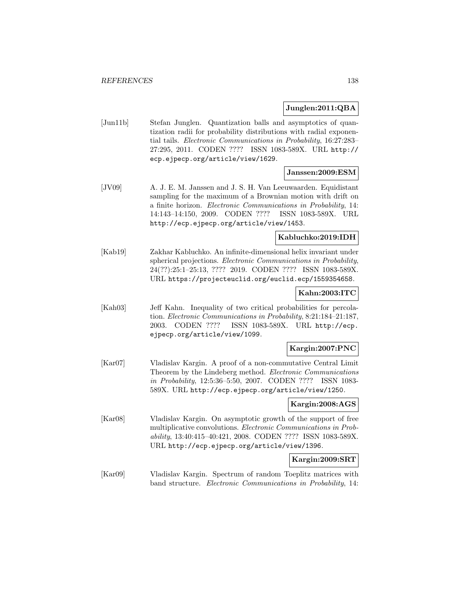### **Junglen:2011:QBA**

[Jun11b] Stefan Junglen. Quantization balls and asymptotics of quantization radii for probability distributions with radial exponential tails. Electronic Communications in Probability, 16:27:283– 27:295, 2011. CODEN ???? ISSN 1083-589X. URL http:// ecp.ejpecp.org/article/view/1629.

### **Janssen:2009:ESM**

[JV09] A. J. E. M. Janssen and J. S. H. Van Leeuwaarden. Equidistant sampling for the maximum of a Brownian motion with drift on a finite horizon. Electronic Communications in Probability, 14: 14:143–14:150, 2009. CODEN ???? ISSN 1083-589X. URL http://ecp.ejpecp.org/article/view/1453.

#### **Kabluchko:2019:IDH**

[Kab19] Zakhar Kabluchko. An infinite-dimensional helix invariant under spherical projections. Electronic Communications in Probability, 24(??):25:1–25:13, ???? 2019. CODEN ???? ISSN 1083-589X. URL https://projecteuclid.org/euclid.ecp/1559354658.

#### **Kahn:2003:ITC**

[Kah03] Jeff Kahn. Inequality of two critical probabilities for percolation. Electronic Communications in Probability, 8:21:184–21:187, 2003. CODEN ???? ISSN 1083-589X. URL http://ecp. ejpecp.org/article/view/1099.

### **Kargin:2007:PNC**

[Kar07] Vladislav Kargin. A proof of a non-commutative Central Limit Theorem by the Lindeberg method. Electronic Communications in Probability, 12:5:36–5:50, 2007. CODEN ???? ISSN 1083- 589X. URL http://ecp.ejpecp.org/article/view/1250.

### **Kargin:2008:AGS**

[Kar08] Vladislav Kargin. On asymptotic growth of the support of free multiplicative convolutions. Electronic Communications in Probability, 13:40:415–40:421, 2008. CODEN ???? ISSN 1083-589X. URL http://ecp.ejpecp.org/article/view/1396.

### **Kargin:2009:SRT**

[Kar09] Vladislav Kargin. Spectrum of random Toeplitz matrices with band structure. Electronic Communications in Probability, 14: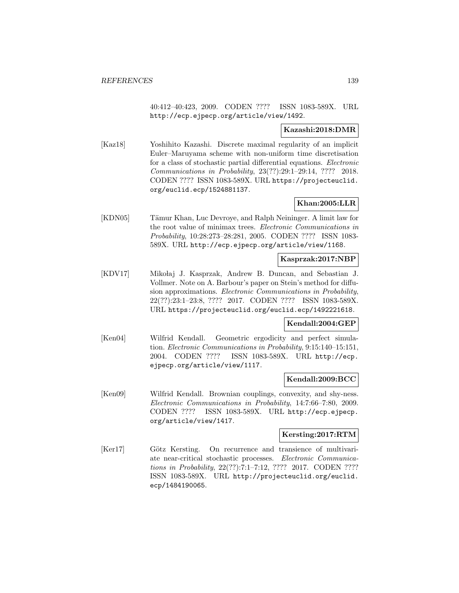40:412–40:423, 2009. CODEN ???? ISSN 1083-589X. URL http://ecp.ejpecp.org/article/view/1492.

## **Kazashi:2018:DMR**

[Kaz18] Yoshihito Kazashi. Discrete maximal regularity of an implicit Euler–Maruyama scheme with non-uniform time discretisation for a class of stochastic partial differential equations. Electronic Communications in Probability, 23(??):29:1–29:14, ???? 2018. CODEN ???? ISSN 1083-589X. URL https://projecteuclid. org/euclid.ecp/1524881137.

# **Khan:2005:LLR**

[KDN05] Tämur Khan, Luc Devroye, and Ralph Neininger. A limit law for the root value of minimax trees. Electronic Communications in Probability, 10:28:273–28:281, 2005. CODEN ???? ISSN 1083- 589X. URL http://ecp.ejpecp.org/article/view/1168.

### **Kasprzak:2017:NBP**

[KDV17] Miko laj J. Kasprzak, Andrew B. Duncan, and Sebastian J. Vollmer. Note on A. Barbour's paper on Stein's method for diffusion approximations. Electronic Communications in Probability, 22(??):23:1–23:8, ???? 2017. CODEN ???? ISSN 1083-589X. URL https://projecteuclid.org/euclid.ecp/1492221618.

### **Kendall:2004:GEP**

[Ken04] Wilfrid Kendall. Geometric ergodicity and perfect simulation. Electronic Communications in Probability, 9:15:140–15:151, 2004. CODEN ???? ISSN 1083-589X. URL http://ecp. ejpecp.org/article/view/1117.

### **Kendall:2009:BCC**

[Ken09] Wilfrid Kendall. Brownian couplings, convexity, and shy-ness. Electronic Communications in Probability, 14:7:66–7:80, 2009. CODEN ???? ISSN 1083-589X. URL http://ecp.ejpecp. org/article/view/1417.

### **Kersting:2017:RTM**

[Ker17] Götz Kersting. On recurrence and transience of multivariate near-critical stochastic processes. Electronic Communications in Probability, 22(??):7:1–7:12, ???? 2017. CODEN ???? ISSN 1083-589X. URL http://projecteuclid.org/euclid. ecp/1484190065.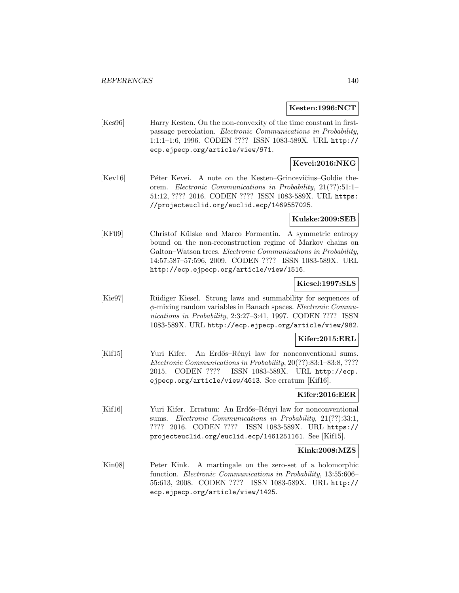### **Kesten:1996:NCT**

[Kes96] Harry Kesten. On the non-convexity of the time constant in firstpassage percolation. Electronic Communications in Probability, 1:1:1–1:6, 1996. CODEN ???? ISSN 1083-589X. URL http:// ecp.ejpecp.org/article/view/971.

# **Kevei:2016:NKG**

[Kev16] Péter Kevei. A note on the Kesten–Grincevičius–Goldie theorem. Electronic Communications in Probability, 21(??):51:1– 51:12, ???? 2016. CODEN ???? ISSN 1083-589X. URL https: //projecteuclid.org/euclid.ecp/1469557025.

### **Kulske:2009:SEB**

[KF09] Christof Külske and Marco Formentin. A symmetric entropy bound on the non-reconstruction regime of Markov chains on Galton–Watson trees. Electronic Communications in Probability, 14:57:587–57:596, 2009. CODEN ???? ISSN 1083-589X. URL http://ecp.ejpecp.org/article/view/1516.

### **Kiesel:1997:SLS**

[Kie97] R¨udiger Kiesel. Strong laws and summability for sequences of  $\phi$ -mixing random variables in Banach spaces. *Electronic Commu*nications in Probability, 2:3:27–3:41, 1997. CODEN ???? ISSN 1083-589X. URL http://ecp.ejpecp.org/article/view/982.

#### **Kifer:2015:ERL**

[Kif15] Yuri Kifer. An Erdős–Rényi law for nonconventional sums. Electronic Communications in Probability, 20(??):83:1–83:8, ???? 2015. CODEN ???? ISSN 1083-589X. URL http://ecp. ejpecp.org/article/view/4613. See erratum [Kif16].

### **Kifer:2016:EER**

[Kif16] Yuri Kifer. Erratum: An Erdős–Rényi law for nonconventional sums. Electronic Communications in Probability, 21(??):33:1, ???? 2016. CODEN ???? ISSN 1083-589X. URL https:// projecteuclid.org/euclid.ecp/1461251161. See [Kif15].

#### **Kink:2008:MZS**

[Kin08] Peter Kink. A martingale on the zero-set of a holomorphic function. Electronic Communications in Probability, 13:55:606– 55:613, 2008. CODEN ???? ISSN 1083-589X. URL http:// ecp.ejpecp.org/article/view/1425.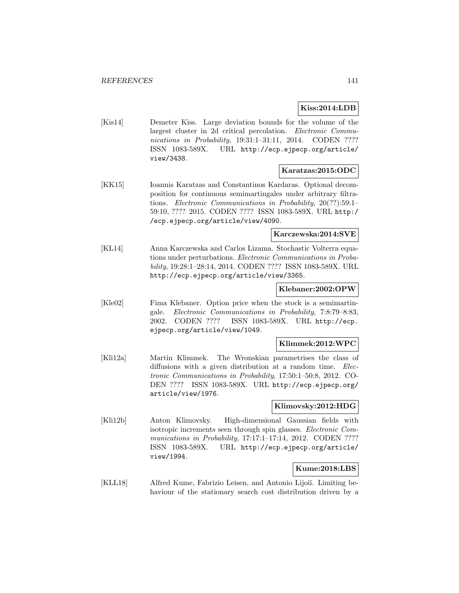**Kiss:2014:LDB**

[Kis14] Demeter Kiss. Large deviation bounds for the volume of the largest cluster in 2d critical percolation. Electronic Communications in Probability, 19:31:1-31:11, 2014. CODEN ???? ISSN 1083-589X. URL http://ecp.ejpecp.org/article/ view/3438.

### **Karatzas:2015:ODC**

[KK15] Ioannis Karatzas and Constantinos Kardaras. Optional decomposition for continuous semimartingales under arbitrary filtrations. Electronic Communications in Probability, 20(??):59:1– 59:10, ???? 2015. CODEN ???? ISSN 1083-589X. URL http:/ /ecp.ejpecp.org/article/view/4090.

#### **Karczewska:2014:SVE**

[KL14] Anna Karczewska and Carlos Lizama. Stochastic Volterra equations under perturbations. Electronic Communications in Probability, 19:28:1–28:14, 2014. CODEN ???? ISSN 1083-589X. URL http://ecp.ejpecp.org/article/view/3365.

#### **Klebaner:2002:OPW**

[Kle02] Fima Klebaner. Option price when the stock is a semimartingale. Electronic Communications in Probability, 7:8:79–8:83, 2002. CODEN ???? ISSN 1083-589X. URL http://ecp. ejpecp.org/article/view/1049.

#### **Klimmek:2012:WPC**

[Kli12a] Martin Klimmek. The Wronskian parametrises the class of diffusions with a given distribution at a random time. Electronic Communications in Probability, 17:50:1–50:8, 2012. CO-DEN ???? ISSN 1083-589X. URL http://ecp.ejpecp.org/ article/view/1976.

#### **Klimovsky:2012:HDG**

[Kli12b] Anton Klimovsky. High-dimensional Gaussian fields with isotropic increments seen through spin glasses. Electronic Communications in Probability, 17:17:1-17:14, 2012. CODEN ???? ISSN 1083-589X. URL http://ecp.ejpecp.org/article/ view/1994.

## **Kume:2018:LBS**

[KLL18] Alfred Kume, Fabrizio Leisen, and Antonio Lijoiï. Limiting behaviour of the stationary search cost distribution driven by a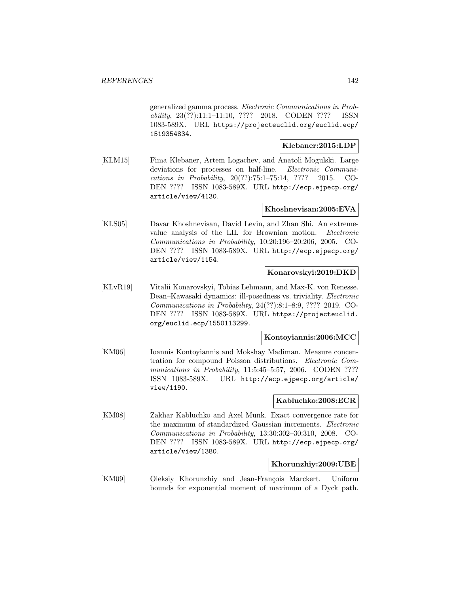generalized gamma process. Electronic Communications in Probability, 23(??):11:1–11:10, ???? 2018. CODEN ???? ISSN 1083-589X. URL https://projecteuclid.org/euclid.ecp/ 1519354834.

### **Klebaner:2015:LDP**

[KLM15] Fima Klebaner, Artem Logachev, and Anatoli Mogulski. Large deviations for processes on half-line. *Electronic Communi*cations in Probability, 20(??):75:1–75:14, ???? 2015. CO-DEN ???? ISSN 1083-589X. URL http://ecp.ejpecp.org/ article/view/4130.

### **Khoshnevisan:2005:EVA**

[KLS05] Davar Khoshnevisan, David Levin, and Zhan Shi. An extremevalue analysis of the LIL for Brownian motion. Electronic Communications in Probability, 10:20:196–20:206, 2005. CO-DEN ???? ISSN 1083-589X. URL http://ecp.ejpecp.org/ article/view/1154.

# **Konarovskyi:2019:DKD**

[KLvR19] Vitalii Konarovskyi, Tobias Lehmann, and Max-K. von Renesse. Dean–Kawasaki dynamics: ill-posedness vs. triviality. Electronic Communications in Probability, 24(??):8:1–8:9, ???? 2019. CO-DEN ???? ISSN 1083-589X. URL https://projecteuclid. org/euclid.ecp/1550113299.

### **Kontoyiannis:2006:MCC**

[KM06] Ioannis Kontoyiannis and Mokshay Madiman. Measure concentration for compound Poisson distributions. Electronic Communications in Probability, 11:5:45-5:57, 2006. CODEN ???? ISSN 1083-589X. URL http://ecp.ejpecp.org/article/ view/1190.

### **Kabluchko:2008:ECR**

[KM08] Zakhar Kabluchko and Axel Munk. Exact convergence rate for the maximum of standardized Gaussian increments. Electronic Communications in Probability, 13:30:302–30:310, 2008. CO-DEN ???? ISSN 1083-589X. URL http://ecp.ejpecp.org/ article/view/1380.

### **Khorunzhiy:2009:UBE**

[KM09] Oleksiy Khorunzhiy and Jean-François Marckert. Uniform bounds for exponential moment of maximum of a Dyck path.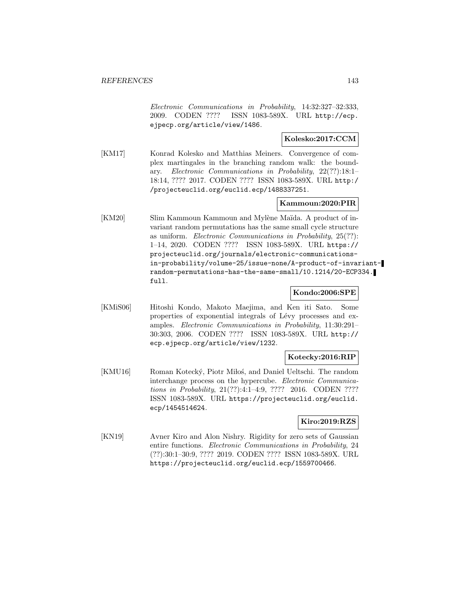Electronic Communications in Probability, 14:32:327–32:333, 2009. CODEN ???? ISSN 1083-589X. URL http://ecp. ejpecp.org/article/view/1486.

## **Kolesko:2017:CCM**

[KM17] Konrad Kolesko and Matthias Meiners. Convergence of complex martingales in the branching random walk: the boundary. Electronic Communications in Probability, 22(??):18:1– 18:14, ???? 2017. CODEN ???? ISSN 1083-589X. URL http:/ /projecteuclid.org/euclid.ecp/1488337251.

### **Kammoun:2020:PIR**

[KM20] Slim Kammoun Kammoun and Mylène Maïda. A product of invariant random permutations has the same small cycle structure as uniform. Electronic Communications in Probability, 25(??): 1–14, 2020. CODEN ???? ISSN 1083-589X. URL https:// projecteuclid.org/journals/electronic-communicationsin-probability/volume-25/issue-none/A-product-of-invariantrandom-permutations-has-the-same-small/10.1214/20-ECP334. full.

### **Kondo:2006:SPE**

[KMiS06] Hitoshi Kondo, Makoto Maejima, and Ken iti Sato. Some properties of exponential integrals of Lévy processes and examples. Electronic Communications in Probability, 11:30:291– 30:303, 2006. CODEN ???? ISSN 1083-589X. URL http:// ecp.ejpecp.org/article/view/1232.

## **Kotecky:2016:RIP**

[KMU16] Roman Kotecký, Piotr Miłoś, and Daniel Ueltschi. The random interchange process on the hypercube. Electronic Communications in Probability, 21(??):4:1–4:9, ???? 2016. CODEN ???? ISSN 1083-589X. URL https://projecteuclid.org/euclid. ecp/1454514624.

### **Kiro:2019:RZS**

[KN19] Avner Kiro and Alon Nishry. Rigidity for zero sets of Gaussian entire functions. Electronic Communications in Probability, 24 (??):30:1–30:9, ???? 2019. CODEN ???? ISSN 1083-589X. URL https://projecteuclid.org/euclid.ecp/1559700466.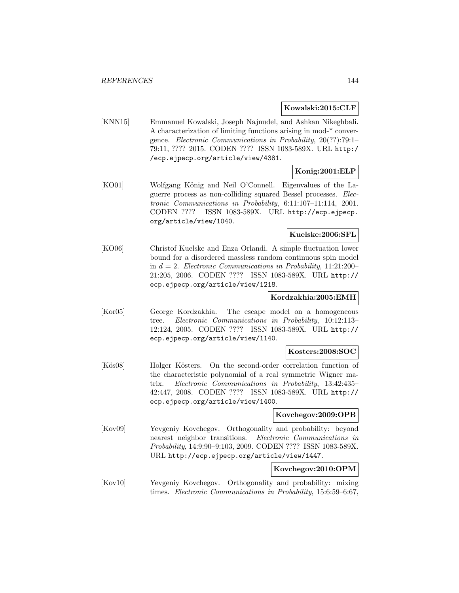#### **Kowalski:2015:CLF**

[KNN15] Emmanuel Kowalski, Joseph Najnudel, and Ashkan Nikeghbali. A characterization of limiting functions arising in mod-\* convergence. Electronic Communications in Probability, 20(??):79:1– 79:11, ???? 2015. CODEN ???? ISSN 1083-589X. URL http:/ /ecp.ejpecp.org/article/view/4381.

# **Konig:2001:ELP**

[KO01] Wolfgang König and Neil O'Connell. Eigenvalues of the Laguerre process as non-colliding squared Bessel processes. Electronic Communications in Probability, 6:11:107–11:114, 2001. CODEN ???? ISSN 1083-589X. URL http://ecp.ejpecp. org/article/view/1040.

### **Kuelske:2006:SFL**

[KO06] Christof Kuelske and Enza Orlandi. A simple fluctuation lower bound for a disordered massless random continuous spin model in  $d = 2$ . Electronic Communications in Probability, 11:21:200– 21:205, 2006. CODEN ???? ISSN 1083-589X. URL http:// ecp.ejpecp.org/article/view/1218.

### **Kordzakhia:2005:EMH**

[Kor05] George Kordzakhia. The escape model on a homogeneous tree. Electronic Communications in Probability, 10:12:113– 12:124, 2005. CODEN ???? ISSN 1083-589X. URL http:// ecp.ejpecp.org/article/view/1140.

### **Kosters:2008:SOC**

[Kös08] Holger Kösters. On the second-order correlation function of the characteristic polynomial of a real symmetric Wigner matrix. Electronic Communications in Probability, 13:42:435– 42:447, 2008. CODEN ???? ISSN 1083-589X. URL http:// ecp.ejpecp.org/article/view/1400.

### **Kovchegov:2009:OPB**

[Kov09] Yevgeniy Kovchegov. Orthogonality and probability: beyond nearest neighbor transitions. Electronic Communications in Probability, 14:9:90–9:103, 2009. CODEN ???? ISSN 1083-589X. URL http://ecp.ejpecp.org/article/view/1447.

## **Kovchegov:2010:OPM**

[Kov10] Yevgeniy Kovchegov. Orthogonality and probability: mixing times. Electronic Communications in Probability, 15:6:59–6:67,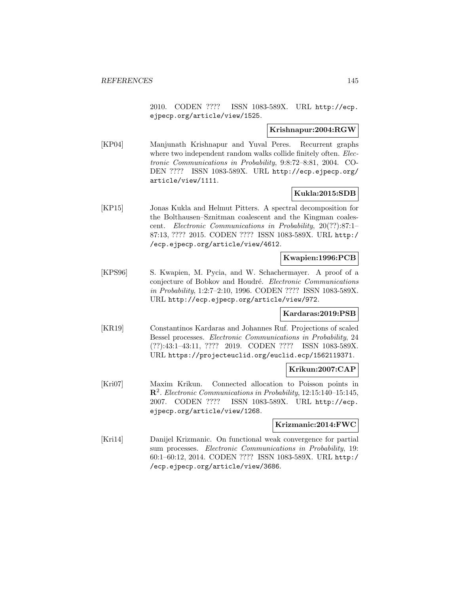2010. CODEN ???? ISSN 1083-589X. URL http://ecp. ejpecp.org/article/view/1525.

#### **Krishnapur:2004:RGW**

[KP04] Manjunath Krishnapur and Yuval Peres. Recurrent graphs where two independent random walks collide finitely often. *Elec*tronic Communications in Probability, 9:8:72–8:81, 2004. CO-DEN ???? ISSN 1083-589X. URL http://ecp.ejpecp.org/ article/view/1111.

# **Kukla:2015:SDB**

[KP15] Jonas Kukla and Helmut Pitters. A spectral decomposition for the Bolthausen–Sznitman coalescent and the Kingman coalescent. Electronic Communications in Probability, 20(??):87:1– 87:13, ???? 2015. CODEN ???? ISSN 1083-589X. URL http:/ /ecp.ejpecp.org/article/view/4612.

# **Kwapien:1996:PCB**

[KPS96] S. Kwapien, M. Pycia, and W. Schachermayer. A proof of a conjecture of Bobkov and Houdré. Electronic Communications in Probability, 1:2:7–2:10, 1996. CODEN ???? ISSN 1083-589X. URL http://ecp.ejpecp.org/article/view/972.

#### **Kardaras:2019:PSB**

[KR19] Constantinos Kardaras and Johannes Ruf. Projections of scaled Bessel processes. Electronic Communications in Probability, 24 (??):43:1–43:11, ???? 2019. CODEN ???? ISSN 1083-589X. URL https://projecteuclid.org/euclid.ecp/1562119371.

#### **Krikun:2007:CAP**

[Kri07] Maxim Krikun. Connected allocation to Poisson points in **R**<sup>2</sup>. Electronic Communications in Probability, 12:15:140–15:145, 2007. CODEN ???? ISSN 1083-589X. URL http://ecp. ejpecp.org/article/view/1268.

#### **Krizmanic:2014:FWC**

[Kri14] Danijel Krizmanic. On functional weak convergence for partial sum processes. Electronic Communications in Probability, 19: 60:1–60:12, 2014. CODEN ???? ISSN 1083-589X. URL http:/ /ecp.ejpecp.org/article/view/3686.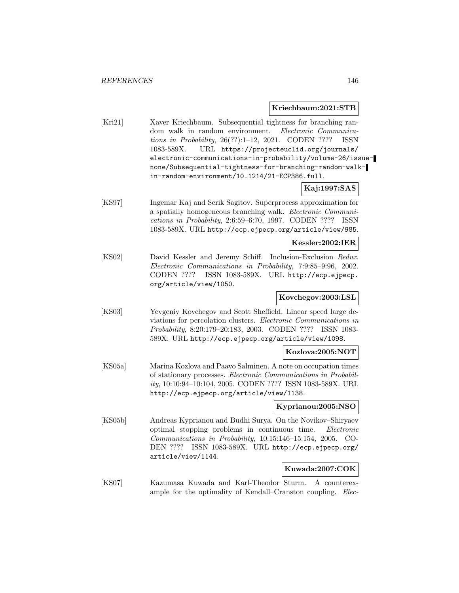#### **Kriechbaum:2021:STB**

[Kri21] Xaver Kriechbaum. Subsequential tightness for branching random walk in random environment. Electronic Communications in Probability, 26(??):1–12, 2021. CODEN ???? ISSN 1083-589X. URL https://projecteuclid.org/journals/ electronic-communications-in-probability/volume-26/issuenone/Subsequential-tightness-for-branching-random-walkin-random-environment/10.1214/21-ECP386.full.

### **Kaj:1997:SAS**

[KS97] Ingemar Kaj and Serik Sagitov. Superprocess approximation for a spatially homogeneous branching walk. Electronic Communications in Probability, 2:6:59–6:70, 1997. CODEN ???? ISSN 1083-589X. URL http://ecp.ejpecp.org/article/view/985.

# **Kessler:2002:IER**

[KS02] David Kessler and Jeremy Schiff. Inclusion-Exclusion Redux. Electronic Communications in Probability, 7:9:85–9:96, 2002. CODEN ???? ISSN 1083-589X. URL http://ecp.ejpecp. org/article/view/1050.

# **Kovchegov:2003:LSL**

[KS03] Yevgeniy Kovchegov and Scott Sheffield. Linear speed large deviations for percolation clusters. Electronic Communications in Probability, 8:20:179–20:183, 2003. CODEN ???? ISSN 1083- 589X. URL http://ecp.ejpecp.org/article/view/1098.

### **Kozlova:2005:NOT**

[KS05a] Marina Kozlova and Paavo Salminen. A note on occupation times of stationary processes. Electronic Communications in Probability, 10:10:94–10:104, 2005. CODEN ???? ISSN 1083-589X. URL http://ecp.ejpecp.org/article/view/1138.

### **Kyprianou:2005:NSO**

[KS05b] Andreas Kyprianou and Budhi Surya. On the Novikov–Shiryaev optimal stopping problems in continuous time. Electronic Communications in Probability, 10:15:146–15:154, 2005. CO-DEN ???? ISSN 1083-589X. URL http://ecp.ejpecp.org/ article/view/1144.

# **Kuwada:2007:COK**

[KS07] Kazumasa Kuwada and Karl-Theodor Sturm. A counterexample for the optimality of Kendall–Cranston coupling. Elec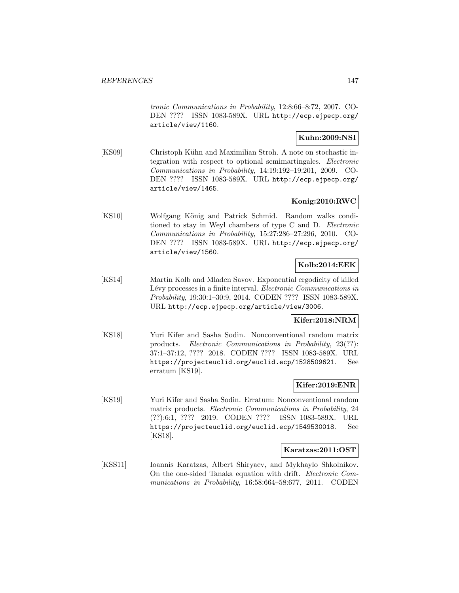tronic Communications in Probability, 12:8:66–8:72, 2007. CO-DEN ???? ISSN 1083-589X. URL http://ecp.ejpecp.org/ article/view/1160.

# **Kuhn:2009:NSI**

[KS09] Christoph Kühn and Maximilian Stroh. A note on stochastic integration with respect to optional semimartingales. Electronic Communications in Probability, 14:19:192–19:201, 2009. CO-DEN ???? ISSN 1083-589X. URL http://ecp.ejpecp.org/ article/view/1465.

# **Konig:2010:RWC**

[KS10] Wolfgang König and Patrick Schmid. Random walks conditioned to stay in Weyl chambers of type C and D. Electronic Communications in Probability, 15:27:286–27:296, 2010. CO-DEN ???? ISSN 1083-589X. URL http://ecp.ejpecp.org/ article/view/1560.

# **Kolb:2014:EEK**

[KS14] Martin Kolb and Mladen Savov. Exponential ergodicity of killed Lévy processes in a finite interval. Electronic Communications in Probability, 19:30:1–30:9, 2014. CODEN ???? ISSN 1083-589X. URL http://ecp.ejpecp.org/article/view/3006.

# **Kifer:2018:NRM**

[KS18] Yuri Kifer and Sasha Sodin. Nonconventional random matrix products. Electronic Communications in Probability, 23(??): 37:1–37:12, ???? 2018. CODEN ???? ISSN 1083-589X. URL https://projecteuclid.org/euclid.ecp/1528509621. See erratum [KS19].

### **Kifer:2019:ENR**

[KS19] Yuri Kifer and Sasha Sodin. Erratum: Nonconventional random matrix products. Electronic Communications in Probability, 24 (??):6:1, ???? 2019. CODEN ???? ISSN 1083-589X. URL https://projecteuclid.org/euclid.ecp/1549530018. See [KS18].

#### **Karatzas:2011:OST**

[KSS11] Ioannis Karatzas, Albert Shiryaev, and Mykhaylo Shkolnikov. On the one-sided Tanaka equation with drift. Electronic Communications in Probability, 16:58:664–58:677, 2011. CODEN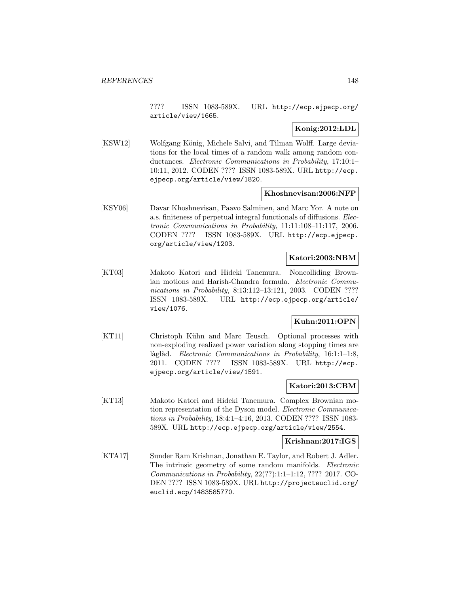???? ISSN 1083-589X. URL http://ecp.ejpecp.org/ article/view/1665.

# **Konig:2012:LDL**

[KSW12] Wolfgang König, Michele Salvi, and Tilman Wolff. Large deviations for the local times of a random walk among random conductances. Electronic Communications in Probability, 17:10:1– 10:11, 2012. CODEN ???? ISSN 1083-589X. URL http://ecp. ejpecp.org/article/view/1820.

### **Khoshnevisan:2006:NFP**

[KSY06] Davar Khoshnevisan, Paavo Salminen, and Marc Yor. A note on a.s. finiteness of perpetual integral functionals of diffusions. Electronic Communications in Probability, 11:11:108–11:117, 2006. CODEN ???? ISSN 1083-589X. URL http://ecp.ejpecp. org/article/view/1203.

# **Katori:2003:NBM**

[KT03] Makoto Katori and Hideki Tanemura. Noncolliding Brownian motions and Harish-Chandra formula. Electronic Communications in Probability, 8:13:112-13:121, 2003. CODEN ???? ISSN 1083-589X. URL http://ecp.ejpecp.org/article/ view/1076.

# **Kuhn:2011:OPN**

[KT11] Christoph Kühn and Marc Teusch. Optional processes with non-exploding realized power variation along stopping times are làglàd. Electronic Communications in Probability, 16:1:1-1:8, 2011. CODEN ???? ISSN 1083-589X. URL http://ecp. ejpecp.org/article/view/1591.

## **Katori:2013:CBM**

[KT13] Makoto Katori and Hideki Tanemura. Complex Brownian motion representation of the Dyson model. Electronic Communications in Probability, 18:4:1–4:16, 2013. CODEN ???? ISSN 1083- 589X. URL http://ecp.ejpecp.org/article/view/2554.

### **Krishnan:2017:IGS**

[KTA17] Sunder Ram Krishnan, Jonathan E. Taylor, and Robert J. Adler. The intrinsic geometry of some random manifolds. Electronic Communications in Probability, 22(??):1:1–1:12, ???? 2017. CO-DEN ???? ISSN 1083-589X. URL http://projecteuclid.org/ euclid.ecp/1483585770.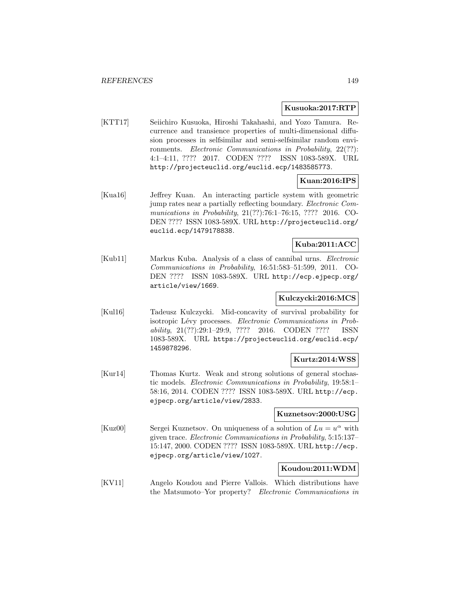#### **Kusuoka:2017:RTP**

[KTT17] Seiichiro Kusuoka, Hiroshi Takahashi, and Yozo Tamura. Recurrence and transience properties of multi-dimensional diffusion processes in selfsimilar and semi-selfsimilar random environments. Electronic Communications in Probability, 22(??): 4:1–4:11, ???? 2017. CODEN ???? ISSN 1083-589X. URL http://projecteuclid.org/euclid.ecp/1483585773.

# **Kuan:2016:IPS**

[Kua16] Jeffrey Kuan. An interacting particle system with geometric jump rates near a partially reflecting boundary. Electronic Communications in Probability, 21(??):76:1–76:15, ???? 2016. CO-DEN ???? ISSN 1083-589X. URL http://projecteuclid.org/ euclid.ecp/1479178838.

# **Kuba:2011:ACC**

[Kub11] Markus Kuba. Analysis of a class of cannibal urns. Electronic Communications in Probability, 16:51:583–51:599, 2011. CO-DEN ???? ISSN 1083-589X. URL http://ecp.ejpecp.org/ article/view/1669.

# **Kulczycki:2016:MCS**

[Kul16] Tadeusz Kulczycki. Mid-concavity of survival probability for isotropic Lévy processes. Electronic Communications in Probability, 21(??):29:1–29:9, ???? 2016. CODEN ???? ISSN 1083-589X. URL https://projecteuclid.org/euclid.ecp/ 1459878296.

# **Kurtz:2014:WSS**

[Kur14] Thomas Kurtz. Weak and strong solutions of general stochastic models. Electronic Communications in Probability, 19:58:1– 58:16, 2014. CODEN ???? ISSN 1083-589X. URL http://ecp. ejpecp.org/article/view/2833.

# **Kuznetsov:2000:USG**

[Kuz00] Sergei Kuznetsov. On uniqueness of a solution of  $Lu = u^{\alpha}$  with given trace. Electronic Communications in Probability, 5:15:137– 15:147, 2000. CODEN ???? ISSN 1083-589X. URL http://ecp. ejpecp.org/article/view/1027.

# **Koudou:2011:WDM**

[KV11] Angelo Koudou and Pierre Vallois. Which distributions have the Matsumoto–Yor property? Electronic Communications in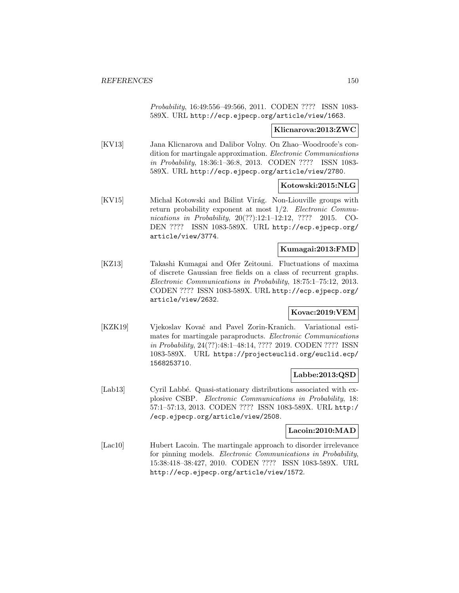Probability, 16:49:556–49:566, 2011. CODEN ???? ISSN 1083- 589X. URL http://ecp.ejpecp.org/article/view/1663.

### **Klicnarova:2013:ZWC**

[KV13] Jana Klicnarova and Dalibor Volny. On Zhao–Woodroofe's condition for martingale approximation. Electronic Communications in Probability, 18:36:1–36:8, 2013. CODEN ???? ISSN 1083- 589X. URL http://ecp.ejpecp.org/article/view/2780.

# **Kotowski:2015:NLG**

[KV15] Michał Kotowski and Bálint Virág. Non-Liouville groups with return probability exponent at most  $1/2$ . Electronic Communications in Probability, 20(??):12:1-12:12, ???? 2015. CO-DEN ???? ISSN 1083-589X. URL http://ecp.ejpecp.org/ article/view/3774.

# **Kumagai:2013:FMD**

[KZ13] Takashi Kumagai and Ofer Zeitouni. Fluctuations of maxima of discrete Gaussian free fields on a class of recurrent graphs. Electronic Communications in Probability, 18:75:1–75:12, 2013. CODEN ???? ISSN 1083-589X. URL http://ecp.ejpecp.org/ article/view/2632.

# **Kovac:2019:VEM**

[KZK19] Vjekoslav Kovač and Pavel Zorin-Kranich. Variational estimates for martingale paraproducts. Electronic Communications in Probability, 24(??):48:1–48:14, ???? 2019. CODEN ???? ISSN 1083-589X. URL https://projecteuclid.org/euclid.ecp/ 1568253710.

# **Labbe:2013:QSD**

[Lab13] Cyril Labbé. Quasi-stationary distributions associated with explosive CSBP. Electronic Communications in Probability, 18: 57:1–57:13, 2013. CODEN ???? ISSN 1083-589X. URL http:/ /ecp.ejpecp.org/article/view/2508.

### **Lacoin:2010:MAD**

[Lac10] Hubert Lacoin. The martingale approach to disorder irrelevance for pinning models. Electronic Communications in Probability, 15:38:418–38:427, 2010. CODEN ???? ISSN 1083-589X. URL http://ecp.ejpecp.org/article/view/1572.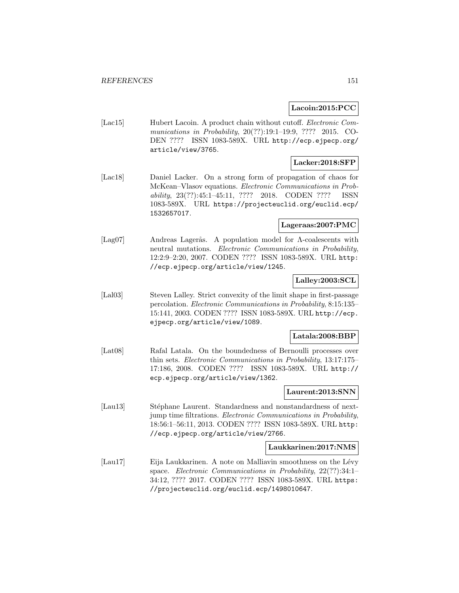## **Lacoin:2015:PCC**

[Lac15] Hubert Lacoin. A product chain without cutoff. *Electronic Com*munications in Probability, 20(??):19:1–19:9, ???? 2015. CO-DEN ???? ISSN 1083-589X. URL http://ecp.ejpecp.org/ article/view/3765.

# **Lacker:2018:SFP**

[Lac18] Daniel Lacker. On a strong form of propagation of chaos for McKean–Vlasov equations. Electronic Communications in Probability, 23(??):45:1–45:11, ???? 2018. CODEN ???? ISSN 1083-589X. URL https://projecteuclid.org/euclid.ecp/ 1532657017.

### **Lageraas:2007:PMC**

[Lag07] Andreas Lagerås. A population model for Λ-coalescents with neutral mutations. *Electronic Communications in Probability*, 12:2:9–2:20, 2007. CODEN ???? ISSN 1083-589X. URL http: //ecp.ejpecp.org/article/view/1245.

# **Lalley:2003:SCL**

[Lal03] Steven Lalley. Strict convexity of the limit shape in first-passage percolation. Electronic Communications in Probability, 8:15:135– 15:141, 2003. CODEN ???? ISSN 1083-589X. URL http://ecp. ejpecp.org/article/view/1089.

# **Latala:2008:BBP**

[Lat08] Rafal Latala. On the boundedness of Bernoulli processes over thin sets. Electronic Communications in Probability, 13:17:175– 17:186, 2008. CODEN ???? ISSN 1083-589X. URL http:// ecp.ejpecp.org/article/view/1362.

#### **Laurent:2013:SNN**

[Lau13] Stéphane Laurent. Standardness and nonstandardness of nextjump time filtrations. Electronic Communications in Probability, 18:56:1–56:11, 2013. CODEN ???? ISSN 1083-589X. URL http: //ecp.ejpecp.org/article/view/2766.

# **Laukkarinen:2017:NMS**

[Lau17] Eija Laukkarinen. A note on Malliavin smoothness on the Lévy space. Electronic Communications in Probability, 22(??):34:1– 34:12, ???? 2017. CODEN ???? ISSN 1083-589X. URL https: //projecteuclid.org/euclid.ecp/1498010647.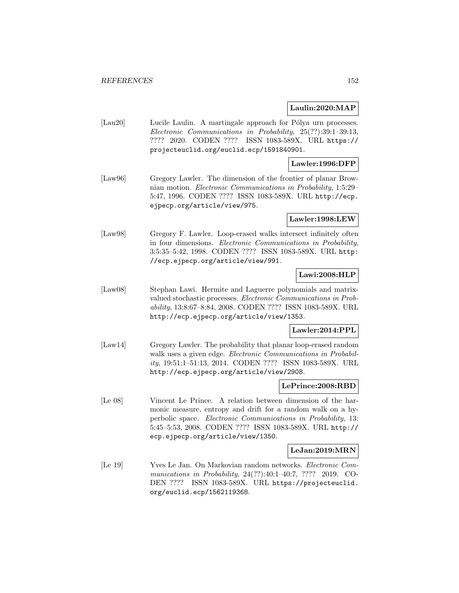### **Laulin:2020:MAP**

[Lau20] Lucile Laulin. A martingale approach for Pólya urn processes. Electronic Communications in Probability, 25(??):39:1–39:13, ???? 2020. CODEN ???? ISSN 1083-589X. URL https:// projecteuclid.org/euclid.ecp/1591840901.

### **Lawler:1996:DFP**

[Law96] Gregory Lawler. The dimension of the frontier of planar Brownian motion. Electronic Communications in Probability, 1:5:29– 5:47, 1996. CODEN ???? ISSN 1083-589X. URL http://ecp. ejpecp.org/article/view/975.

**Lawler:1998:LEW**

[Law98] Gregory F. Lawler. Loop-erased walks intersect infinitely often in four dimensions. Electronic Communications in Probability, 3:5:35–5:42, 1998. CODEN ???? ISSN 1083-589X. URL http: //ecp.ejpecp.org/article/view/991.

## **Lawi:2008:HLP**

[Law08] Stephan Lawi. Hermite and Laguerre polynomials and matrixvalued stochastic processes. Electronic Communications in Probability, 13:8:67–8:84, 2008. CODEN ???? ISSN 1083-589X. URL http://ecp.ejpecp.org/article/view/1353.

### **Lawler:2014:PPL**

[Law14] Gregory Lawler. The probability that planar loop-erased random walk uses a given edge. Electronic Communications in Probability, 19:51:1–51:13, 2014. CODEN ???? ISSN 1083-589X. URL http://ecp.ejpecp.org/article/view/2908.

#### **LePrince:2008:RBD**

[Le 08] Vincent Le Prince. A relation between dimension of the harmonic measure, entropy and drift for a random walk on a hyperbolic space. Electronic Communications in Probability, 13: 5:45–5:53, 2008. CODEN ???? ISSN 1083-589X. URL http:// ecp.ejpecp.org/article/view/1350.

#### **LeJan:2019:MRN**

[Le 19] Yves Le Jan. On Markovian random networks. Electronic Communications in Probability, 24(??):40:1–40:7, ???? 2019. CO-DEN ???? ISSN 1083-589X. URL https://projecteuclid. org/euclid.ecp/1562119368.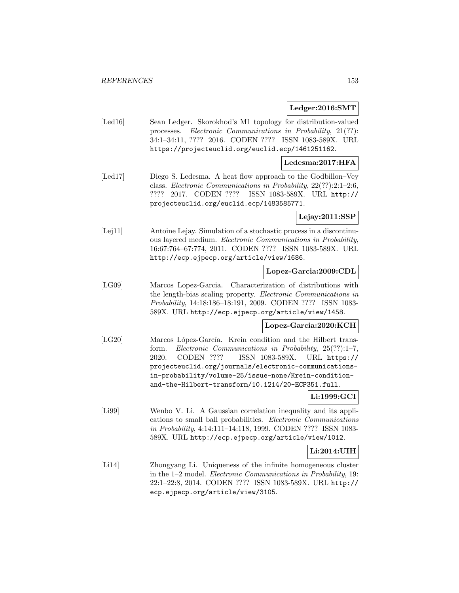#### **Ledger:2016:SMT**

[Led16] Sean Ledger. Skorokhod's M1 topology for distribution-valued processes. Electronic Communications in Probability, 21(??): 34:1–34:11, ???? 2016. CODEN ???? ISSN 1083-589X. URL https://projecteuclid.org/euclid.ecp/1461251162.

### **Ledesma:2017:HFA**

[Led17] Diego S. Ledesma. A heat flow approach to the Godbillon–Vey class. Electronic Communications in Probability, 22(??):2:1–2:6, ???? 2017. CODEN ???? ISSN 1083-589X. URL http:// projecteuclid.org/euclid.ecp/1483585771.

**Lejay:2011:SSP**

[Lej11] Antoine Lejay. Simulation of a stochastic process in a discontinuous layered medium. Electronic Communications in Probability, 16:67:764–67:774, 2011. CODEN ???? ISSN 1083-589X. URL http://ecp.ejpecp.org/article/view/1686.

# **Lopez-Garcia:2009:CDL**

[LG09] Marcos Lopez-Garcia. Characterization of distributions with the length-bias scaling property. Electronic Communications in Probability, 14:18:186–18:191, 2009. CODEN ???? ISSN 1083- 589X. URL http://ecp.ejpecp.org/article/view/1458.

### **Lopez-Garcia:2020:KCH**

[LG20] Marcos López-García. Krein condition and the Hilbert transform. Electronic Communications in Probability, 25(??):1–7, 2020. CODEN ???? ISSN 1083-589X. URL https:// projecteuclid.org/journals/electronic-communicationsin-probability/volume-25/issue-none/Krein-conditionand-the-Hilbert-transform/10.1214/20-ECP351.full.

### **Li:1999:GCI**

[Li99] Wenbo V. Li. A Gaussian correlation inequality and its applications to small ball probabilities. Electronic Communications in Probability, 4:14:111–14:118, 1999. CODEN ???? ISSN 1083- 589X. URL http://ecp.ejpecp.org/article/view/1012.

# **Li:2014:UIH**

[Li14] Zhongyang Li. Uniqueness of the infinite homogeneous cluster in the 1–2 model. Electronic Communications in Probability, 19: 22:1–22:8, 2014. CODEN ???? ISSN 1083-589X. URL http:// ecp.ejpecp.org/article/view/3105.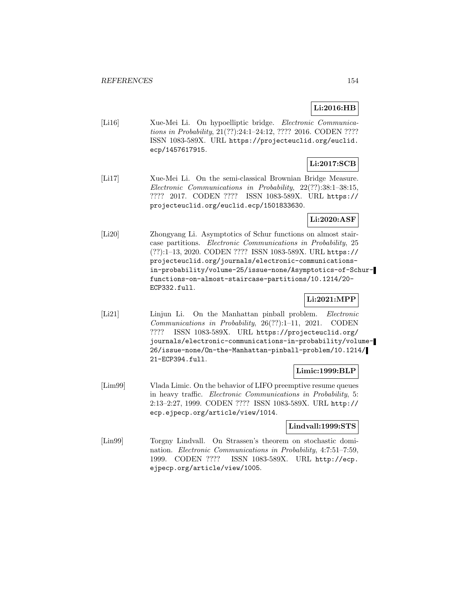# **Li:2016:HB**

[Li16] Xue-Mei Li. On hypoelliptic bridge. Electronic Communications in Probability, 21(??):24:1–24:12, ???? 2016. CODEN ???? ISSN 1083-589X. URL https://projecteuclid.org/euclid. ecp/1457617915.

# **Li:2017:SCB**

[Li17] Xue-Mei Li. On the semi-classical Brownian Bridge Measure. Electronic Communications in Probability, 22(??):38:1–38:15, ???? 2017. CODEN ???? ISSN 1083-589X. URL https:// projecteuclid.org/euclid.ecp/1501833630.

# **Li:2020:ASF**

[Li20] Zhongyang Li. Asymptotics of Schur functions on almost staircase partitions. Electronic Communications in Probability, 25 (??):1–13, 2020. CODEN ???? ISSN 1083-589X. URL https:// projecteuclid.org/journals/electronic-communicationsin-probability/volume-25/issue-none/Asymptotics-of-Schurfunctions-on-almost-staircase-partitions/10.1214/20- ECP332.full.

# **Li:2021:MPP**

[Li21] Linjun Li. On the Manhattan pinball problem. *Electronic* Communications in Probability, 26(??):1–11, 2021. CODEN ???? ISSN 1083-589X. URL https://projecteuclid.org/ journals/electronic-communications-in-probability/volume-26/issue-none/On-the-Manhattan-pinball-problem/10.1214/ 21-ECP394.full.

# **Limic:1999:BLP**

[Lim99] Vlada Limic. On the behavior of LIFO preemptive resume queues in heavy traffic. Electronic Communications in Probability, 5: 2:13–2:27, 1999. CODEN ???? ISSN 1083-589X. URL http:// ecp.ejpecp.org/article/view/1014.

#### **Lindvall:1999:STS**

[Lin99] Torgny Lindvall. On Strassen's theorem on stochastic domination. Electronic Communications in Probability, 4:7:51–7:59, 1999. CODEN ???? ISSN 1083-589X. URL http://ecp. ejpecp.org/article/view/1005.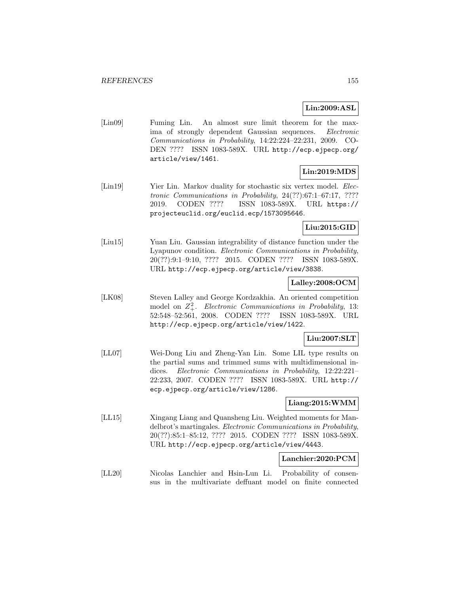# **Lin:2009:ASL**

[Lin09] Fuming Lin. An almost sure limit theorem for the maxima of strongly dependent Gaussian sequences. Electronic Communications in Probability, 14:22:224–22:231, 2009. CO-DEN ???? ISSN 1083-589X. URL http://ecp.ejpecp.org/ article/view/1461.

# **Lin:2019:MDS**

[Lin19] Yier Lin. Markov duality for stochastic six vertex model. *Elec*tronic Communications in Probability, 24(??):67:1–67:17, ???? 2019. CODEN ???? ISSN 1083-589X. URL https:// projecteuclid.org/euclid.ecp/1573095646.

# **Liu:2015:GID**

[Liu15] Yuan Liu. Gaussian integrability of distance function under the Lyapunov condition. Electronic Communications in Probability, 20(??):9:1–9:10, ???? 2015. CODEN ???? ISSN 1083-589X. URL http://ecp.ejpecp.org/article/view/3838.

# **Lalley:2008:OCM**

[LK08] Steven Lalley and George Kordzakhia. An oriented competition model on  $Z^2_+$ . Electronic Communications in Probability, 13: 52:548–52:561, 2008. CODEN ???? ISSN 1083-589X. URL http://ecp.ejpecp.org/article/view/1422.

### **Liu:2007:SLT**

[LL07] Wei-Dong Liu and Zheng-Yan Lin. Some LIL type results on the partial sums and trimmed sums with multidimensional indices. Electronic Communications in Probability, 12:22:221-22:233, 2007. CODEN ???? ISSN 1083-589X. URL http:// ecp.ejpecp.org/article/view/1286.

### **Liang:2015:WMM**

[LL15] Xingang Liang and Quansheng Liu. Weighted moments for Mandelbrot's martingales. Electronic Communications in Probability, 20(??):85:1–85:12, ???? 2015. CODEN ???? ISSN 1083-589X. URL http://ecp.ejpecp.org/article/view/4443.

#### **Lanchier:2020:PCM**

[LL20] Nicolas Lanchier and Hsin-Lun Li. Probability of consensus in the multivariate deffuant model on finite connected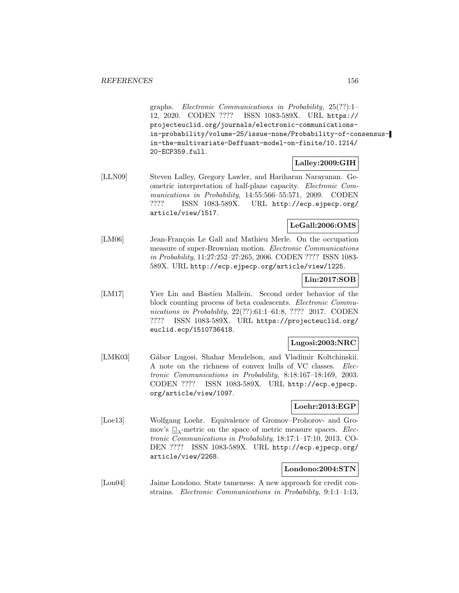graphs. Electronic Communications in Probability, 25(??):1– 12, 2020. CODEN ???? ISSN 1083-589X. URL https:// projecteuclid.org/journals/electronic-communicationsin-probability/volume-25/issue-none/Probability-of-consensusin-the-multivariate-Deffuant-model-on-finite/10.1214/ 20-ECP359.full.

# **Lalley:2009:GIH**

[LLN09] Steven Lalley, Gregory Lawler, and Hariharan Narayanan. Geometric interpretation of half-plane capacity. Electronic Communications in Probability, 14:55:566–55:571, 2009. CODEN ???? ISSN 1083-589X. URL http://ecp.ejpecp.org/ article/view/1517.

### **LeGall:2006:OMS**

[LM06] Jean-François Le Gall and Mathieu Merle. On the occupation measure of super-Brownian motion. Electronic Communications in Probability, 11:27:252–27:265, 2006. CODEN ???? ISSN 1083- 589X. URL http://ecp.ejpecp.org/article/view/1225.

# **Lin:2017:SOB**

[LM17] Yier Lin and Bastien Mallein. Second order behavior of the block counting process of beta coalescents. Electronic Communications in Probability, 22(??):61:1–61:8, ???? 2017. CODEN ???? ISSN 1083-589X. URL https://projecteuclid.org/ euclid.ecp/1510736418.

# **Lugosi:2003:NRC**

[LMK03] Gábor Lugosi, Shahar Mendelson, and Vladimir Koltchinskii. A note on the richness of convex hulls of VC classes. Electronic Communications in Probability, 8:18:167–18:169, 2003. CODEN ???? ISSN 1083-589X. URL http://ecp.ejpecp. org/article/view/1097.

# **Loehr:2013:EGP**

[Loe13] Wolfgang Loehr. Equivalence of Gromov–Prohorov- and Gromov's  $\Box$ <sub>λ</sub>-metric on the space of metric measure spaces. *Elec*tronic Communications in Probability, 18:17:1–17:10, 2013. CO-DEN ???? ISSN 1083-589X. URL http://ecp.ejpecp.org/ article/view/2268.

# **Londono:2004:STN**

[Lon04] Jaime Londono. State tameness: A new approach for credit constrains. Electronic Communications in Probability, 9:1:1–1:13,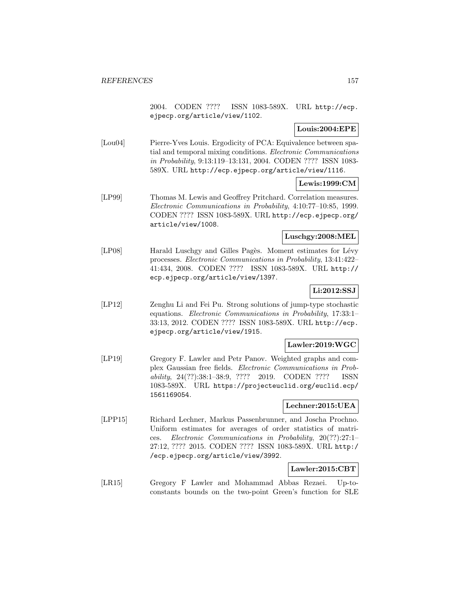2004. CODEN ???? ISSN 1083-589X. URL http://ecp. ejpecp.org/article/view/1102.

# **Louis:2004:EPE**

[Lou04] Pierre-Yves Louis. Ergodicity of PCA: Equivalence between spatial and temporal mixing conditions. Electronic Communications in Probability, 9:13:119–13:131, 2004. CODEN ???? ISSN 1083- 589X. URL http://ecp.ejpecp.org/article/view/1116.

# **Lewis:1999:CM**

[LP99] Thomas M. Lewis and Geoffrey Pritchard. Correlation measures. Electronic Communications in Probability, 4:10:77–10:85, 1999. CODEN ???? ISSN 1083-589X. URL http://ecp.ejpecp.org/ article/view/1008.

### **Luschgy:2008:MEL**

[LP08] Harald Luschgy and Gilles Pagès. Moment estimates for Lévy processes. Electronic Communications in Probability, 13:41:422– 41:434, 2008. CODEN ???? ISSN 1083-589X. URL http:// ecp.ejpecp.org/article/view/1397.

# **Li:2012:SSJ**

[LP12] Zenghu Li and Fei Pu. Strong solutions of jump-type stochastic equations. Electronic Communications in Probability, 17:33:1– 33:13, 2012. CODEN ???? ISSN 1083-589X. URL http://ecp. ejpecp.org/article/view/1915.

# **Lawler:2019:WGC**

[LP19] Gregory F. Lawler and Petr Panov. Weighted graphs and complex Gaussian free fields. Electronic Communications in Probability, 24(??):38:1–38:9, ???? 2019. CODEN ???? ISSN 1083-589X. URL https://projecteuclid.org/euclid.ecp/ 1561169054.

## **Lechner:2015:UEA**

[LPP15] Richard Lechner, Markus Passenbrunner, and Joscha Prochno. Uniform estimates for averages of order statistics of matrices. Electronic Communications in Probability, 20(??):27:1– 27:12, ???? 2015. CODEN ???? ISSN 1083-589X. URL http:/ /ecp.ejpecp.org/article/view/3992.

# **Lawler:2015:CBT**

[LR15] Gregory F Lawler and Mohammad Abbas Rezaei. Up-toconstants bounds on the two-point Green's function for SLE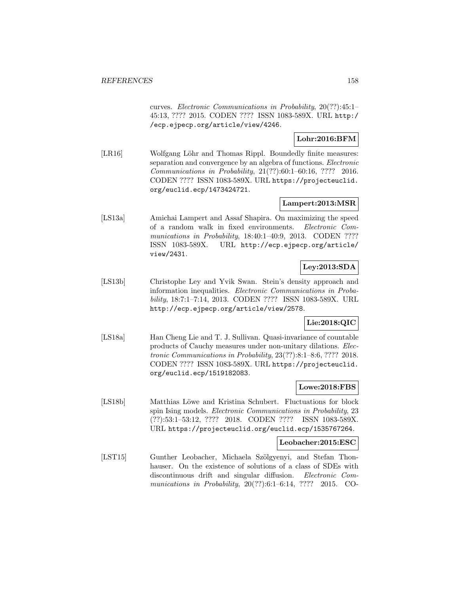curves. Electronic Communications in Probability, 20(??):45:1– 45:13, ???? 2015. CODEN ???? ISSN 1083-589X. URL http:/ /ecp.ejpecp.org/article/view/4246.

# **Lohr:2016:BFM**

[LR16] Wolfgang Löhr and Thomas Rippl. Boundedly finite measures: separation and convergence by an algebra of functions. Electronic Communications in Probability, 21(??):60:1–60:16, ???? 2016. CODEN ???? ISSN 1083-589X. URL https://projecteuclid. org/euclid.ecp/1473424721.

# **Lampert:2013:MSR**

[LS13a] Amichai Lampert and Assaf Shapira. On maximizing the speed of a random walk in fixed environments. Electronic Communications in Probability, 18:40:1-40:9, 2013. CODEN ???? ISSN 1083-589X. URL http://ecp.ejpecp.org/article/ view/2431.

# **Ley:2013:SDA**

[LS13b] Christophe Ley and Yvik Swan. Stein's density approach and information inequalities. Electronic Communications in Probability, 18:7:1–7:14, 2013. CODEN ???? ISSN 1083-589X. URL http://ecp.ejpecp.org/article/view/2578.

# **Lie:2018:QIC**

[LS18a] Han Cheng Lie and T. J. Sullivan. Quasi-invariance of countable products of Cauchy measures under non-unitary dilations. Electronic Communications in Probability, 23(??):8:1–8:6, ???? 2018. CODEN ???? ISSN 1083-589X. URL https://projecteuclid. org/euclid.ecp/1519182083.

# **Lowe:2018:FBS**

[LS18b] Matthias Löwe and Kristina Schubert. Fluctuations for block spin Ising models. Electronic Communications in Probability, 23 (??):53:1–53:12, ???? 2018. CODEN ???? ISSN 1083-589X. URL https://projecteuclid.org/euclid.ecp/1535767264.

#### **Leobacher:2015:ESC**

[LST15] Gunther Leobacher, Michaela Szölgyenyi, and Stefan Thonhauser. On the existence of solutions of a class of SDEs with discontinuous drift and singular diffusion. Electronic Communications in Probability, 20(??):6:1–6:14, ???? 2015. CO-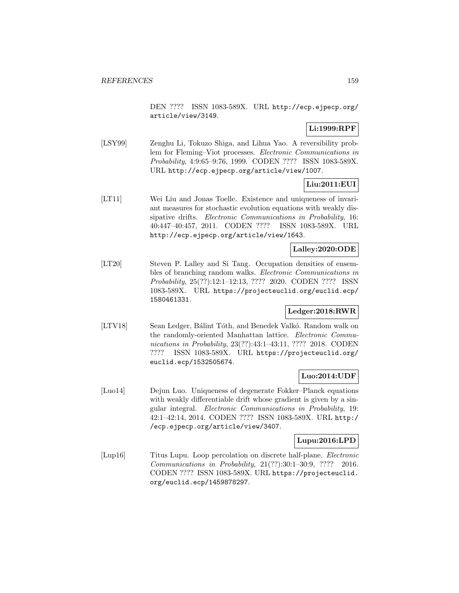DEN ???? ISSN 1083-589X. URL http://ecp.ejpecp.org/ article/view/3149.

# **Li:1999:RPF**

[LSY99] Zenghu Li, Tokuzo Shiga, and Lihua Yao. A reversibility problem for Fleming–Viot processes. Electronic Communications in Probability, 4:9:65–9:76, 1999. CODEN ???? ISSN 1083-589X. URL http://ecp.ejpecp.org/article/view/1007.

# **Liu:2011:EUI**

[LT11] Wei Liu and Jonas Toelle. Existence and uniqueness of invariant measures for stochastic evolution equations with weakly dissipative drifts. Electronic Communications in Probability, 16: 40:447–40:457, 2011. CODEN ???? ISSN 1083-589X. URL http://ecp.ejpecp.org/article/view/1643.

## **Lalley:2020:ODE**

[LT20] Steven P. Lalley and Si Tang. Occupation densities of ensembles of branching random walks. Electronic Communications in Probability, 25(??):12:1–12:13, ???? 2020. CODEN ???? ISSN 1083-589X. URL https://projecteuclid.org/euclid.ecp/ 1580461331.

# **Ledger:2018:RWR**

[LTV18] Sean Ledger, Bálint Tóth, and Benedek Valkó. Random walk on the randomly-oriented Manhattan lattice. Electronic Communications in Probability, 23(??):43:1–43:11, ???? 2018. CODEN ???? ISSN 1083-589X. URL https://projecteuclid.org/ euclid.ecp/1532505674.

### **Luo:2014:UDF**

[Luo14] Dejun Luo. Uniqueness of degenerate Fokker–Planck equations with weakly differentiable drift whose gradient is given by a singular integral. Electronic Communications in Probability, 19: 42:1–42:14, 2014. CODEN ???? ISSN 1083-589X. URL http:/ /ecp.ejpecp.org/article/view/3407.

### **Lupu:2016:LPD**

[Lup16] Titus Lupu. Loop percolation on discrete half-plane. Electronic Communications in Probability, 21(??):30:1–30:9, ???? 2016. CODEN ???? ISSN 1083-589X. URL https://projecteuclid. org/euclid.ecp/1459878297.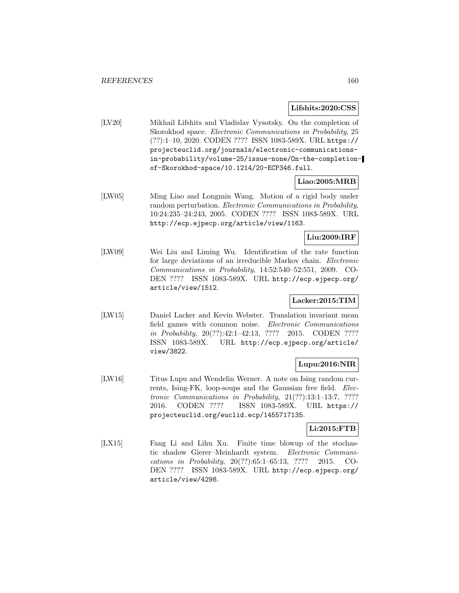#### **Lifshits:2020:CSS**

[LV20] Mikhail Lifshits and Vladislav Vysotsky. On the completion of Skorokhod space. Electronic Communications in Probability, 25 (??):1–10, 2020. CODEN ???? ISSN 1083-589X. URL https:// projecteuclid.org/journals/electronic-communicationsin-probability/volume-25/issue-none/On-the-completionof-Skorokhod-space/10.1214/20-ECP346.full.

# **Liao:2005:MRB**

[LW05] Ming Liao and Longmin Wang. Motion of a rigid body under random perturbation. Electronic Communications in Probability, 10:24:235–24:243, 2005. CODEN ???? ISSN 1083-589X. URL http://ecp.ejpecp.org/article/view/1163.

# **Liu:2009:IRF**

[LW09] Wei Liu and Liming Wu. Identification of the rate function for large deviations of an irreducible Markov chain. Electronic Communications in Probability, 14:52:540–52:551, 2009. CO-DEN ???? ISSN 1083-589X. URL http://ecp.ejpecp.org/ article/view/1512.

# **Lacker:2015:TIM**

[LW15] Daniel Lacker and Kevin Webster. Translation invariant mean field games with common noise. Electronic Communications in Probability, 20(??):42:1–42:13, ???? 2015. CODEN ???? ISSN 1083-589X. URL http://ecp.ejpecp.org/article/ view/3822.

### **Lupu:2016:NIR**

[LW16] Titus Lupu and Wendelin Werner. A note on Ising random currents, Ising-FK, loop-soups and the Gaussian free field. Electronic Communications in Probability, 21(??):13:1–13:7, ???? 2016. CODEN ???? ISSN 1083-589X. URL https:// projecteuclid.org/euclid.ecp/1455717135.

# **Li:2015:FTB**

[LX15] Fang Li and Lihu Xu. Finite time blowup of the stochastic shadow Gierer–Meinhardt system. Electronic Communications in Probability, 20(??):65:1–65:13, ???? 2015. CO-DEN ???? ISSN 1083-589X. URL http://ecp.ejpecp.org/ article/view/4298.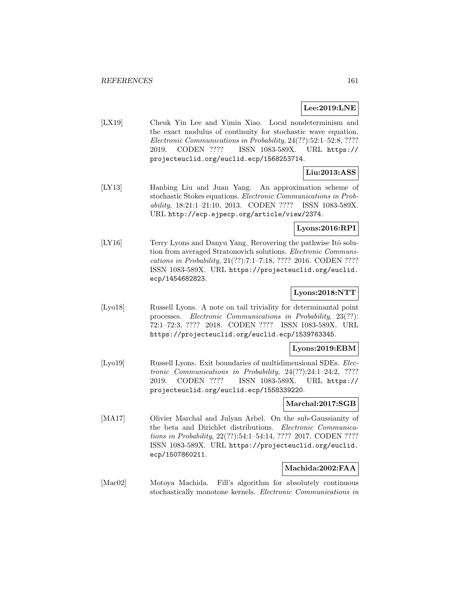# **Lee:2019:LNE**

[LX19] Cheuk Yin Lee and Yimin Xiao. Local nondeterminism and the exact modulus of continuity for stochastic wave equation. Electronic Communications in Probability, 24(??):52:1–52:8, ???? 2019. CODEN ???? ISSN 1083-589X. URL https:// projecteuclid.org/euclid.ecp/1568253714.

# **Liu:2013:ASS**

[LY13] Hanbing Liu and Juan Yang. An approximation scheme of stochastic Stokes equations. Electronic Communications in Probability, 18:21:1–21:10, 2013. CODEN ???? ISSN 1083-589X. URL http://ecp.ejpecp.org/article/view/2374.

# **Lyons:2016:RPI**

[LY16] Terry Lyons and Danyu Yang. Recovering the pathwise Itô solution from averaged Stratonovich solutions. Electronic Communications in Probability, 21(??):7:1–7:18, ???? 2016. CODEN ???? ISSN 1083-589X. URL https://projecteuclid.org/euclid. ecp/1454682823.

# **Lyons:2018:NTT**

[Lyo18] Russell Lyons. A note on tail triviality for determinantal point processes. Electronic Communications in Probability, 23(??): 72:1–72:3, ???? 2018. CODEN ???? ISSN 1083-589X. URL https://projecteuclid.org/euclid.ecp/1539763345.

### **Lyons:2019:EBM**

[Lyo19] Russell Lyons. Exit boundaries of multidimensional SDEs. Electronic Communications in Probability, 24(??):24:1–24:2, ???? 2019. CODEN ???? ISSN 1083-589X. URL https:// projecteuclid.org/euclid.ecp/1558339220.

#### **Marchal:2017:SGB**

[MA17] Olivier Marchal and Julyan Arbel. On the sub-Gaussianity of the beta and Dirichlet distributions. Electronic Communications in Probability, 22(??):54:1–54:14, ???? 2017. CODEN ???? ISSN 1083-589X. URL https://projecteuclid.org/euclid. ecp/1507860211.

# **Machida:2002:FAA**

[Mac02] Motoya Machida. Fill's algorithm for absolutely continuous stochastically monotone kernels. Electronic Communications in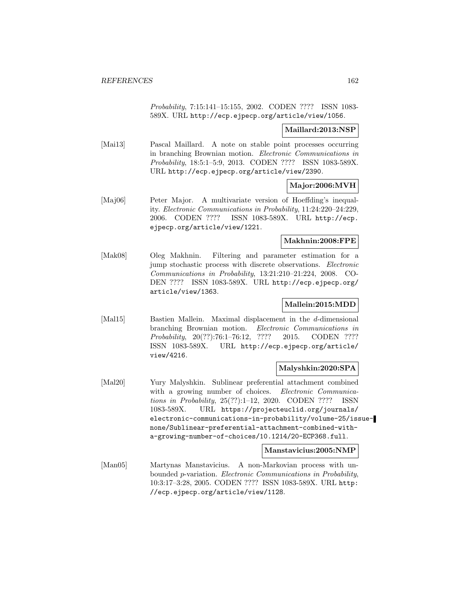Probability, 7:15:141–15:155, 2002. CODEN ???? ISSN 1083- 589X. URL http://ecp.ejpecp.org/article/view/1056.

## **Maillard:2013:NSP**

[Mai13] Pascal Maillard. A note on stable point processes occurring in branching Brownian motion. Electronic Communications in Probability, 18:5:1–5:9, 2013. CODEN ???? ISSN 1083-589X. URL http://ecp.ejpecp.org/article/view/2390.

### **Major:2006:MVH**

[Maj06] Peter Major. A multivariate version of Hoeffding's inequality. Electronic Communications in Probability, 11:24:220–24:229, 2006. CODEN ???? ISSN 1083-589X. URL http://ecp. ejpecp.org/article/view/1221.

### **Makhnin:2008:FPE**

[Mak08] Oleg Makhnin. Filtering and parameter estimation for a jump stochastic process with discrete observations. Electronic Communications in Probability, 13:21:210–21:224, 2008. CO-DEN ???? ISSN 1083-589X. URL http://ecp.ejpecp.org/ article/view/1363.

### **Mallein:2015:MDD**

[Mal15] Bastien Mallein. Maximal displacement in the d-dimensional branching Brownian motion. Electronic Communications in Probability, 20(??):76:1–76:12, ???? 2015. CODEN ???? ISSN 1083-589X. URL http://ecp.ejpecp.org/article/ view/4216.

### **Malyshkin:2020:SPA**

[Mal20] Yury Malyshkin. Sublinear preferential attachment combined with a growing number of choices. Electronic Communications in Probability, 25(??):1–12, 2020. CODEN ???? ISSN 1083-589X. URL https://projecteuclid.org/journals/ electronic-communications-in-probability/volume-25/issuenone/Sublinear-preferential-attachment-combined-witha-growing-number-of-choices/10.1214/20-ECP368.full.

#### **Manstavicius:2005:NMP**

[Man05] Martynas Manstavicius. A non-Markovian process with unbounded p-variation. Electronic Communications in Probability, 10:3:17–3:28, 2005. CODEN ???? ISSN 1083-589X. URL http: //ecp.ejpecp.org/article/view/1128.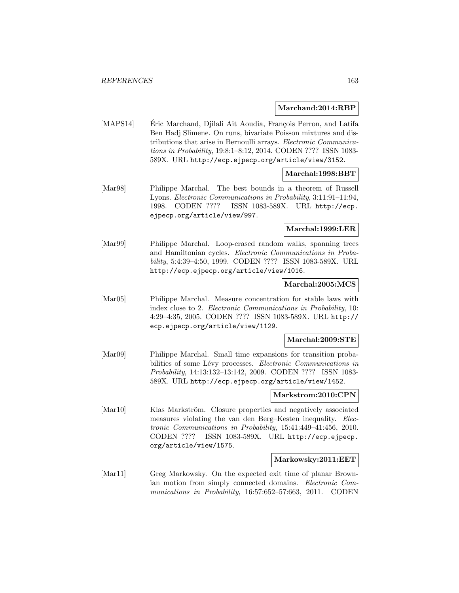#### **Marchand:2014:RBP**

[MAPS14] Eric Marchand, Djilali Ait Aoudia, François Perron, and Latifa Ben Hadj Slimene. On runs, bivariate Poisson mixtures and distributions that arise in Bernoulli arrays. Electronic Communications in Probability, 19:8:1–8:12, 2014. CODEN ???? ISSN 1083- 589X. URL http://ecp.ejpecp.org/article/view/3152.

# **Marchal:1998:BBT**

[Mar98] Philippe Marchal. The best bounds in a theorem of Russell Lyons. Electronic Communications in Probability, 3:11:91–11:94, 1998. CODEN ???? ISSN 1083-589X. URL http://ecp. ejpecp.org/article/view/997.

#### **Marchal:1999:LER**

[Mar99] Philippe Marchal. Loop-erased random walks, spanning trees and Hamiltonian cycles. Electronic Communications in Probability, 5:4:39–4:50, 1999. CODEN ???? ISSN 1083-589X. URL http://ecp.ejpecp.org/article/view/1016.

#### **Marchal:2005:MCS**

[Mar05] Philippe Marchal. Measure concentration for stable laws with index close to 2. Electronic Communications in Probability, 10: 4:29–4:35, 2005. CODEN ???? ISSN 1083-589X. URL http:// ecp.ejpecp.org/article/view/1129.

#### **Marchal:2009:STE**

[Mar09] Philippe Marchal. Small time expansions for transition probabilities of some Lévy processes. Electronic Communications in Probability, 14:13:132–13:142, 2009. CODEN ???? ISSN 1083- 589X. URL http://ecp.ejpecp.org/article/view/1452.

# **Markstrom:2010:CPN**

[Mar10] Klas Markström. Closure properties and negatively associated measures violating the van den Berg–Kesten inequality. Electronic Communications in Probability, 15:41:449–41:456, 2010. CODEN ???? ISSN 1083-589X. URL http://ecp.ejpecp. org/article/view/1575.

### **Markowsky:2011:EET**

[Mar11] Greg Markowsky. On the expected exit time of planar Brownian motion from simply connected domains. Electronic Communications in Probability, 16:57:652–57:663, 2011. CODEN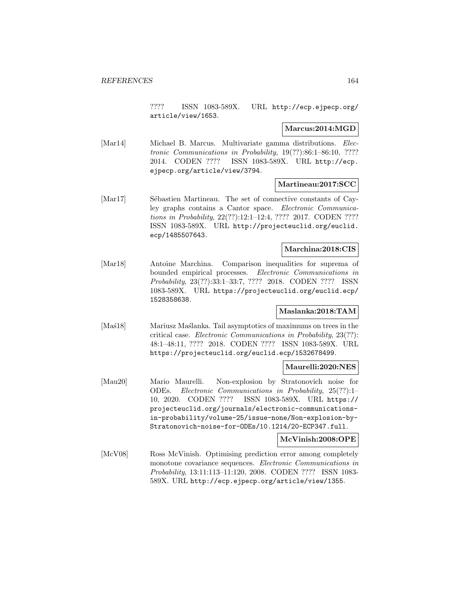???? ISSN 1083-589X. URL http://ecp.ejpecp.org/ article/view/1653.

#### **Marcus:2014:MGD**

[Mar14] Michael B. Marcus. Multivariate gamma distributions. Electronic Communications in Probability, 19(??):86:1–86:10, ???? 2014. CODEN ???? ISSN 1083-589X. URL http://ecp. ejpecp.org/article/view/3794.

### **Martineau:2017:SCC**

[Mar17] Sébastien Martineau. The set of connective constants of Cayley graphs contains a Cantor space. Electronic Communications in Probability, 22(??):12:1–12:4, ???? 2017. CODEN ???? ISSN 1083-589X. URL http://projecteuclid.org/euclid. ecp/1485507643.

# **Marchina:2018:CIS**

[Mar18] Antoine Marchina. Comparison inequalities for suprema of bounded empirical processes. Electronic Communications in Probability, 23(??):33:1–33:7, ???? 2018. CODEN ???? ISSN 1083-589X. URL https://projecteuclid.org/euclid.ecp/ 1528358638.

# **Maslanka:2018:TAM**

[Mas<sup>18]</sup> Mariusz Mas<sup>1</sup>lanka. Tail asymptotics of maximums on trees in the critical case. Electronic Communications in Probability, 23(??): 48:1–48:11, ???? 2018. CODEN ???? ISSN 1083-589X. URL https://projecteuclid.org/euclid.ecp/1532678499.

#### **Maurelli:2020:NES**

[Mau20] Mario Maurelli. Non-explosion by Stratonovich noise for ODEs. Electronic Communications in Probability, 25(??):1– 10, 2020. CODEN ???? ISSN 1083-589X. URL https:// projecteuclid.org/journals/electronic-communicationsin-probability/volume-25/issue-none/Non-explosion-by-Stratonovich-noise-for-ODEs/10.1214/20-ECP347.full.

#### **McVinish:2008:OPE**

[McV08] Ross McVinish. Optimising prediction error among completely monotone covariance sequences. Electronic Communications in Probability, 13:11:113–11:120, 2008. CODEN ???? ISSN 1083- 589X. URL http://ecp.ejpecp.org/article/view/1355.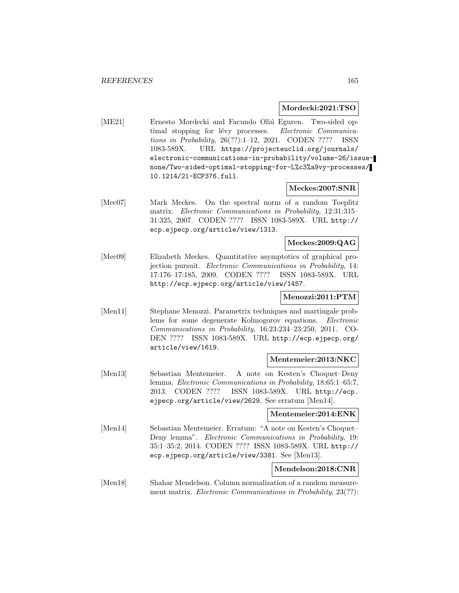#### **Mordecki:2021:TSO**

[ME21] Ernesto Mordecki and Facundo Oliú Eguren. Two-sided optimal stopping for lévy processes. Electronic Communications in Probability, 26(??):1–12, 2021. CODEN ???? ISSN 1083-589X. URL https://projecteuclid.org/journals/ electronic-communications-in-probability/volume-26/issuenone/Two-sided-optimal-stopping-for-L%c3%a9vy-processes/ 10.1214/21-ECP376.full.

#### **Meckes:2007:SNR**

[Mec07] Mark Meckes. On the spectral norm of a random Toeplitz matrix. Electronic Communications in Probability, 12:31:315– 31:325, 2007. CODEN ???? ISSN 1083-589X. URL http:// ecp.ejpecp.org/article/view/1313.

### **Meckes:2009:QAG**

[Mec09] Elizabeth Meckes. Quantitative asymptotics of graphical projection pursuit. Electronic Communications in Probability, 14: 17:176–17:185, 2009. CODEN ???? ISSN 1083-589X. URL http://ecp.ejpecp.org/article/view/1457.

# **Menozzi:2011:PTM**

[Men11] Stephane Menozzi. Parametrix techniques and martingale problems for some degenerate Kolmogorov equations. Electronic Communications in Probability, 16:23:234–23:250, 2011. CO-DEN ???? ISSN 1083-589X. URL http://ecp.ejpecp.org/ article/view/1619.

### **Mentemeier:2013:NKC**

[Men13] Sebastian Mentemeier. A note on Kesten's Choquet–Deny lemma. Electronic Communications in Probability, 18:65:1–65:7, 2013. CODEN ???? ISSN 1083-589X. URL http://ecp. ejpecp.org/article/view/2629. See erratum [Men14].

### **Mentemeier:2014:ENK**

[Men14] Sebastian Mentemeier. Erratum: "A note on Kesten's Choquet– Deny lemma". Electronic Communications in Probability, 19: 35:1–35:2, 2014. CODEN ???? ISSN 1083-589X. URL http:// ecp.ejpecp.org/article/view/3381. See [Men13].

### **Mendelson:2018:CNR**

[Men18] Shahar Mendelson. Column normalization of a random measurement matrix. *Electronic Communications in Probability*, 23(??):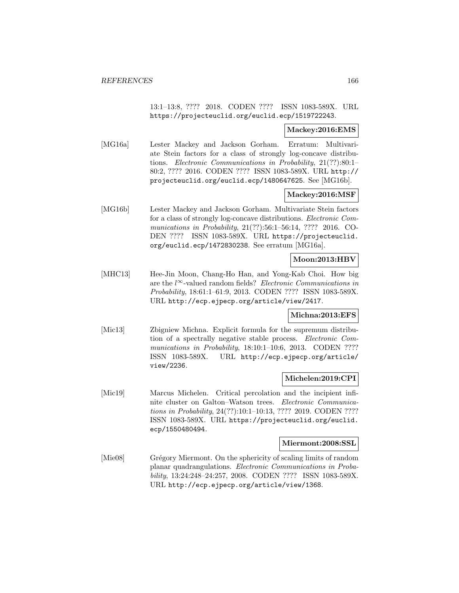13:1–13:8, ???? 2018. CODEN ???? ISSN 1083-589X. URL https://projecteuclid.org/euclid.ecp/1519722243.

### **Mackey:2016:EMS**

[MG16a] Lester Mackey and Jackson Gorham. Erratum: Multivariate Stein factors for a class of strongly log-concave distributions. Electronic Communications in Probability, 21(??):80:1– 80:2, ???? 2016. CODEN ???? ISSN 1083-589X. URL http:// projecteuclid.org/euclid.ecp/1480647625. See [MG16b].

# **Mackey:2016:MSF**

[MG16b] Lester Mackey and Jackson Gorham. Multivariate Stein factors for a class of strongly log-concave distributions. Electronic Communications in Probability, 21(??):56:1–56:14, ???? 2016. CO-DEN ???? ISSN 1083-589X. URL https://projecteuclid. org/euclid.ecp/1472830238. See erratum [MG16a].

# **Moon:2013:HBV**

[MHC13] Hee-Jin Moon, Chang-Ho Han, and Yong-Kab Choi. How big are the  $l^{\infty}$ -valued random fields? *Electronic Communications in* Probability, 18:61:1–61:9, 2013. CODEN ???? ISSN 1083-589X. URL http://ecp.ejpecp.org/article/view/2417.

### **Michna:2013:EFS**

[Mic13] Zbigniew Michna. Explicit formula for the supremum distribution of a spectrally negative stable process. Electronic Communications in Probability, 18:10:1-10:6, 2013. CODEN ???? ISSN 1083-589X. URL http://ecp.ejpecp.org/article/ view/2236.

# **Michelen:2019:CPI**

[Mic19] Marcus Michelen. Critical percolation and the incipient infinite cluster on Galton–Watson trees. Electronic Communications in Probability, 24(??):10:1–10:13, ???? 2019. CODEN ???? ISSN 1083-589X. URL https://projecteuclid.org/euclid. ecp/1550480494.

#### **Miermont:2008:SSL**

[Mie08] Grégory Miermont. On the sphericity of scaling limits of random planar quadrangulations. Electronic Communications in Probability, 13:24:248–24:257, 2008. CODEN ???? ISSN 1083-589X. URL http://ecp.ejpecp.org/article/view/1368.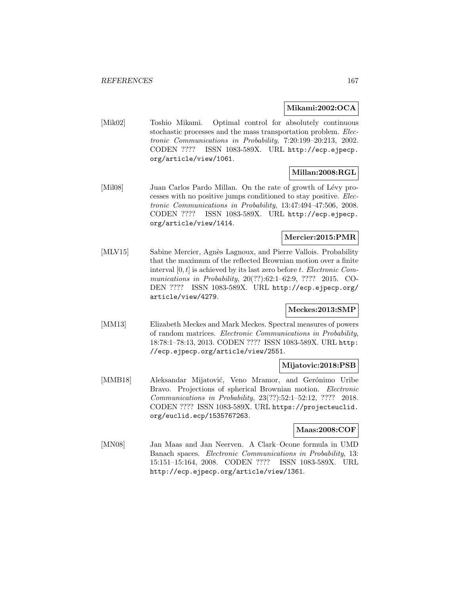### **Mikami:2002:OCA**

[Mik02] Toshio Mikami. Optimal control for absolutely continuous stochastic processes and the mass transportation problem. Electronic Communications in Probability, 7:20:199–20:213, 2002. CODEN ???? ISSN 1083-589X. URL http://ecp.ejpecp. org/article/view/1061.

# **Millan:2008:RGL**

[Mil08] Juan Carlos Pardo Millan. On the rate of growth of Lévy processes with no positive jumps conditioned to stay positive. Electronic Communications in Probability, 13:47:494–47:506, 2008. CODEN ???? ISSN 1083-589X. URL http://ecp.ejpecp. org/article/view/1414.

# **Mercier:2015:PMR**

[MLV15] Sabine Mercier, Agnès Lagnoux, and Pierre Vallois. Probability that the maximum of the reflected Brownian motion over a finite interval  $[0, t]$  is achieved by its last zero before t. Electronic Communications in Probability, 20(??):62:1–62:9, ???? 2015. CO-DEN ???? ISSN 1083-589X. URL http://ecp.ejpecp.org/ article/view/4279.

# **Meckes:2013:SMP**

[MM13] Elizabeth Meckes and Mark Meckes. Spectral measures of powers of random matrices. Electronic Communications in Probability, 18:78:1–78:13, 2013. CODEN ???? ISSN 1083-589X. URL http: //ecp.ejpecp.org/article/view/2551.

### **Mijatovic:2018:PSB**

[MMB18] Aleksandar Mijatović, Veno Mramor, and Gerónimo Uribe Bravo. Projections of spherical Brownian motion. Electronic Communications in Probability, 23(??):52:1–52:12, ???? 2018. CODEN ???? ISSN 1083-589X. URL https://projecteuclid. org/euclid.ecp/1535767263.

### **Maas:2008:COF**

[MN08] Jan Maas and Jan Neerven. A Clark–Ocone formula in UMD Banach spaces. Electronic Communications in Probability, 13: 15:151–15:164, 2008. CODEN ???? ISSN 1083-589X. URL http://ecp.ejpecp.org/article/view/1361.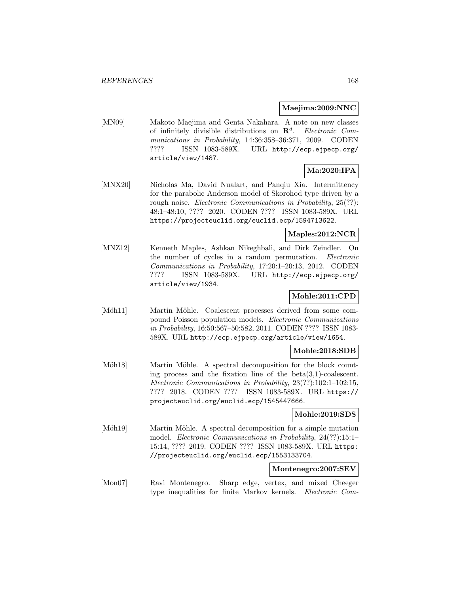#### **Maejima:2009:NNC**

[MN09] Makoto Maejima and Genta Nakahara. A note on new classes of infinitely divisible distributions on  $\mathbb{R}^d$ . Electronic Communications in Probability, 14:36:358–36:371, 2009. CODEN ???? ISSN 1083-589X. URL http://ecp.ejpecp.org/ article/view/1487.

### **Ma:2020:IPA**

[MNX20] Nicholas Ma, David Nualart, and Panqiu Xia. Intermittency for the parabolic Anderson model of Skorohod type driven by a rough noise. *Electronic Communications in Probability*, 25(??): 48:1–48:10, ???? 2020. CODEN ???? ISSN 1083-589X. URL https://projecteuclid.org/euclid.ecp/1594713622.

# **Maples:2012:NCR**

[MNZ12] Kenneth Maples, Ashkan Nikeghbali, and Dirk Zeindler. On the number of cycles in a random permutation. Electronic Communications in Probability, 17:20:1–20:13, 2012. CODEN ???? ISSN 1083-589X. URL http://ecp.ejpecp.org/ article/view/1934.

# **Mohle:2011:CPD**

[Möh11] Martin Möhle. Coalescent processes derived from some compound Poisson population models. Electronic Communications in Probability, 16:50:567–50:582, 2011. CODEN ???? ISSN 1083- 589X. URL http://ecp.ejpecp.org/article/view/1654.

### **Mohle:2018:SDB**

[Möh18] Martin Möhle. A spectral decomposition for the block counting process and the fixation line of the beta $(3,1)$ -coalescent. Electronic Communications in Probability, 23(??):102:1–102:15, ???? 2018. CODEN ???? ISSN 1083-589X. URL https:// projecteuclid.org/euclid.ecp/1545447666.

### **Mohle:2019:SDS**

[Möh19] Martin Möhle. A spectral decomposition for a simple mutation model. Electronic Communications in Probability, 24(??):15:1– 15:14, ???? 2019. CODEN ???? ISSN 1083-589X. URL https: //projecteuclid.org/euclid.ecp/1553133704.

### **Montenegro:2007:SEV**

[Mon07] Ravi Montenegro. Sharp edge, vertex, and mixed Cheeger type inequalities for finite Markov kernels. Electronic Com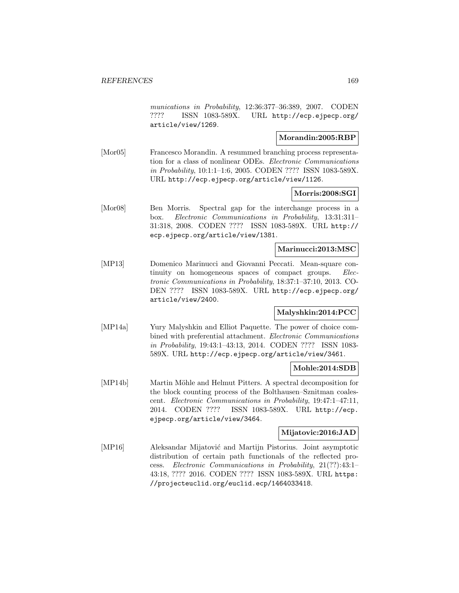munications in Probability, 12:36:377–36:389, 2007. CODEN ???? ISSN 1083-589X. URL http://ecp.ejpecp.org/ article/view/1269.

# **Morandin:2005:RBP**

[Mor05] Francesco Morandin. A resummed branching process representation for a class of nonlinear ODEs. Electronic Communications in Probability, 10:1:1–1:6, 2005. CODEN ???? ISSN 1083-589X. URL http://ecp.ejpecp.org/article/view/1126.

### **Morris:2008:SGI**

[Mor08] Ben Morris. Spectral gap for the interchange process in a box. Electronic Communications in Probability, 13:31:311– 31:318, 2008. CODEN ???? ISSN 1083-589X. URL http:// ecp.ejpecp.org/article/view/1381.

### **Marinucci:2013:MSC**

[MP13] Domenico Marinucci and Giovanni Peccati. Mean-square continuity on homogeneous spaces of compact groups. Electronic Communications in Probability, 18:37:1–37:10, 2013. CO-DEN ???? ISSN 1083-589X. URL http://ecp.ejpecp.org/ article/view/2400.

# **Malyshkin:2014:PCC**

[MP14a] Yury Malyshkin and Elliot Paquette. The power of choice combined with preferential attachment. Electronic Communications in Probability, 19:43:1–43:13, 2014. CODEN ???? ISSN 1083- 589X. URL http://ecp.ejpecp.org/article/view/3461.

#### **Mohle:2014:SDB**

[MP14b] Martin Möhle and Helmut Pitters. A spectral decomposition for the block counting process of the Bolthausen–Sznitman coalescent. Electronic Communications in Probability, 19:47:1–47:11, 2014. CODEN ???? ISSN 1083-589X. URL http://ecp. ejpecp.org/article/view/3464.

## **Mijatovic:2016:JAD**

[MP16] Aleksandar Mijatović and Martijn Pistorius. Joint asymptotic distribution of certain path functionals of the reflected process. Electronic Communications in Probability, 21(??):43:1– 43:18, ???? 2016. CODEN ???? ISSN 1083-589X. URL https: //projecteuclid.org/euclid.ecp/1464033418.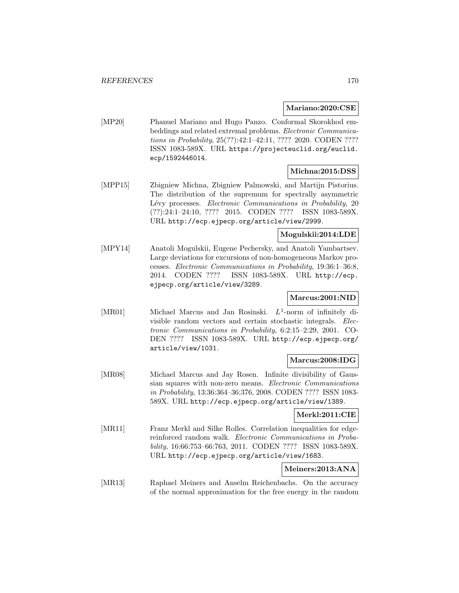#### **Mariano:2020:CSE**

[MP20] Phanuel Mariano and Hugo Panzo. Conformal Skorokhod embeddings and related extremal problems. Electronic Communications in Probability, 25(??):42:1–42:11, ???? 2020. CODEN ???? ISSN 1083-589X. URL https://projecteuclid.org/euclid. ecp/1592446014.

### **Michna:2015:DSS**

[MPP15] Zbigniew Michna, Zbigniew Palmowski, and Martijn Pistorius. The distribution of the supremum for spectrally asymmetric Lévy processes. Electronic Communications in Probability, 20 (??):24:1–24:10, ???? 2015. CODEN ???? ISSN 1083-589X. URL http://ecp.ejpecp.org/article/view/2999.

# **Mogulskii:2014:LDE**

[MPY14] Anatoli Mogulskii, Eugene Pechersky, and Anatoli Yambartsev. Large deviations for excursions of non-homogeneous Markov processes. Electronic Communications in Probability, 19:36:1–36:8, 2014. CODEN ???? ISSN 1083-589X. URL http://ecp. ejpecp.org/article/view/3289.

## **Marcus:2001:NID**

[MR01] Michael Marcus and Jan Rosinski.  $L^1$ -norm of infinitely divisible random vectors and certain stochastic integrals. Electronic Communications in Probability, 6:2:15–2:29, 2001. CO-DEN ???? ISSN 1083-589X. URL http://ecp.ejpecp.org/ article/view/1031.

### **Marcus:2008:IDG**

[MR08] Michael Marcus and Jay Rosen. Infinite divisibility of Gaussian squares with non-zero means. Electronic Communications in Probability, 13:36:364–36:376, 2008. CODEN ???? ISSN 1083- 589X. URL http://ecp.ejpecp.org/article/view/1389.

### **Merkl:2011:CIE**

[MR11] Franz Merkl and Silke Rolles. Correlation inequalities for edgereinforced random walk. Electronic Communications in Probability, 16:66:753–66:763, 2011. CODEN ???? ISSN 1083-589X. URL http://ecp.ejpecp.org/article/view/1683.

# **Meiners:2013:ANA**

[MR13] Raphael Meiners and Anselm Reichenbachs. On the accuracy of the normal approximation for the free energy in the random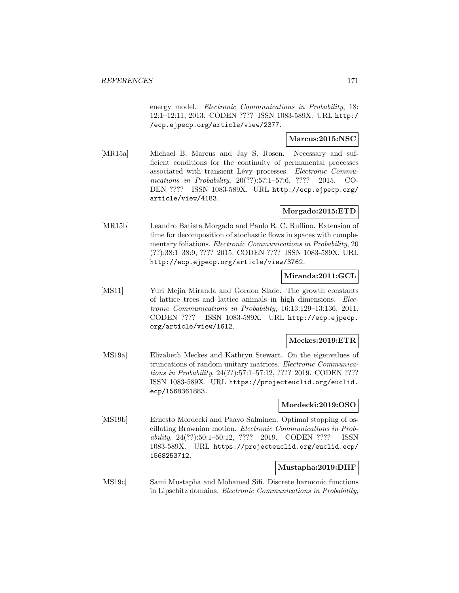energy model. Electronic Communications in Probability, 18: 12:1–12:11, 2013. CODEN ???? ISSN 1083-589X. URL http:/ /ecp.ejpecp.org/article/view/2377.

# **Marcus:2015:NSC**

[MR15a] Michael B. Marcus and Jay S. Rosen. Necessary and sufficient conditions for the continuity of permanental processes associated with transient Lévy processes. Electronic Communications in Probability, 20(??):57:1–57:6, ???? 2015. CO-DEN ???? ISSN 1083-589X. URL http://ecp.ejpecp.org/ article/view/4183.

# **Morgado:2015:ETD**

[MR15b] Leandro Batista Morgado and Paulo R. C. Ruffino. Extension of time for decomposition of stochastic flows in spaces with complementary foliations. Electronic Communications in Probability, 20 (??):38:1–38:9, ???? 2015. CODEN ???? ISSN 1083-589X. URL http://ecp.ejpecp.org/article/view/3762.

# **Miranda:2011:GCL**

[MS11] Yuri Mejia Miranda and Gordon Slade. The growth constants of lattice trees and lattice animals in high dimensions. Electronic Communications in Probability, 16:13:129–13:136, 2011. CODEN ???? ISSN 1083-589X. URL http://ecp.ejpecp. org/article/view/1612.

#### **Meckes:2019:ETR**

[MS19a] Elizabeth Meckes and Kathryn Stewart. On the eigenvalues of truncations of random unitary matrices. Electronic Communications in Probability, 24(??):57:1–57:12, ???? 2019. CODEN ???? ISSN 1083-589X. URL https://projecteuclid.org/euclid. ecp/1568361883.

## **Mordecki:2019:OSO**

[MS19b] Ernesto Mordecki and Paavo Salminen. Optimal stopping of oscillating Brownian motion. Electronic Communications in Probability, 24(??):50:1–50:12, ???? 2019. CODEN ???? ISSN 1083-589X. URL https://projecteuclid.org/euclid.ecp/ 1568253712.

#### **Mustapha:2019:DHF**

[MS19c] Sami Mustapha and Mohamed Sifi. Discrete harmonic functions in Lipschitz domains. Electronic Communications in Probability,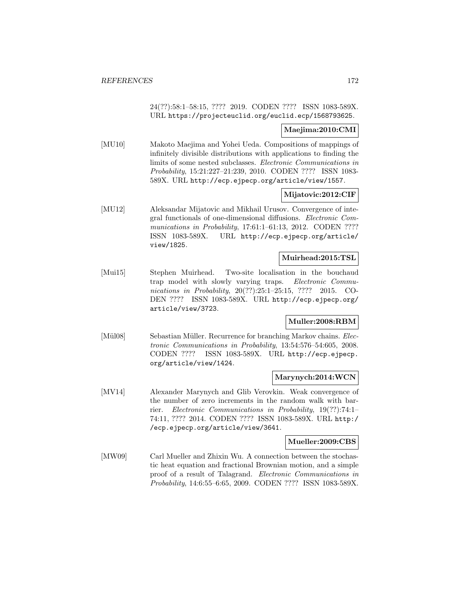24(??):58:1–58:15, ???? 2019. CODEN ???? ISSN 1083-589X. URL https://projecteuclid.org/euclid.ecp/1568793625.

### **Maejima:2010:CMI**

[MU10] Makoto Maejima and Yohei Ueda. Compositions of mappings of infinitely divisible distributions with applications to finding the limits of some nested subclasses. Electronic Communications in Probability, 15:21:227–21:239, 2010. CODEN ???? ISSN 1083- 589X. URL http://ecp.ejpecp.org/article/view/1557.

# **Mijatovic:2012:CIF**

[MU12] Aleksandar Mijatovic and Mikhail Urusov. Convergence of integral functionals of one-dimensional diffusions. Electronic Communications in Probability, 17:61:1-61:13, 2012. CODEN ???? ISSN 1083-589X. URL http://ecp.ejpecp.org/article/ view/1825.

### **Muirhead:2015:TSL**

[Mui15] Stephen Muirhead. Two-site localisation in the bouchaud trap model with slowly varying traps. Electronic Communications in Probability, 20(??):25:1-25:15, ???? 2015. CO-DEN ???? ISSN 1083-589X. URL http://ecp.ejpecp.org/ article/view/3723.

# **Muller:2008:RBM**

[Mül08] Sebastian Müller. Recurrence for branching Markov chains. Electronic Communications in Probability, 13:54:576–54:605, 2008. CODEN ???? ISSN 1083-589X. URL http://ecp.ejpecp. org/article/view/1424.

### **Marynych:2014:WCN**

[MV14] Alexander Marynych and Glib Verovkin. Weak convergence of the number of zero increments in the random walk with barrier. Electronic Communications in Probability, 19(??):74:1– 74:11, ???? 2014. CODEN ???? ISSN 1083-589X. URL http:/ /ecp.ejpecp.org/article/view/3641.

#### **Mueller:2009:CBS**

[MW09] Carl Mueller and Zhixin Wu. A connection between the stochastic heat equation and fractional Brownian motion, and a simple proof of a result of Talagrand. Electronic Communications in Probability, 14:6:55–6:65, 2009. CODEN ???? ISSN 1083-589X.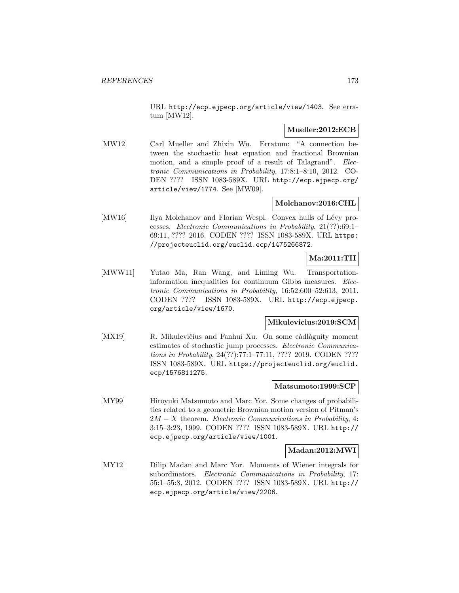URL http://ecp.ejpecp.org/article/view/1403. See erratum [MW12].

# **Mueller:2012:ECB**

[MW12] Carl Mueller and Zhixin Wu. Erratum: "A connection between the stochastic heat equation and fractional Brownian motion, and a simple proof of a result of Talagrand". Electronic Communications in Probability, 17:8:1–8:10, 2012. CO-DEN ???? ISSN 1083-589X. URL http://ecp.ejpecp.org/ article/view/1774. See [MW09].

# **Molchanov:2016:CHL**

[MW16] Ilya Molchanov and Florian Wespi. Convex hulls of Lévy processes. Electronic Communications in Probability, 21(??):69:1– 69:11, ???? 2016. CODEN ???? ISSN 1083-589X. URL https: //projecteuclid.org/euclid.ecp/1475266872.

# **Ma:2011:TII**

[MWW11] Yutao Ma, Ran Wang, and Liming Wu. Transportationinformation inequalities for continuum Gibbs measures. Electronic Communications in Probability, 16:52:600–52:613, 2011. CODEN ???? ISSN 1083-589X. URL http://ecp.ejpecp. org/article/view/1670.

# **Mikulevicius:2019:SCM**

[MX19] R. Mikulevičius and Fanhui Xu. On some càdlàguity moment estimates of stochastic jump processes. Electronic Communications in Probability, 24(??):77:1–77:11, ???? 2019. CODEN ???? ISSN 1083-589X. URL https://projecteuclid.org/euclid. ecp/1576811275.

#### **Matsumoto:1999:SCP**

[MY99] Hiroyuki Matsumoto and Marc Yor. Some changes of probabilities related to a geometric Brownian motion version of Pitman's  $2M - X$  theorem. Electronic Communications in Probability, 4: 3:15–3:23, 1999. CODEN ???? ISSN 1083-589X. URL http:// ecp.ejpecp.org/article/view/1001.

### **Madan:2012:MWI**

[MY12] Dilip Madan and Marc Yor. Moments of Wiener integrals for subordinators. Electronic Communications in Probability, 17: 55:1–55:8, 2012. CODEN ???? ISSN 1083-589X. URL http:// ecp.ejpecp.org/article/view/2206.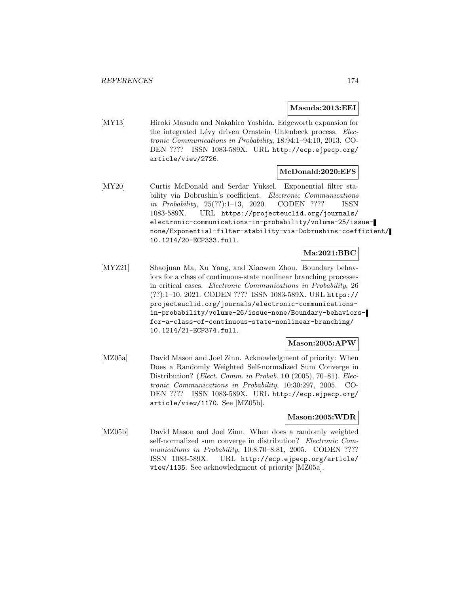#### **Masuda:2013:EEI**

[MY13] Hiroki Masuda and Nakahiro Yoshida. Edgeworth expansion for the integrated Lévy driven Ornstein–Uhlenbeck process. Electronic Communications in Probability, 18:94:1–94:10, 2013. CO-DEN ???? ISSN 1083-589X. URL http://ecp.ejpecp.org/ article/view/2726.

#### **McDonald:2020:EFS**

[MY20] Curtis McDonald and Serdar Yüksel. Exponential filter stability via Dobrushin's coefficient. Electronic Communications in Probability, 25(??):1–13, 2020. CODEN ???? ISSN 1083-589X. URL https://projecteuclid.org/journals/ electronic-communications-in-probability/volume-25/issuenone/Exponential-filter-stability-via-Dobrushins-coefficient/ 10.1214/20-ECP333.full.

# **Ma:2021:BBC**

[MYZ21] Shaojuan Ma, Xu Yang, and Xiaowen Zhou. Boundary behaviors for a class of continuous-state nonlinear branching processes in critical cases. Electronic Communications in Probability, 26 (??):1–10, 2021. CODEN ???? ISSN 1083-589X. URL https:// projecteuclid.org/journals/electronic-communicationsin-probability/volume-26/issue-none/Boundary-behaviorsfor-a-class-of-continuous-state-nonlinear-branching/ 10.1214/21-ECP374.full.

#### **Mason:2005:APW**

[MZ05a] David Mason and Joel Zinn. Acknowledgment of priority: When Does a Randomly Weighted Self-normalized Sum Converge in Distribution? (Elect. Comm. in Probab. **10** (2005), 70–81). Electronic Communications in Probability, 10:30:297, 2005. CO-DEN ???? ISSN 1083-589X. URL http://ecp.ejpecp.org/ article/view/1170. See [MZ05b].

#### **Mason:2005:WDR**

[MZ05b] David Mason and Joel Zinn. When does a randomly weighted self-normalized sum converge in distribution? Electronic Communications in Probability, 10:8:70–8:81, 2005. CODEN ???? ISSN 1083-589X. URL http://ecp.ejpecp.org/article/ view/1135. See acknowledgment of priority [MZ05a].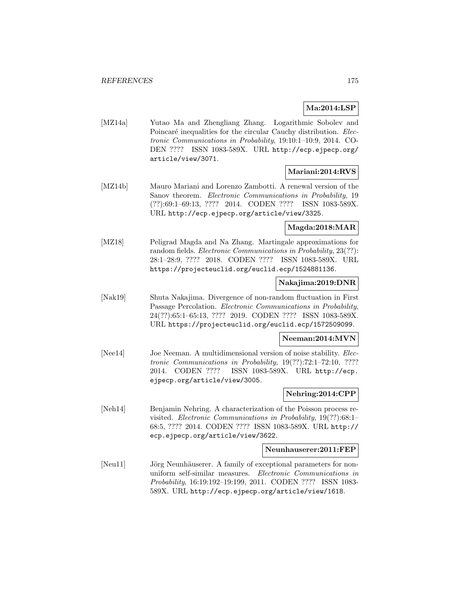# **Ma:2014:LSP**

[MZ14a] Yutao Ma and Zhengliang Zhang. Logarithmic Sobolev and Poincaré inequalities for the circular Cauchy distribution. Electronic Communications in Probability, 19:10:1–10:9, 2014. CO-DEN ???? ISSN 1083-589X. URL http://ecp.ejpecp.org/ article/view/3071.

### **Mariani:2014:RVS**

[MZ14b] Mauro Mariani and Lorenzo Zambotti. A renewal version of the Sanov theorem. Electronic Communications in Probability, 19 (??):69:1–69:13, ???? 2014. CODEN ???? ISSN 1083-589X. URL http://ecp.ejpecp.org/article/view/3325.

#### **Magda:2018:MAR**

[MZ18] Peligrad Magda and Na Zhang. Martingale approximations for random fields. Electronic Communications in Probability, 23(??): 28:1–28:9, ???? 2018. CODEN ???? ISSN 1083-589X. URL https://projecteuclid.org/euclid.ecp/1524881136.

# **Nakajima:2019:DNR**

[Nak19] Shuta Nakajima. Divergence of non-random fluctuation in First Passage Percolation. Electronic Communications in Probability, 24(??):65:1–65:13, ???? 2019. CODEN ???? ISSN 1083-589X. URL https://projecteuclid.org/euclid.ecp/1572509099.

#### **Neeman:2014:MVN**

[Nee14] Joe Neeman. A multidimensional version of noise stability. *Elec*tronic Communications in Probability, 19(??):72:1–72:10, ???? 2014. CODEN ???? ISSN 1083-589X. URL http://ecp. ejpecp.org/article/view/3005.

# **Nehring:2014:CPP**

[Neh14] Benjamin Nehring. A characterization of the Poisson process revisited. Electronic Communications in Probability, 19(??):68:1– 68:5, ???? 2014. CODEN ???? ISSN 1083-589X. URL http:// ecp.ejpecp.org/article/view/3622.

### **Neunhauserer:2011:FEP**

[Neu11] Jörg Neunhäuserer. A family of exceptional parameters for nonuniform self-similar measures. Electronic Communications in Probability, 16:19:192–19:199, 2011. CODEN ???? ISSN 1083- 589X. URL http://ecp.ejpecp.org/article/view/1618.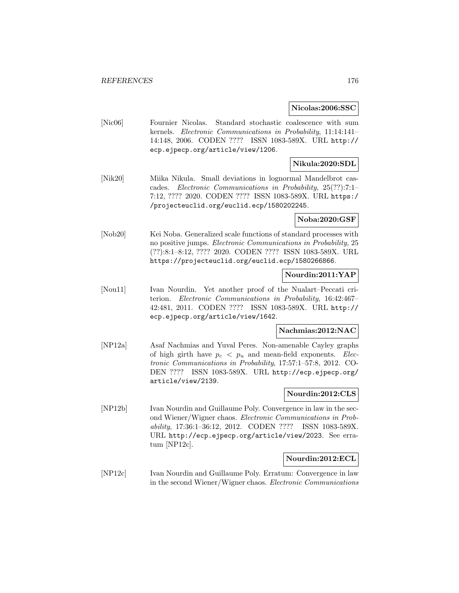**Nicolas:2006:SSC**

[Nic06] Fournier Nicolas. Standard stochastic coalescence with sum kernels. Electronic Communications in Probability, 11:14:141– 14:148, 2006. CODEN ???? ISSN 1083-589X. URL http:// ecp.ejpecp.org/article/view/1206.

# **Nikula:2020:SDL**

[Nik20] Miika Nikula. Small deviations in lognormal Mandelbrot cascades. Electronic Communications in Probability, 25(??):7:1– 7:12, ???? 2020. CODEN ???? ISSN 1083-589X. URL https:/ /projecteuclid.org/euclid.ecp/1580202245.

**Noba:2020:GSF**

[Nob20] Kei Noba. Generalized scale functions of standard processes with no positive jumps. Electronic Communications in Probability, 25 (??):8:1–8:12, ???? 2020. CODEN ???? ISSN 1083-589X. URL https://projecteuclid.org/euclid.ecp/1580266866.

### **Nourdin:2011:YAP**

[Nou11] Ivan Nourdin. Yet another proof of the Nualart–Peccati criterion. Electronic Communications in Probability, 16:42:467– 42:481, 2011. CODEN ???? ISSN 1083-589X. URL http:// ecp.ejpecp.org/article/view/1642.

#### **Nachmias:2012:NAC**

[NP12a] Asaf Nachmias and Yuval Peres. Non-amenable Cayley graphs of high girth have  $p_c < p_u$  and mean-field exponents. *Elec*tronic Communications in Probability, 17:57:1–57:8, 2012. CO-DEN ???? ISSN 1083-589X. URL http://ecp.ejpecp.org/ article/view/2139.

### **Nourdin:2012:CLS**

[NP12b] Ivan Nourdin and Guillaume Poly. Convergence in law in the second Wiener/Wigner chaos. Electronic Communications in Probability, 17:36:1–36:12, 2012. CODEN ???? ISSN 1083-589X. URL http://ecp.ejpecp.org/article/view/2023. See erratum [NP12c].

### **Nourdin:2012:ECL**

[NP12c] Ivan Nourdin and Guillaume Poly. Erratum: Convergence in law in the second Wiener/Wigner chaos. Electronic Communications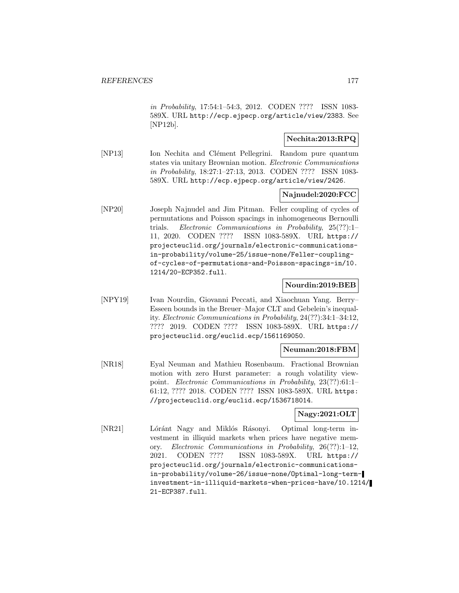in Probability, 17:54:1–54:3, 2012. CODEN ???? ISSN 1083- 589X. URL http://ecp.ejpecp.org/article/view/2383. See [NP12b].

# **Nechita:2013:RPQ**

[NP13] Ion Nechita and Clément Pellegrini. Random pure quantum states via unitary Brownian motion. Electronic Communications in Probability, 18:27:1–27:13, 2013. CODEN ???? ISSN 1083- 589X. URL http://ecp.ejpecp.org/article/view/2426.

# **Najnudel:2020:FCC**

[NP20] Joseph Najnudel and Jim Pitman. Feller coupling of cycles of permutations and Poisson spacings in inhomogeneous Bernoulli trials. Electronic Communications in Probability, 25(??):1– 11, 2020. CODEN ???? ISSN 1083-589X. URL https:// projecteuclid.org/journals/electronic-communicationsin-probability/volume-25/issue-none/Feller-couplingof-cycles-of-permutations-and-Poisson-spacings-in/10. 1214/20-ECP352.full.

## **Nourdin:2019:BEB**

[NPY19] Ivan Nourdin, Giovanni Peccati, and Xiaochuan Yang. Berry– Esseen bounds in the Breuer–Major CLT and Gebelein's inequality. Electronic Communications in Probability, 24(??):34:1–34:12, ???? 2019. CODEN ???? ISSN 1083-589X. URL https:// projecteuclid.org/euclid.ecp/1561169050.

#### **Neuman:2018:FBM**

[NR18] Eyal Neuman and Mathieu Rosenbaum. Fractional Brownian motion with zero Hurst parameter: a rough volatility viewpoint. Electronic Communications in Probability, 23(??):61:1– 61:12, ???? 2018. CODEN ???? ISSN 1083-589X. URL https: //projecteuclid.org/euclid.ecp/1536718014.

# **Nagy:2021:OLT**

[NR21] Lóránt Nagy and Miklós Rásonyi. Optimal long-term investment in illiquid markets when prices have negative memory. Electronic Communications in Probability, 26(??):1–12, 2021. CODEN ???? ISSN 1083-589X. URL https:// projecteuclid.org/journals/electronic-communicationsin-probability/volume-26/issue-none/Optimal-long-terminvestment-in-illiquid-markets-when-prices-have/10.1214/ 21-ECP387.full.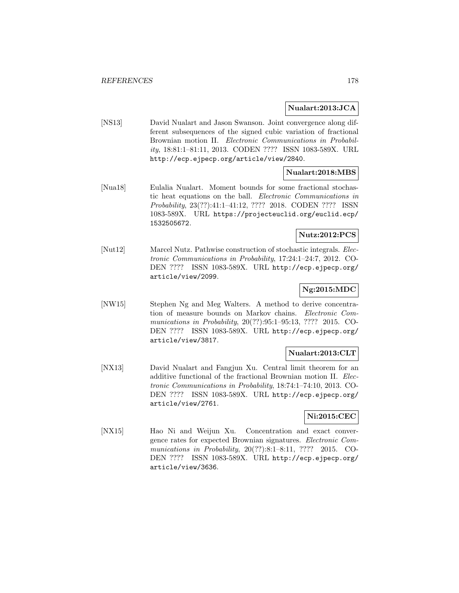### **Nualart:2013:JCA**

[NS13] David Nualart and Jason Swanson. Joint convergence along different subsequences of the signed cubic variation of fractional Brownian motion II. Electronic Communications in Probability, 18:81:1–81:11, 2013. CODEN ???? ISSN 1083-589X. URL http://ecp.ejpecp.org/article/view/2840.

# **Nualart:2018:MBS**

[Nua18] Eulalia Nualart. Moment bounds for some fractional stochastic heat equations on the ball. Electronic Communications in Probability, 23(??):41:1–41:12, ???? 2018. CODEN ???? ISSN 1083-589X. URL https://projecteuclid.org/euclid.ecp/ 1532505672.

# **Nutz:2012:PCS**

[Nut12] Marcel Nutz. Pathwise construction of stochastic integrals. Electronic Communications in Probability, 17:24:1–24:7, 2012. CO-DEN ???? ISSN 1083-589X. URL http://ecp.ejpecp.org/ article/view/2099.

# **Ng:2015:MDC**

[NW15] Stephen Ng and Meg Walters. A method to derive concentration of measure bounds on Markov chains. Electronic Communications in Probability, 20(??):95:1–95:13, ???? 2015. CO-DEN ???? ISSN 1083-589X. URL http://ecp.ejpecp.org/ article/view/3817.

### **Nualart:2013:CLT**

[NX13] David Nualart and Fangjun Xu. Central limit theorem for an additive functional of the fractional Brownian motion II. Electronic Communications in Probability, 18:74:1–74:10, 2013. CO-DEN ???? ISSN 1083-589X. URL http://ecp.ejpecp.org/ article/view/2761.

## **Ni:2015:CEC**

[NX15] Hao Ni and Weijun Xu. Concentration and exact convergence rates for expected Brownian signatures. Electronic Communications in Probability, 20(??):8:1–8:11, ???? 2015. CO-DEN ???? ISSN 1083-589X. URL http://ecp.ejpecp.org/ article/view/3636.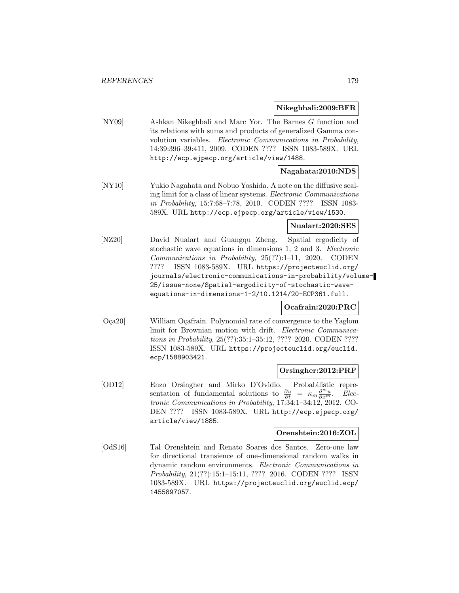#### **Nikeghbali:2009:BFR**

[NY09] Ashkan Nikeghbali and Marc Yor. The Barnes G function and its relations with sums and products of generalized Gamma convolution variables. Electronic Communications in Probability, 14:39:396–39:411, 2009. CODEN ???? ISSN 1083-589X. URL http://ecp.ejpecp.org/article/view/1488.

### **Nagahata:2010:NDS**

[NY10] Yukio Nagahata and Nobuo Yoshida. A note on the diffusive scaling limit for a class of linear systems. Electronic Communications in Probability, 15:7:68–7:78, 2010. CODEN ???? ISSN 1083- 589X. URL http://ecp.ejpecp.org/article/view/1530.

#### **Nualart:2020:SES**

[NZ20] David Nualart and Guangqu Zheng. Spatial ergodicity of stochastic wave equations in dimensions 1, 2 and 3. Electronic Communications in Probability, 25(??):1–11, 2020. CODEN ???? ISSN 1083-589X. URL https://projecteuclid.org/ journals/electronic-communications-in-probability/volume-25/issue-none/Spatial-ergodicity-of-stochastic-waveequations-in-dimensions-1-2/10.1214/20-ECP361.full.

# **Ocafrain:2020:PRC**

[Oça20] William Oçafrain. Polynomial rate of convergence to the Yaglom limit for Brownian motion with drift. Electronic Communications in Probability, 25(??):35:1–35:12, ???? 2020. CODEN ???? ISSN 1083-589X. URL https://projecteuclid.org/euclid. ecp/1588903421.

#### **Orsingher:2012:PRF**

[OD12] Enzo Orsingher and Mirko D'Ovidio. Probabilistic representation of fundamental solutions to  $\frac{\partial u}{\partial t} = \kappa_m \frac{\partial^m u}{\partial x^m}$ . Electronic Communications in Probability, 17:34:1–34:12, 2012. CO-DEN ???? ISSN 1083-589X. URL http://ecp.ejpecp.org/ article/view/1885.

## **Orenshtein:2016:ZOL**

[OdS16] Tal Orenshtein and Renato Soares dos Santos. Zero-one law for directional transience of one-dimensional random walks in dynamic random environments. Electronic Communications in Probability, 21(??):15:1–15:11, ???? 2016. CODEN ???? ISSN 1083-589X. URL https://projecteuclid.org/euclid.ecp/ 1455897057.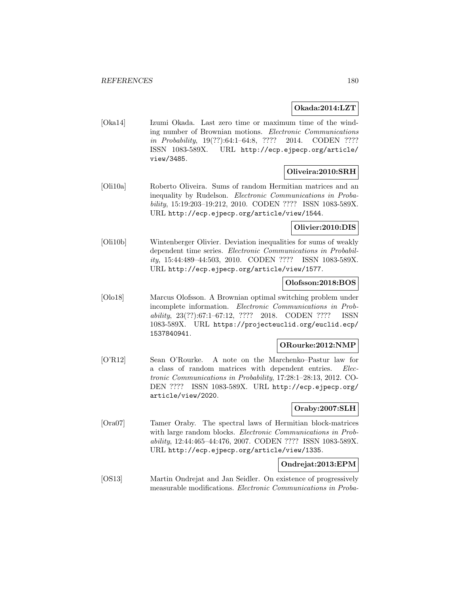## **Okada:2014:LZT**

[Oka14] Izumi Okada. Last zero time or maximum time of the winding number of Brownian motions. Electronic Communications in Probability, 19(??):64:1–64:8, ???? 2014. CODEN ???? ISSN 1083-589X. URL http://ecp.ejpecp.org/article/ view/3485.

# **Oliveira:2010:SRH**

[Oli10a] Roberto Oliveira. Sums of random Hermitian matrices and an inequality by Rudelson. Electronic Communications in Probability, 15:19:203–19:212, 2010. CODEN ???? ISSN 1083-589X. URL http://ecp.ejpecp.org/article/view/1544.

### **Olivier:2010:DIS**

[Oli10b] Wintenberger Olivier. Deviation inequalities for sums of weakly dependent time series. Electronic Communications in Probability, 15:44:489–44:503, 2010. CODEN ???? ISSN 1083-589X. URL http://ecp.ejpecp.org/article/view/1577.

# **Olofsson:2018:BOS**

[Olo18] Marcus Olofsson. A Brownian optimal switching problem under incomplete information. Electronic Communications in Probability, 23(??):67:1–67:12, ???? 2018. CODEN ???? ISSN 1083-589X. URL https://projecteuclid.org/euclid.ecp/ 1537840941.

# **ORourke:2012:NMP**

[O'R12] Sean O'Rourke. A note on the Marchenko–Pastur law for a class of random matrices with dependent entries. Electronic Communications in Probability, 17:28:1–28:13, 2012. CO-DEN ???? ISSN 1083-589X. URL http://ecp.ejpecp.org/ article/view/2020.

# **Oraby:2007:SLH**

[Ora07] Tamer Oraby. The spectral laws of Hermitian block-matrices with large random blocks. Electronic Communications in Probability, 12:44:465–44:476, 2007. CODEN ???? ISSN 1083-589X. URL http://ecp.ejpecp.org/article/view/1335.

## **Ondrejat:2013:EPM**

[OS13] Martin Ondrejat and Jan Seidler. On existence of progressively measurable modifications. Electronic Communications in Proba-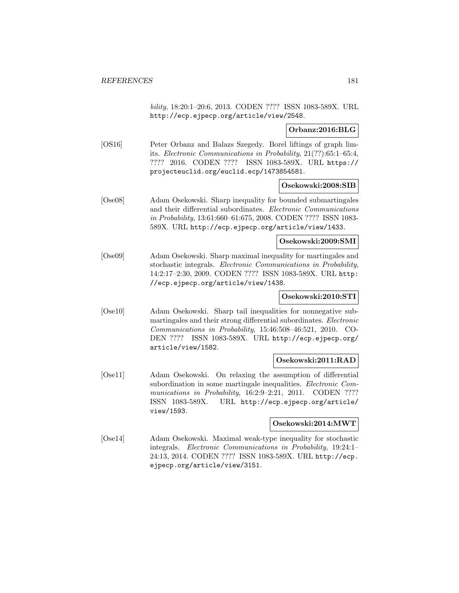bility, 18:20:1–20:6, 2013. CODEN ???? ISSN 1083-589X. URL http://ecp.ejpecp.org/article/view/2548.

**Orbanz:2016:BLG**

[OS16] Peter Orbanz and Balazs Szegedy. Borel liftings of graph limits. Electronic Communications in Probability, 21(??):65:1–65:4, ???? 2016. CODEN ???? ISSN 1083-589X. URL https:// projecteuclid.org/euclid.ecp/1473854581.

#### **Osekowski:2008:SIB**

[Ose08] Adam Osekowski. Sharp inequality for bounded submartingales and their differential subordinates. Electronic Communications in Probability, 13:61:660–61:675, 2008. CODEN ???? ISSN 1083- 589X. URL http://ecp.ejpecp.org/article/view/1433.

#### **Osekowski:2009:SMI**

[Ose09] Adam Osekowski. Sharp maximal inequality for martingales and stochastic integrals. Electronic Communications in Probability, 14:2:17–2:30, 2009. CODEN ???? ISSN 1083-589X. URL http: //ecp.ejpecp.org/article/view/1438.

## **Osekowski:2010:STI**

[Ose10] Adam Osekowski. Sharp tail inequalities for nonnegative submartingales and their strong differential subordinates. Electronic Communications in Probability, 15:46:508–46:521, 2010. CO-DEN ???? ISSN 1083-589X. URL http://ecp.ejpecp.org/ article/view/1582.

## **Osekowski:2011:RAD**

[Ose11] Adam Osekowski. On relaxing the assumption of differential subordination in some martingale inequalities. Electronic Communications in Probability, 16:2:9-2:21, 2011. CODEN ???? ISSN 1083-589X. URL http://ecp.ejpecp.org/article/ view/1593.

#### **Osekowski:2014:MWT**

[Ose14] Adam Osekowski. Maximal weak-type inequality for stochastic integrals. Electronic Communications in Probability, 19:24:1– 24:13, 2014. CODEN ???? ISSN 1083-589X. URL http://ecp. ejpecp.org/article/view/3151.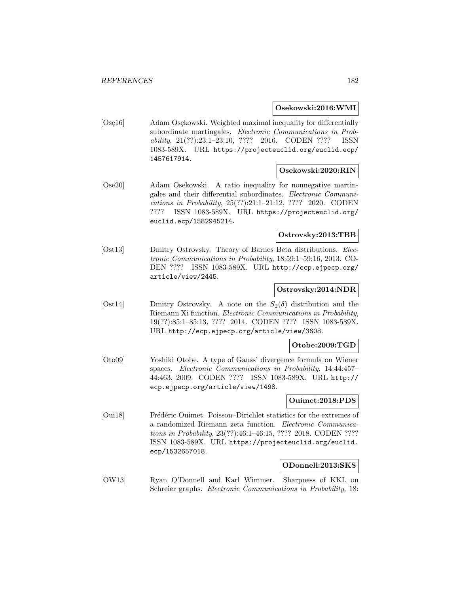## **Osekowski:2016:WMI**

[Ose<sub>16</sub>] Adam Osekowski. Weighted maximal inequality for differentially subordinate martingales. Electronic Communications in Probability, 21(??):23:1–23:10, ???? 2016. CODEN ???? ISSN 1083-589X. URL https://projecteuclid.org/euclid.ecp/ 1457617914.

#### **Osekowski:2020:RIN**

[Ose20] Adam Osekowski. A ratio inequality for nonnegative martingales and their differential subordinates. Electronic Communications in Probability, 25(??):21:1–21:12, ???? 2020. CODEN ???? ISSN 1083-589X. URL https://projecteuclid.org/ euclid.ecp/1582945214.

## **Ostrovsky:2013:TBB**

[Ost13] Dmitry Ostrovsky. Theory of Barnes Beta distributions. Electronic Communications in Probability, 18:59:1–59:16, 2013. CO-DEN ???? ISSN 1083-589X. URL http://ecp.ejpecp.org/ article/view/2445.

#### **Ostrovsky:2014:NDR**

[Ost14] Dmitry Ostrovsky. A note on the  $S_2(\delta)$  distribution and the Riemann Xi function. Electronic Communications in Probability, 19(??):85:1–85:13, ???? 2014. CODEN ???? ISSN 1083-589X. URL http://ecp.ejpecp.org/article/view/3608.

## **Otobe:2009:TGD**

[Oto09] Yoshiki Otobe. A type of Gauss' divergence formula on Wiener spaces. Electronic Communications in Probability, 14:44:457– 44:463, 2009. CODEN ???? ISSN 1083-589X. URL http:// ecp.ejpecp.org/article/view/1498.

## **Ouimet:2018:PDS**

[Oui18] Frédéric Ouimet. Poisson–Dirichlet statistics for the extremes of a randomized Riemann zeta function. Electronic Communications in Probability, 23(??):46:1–46:15, ???? 2018. CODEN ???? ISSN 1083-589X. URL https://projecteuclid.org/euclid. ecp/1532657018.

## **ODonnell:2013:SKS**

[OW13] Ryan O'Donnell and Karl Wimmer. Sharpness of KKL on Schreier graphs. Electronic Communications in Probability, 18: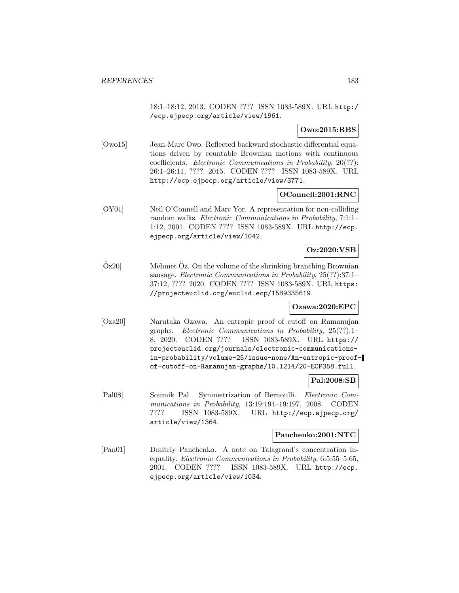18:1–18:12, 2013. CODEN ???? ISSN 1083-589X. URL http:/ /ecp.ejpecp.org/article/view/1961.

## **Owo:2015:RBS**

[Owo15] Jean-Marc Owo. Reflected backward stochastic differential equations driven by countable Brownian motions with continuous coefficients. Electronic Communications in Probability, 20(??): 26:1–26:11, ???? 2015. CODEN ???? ISSN 1083-589X. URL http://ecp.ejpecp.org/article/view/3771.

## **OConnell:2001:RNC**

[OY01] Neil O'Connell and Marc Yor. A representation for non-colliding random walks. Electronic Communications in Probability, 7:1:1– 1:12, 2001. CODEN ???? ISSN 1083-589X. URL http://ecp. ejpecp.org/article/view/1042.

## **Oz:2020:VSB**

 $[Oz20]$  Mehmet  $Oz$ . On the volume of the shrinking branching Brownian sausage. Electronic Communications in Probability, 25(??):37:1– 37:12, ???? 2020. CODEN ???? ISSN 1083-589X. URL https: //projecteuclid.org/euclid.ecp/1589335619.

## **Ozawa:2020:EPC**

[Oza20] Narutaka Ozawa. An entropic proof of cutoff on Ramanujan graphs. Electronic Communications in Probability, 25(??):1– 8, 2020. CODEN ???? ISSN 1083-589X. URL https:// projecteuclid.org/journals/electronic-communicationsin-probability/volume-25/issue-none/An-entropic-proofof-cutoff-on-Ramanujan-graphs/10.1214/20-ECP358.full.

## **Pal:2008:SB**

[Pal08] Soumik Pal. Symmetrization of Bernoulli. Electronic Communications in Probability, 13:19:194–19:197, 2008. CODEN ???? ISSN 1083-589X. URL http://ecp.ejpecp.org/ article/view/1364.

## **Panchenko:2001:NTC**

[Pan01] Dmitriy Panchenko. A note on Talagrand's concentration inequality. Electronic Communications in Probability, 6:5:55–5:65, 2001. CODEN ???? ISSN 1083-589X. URL http://ecp. ejpecp.org/article/view/1034.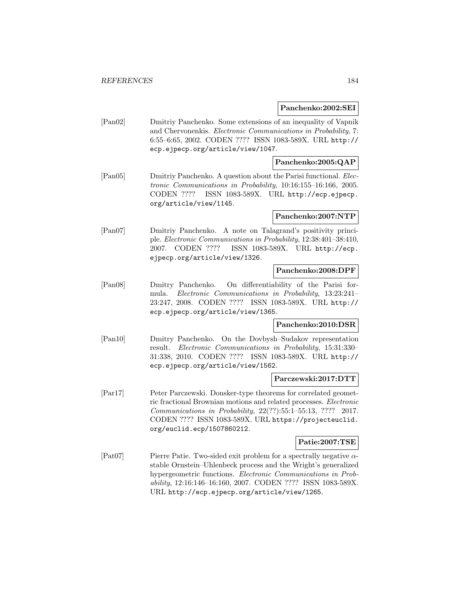**Panchenko:2002:SEI**

[Pan02] Dmitriy Panchenko. Some extensions of an inequality of Vapnik and Chervonenkis. Electronic Communications in Probability, 7: 6:55–6:65, 2002. CODEN ???? ISSN 1083-589X. URL http:// ecp.ejpecp.org/article/view/1047.

## **Panchenko:2005:QAP**

[Pan05] Dmitriy Panchenko. A question about the Parisi functional. Electronic Communications in Probability, 10:16:155–16:166, 2005. CODEN ???? ISSN 1083-589X. URL http://ecp.ejpecp. org/article/view/1145.

## **Panchenko:2007:NTP**

[Pan07] Dmitriy Panchenko. A note on Talagrand's positivity principle. Electronic Communications in Probability, 12:38:401–38:410, 2007. CODEN ???? ISSN 1083-589X. URL http://ecp. ejpecp.org/article/view/1326.

## **Panchenko:2008:DPF**

[Pan08] Dmitry Panchenko. On differentiability of the Parisi formula. Electronic Communications in Probability, 13:23:241– 23:247, 2008. CODEN ???? ISSN 1083-589X. URL http:// ecp.ejpecp.org/article/view/1365.

## **Panchenko:2010:DSR**

[Pan10] Dmitry Panchenko. On the Dovbysh–Sudakov representation result. Electronic Communications in Probability, 15:31:330– 31:338, 2010. CODEN ???? ISSN 1083-589X. URL http:// ecp.ejpecp.org/article/view/1562.

#### **Parczewski:2017:DTT**

[Par17] Peter Parczewski. Donsker-type theorems for correlated geometric fractional Brownian motions and related processes. Electronic Communications in Probability, 22(??):55:1–55:13, ???? 2017. CODEN ???? ISSN 1083-589X. URL https://projecteuclid. org/euclid.ecp/1507860212.

#### **Patie:2007:TSE**

[Pat07] Pierre Patie. Two-sided exit problem for a spectrally negative αstable Ornstein–Uhlenbeck process and the Wright's generalized hypergeometric functions. Electronic Communications in Probability, 12:16:146–16:160, 2007. CODEN ???? ISSN 1083-589X. URL http://ecp.ejpecp.org/article/view/1265.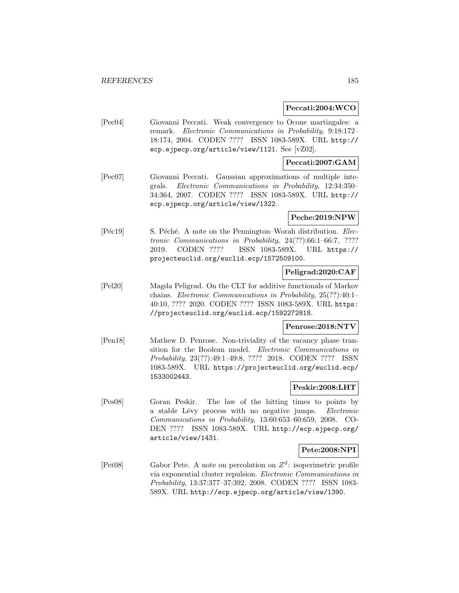### **Peccati:2004:WCO**

[Pec04] Giovanni Peccati. Weak convergence to Ocone martingales: a remark. Electronic Communications in Probability, 9:18:172– 18:174, 2004. CODEN ???? ISSN 1083-589X. URL http:// ecp.ejpecp.org/article/view/1121. See [vZ02].

## **Peccati:2007:GAM**

[Pec07] Giovanni Peccati. Gaussian approximations of multiple integrals. Electronic Communications in Probability, 12:34:350– 34:364, 2007. CODEN ???? ISSN 1083-589X. URL http:// ecp.ejpecp.org/article/view/1322.

## **Peche:2019:NPW**

[Péc19] S. Péché. A note on the Pennington–Worah distribution. Electronic Communications in Probability, 24(??):66:1–66:7, ???? 2019. CODEN ???? ISSN 1083-589X. URL https:// projecteuclid.org/euclid.ecp/1572509100.

## **Peligrad:2020:CAF**

[Pel20] Magda Peligrad. On the CLT for additive functionals of Markov chains. Electronic Communications in Probability, 25(??):40:1– 40:10, ???? 2020. CODEN ???? ISSN 1083-589X. URL https: //projecteuclid.org/euclid.ecp/1592272818.

## **Penrose:2018:NTV**

[Pen18] Mathew D. Penrose. Non-triviality of the vacancy phase transition for the Boolean model. Electronic Communications in Probability, 23(??):49:1–49:8, ???? 2018. CODEN ???? ISSN 1083-589X. URL https://projecteuclid.org/euclid.ecp/ 1533002443.

## **Peskir:2008:LHT**

[Pes08] Goran Peskir. The law of the hitting times to points by a stable Lévy process with no negative jumps. Electronic Communications in Probability, 13:60:653–60:659, 2008. CO-DEN ???? ISSN 1083-589X. URL http://ecp.ejpecp.org/ article/view/1431.

## **Pete:2008:NPI**

[Pet08] Gabor Pete. A note on percolation on  $Z<sup>d</sup>$ : isoperimetric profile via exponential cluster repulsion. Electronic Communications in Probability, 13:37:377–37:392, 2008. CODEN ???? ISSN 1083- 589X. URL http://ecp.ejpecp.org/article/view/1390.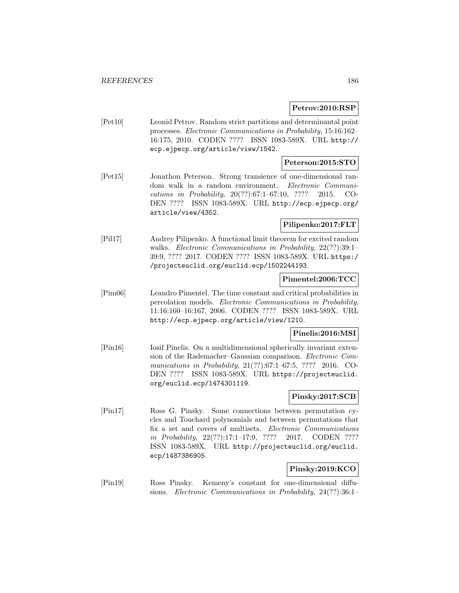## **Petrov:2010:RSP**

[Pet10] Leonid Petrov. Random strict partitions and determinantal point processes. Electronic Communications in Probability, 15:16:162– 16:175, 2010. CODEN ???? ISSN 1083-589X. URL http:// ecp.ejpecp.org/article/view/1542.

# **Peterson:2015:STO**

[Pet15] Jonathon Peterson. Strong transience of one-dimensional random walk in a random environment. Electronic Communications in Probability, 20(??):67:1–67:10, ???? 2015. CO-DEN ???? ISSN 1083-589X. URL http://ecp.ejpecp.org/ article/view/4352.

## **Pilipenko:2017:FLT**

[Pil17] Andrey Pilipenko. A functional limit theorem for excited random walks. Electronic Communications in Probability, 22(??):39:1– 39:9, ???? 2017. CODEN ???? ISSN 1083-589X. URL https:/ /projecteuclid.org/euclid.ecp/1502244193.

## **Pimentel:2006:TCC**

[Pim06] Leandro Pimentel. The time constant and critical probabilities in percolation models. Electronic Communications in Probability, 11:16:160–16:167, 2006. CODEN ???? ISSN 1083-589X. URL http://ecp.ejpecp.org/article/view/1210.

## **Pinelis:2016:MSI**

[Pin16] Iosif Pinelis. On a multidimensional spherically invariant extension of the Rademacher–Gaussian comparison. Electronic Communications in Probability, 21(??):67:1–67:5, ???? 2016. CO-DEN ???? ISSN 1083-589X. URL https://projecteuclid. org/euclid.ecp/1474301119.

## **Pinsky:2017:SCB**

[Pin17] Ross G. Pinsky. Some connections between permutation cycles and Touchard polynomials and between permutations that fix a set and covers of multisets. Electronic Communications in Probability, 22(??):17:1–17:9, ???? 2017. CODEN ???? ISSN 1083-589X. URL http://projecteuclid.org/euclid. ecp/1487386905.

## **Pinsky:2019:KCO**

[Pin19] Ross Pinsky. Kemeny's constant for one-dimensional diffusions. Electronic Communications in Probability, 24(??):36:1–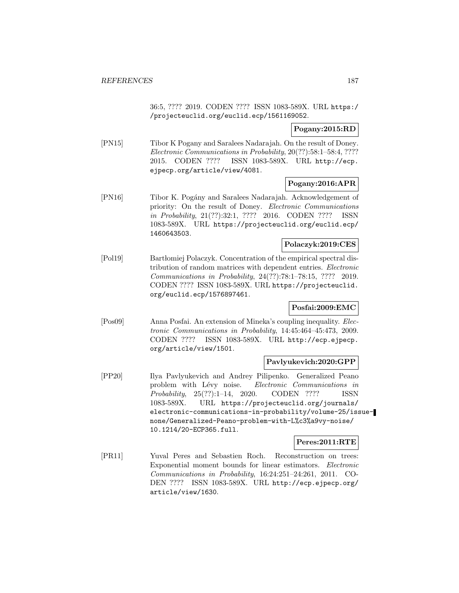36:5, ???? 2019. CODEN ???? ISSN 1083-589X. URL https:/ /projecteuclid.org/euclid.ecp/1561169052.

## **Pogany:2015:RD**

[PN15] Tibor K Pogany and Saralees Nadarajah. On the result of Doney. Electronic Communications in Probability, 20(??):58:1–58:4, ???? 2015. CODEN ???? ISSN 1083-589X. URL http://ecp. ejpecp.org/article/view/4081.

## **Pogany:2016:APR**

[PN16] Tibor K. Pogány and Saralees Nadarajah. Acknowledgement of priority: On the result of Doney. Electronic Communications in Probability, 21(??):32:1, ???? 2016. CODEN ???? ISSN 1083-589X. URL https://projecteuclid.org/euclid.ecp/ 1460643503.

## **Polaczyk:2019:CES**

[Pol19] Bartłomiej Polaczyk. Concentration of the empirical spectral distribution of random matrices with dependent entries. Electronic Communications in Probability, 24(??):78:1–78:15, ???? 2019. CODEN ???? ISSN 1083-589X. URL https://projecteuclid. org/euclid.ecp/1576897461.

## **Posfai:2009:EMC**

[Pos09] Anna Posfai. An extension of Mineka's coupling inequality. Electronic Communications in Probability, 14:45:464–45:473, 2009. CODEN ???? ISSN 1083-589X. URL http://ecp.ejpecp. org/article/view/1501.

## **Pavlyukevich:2020:GPP**

[PP20] Ilya Pavlyukevich and Andrey Pilipenko. Generalized Peano problem with Lévy noise. Electronic Communications in Probability, 25(??):1–14, 2020. CODEN ???? ISSN 1083-589X. URL https://projecteuclid.org/journals/ electronic-communications-in-probability/volume-25/issuenone/Generalized-Peano-problem-with-L%c3%a9vy-noise/ 10.1214/20-ECP365.full.

## **Peres:2011:RTE**

[PR11] Yuval Peres and Sebastien Roch. Reconstruction on trees: Exponential moment bounds for linear estimators. Electronic Communications in Probability, 16:24:251–24:261, 2011. CO-DEN ???? ISSN 1083-589X. URL http://ecp.ejpecp.org/ article/view/1630.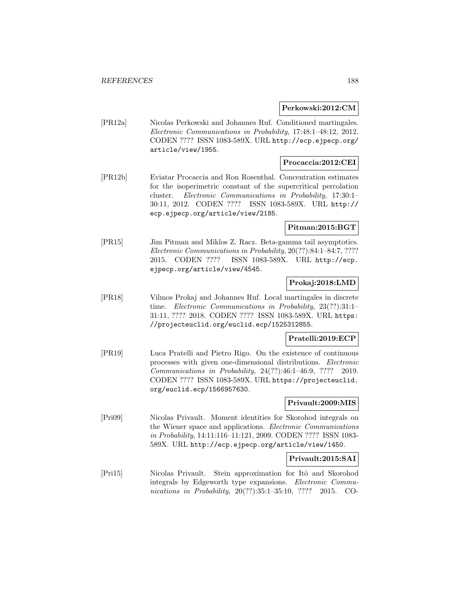**Perkowski:2012:CM**

[PR12a] Nicolas Perkowski and Johannes Ruf. Conditioned martingales. Electronic Communications in Probability, 17:48:1–48:12, 2012. CODEN ???? ISSN 1083-589X. URL http://ecp.ejpecp.org/ article/view/1955.

# **Procaccia:2012:CEI**

[PR12b] Eviatar Procaccia and Ron Rosenthal. Concentration estimates for the isoperimetric constant of the supercritical percolation cluster. Electronic Communications in Probability, 17:30:1– 30:11, 2012. CODEN ???? ISSN 1083-589X. URL http:// ecp.ejpecp.org/article/view/2185.

## **Pitman:2015:BGT**

[PR15] Jim Pitman and Miklos Z. Racz. Beta-gamma tail asymptotics. Electronic Communications in Probability, 20(??):84:1–84:7, ???? 2015. CODEN ???? ISSN 1083-589X. URL http://ecp. ejpecp.org/article/view/4545.

## **Prokaj:2018:LMD**

[PR18] Vilmos Prokaj and Johannes Ruf. Local martingales in discrete time. Electronic Communications in Probability, 23(??):31:1– 31:11, ???? 2018. CODEN ???? ISSN 1083-589X. URL https: //projecteuclid.org/euclid.ecp/1525312855.

#### **Pratelli:2019:ECP**

[PR19] Luca Pratelli and Pietro Rigo. On the existence of continuous processes with given one-dimensional distributions. Electronic Communications in Probability, 24(??):46:1–46:9, ???? 2019. CODEN ???? ISSN 1083-589X. URL https://projecteuclid. org/euclid.ecp/1566957630.

#### **Privault:2009:MIS**

[Pri09] Nicolas Privault. Moment identities for Skorohod integrals on the Wiener space and applications. Electronic Communications in Probability, 14:11:116–11:121, 2009. CODEN ???? ISSN 1083- 589X. URL http://ecp.ejpecp.org/article/view/1450.

## **Privault:2015:SAI**

[Pri15] Nicolas Privault. Stein approximation for Itô and Skorohod integrals by Edgeworth type expansions. Electronic Communications in Probability, 20(??):35:1-35:10, ???? 2015. CO-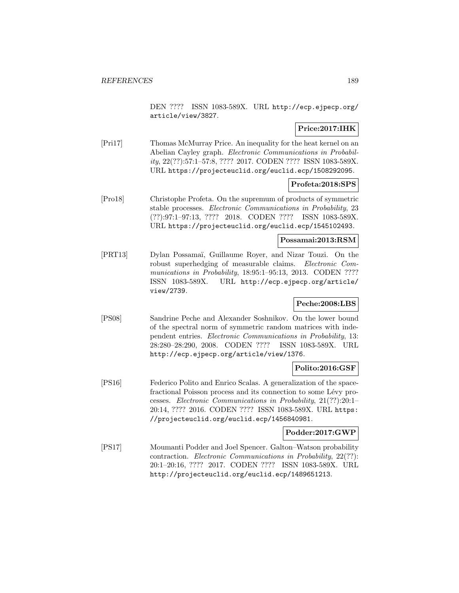DEN ???? ISSN 1083-589X. URL http://ecp.ejpecp.org/ article/view/3827.

## **Price:2017:IHK**

[Pri17] Thomas McMurray Price. An inequality for the heat kernel on an Abelian Cayley graph. Electronic Communications in Probability, 22(??):57:1–57:8, ???? 2017. CODEN ???? ISSN 1083-589X. URL https://projecteuclid.org/euclid.ecp/1508292095.

## **Profeta:2018:SPS**

[Pro18] Christophe Profeta. On the supremum of products of symmetric stable processes. Electronic Communications in Probability, 23 (??):97:1–97:13, ???? 2018. CODEN ???? ISSN 1083-589X. URL https://projecteuclid.org/euclid.ecp/1545102493.

#### **Possamai:2013:RSM**

[PRT13] Dylan Possama¨ı, Guillaume Royer, and Nizar Touzi. On the robust superhedging of measurable claims. Electronic Communications in Probability, 18:95:1-95:13, 2013. CODEN ???? ISSN 1083-589X. URL http://ecp.ejpecp.org/article/ view/2739.

## **Peche:2008:LBS**

[PS08] Sandrine Peche and Alexander Soshnikov. On the lower bound of the spectral norm of symmetric random matrices with independent entries. Electronic Communications in Probability, 13: 28:280–28:290, 2008. CODEN ???? ISSN 1083-589X. URL http://ecp.ejpecp.org/article/view/1376.

## **Polito:2016:GSF**

[PS16] Federico Polito and Enrico Scalas. A generalization of the spacefractional Poisson process and its connection to some Lévy processes. Electronic Communications in Probability, 21(??):20:1– 20:14, ???? 2016. CODEN ???? ISSN 1083-589X. URL https: //projecteuclid.org/euclid.ecp/1456840981.

## **Podder:2017:GWP**

[PS17] Moumanti Podder and Joel Spencer. Galton–Watson probability contraction. Electronic Communications in Probability, 22(??): 20:1–20:16, ???? 2017. CODEN ???? ISSN 1083-589X. URL http://projecteuclid.org/euclid.ecp/1489651213.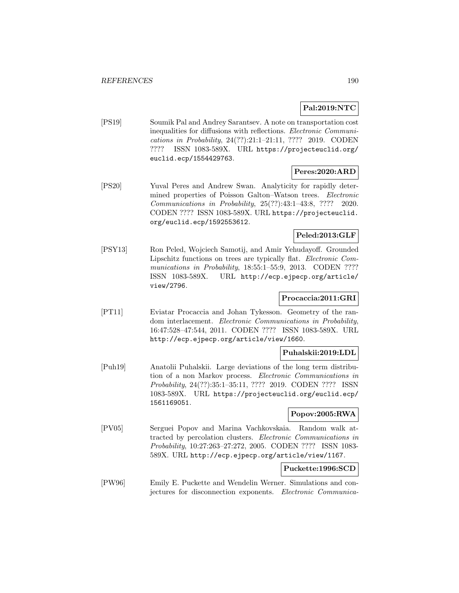## **Pal:2019:NTC**

[PS19] Soumik Pal and Andrey Sarantsev. A note on transportation cost inequalities for diffusions with reflections. Electronic Communications in Probability, 24(??):21:1–21:11, ???? 2019. CODEN ???? ISSN 1083-589X. URL https://projecteuclid.org/ euclid.ecp/1554429763.

## **Peres:2020:ARD**

[PS20] Yuval Peres and Andrew Swan. Analyticity for rapidly determined properties of Poisson Galton–Watson trees. *Electronic* Communications in Probability, 25(??):43:1–43:8, ???? 2020. CODEN ???? ISSN 1083-589X. URL https://projecteuclid. org/euclid.ecp/1592553612.

## **Peled:2013:GLF**

[PSY13] Ron Peled, Wojciech Samotij, and Amir Yehudayoff. Grounded Lipschitz functions on trees are typically flat. Electronic Communications in Probability, 18:55:1-55:9, 2013. CODEN ???? ISSN 1083-589X. URL http://ecp.ejpecp.org/article/ view/2796.

## **Procaccia:2011:GRI**

[PT11] Eviatar Procaccia and Johan Tykesson. Geometry of the random interlacement. Electronic Communications in Probability, 16:47:528–47:544, 2011. CODEN ???? ISSN 1083-589X. URL http://ecp.ejpecp.org/article/view/1660.

## **Puhalskii:2019:LDL**

[Puh19] Anatolii Puhalskii. Large deviations of the long term distribution of a non Markov process. Electronic Communications in Probability, 24(??):35:1–35:11, ???? 2019. CODEN ???? ISSN 1083-589X. URL https://projecteuclid.org/euclid.ecp/ 1561169051.

## **Popov:2005:RWA**

[PV05] Serguei Popov and Marina Vachkovskaia. Random walk attracted by percolation clusters. Electronic Communications in Probability, 10:27:263–27:272, 2005. CODEN ???? ISSN 1083- 589X. URL http://ecp.ejpecp.org/article/view/1167.

## **Puckette:1996:SCD**

[PW96] Emily E. Puckette and Wendelin Werner. Simulations and conjectures for disconnection exponents. Electronic Communica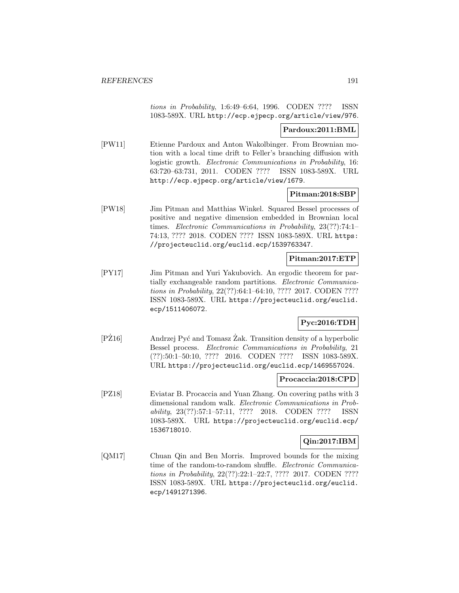tions in Probability, 1:6:49–6:64, 1996. CODEN ???? ISSN 1083-589X. URL http://ecp.ejpecp.org/article/view/976.

### **Pardoux:2011:BML**

[PW11] Etienne Pardoux and Anton Wakolbinger. From Brownian motion with a local time drift to Feller's branching diffusion with logistic growth. Electronic Communications in Probability, 16: 63:720–63:731, 2011. CODEN ???? ISSN 1083-589X. URL http://ecp.ejpecp.org/article/view/1679.

## **Pitman:2018:SBP**

[PW18] Jim Pitman and Matthias Winkel. Squared Bessel processes of positive and negative dimension embedded in Brownian local times. Electronic Communications in Probability, 23(??):74:1– 74:13, ???? 2018. CODEN ???? ISSN 1083-589X. URL https: //projecteuclid.org/euclid.ecp/1539763347.

## **Pitman:2017:ETP**

[PY17] Jim Pitman and Yuri Yakubovich. An ergodic theorem for partially exchangeable random partitions. Electronic Communications in Probability, 22(??):64:1–64:10, ???? 2017. CODEN ???? ISSN 1083-589X. URL https://projecteuclid.org/euclid. ecp/1511406072.

## **Pyc:2016:TDH**

 $[PZ16]$  Andrzej Pyć and Tomasz  $\ddot{Z}$ ak. Transition density of a hyperbolic Bessel process. Electronic Communications in Probability, 21 (??):50:1–50:10, ???? 2016. CODEN ???? ISSN 1083-589X. URL https://projecteuclid.org/euclid.ecp/1469557024.

## **Procaccia:2018:CPD**

[PZ18] Eviatar B. Procaccia and Yuan Zhang. On covering paths with 3 dimensional random walk. Electronic Communications in Probability, 23(??):57:1–57:11, ???? 2018. CODEN ???? ISSN 1083-589X. URL https://projecteuclid.org/euclid.ecp/ 1536718010.

## **Qin:2017:IBM**

[QM17] Chuan Qin and Ben Morris. Improved bounds for the mixing time of the random-to-random shuffle. Electronic Communications in Probability, 22(??):22:1–22:7, ???? 2017. CODEN ???? ISSN 1083-589X. URL https://projecteuclid.org/euclid. ecp/1491271396.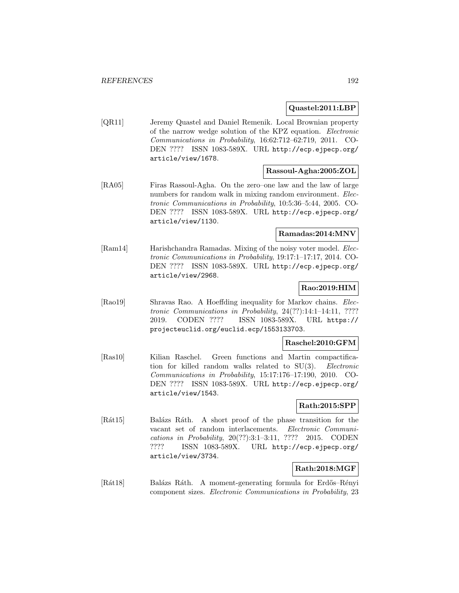## **Quastel:2011:LBP**

[QR11] Jeremy Quastel and Daniel Remenik. Local Brownian property of the narrow wedge solution of the KPZ equation. Electronic Communications in Probability, 16:62:712–62:719, 2011. CO-DEN ???? ISSN 1083-589X. URL http://ecp.ejpecp.org/ article/view/1678.

## **Rassoul-Agha:2005:ZOL**

[RA05] Firas Rassoul-Agha. On the zero–one law and the law of large numbers for random walk in mixing random environment. Electronic Communications in Probability, 10:5:36–5:44, 2005. CO-DEN ???? ISSN 1083-589X. URL http://ecp.ejpecp.org/ article/view/1130.

## **Ramadas:2014:MNV**

[Ram14] Harishchandra Ramadas. Mixing of the noisy voter model. Electronic Communications in Probability, 19:17:1–17:17, 2014. CO-DEN ???? ISSN 1083-589X. URL http://ecp.ejpecp.org/ article/view/2968.

## **Rao:2019:HIM**

[Rao19] Shravas Rao. A Hoeffding inequality for Markov chains. Electronic Communications in Probability, 24(??):14:1–14:11, ???? 2019. CODEN ???? ISSN 1083-589X. URL https:// projecteuclid.org/euclid.ecp/1553133703.

## **Raschel:2010:GFM**

[Ras10] Kilian Raschel. Green functions and Martin compactification for killed random walks related to SU(3). Electronic Communications in Probability, 15:17:176–17:190, 2010. CO-DEN ???? ISSN 1083-589X. URL http://ecp.ejpecp.org/ article/view/1543.

## **Rath:2015:SPP**

[Rát15] Balázs Ráth. A short proof of the phase transition for the vacant set of random interlacements. Electronic Communications in Probability, 20(??):3:1–3:11, ???? 2015. CODEN ???? ISSN 1083-589X. URL http://ecp.ejpecp.org/ article/view/3734.

# **Rath:2018:MGF**

[Rát18] Balázs Ráth. A moment-generating formula for Erdős–Rényi component sizes. Electronic Communications in Probability, 23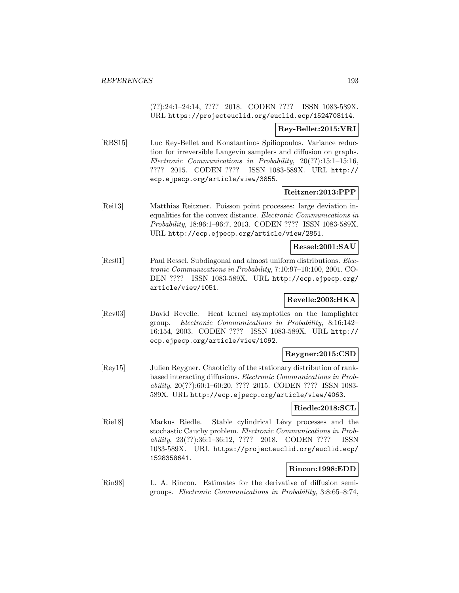(??):24:1–24:14, ???? 2018. CODEN ???? ISSN 1083-589X. URL https://projecteuclid.org/euclid.ecp/1524708114.

#### **Rey-Bellet:2015:VRI**

[RBS15] Luc Rey-Bellet and Konstantinos Spiliopoulos. Variance reduction for irreversible Langevin samplers and diffusion on graphs. Electronic Communications in Probability, 20(??):15:1–15:16, ???? 2015. CODEN ???? ISSN 1083-589X. URL http:// ecp.ejpecp.org/article/view/3855.

## **Reitzner:2013:PPP**

[Rei13] Matthias Reitzner. Poisson point processes: large deviation inequalities for the convex distance. Electronic Communications in Probability, 18:96:1–96:7, 2013. CODEN ???? ISSN 1083-589X. URL http://ecp.ejpecp.org/article/view/2851.

## **Ressel:2001:SAU**

[Res01] Paul Ressel. Subdiagonal and almost uniform distributions. Electronic Communications in Probability, 7:10:97–10:100, 2001. CO-DEN ???? ISSN 1083-589X. URL http://ecp.ejpecp.org/ article/view/1051.

# **Revelle:2003:HKA**

[Rev03] David Revelle. Heat kernel asymptotics on the lamplighter group. Electronic Communications in Probability, 8:16:142– 16:154, 2003. CODEN ???? ISSN 1083-589X. URL http:// ecp.ejpecp.org/article/view/1092.

## **Reygner:2015:CSD**

[Rey15] Julien Reygner. Chaoticity of the stationary distribution of rankbased interacting diffusions. Electronic Communications in Probability, 20(??):60:1–60:20, ???? 2015. CODEN ???? ISSN 1083- 589X. URL http://ecp.ejpecp.org/article/view/4063.

## **Riedle:2018:SCL**

[Rie18] Markus Riedle. Stable cylindrical Lévy processes and the stochastic Cauchy problem. Electronic Communications in Probability, 23(??):36:1–36:12, ???? 2018. CODEN ???? ISSN 1083-589X. URL https://projecteuclid.org/euclid.ecp/ 1528358641.

## **Rincon:1998:EDD**

[Rin98] L. A. Rincon. Estimates for the derivative of diffusion semigroups. Electronic Communications in Probability, 3:8:65–8:74,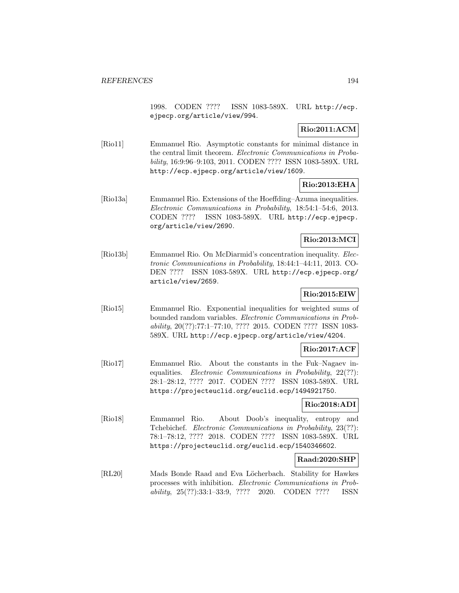1998. CODEN ???? ISSN 1083-589X. URL http://ecp. ejpecp.org/article/view/994.

# **Rio:2011:ACM**

[Rio11] Emmanuel Rio. Asymptotic constants for minimal distance in the central limit theorem. Electronic Communications in Probability, 16:9:96–9:103, 2011. CODEN ???? ISSN 1083-589X. URL http://ecp.ejpecp.org/article/view/1609.

# **Rio:2013:EHA**

[Rio13a] Emmanuel Rio. Extensions of the Hoeffding–Azuma inequalities. Electronic Communications in Probability, 18:54:1–54:6, 2013. CODEN ???? ISSN 1083-589X. URL http://ecp.ejpecp. org/article/view/2690.

## **Rio:2013:MCI**

[Rio13b] Emmanuel Rio. On McDiarmid's concentration inequality. Electronic Communications in Probability, 18:44:1–44:11, 2013. CO-DEN ???? ISSN 1083-589X. URL http://ecp.ejpecp.org/ article/view/2659.

# **Rio:2015:EIW**

[Rio15] Emmanuel Rio. Exponential inequalities for weighted sums of bounded random variables. Electronic Communications in Probability, 20(??):77:1–77:10, ???? 2015. CODEN ???? ISSN 1083- 589X. URL http://ecp.ejpecp.org/article/view/4204.

## **Rio:2017:ACF**

[Rio17] Emmanuel Rio. About the constants in the Fuk–Nagaev inequalities. *Electronic Communications in Probability*, 22(??): 28:1–28:12, ???? 2017. CODEN ???? ISSN 1083-589X. URL https://projecteuclid.org/euclid.ecp/1494921750.

## **Rio:2018:ADI**

[Rio18] Emmanuel Rio. About Doob's inequality, entropy and Tchebichef. Electronic Communications in Probability, 23(??): 78:1–78:12, ???? 2018. CODEN ???? ISSN 1083-589X. URL https://projecteuclid.org/euclid.ecp/1540346602.

## **Raad:2020:SHP**

[RL20] Mads Bonde Raad and Eva Löcherbach. Stability for Hawkes processes with inhibition. Electronic Communications in Probability, 25(??):33:1–33:9, ???? 2020. CODEN ???? ISSN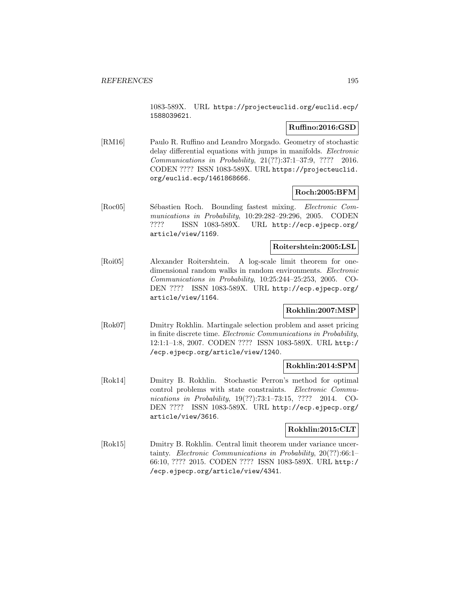1083-589X. URL https://projecteuclid.org/euclid.ecp/ 1588039621.

## **Ruffino:2016:GSD**

[RM16] Paulo R. Ruffino and Leandro Morgado. Geometry of stochastic delay differential equations with jumps in manifolds. *Electronic* Communications in Probability, 21(??):37:1–37:9, ???? 2016. CODEN ???? ISSN 1083-589X. URL https://projecteuclid. org/euclid.ecp/1461868666.

## **Roch:2005:BFM**

[Roc05] Sébastien Roch. Bounding fastest mixing. *Electronic Com*munications in Probability, 10:29:282–29:296, 2005. CODEN ???? ISSN 1083-589X. URL http://ecp.ejpecp.org/ article/view/1169.

## **Roitershtein:2005:LSL**

[Roi05] Alexander Roitershtein. A log-scale limit theorem for onedimensional random walks in random environments. Electronic Communications in Probability, 10:25:244–25:253, 2005. CO-DEN ???? ISSN 1083-589X. URL http://ecp.ejpecp.org/ article/view/1164.

## **Rokhlin:2007:MSP**

[Rok07] Dmitry Rokhlin. Martingale selection problem and asset pricing in finite discrete time. Electronic Communications in Probability, 12:1:1–1:8, 2007. CODEN ???? ISSN 1083-589X. URL http:/ /ecp.ejpecp.org/article/view/1240.

## **Rokhlin:2014:SPM**

[Rok14] Dmitry B. Rokhlin. Stochastic Perron's method for optimal control problems with state constraints. Electronic Communications in Probability, 19(??):73:1-73:15, ???? 2014. CO-DEN ???? ISSN 1083-589X. URL http://ecp.ejpecp.org/ article/view/3616.

## **Rokhlin:2015:CLT**

[Rok15] Dmitry B. Rokhlin. Central limit theorem under variance uncertainty. Electronic Communications in Probability, 20(??):66:1– 66:10, ???? 2015. CODEN ???? ISSN 1083-589X. URL http:/ /ecp.ejpecp.org/article/view/4341.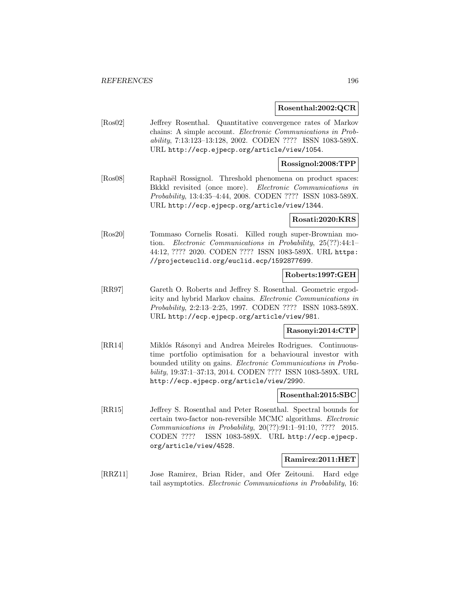### **Rosenthal:2002:QCR**

[Ros02] Jeffrey Rosenthal. Quantitative convergence rates of Markov chains: A simple account. Electronic Communications in Probability, 7:13:123–13:128, 2002. CODEN ???? ISSN 1083-589X. URL http://ecp.ejpecp.org/article/view/1054.

### **Rossignol:2008:TPP**

[Ros08] Raphaël Rossignol. Threshold phenomena on product spaces: Bkkkl revisited (once more). Electronic Communications in Probability, 13:4:35–4:44, 2008. CODEN ???? ISSN 1083-589X. URL http://ecp.ejpecp.org/article/view/1344.

#### **Rosati:2020:KRS**

[Ros20] Tommaso Cornelis Rosati. Killed rough super-Brownian motion. Electronic Communications in Probability, 25(??):44:1– 44:12, ???? 2020. CODEN ???? ISSN 1083-589X. URL https: //projecteuclid.org/euclid.ecp/1592877699.

### **Roberts:1997:GEH**

[RR97] Gareth O. Roberts and Jeffrey S. Rosenthal. Geometric ergodicity and hybrid Markov chains. Electronic Communications in Probability, 2:2:13–2:25, 1997. CODEN ???? ISSN 1083-589X. URL http://ecp.ejpecp.org/article/view/981.

## **Rasonyi:2014:CTP**

[RR14] Miklós Rásonyi and Andrea Meireles Rodrigues. Continuoustime portfolio optimisation for a behavioural investor with bounded utility on gains. Electronic Communications in Probability, 19:37:1–37:13, 2014. CODEN ???? ISSN 1083-589X. URL http://ecp.ejpecp.org/article/view/2990.

## **Rosenthal:2015:SBC**

[RR15] Jeffrey S. Rosenthal and Peter Rosenthal. Spectral bounds for certain two-factor non-reversible MCMC algorithms. Electronic Communications in Probability, 20(??):91:1–91:10, ???? 2015. CODEN ???? ISSN 1083-589X. URL http://ecp.ejpecp. org/article/view/4528.

#### **Ramirez:2011:HET**

[RRZ11] Jose Ramirez, Brian Rider, and Ofer Zeitouni. Hard edge tail asymptotics. Electronic Communications in Probability, 16: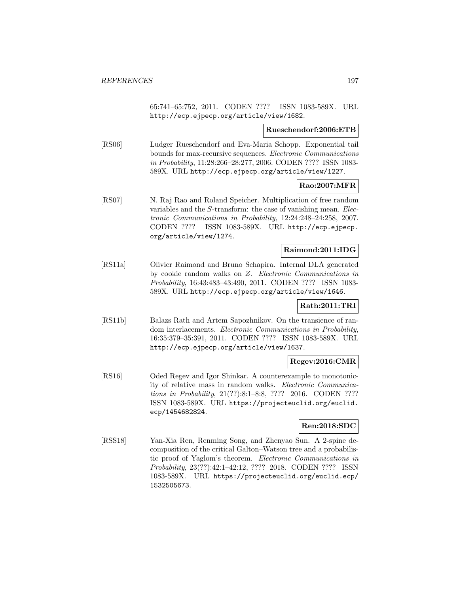65:741–65:752, 2011. CODEN ???? ISSN 1083-589X. URL http://ecp.ejpecp.org/article/view/1682.

## **Rueschendorf:2006:ETB**

[RS06] Ludger Rueschendorf and Eva-Maria Schopp. Exponential tail bounds for max-recursive sequences. Electronic Communications in Probability, 11:28:266–28:277, 2006. CODEN ???? ISSN 1083- 589X. URL http://ecp.ejpecp.org/article/view/1227.

## **Rao:2007:MFR**

[RS07] N. Raj Rao and Roland Speicher. Multiplication of free random variables and the S-transform: the case of vanishing mean. Electronic Communications in Probability, 12:24:248–24:258, 2007. CODEN ???? ISSN 1083-589X. URL http://ecp.ejpecp. org/article/view/1274.

## **Raimond:2011:IDG**

[RS11a] Olivier Raimond and Bruno Schapira. Internal DLA generated by cookie random walks on Z. Electronic Communications in Probability, 16:43:483–43:490, 2011. CODEN ???? ISSN 1083- 589X. URL http://ecp.ejpecp.org/article/view/1646.

## **Rath:2011:TRI**

[RS11b] Balazs Rath and Artem Sapozhnikov. On the transience of random interlacements. Electronic Communications in Probability, 16:35:379–35:391, 2011. CODEN ???? ISSN 1083-589X. URL http://ecp.ejpecp.org/article/view/1637.

## **Regev:2016:CMR**

[RS16] Oded Regev and Igor Shinkar. A counterexample to monotonicity of relative mass in random walks. Electronic Communications in Probability, 21(??):8:1–8:8, ???? 2016. CODEN ???? ISSN 1083-589X. URL https://projecteuclid.org/euclid. ecp/1454682824.

## **Ren:2018:SDC**

[RSS18] Yan-Xia Ren, Renming Song, and Zhenyao Sun. A 2-spine decomposition of the critical Galton–Watson tree and a probabilistic proof of Yaglom's theorem. Electronic Communications in Probability, 23(??):42:1–42:12, ???? 2018. CODEN ???? ISSN 1083-589X. URL https://projecteuclid.org/euclid.ecp/ 1532505673.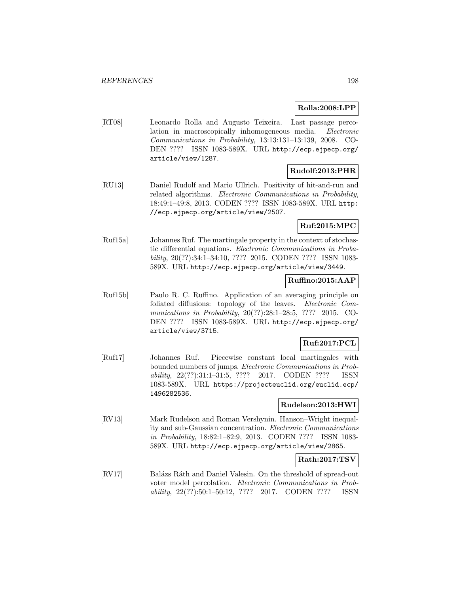## **Rolla:2008:LPP**

[RT08] Leonardo Rolla and Augusto Teixeira. Last passage percolation in macroscopically inhomogeneous media. Electronic Communications in Probability, 13:13:131–13:139, 2008. CO-DEN ???? ISSN 1083-589X. URL http://ecp.ejpecp.org/ article/view/1287.

## **Rudolf:2013:PHR**

[RU13] Daniel Rudolf and Mario Ullrich. Positivity of hit-and-run and related algorithms. Electronic Communications in Probability, 18:49:1–49:8, 2013. CODEN ???? ISSN 1083-589X. URL http: //ecp.ejpecp.org/article/view/2507.

## **Ruf:2015:MPC**

[Ruf15a] Johannes Ruf. The martingale property in the context of stochastic differential equations. Electronic Communications in Probability, 20(??):34:1–34:10, ???? 2015. CODEN ???? ISSN 1083- 589X. URL http://ecp.ejpecp.org/article/view/3449.

## **Ruffino:2015:AAP**

[Ruf15b] Paulo R. C. Ruffino. Application of an averaging principle on foliated diffusions: topology of the leaves. Electronic Communications in Probability, 20(??):28:1–28:5, ???? 2015. CO-DEN ???? ISSN 1083-589X. URL http://ecp.ejpecp.org/ article/view/3715.

## **Ruf:2017:PCL**

[Ruf17] Johannes Ruf. Piecewise constant local martingales with bounded numbers of jumps. Electronic Communications in Probability, 22(??):31:1–31:5, ???? 2017. CODEN ???? ISSN 1083-589X. URL https://projecteuclid.org/euclid.ecp/ 1496282536.

## **Rudelson:2013:HWI**

[RV13] Mark Rudelson and Roman Vershynin. Hanson–Wright inequality and sub-Gaussian concentration. Electronic Communications in Probability, 18:82:1–82:9, 2013. CODEN ???? ISSN 1083- 589X. URL http://ecp.ejpecp.org/article/view/2865.

## **Rath:2017:TSV**

[RV17] Balázs Ráth and Daniel Valesin. On the threshold of spread-out voter model percolation. Electronic Communications in Probability, 22(??):50:1–50:12, ???? 2017. CODEN ???? ISSN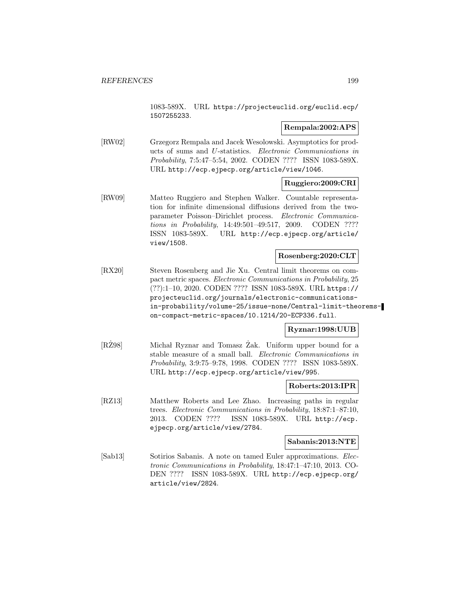1083-589X. URL https://projecteuclid.org/euclid.ecp/ 1507255233.

## **Rempala:2002:APS**

[RW02] Grzegorz Rempala and Jacek Wesolowski. Asymptotics for products of sums and U-statistics. Electronic Communications in Probability, 7:5:47–5:54, 2002. CODEN ???? ISSN 1083-589X. URL http://ecp.ejpecp.org/article/view/1046.

## **Ruggiero:2009:CRI**

[RW09] Matteo Ruggiero and Stephen Walker. Countable representation for infinite dimensional diffusions derived from the twoparameter Poisson–Dirichlet process. Electronic Communications in Probability, 14:49:501–49:517, 2009. CODEN ???? ISSN 1083-589X. URL http://ecp.ejpecp.org/article/ view/1508.

#### **Rosenberg:2020:CLT**

[RX20] Steven Rosenberg and Jie Xu. Central limit theorems on compact metric spaces. Electronic Communications in Probability, 25 (??):1–10, 2020. CODEN ???? ISSN 1083-589X. URL https:// projecteuclid.org/journals/electronic-communicationsin-probability/volume-25/issue-none/Central-limit-theoremson-compact-metric-spaces/10.1214/20-ECP336.full.

## **Ryznar:1998:UUB**

[RZ98] Michał Ryznar and Tomasz Zak. Uniform upper bound for a stable measure of a small ball. Electronic Communications in Probability, 3:9:75–9:78, 1998. CODEN ???? ISSN 1083-589X. URL http://ecp.ejpecp.org/article/view/995.

### **Roberts:2013:IPR**

[RZ13] Matthew Roberts and Lee Zhao. Increasing paths in regular trees. Electronic Communications in Probability, 18:87:1–87:10, 2013. CODEN ???? ISSN 1083-589X. URL http://ecp. ejpecp.org/article/view/2784.

#### **Sabanis:2013:NTE**

[Sab13] Sotirios Sabanis. A note on tamed Euler approximations. *Elec*tronic Communications in Probability, 18:47:1–47:10, 2013. CO-DEN ???? ISSN 1083-589X. URL http://ecp.ejpecp.org/ article/view/2824.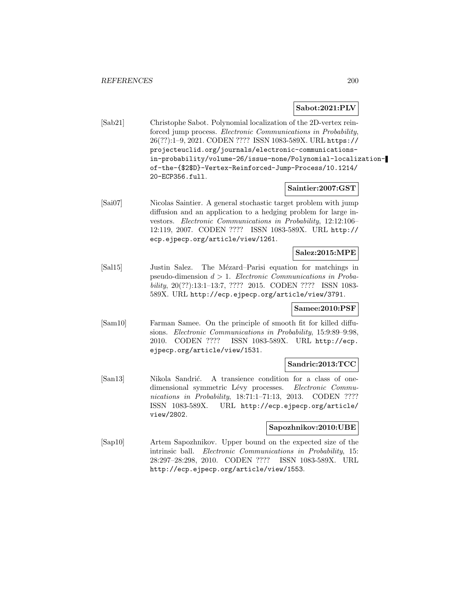## **Sabot:2021:PLV**

[Sab21] Christophe Sabot. Polynomial localization of the 2D-vertex reinforced jump process. Electronic Communications in Probability, 26(??):1–9, 2021. CODEN ???? ISSN 1083-589X. URL https:// projecteuclid.org/journals/electronic-communicationsin-probability/volume-26/issue-none/Polynomial-localizationof-the-{\$2\$D}-Vertex-Reinforced-Jump-Process/10.1214/ 20-ECP356.full.

## **Saintier:2007:GST**

[Sai07] Nicolas Saintier. A general stochastic target problem with jump diffusion and an application to a hedging problem for large investors. Electronic Communications in Probability, 12:12:106– 12:119, 2007. CODEN ???? ISSN 1083-589X. URL http:// ecp.ejpecp.org/article/view/1261.

#### **Salez:2015:MPE**

[Sal15] Justin Salez. The Mézard–Parisi equation for matchings in pseudo-dimension  $d > 1$ . Electronic Communications in Probability, 20(??):13:1–13:7, ???? 2015. CODEN ???? ISSN 1083- 589X. URL http://ecp.ejpecp.org/article/view/3791.

## **Samee:2010:PSF**

[Sam10] Farman Samee. On the principle of smooth fit for killed diffusions. Electronic Communications in Probability, 15:9:89–9:98, 2010. CODEN ???? ISSN 1083-589X. URL http://ecp. ejpecp.org/article/view/1531.

## **Sandric:2013:TCC**

[San13] Nikola Sandrić. A transience condition for a class of onedimensional symmetric Lévy processes. Electronic Communications in Probability, 18:71:1-71:13, 2013. CODEN ???? ISSN 1083-589X. URL http://ecp.ejpecp.org/article/ view/2802.

#### **Sapozhnikov:2010:UBE**

[Sap10] Artem Sapozhnikov. Upper bound on the expected size of the intrinsic ball. Electronic Communications in Probability, 15: 28:297–28:298, 2010. CODEN ???? ISSN 1083-589X. URL http://ecp.ejpecp.org/article/view/1553.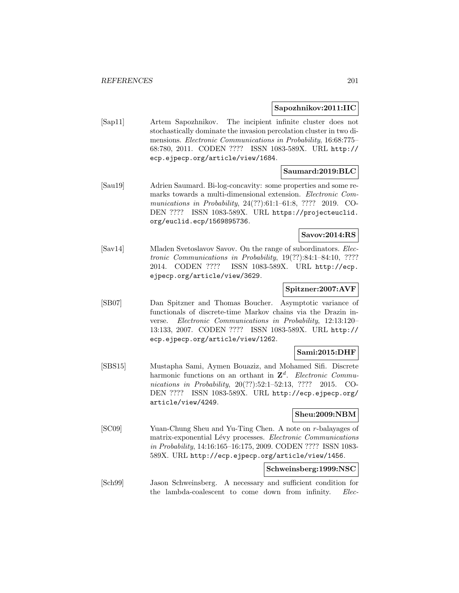#### **Sapozhnikov:2011:IIC**

[Sap11] Artem Sapozhnikov. The incipient infinite cluster does not stochastically dominate the invasion percolation cluster in two dimensions. Electronic Communications in Probability, 16:68:775– 68:780, 2011. CODEN ???? ISSN 1083-589X. URL http:// ecp.ejpecp.org/article/view/1684.

## **Saumard:2019:BLC**

[Sau19] Adrien Saumard. Bi-log-concavity: some properties and some remarks towards a multi-dimensional extension. Electronic Communications in Probability, 24(??):61:1–61:8, ???? 2019. CO-DEN ???? ISSN 1083-589X. URL https://projecteuclid. org/euclid.ecp/1569895736.

## **Savov:2014:RS**

[Sav14] Mladen Svetoslavov Savov. On the range of subordinators. Electronic Communications in Probability, 19(??):84:1–84:10, ???? 2014. CODEN ???? ISSN 1083-589X. URL http://ecp. ejpecp.org/article/view/3629.

## **Spitzner:2007:AVF**

[SB07] Dan Spitzner and Thomas Boucher. Asymptotic variance of functionals of discrete-time Markov chains via the Drazin inverse. Electronic Communications in Probability, 12:13:120– 13:133, 2007. CODEN ???? ISSN 1083-589X. URL http:// ecp.ejpecp.org/article/view/1262.

## **Sami:2015:DHF**

[SBS15] Mustapha Sami, Aymen Bouaziz, and Mohamed Sifi. Discrete harmonic functions on an orthant in  $\mathbf{Z}^d$ . Electronic Communications in Probability, 20(??):52:1-52:13, ???? 2015. CO-DEN ???? ISSN 1083-589X. URL http://ecp.ejpecp.org/ article/view/4249.

## **Sheu:2009:NBM**

[SC09] Yuan-Chung Sheu and Yu-Ting Chen. A note on r-balayages of matrix-exponential Lévy processes. Electronic Communications in Probability, 14:16:165–16:175, 2009. CODEN ???? ISSN 1083- 589X. URL http://ecp.ejpecp.org/article/view/1456.

## **Schweinsberg:1999:NSC**

[Sch99] Jason Schweinsberg. A necessary and sufficient condition for the lambda-coalescent to come down from infinity. Elec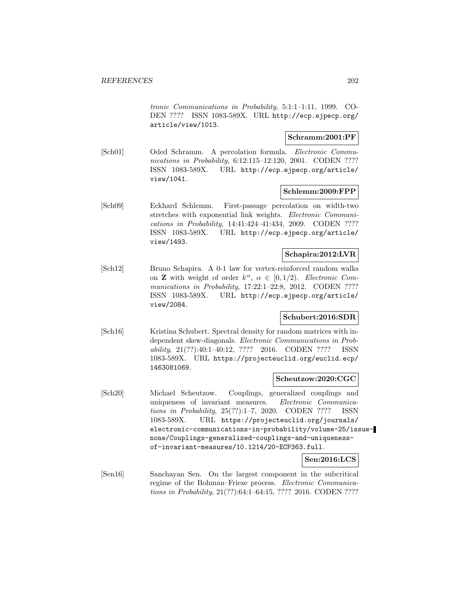tronic Communications in Probability, 5:1:1–1:11, 1999. CO-DEN ???? ISSN 1083-589X. URL http://ecp.ejpecp.org/ article/view/1013.

### **Schramm:2001:PF**

[Sch01] Oded Schramm. A percolation formula. Electronic Communications in Probability, 6:12:115–12:120, 2001. CODEN ???? ISSN 1083-589X. URL http://ecp.ejpecp.org/article/ view/1041.

## **Schlemm:2009:FPP**

[Sch09] Eckhard Schlemm. First-passage percolation on width-two stretches with exponential link weights. Electronic Communications in Probability, 14:41:424–41:434, 2009. CODEN ???? ISSN 1083-589X. URL http://ecp.ejpecp.org/article/ view/1493.

## **Schapira:2012:LVR**

[Sch12] Bruno Schapira. A 0-1 law for vertex-reinforced random walks on **Z** with weight of order  $k^{\alpha}$ ,  $\alpha \in [0, 1/2)$ . Electronic Communications in Probability, 17:22:1-22:8, 2012. CODEN ???? ISSN 1083-589X. URL http://ecp.ejpecp.org/article/ view/2084.

## **Schubert:2016:SDR**

[Sch16] Kristina Schubert. Spectral density for random matrices with independent skew-diagonals. Electronic Communications in Probability, 21(??):40:1–40:12, ???? 2016. CODEN ???? ISSN 1083-589X. URL https://projecteuclid.org/euclid.ecp/ 1463081069.

#### **Scheutzow:2020:CGC**

[Sch20] Michael Scheutzow. Couplings, generalized couplings and uniqueness of invariant measures. Electronic Communications in Probability, 25(??):1–7, 2020. CODEN ???? ISSN 1083-589X. URL https://projecteuclid.org/journals/ electronic-communications-in-probability/volume-25/issuenone/Couplings-generalized-couplings-and-uniquenessof-invariant-measures/10.1214/20-ECP363.full.

## **Sen:2016:LCS**

[Sen16] Sanchayan Sen. On the largest component in the subcritical regime of the Bohman–Frieze process. Electronic Communications in Probability, 21(??):64:1–64:15, ???? 2016. CODEN ????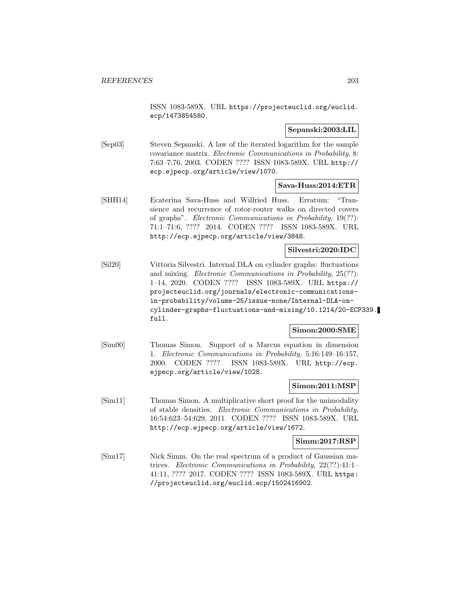ISSN 1083-589X. URL https://projecteuclid.org/euclid. ecp/1473854580.

## **Sepanski:2003:LIL**

[Sep03] Steven Sepanski. A law of the iterated logarithm for the sample covariance matrix. Electronic Communications in Probability, 8: 7:63–7:76, 2003. CODEN ???? ISSN 1083-589X. URL http:// ecp.ejpecp.org/article/view/1070.

## **Sava-Huss:2014:ETR**

[SHH14] Ecaterina Sava-Huss and Wilfried Huss. Erratum: "Transience and recurrence of rotor-router walks on directed covers of graphs". Electronic Communications in Probability, 19(??): 71:1–71:6, ???? 2014. CODEN ???? ISSN 1083-589X. URL http://ecp.ejpecp.org/article/view/3848.

## **Silvestri:2020:IDC**

[Sil20] Vittoria Silvestri. Internal DLA on cylinder graphs: fluctuations and mixing. Electronic Communications in Probability, 25(??): 1–14, 2020. CODEN ???? ISSN 1083-589X. URL https:// projecteuclid.org/journals/electronic-communicationsin-probability/volume-25/issue-none/Internal-DLA-oncylinder-graphs-fluctuations-and-mixing/10.1214/20-ECP339. full.

## **Simon:2000:SME**

[Sim00] Thomas Simon. Support of a Marcus equation in dimension 1. Electronic Communications in Probability, 5:16:149–16:157, 2000. CODEN ???? ISSN 1083-589X. URL http://ecp. ejpecp.org/article/view/1028.

### **Simon:2011:MSP**

[Sim11] Thomas Simon. A multiplicative short proof for the unimodality of stable densities. Electronic Communications in Probability, 16:54:623–54:629, 2011. CODEN ???? ISSN 1083-589X. URL http://ecp.ejpecp.org/article/view/1672.

#### **Simm:2017:RSP**

[Sim17] Nick Simm. On the real spectrum of a product of Gaussian matrices. Electronic Communications in Probability, 22(??):41:1– 41:11, ???? 2017. CODEN ???? ISSN 1083-589X. URL https: //projecteuclid.org/euclid.ecp/1502416902.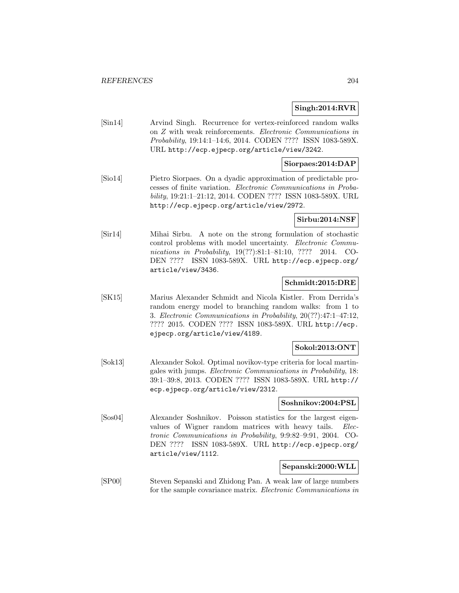## **Singh:2014:RVR**

[Sin14] Arvind Singh. Recurrence for vertex-reinforced random walks on Z with weak reinforcements. Electronic Communications in Probability, 19:14:1–14:6, 2014. CODEN ???? ISSN 1083-589X. URL http://ecp.ejpecp.org/article/view/3242.

## **Siorpaes:2014:DAP**

[Sio14] Pietro Siorpaes. On a dyadic approximation of predictable processes of finite variation. Electronic Communications in Probability, 19:21:1–21:12, 2014. CODEN ???? ISSN 1083-589X. URL http://ecp.ejpecp.org/article/view/2972.

#### **Sirbu:2014:NSF**

[Sir14] Mihai Sirbu. A note on the strong formulation of stochastic control problems with model uncertainty. Electronic Communications in Probability, 19(??):81:1-81:10, ???? 2014. CO-DEN ???? ISSN 1083-589X. URL http://ecp.ejpecp.org/ article/view/3436.

## **Schmidt:2015:DRE**

[SK15] Marius Alexander Schmidt and Nicola Kistler. From Derrida's random energy model to branching random walks: from 1 to 3. Electronic Communications in Probability, 20(??):47:1–47:12, ???? 2015. CODEN ???? ISSN 1083-589X. URL http://ecp. ejpecp.org/article/view/4189.

## **Sokol:2013:ONT**

[Sok13] Alexander Sokol. Optimal novikov-type criteria for local martingales with jumps. Electronic Communications in Probability, 18: 39:1–39:8, 2013. CODEN ???? ISSN 1083-589X. URL http:// ecp.ejpecp.org/article/view/2312.

#### **Soshnikov:2004:PSL**

[Sos04] Alexander Soshnikov. Poisson statistics for the largest eigenvalues of Wigner random matrices with heavy tails. Electronic Communications in Probability, 9:9:82–9:91, 2004. CO-DEN ???? ISSN 1083-589X. URL http://ecp.ejpecp.org/ article/view/1112.

#### **Sepanski:2000:WLL**

[SP00] Steven Sepanski and Zhidong Pan. A weak law of large numbers for the sample covariance matrix. Electronic Communications in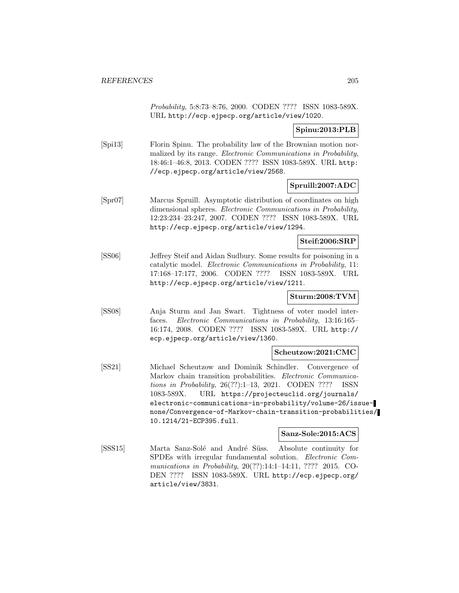Probability, 5:8:73–8:76, 2000. CODEN ???? ISSN 1083-589X. URL http://ecp.ejpecp.org/article/view/1020.

## **Spinu:2013:PLB**

[Spi13] Florin Spinu. The probability law of the Brownian motion normalized by its range. Electronic Communications in Probability, 18:46:1–46:8, 2013. CODEN ???? ISSN 1083-589X. URL http: //ecp.ejpecp.org/article/view/2568.

## **Spruill:2007:ADC**

[Spr07] Marcus Spruill. Asymptotic distribution of coordinates on high dimensional spheres. Electronic Communications in Probability, 12:23:234–23:247, 2007. CODEN ???? ISSN 1083-589X. URL http://ecp.ejpecp.org/article/view/1294.

## **Steif:2006:SRP**

[SS06] Jeffrey Steif and Aidan Sudbury. Some results for poisoning in a catalytic model. Electronic Communications in Probability, 11: 17:168–17:177, 2006. CODEN ???? ISSN 1083-589X. URL http://ecp.ejpecp.org/article/view/1211.

## **Sturm:2008:TVM**

[SS08] Anja Sturm and Jan Swart. Tightness of voter model interfaces. Electronic Communications in Probability, 13:16:165– 16:174, 2008. CODEN ???? ISSN 1083-589X. URL http:// ecp.ejpecp.org/article/view/1360.

## **Scheutzow:2021:CMC**

[SS21] Michael Scheutzow and Dominik Schindler. Convergence of Markov chain transition probabilities. Electronic Communications in Probability, 26(??):1–13, 2021. CODEN ???? ISSN 1083-589X. URL https://projecteuclid.org/journals/ electronic-communications-in-probability/volume-26/issuenone/Convergence-of-Markov-chain-transition-probabilities/ 10.1214/21-ECP395.full.

## **Sanz-Sole:2015:ACS**

[SSS15] Marta Sanz-Solé and André Süss. Absolute continuity for SPDEs with irregular fundamental solution. Electronic Communications in Probability, 20(??):14:1–14:11, ???? 2015. CO-DEN ???? ISSN 1083-589X. URL http://ecp.ejpecp.org/ article/view/3831.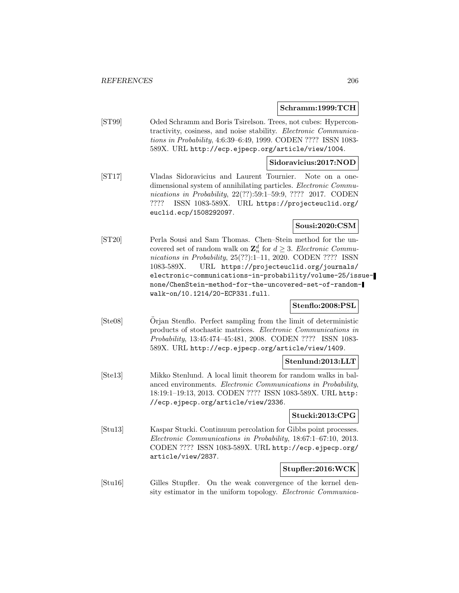#### **Schramm:1999:TCH**

[ST99] Oded Schramm and Boris Tsirelson. Trees, not cubes: Hypercontractivity, cosiness, and noise stability. Electronic Communications in Probability, 4:6:39–6:49, 1999. CODEN ???? ISSN 1083- 589X. URL http://ecp.ejpecp.org/article/view/1004.

## **Sidoravicius:2017:NOD**

[ST17] Vladas Sidoravicius and Laurent Tournier. Note on a onedimensional system of annihilating particles. Electronic Communications in Probability, 22(??):59:1–59:9, ???? 2017. CODEN ???? ISSN 1083-589X. URL https://projecteuclid.org/ euclid.ecp/1508292097.

## **Sousi:2020:CSM**

[ST20] Perla Sousi and Sam Thomas. Chen–Stein method for the uncovered set of random walk on  $\mathbb{Z}_n^d$  for  $d \geq 3$ . Electronic Communications in Probability, 25(??):1–11, 2020. CODEN ???? ISSN 1083-589X. URL https://projecteuclid.org/journals/ electronic-communications-in-probability/volume-25/issuenone/ChenStein-method-for-the-uncovered-set-of-randomwalk-on/10.1214/20-ECP331.full.

## **Stenflo:2008:PSL**

[Ste08] Orjan Stenflo. Perfect sampling from the limit of deterministic products of stochastic matrices. Electronic Communications in Probability, 13:45:474–45:481, 2008. CODEN ???? ISSN 1083- 589X. URL http://ecp.ejpecp.org/article/view/1409.

## **Stenlund:2013:LLT**

[Ste13] Mikko Stenlund. A local limit theorem for random walks in balanced environments. Electronic Communications in Probability, 18:19:1–19:13, 2013. CODEN ???? ISSN 1083-589X. URL http: //ecp.ejpecp.org/article/view/2336.

## **Stucki:2013:CPG**

[Stu13] Kaspar Stucki. Continuum percolation for Gibbs point processes. Electronic Communications in Probability, 18:67:1–67:10, 2013. CODEN ???? ISSN 1083-589X. URL http://ecp.ejpecp.org/ article/view/2837.

# **Stupfler:2016:WCK**

[Stu16] Gilles Stupfler. On the weak convergence of the kernel density estimator in the uniform topology. Electronic Communica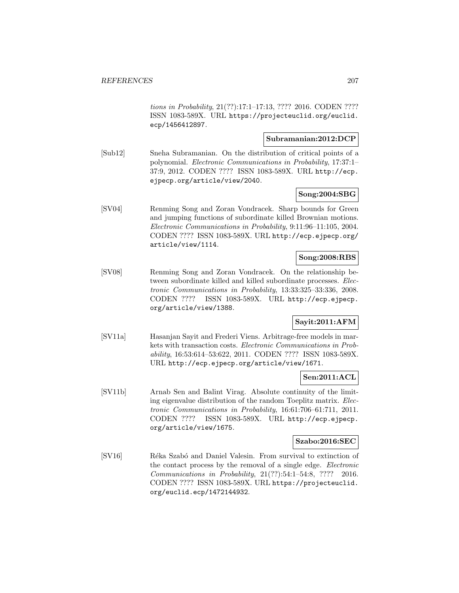tions in Probability, 21(??):17:1–17:13, ???? 2016. CODEN ???? ISSN 1083-589X. URL https://projecteuclid.org/euclid. ecp/1456412897.

## **Subramanian:2012:DCP**

[Sub12] Sneha Subramanian. On the distribution of critical points of a polynomial. Electronic Communications in Probability, 17:37:1– 37:9, 2012. CODEN ???? ISSN 1083-589X. URL http://ecp. ejpecp.org/article/view/2040.

### **Song:2004:SBG**

[SV04] Renming Song and Zoran Vondracek. Sharp bounds for Green and jumping functions of subordinate killed Brownian motions. Electronic Communications in Probability, 9:11:96–11:105, 2004. CODEN ???? ISSN 1083-589X. URL http://ecp.ejpecp.org/ article/view/1114.

## **Song:2008:RBS**

[SV08] Renming Song and Zoran Vondracek. On the relationship between subordinate killed and killed subordinate processes. Electronic Communications in Probability, 13:33:325–33:336, 2008. CODEN ???? ISSN 1083-589X. URL http://ecp.ejpecp. org/article/view/1388.

# **Sayit:2011:AFM**

[SV11a] Hasanjan Sayit and Frederi Viens. Arbitrage-free models in markets with transaction costs. Electronic Communications in Probability, 16:53:614–53:622, 2011. CODEN ???? ISSN 1083-589X. URL http://ecp.ejpecp.org/article/view/1671.

## **Sen:2011:ACL**

[SV11b] Arnab Sen and Balint Virag. Absolute continuity of the limiting eigenvalue distribution of the random Toeplitz matrix. Electronic Communications in Probability, 16:61:706–61:711, 2011. CODEN ???? ISSN 1083-589X. URL http://ecp.ejpecp. org/article/view/1675.

## **Szabo:2016:SEC**

[SV16] Réka Szabó and Daniel Valesin. From survival to extinction of the contact process by the removal of a single edge. Electronic Communications in Probability, 21(??):54:1–54:8, ???? 2016. CODEN ???? ISSN 1083-589X. URL https://projecteuclid. org/euclid.ecp/1472144932.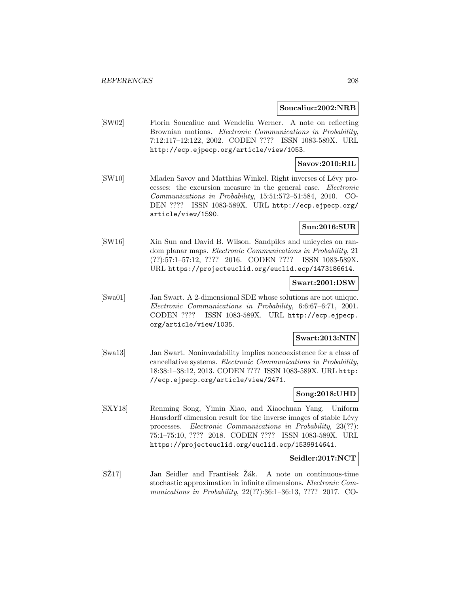#### **Soucaliuc:2002:NRB**

[SW02] Florin Soucaliuc and Wendelin Werner. A note on reflecting Brownian motions. Electronic Communications in Probability, 7:12:117–12:122, 2002. CODEN ???? ISSN 1083-589X. URL http://ecp.ejpecp.org/article/view/1053.

## **Savov:2010:RIL**

[SW10] Mladen Savov and Matthias Winkel. Right inverses of Lévy processes: the excursion measure in the general case. Electronic Communications in Probability, 15:51:572–51:584, 2010. CO-DEN ???? ISSN 1083-589X. URL http://ecp.ejpecp.org/ article/view/1590.

## **Sun:2016:SUR**

[SW16] Xin Sun and David B. Wilson. Sandpiles and unicycles on random planar maps. Electronic Communications in Probability, 21 (??):57:1–57:12, ???? 2016. CODEN ???? ISSN 1083-589X. URL https://projecteuclid.org/euclid.ecp/1473186614.

### **Swart:2001:DSW**

[Swa01] Jan Swart. A 2-dimensional SDE whose solutions are not unique. Electronic Communications in Probability, 6:6:67–6:71, 2001. CODEN ???? ISSN 1083-589X. URL http://ecp.ejpecp. org/article/view/1035.

#### **Swart:2013:NIN**

[Swa13] Jan Swart. Noninvadability implies noncoexistence for a class of cancellative systems. Electronic Communications in Probability, 18:38:1–38:12, 2013. CODEN ???? ISSN 1083-589X. URL http: //ecp.ejpecp.org/article/view/2471.

## **Song:2018:UHD**

[SXY18] Renming Song, Yimin Xiao, and Xiaochuan Yang. Uniform Hausdorff dimension result for the inverse images of stable Lévy processes. Electronic Communications in Probability, 23(??): 75:1–75:10, ???? 2018. CODEN ???? ISSN 1083-589X. URL https://projecteuclid.org/euclid.ecp/1539914641.

## **Seidler:2017:NCT**

[SZ17] Jan Seidler and František Zak. A note on continuous-time stochastic approximation in infinite dimensions. Electronic Communications in Probability, 22(??):36:1–36:13, ???? 2017. CO-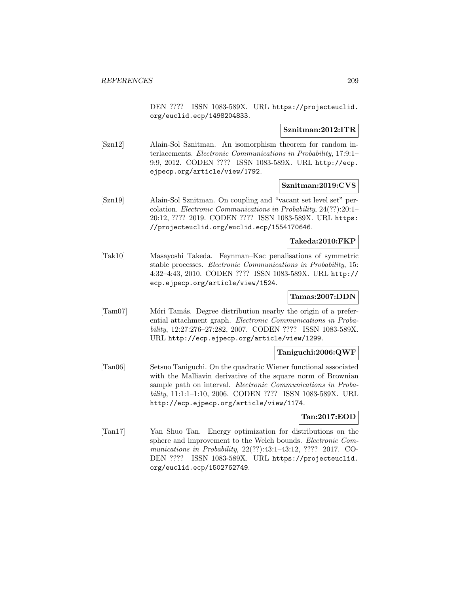DEN ???? ISSN 1083-589X. URL https://projecteuclid. org/euclid.ecp/1498204833.

## **Sznitman:2012:ITR**

[Szn12] Alain-Sol Sznitman. An isomorphism theorem for random interlacements. Electronic Communications in Probability, 17:9:1– 9:9, 2012. CODEN ???? ISSN 1083-589X. URL http://ecp. ejpecp.org/article/view/1792.

## **Sznitman:2019:CVS**

[Szn19] Alain-Sol Sznitman. On coupling and "vacant set level set" percolation. Electronic Communications in Probability, 24(??):20:1– 20:12, ???? 2019. CODEN ???? ISSN 1083-589X. URL https: //projecteuclid.org/euclid.ecp/1554170646.

#### **Takeda:2010:FKP**

[Tak10] Masayoshi Takeda. Feynman–Kac penalisations of symmetric stable processes. Electronic Communications in Probability, 15: 4:32–4:43, 2010. CODEN ???? ISSN 1083-589X. URL http:// ecp.ejpecp.org/article/view/1524.

## **Tamas:2007:DDN**

[Tam07] Móri Tamás. Degree distribution nearby the origin of a preferential attachment graph. Electronic Communications in Probability, 12:27:276–27:282, 2007. CODEN ???? ISSN 1083-589X. URL http://ecp.ejpecp.org/article/view/1299.

## **Taniguchi:2006:QWF**

[Tan06] Setsuo Taniguchi. On the quadratic Wiener functional associated with the Malliavin derivative of the square norm of Brownian sample path on interval. *Electronic Communications in Proba*bility, 11:1:1–1:10, 2006. CODEN ???? ISSN 1083-589X. URL http://ecp.ejpecp.org/article/view/1174.

## **Tan:2017:EOD**

[Tan17] Yan Shuo Tan. Energy optimization for distributions on the sphere and improvement to the Welch bounds. Electronic Communications in Probability, 22(??):43:1–43:12, ???? 2017. CO-DEN ???? ISSN 1083-589X. URL https://projecteuclid. org/euclid.ecp/1502762749.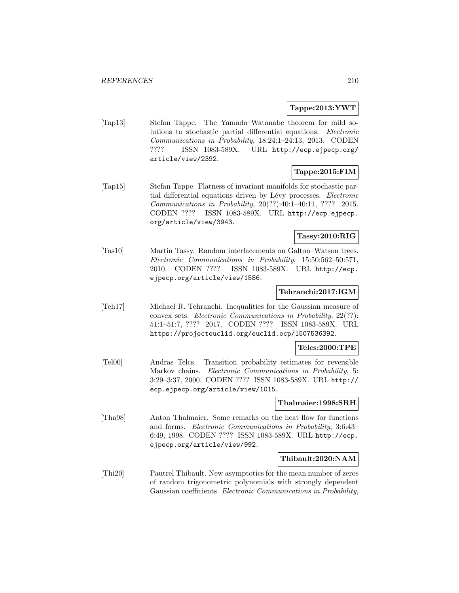### **Tappe:2013:YWT**

[Tap13] Stefan Tappe. The Yamada–Watanabe theorem for mild solutions to stochastic partial differential equations. Electronic Communications in Probability, 18:24:1–24:13, 2013. CODEN ???? ISSN 1083-589X. URL http://ecp.ejpecp.org/ article/view/2392.

# **Tappe:2015:FIM**

[Tap15] Stefan Tappe. Flatness of invariant manifolds for stochastic partial differential equations driven by Lévy processes. *Electronic* Communications in Probability, 20(??):40:1–40:11, ???? 2015. CODEN ???? ISSN 1083-589X. URL http://ecp.ejpecp. org/article/view/3943.

## **Tassy:2010:RIG**

[Tas10] Martin Tassy. Random interlacements on Galton–Watson trees. Electronic Communications in Probability, 15:50:562–50:571, 2010. CODEN ???? ISSN 1083-589X. URL http://ecp. ejpecp.org/article/view/1586.

#### **Tehranchi:2017:IGM**

[Teh17] Michael R. Tehranchi. Inequalities for the Gaussian measure of convex sets. Electronic Communications in Probability, 22(??): 51:1–51:7, ???? 2017. CODEN ???? ISSN 1083-589X. URL https://projecteuclid.org/euclid.ecp/1507536392.

#### **Telcs:2000:TPE**

[Tel00] Andras Telcs. Transition probability estimates for reversible Markov chains. Electronic Communications in Probability, 5: 3:29–3:37, 2000. CODEN ???? ISSN 1083-589X. URL http:// ecp.ejpecp.org/article/view/1015.

#### **Thalmaier:1998:SRH**

[Tha98] Anton Thalmaier. Some remarks on the heat flow for functions and forms. Electronic Communications in Probability, 3:6:43– 6:49, 1998. CODEN ???? ISSN 1083-589X. URL http://ecp. ejpecp.org/article/view/992.

#### **Thibault:2020:NAM**

[Thi20] Pautrel Thibault. New asymptotics for the mean number of zeros of random trigonometric polynomials with strongly dependent Gaussian coefficients. Electronic Communications in Probability,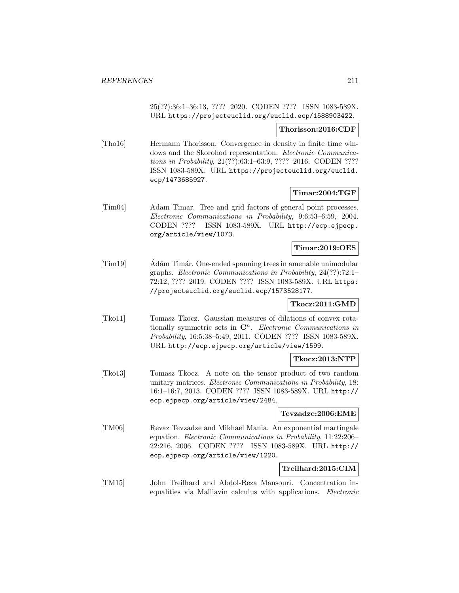25(??):36:1–36:13, ???? 2020. CODEN ???? ISSN 1083-589X. URL https://projecteuclid.org/euclid.ecp/1588903422.

#### **Thorisson:2016:CDF**

[Tho16] Hermann Thorisson. Convergence in density in finite time windows and the Skorohod representation. Electronic Communications in Probability, 21(??):63:1–63:9, ???? 2016. CODEN ???? ISSN 1083-589X. URL https://projecteuclid.org/euclid. ecp/1473685927.

## **Timar:2004:TGF**

[Tim04] Adam Timar. Tree and grid factors of general point processes. Electronic Communications in Probability, 9:6:53–6:59, 2004. CODEN ???? ISSN 1083-589X. URL http://ecp.ejpecp. org/article/view/1073.

## **Timar:2019:OES**

[Tim19] Adám Timár. One-ended spanning trees in amenable unimodular graphs. Electronic Communications in Probability, 24(??):72:1– 72:12, ???? 2019. CODEN ???? ISSN 1083-589X. URL https: //projecteuclid.org/euclid.ecp/1573528177.

## **Tkocz:2011:GMD**

[Tko11] Tomasz Tkocz. Gaussian measures of dilations of convex rotationally symmetric sets in  $\mathbb{C}^n$ . *Electronic Communications in* Probability, 16:5:38–5:49, 2011. CODEN ???? ISSN 1083-589X. URL http://ecp.ejpecp.org/article/view/1599.

#### **Tkocz:2013:NTP**

[Tko13] Tomasz Tkocz. A note on the tensor product of two random unitary matrices. Electronic Communications in Probability, 18: 16:1–16:7, 2013. CODEN ???? ISSN 1083-589X. URL http:// ecp.ejpecp.org/article/view/2484.

#### **Tevzadze:2006:EME**

[TM06] Revaz Tevzadze and Mikhael Mania. An exponential martingale equation. Electronic Communications in Probability, 11:22:206– 22:216, 2006. CODEN ???? ISSN 1083-589X. URL http:// ecp.ejpecp.org/article/view/1220.

#### **Treilhard:2015:CIM**

[TM15] John Treilhard and Abdol-Reza Mansouri. Concentration inequalities via Malliavin calculus with applications. Electronic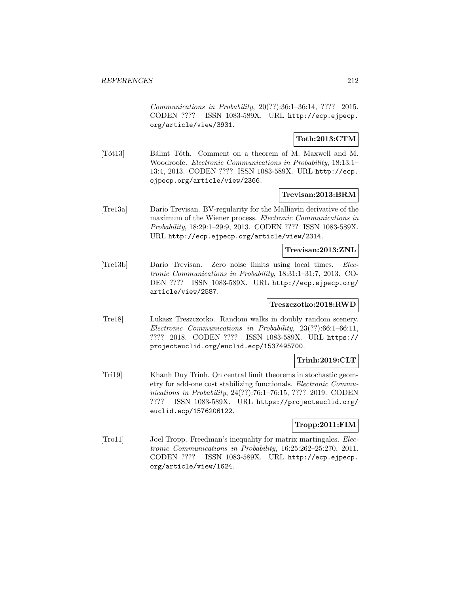Communications in Probability, 20(??):36:1–36:14, ???? 2015. CODEN ???? ISSN 1083-589X. URL http://ecp.ejpecp. org/article/view/3931.

## **Toth:2013:CTM**

[Tôt13] Bálint Tôth. Comment on a theorem of M. Maxwell and M. Woodroofe. Electronic Communications in Probability, 18:13:1– 13:4, 2013. CODEN ???? ISSN 1083-589X. URL http://ecp. ejpecp.org/article/view/2366.

#### **Trevisan:2013:BRM**

[Tre13a] Dario Trevisan. BV-regularity for the Malliavin derivative of the maximum of the Wiener process. Electronic Communications in Probability, 18:29:1–29:9, 2013. CODEN ???? ISSN 1083-589X. URL http://ecp.ejpecp.org/article/view/2314.

#### **Trevisan:2013:ZNL**

[Tre13b] Dario Trevisan. Zero noise limits using local times. Electronic Communications in Probability, 18:31:1–31:7, 2013. CO-DEN ???? ISSN 1083-589X. URL http://ecp.ejpecp.org/ article/view/2587.

## **Treszczotko:2018:RWD**

[Tre18] Lukasz Treszczotko. Random walks in doubly random scenery. Electronic Communications in Probability, 23(??):66:1–66:11, ???? 2018. CODEN ???? ISSN 1083-589X. URL https:// projecteuclid.org/euclid.ecp/1537495700.

## **Trinh:2019:CLT**

[Tri19] Khanh Duy Trinh. On central limit theorems in stochastic geometry for add-one cost stabilizing functionals. Electronic Communications in Probability, 24(??):76:1–76:15, ???? 2019. CODEN ???? ISSN 1083-589X. URL https://projecteuclid.org/ euclid.ecp/1576206122.

## **Tropp:2011:FIM**

[Tro11] Joel Tropp. Freedman's inequality for matrix martingales. Electronic Communications in Probability, 16:25:262–25:270, 2011. CODEN ???? ISSN 1083-589X. URL http://ecp.ejpecp. org/article/view/1624.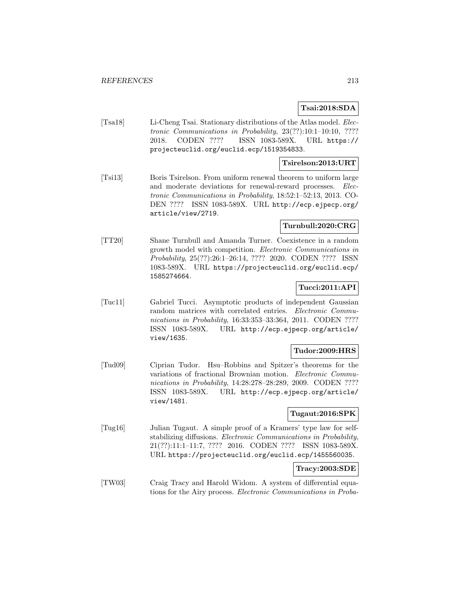## **Tsai:2018:SDA**

[Tsa18] Li-Cheng Tsai. Stationary distributions of the Atlas model. Electronic Communications in Probability, 23(??):10:1–10:10, ???? 2018. CODEN ???? ISSN 1083-589X. URL https:// projecteuclid.org/euclid.ecp/1519354833.

## **Tsirelson:2013:URT**

[Tsi13] Boris Tsirelson. From uniform renewal theorem to uniform large and moderate deviations for renewal-reward processes. Electronic Communications in Probability, 18:52:1–52:13, 2013. CO-DEN ???? ISSN 1083-589X. URL http://ecp.ejpecp.org/ article/view/2719.

# **Turnbull:2020:CRG**

[TT20] Shane Turnbull and Amanda Turner. Coexistence in a random growth model with competition. Electronic Communications in Probability, 25(??):26:1–26:14, ???? 2020. CODEN ???? ISSN 1083-589X. URL https://projecteuclid.org/euclid.ecp/ 1585274664.

## **Tucci:2011:API**

[Tuc11] Gabriel Tucci. Asymptotic products of independent Gaussian random matrices with correlated entries. Electronic Communications in Probability, 16:33:353–33:364, 2011. CODEN ???? ISSN 1083-589X. URL http://ecp.ejpecp.org/article/ view/1635.

## **Tudor:2009:HRS**

[Tud09] Ciprian Tudor. Hsu–Robbins and Spitzer's theorems for the variations of fractional Brownian motion. Electronic Communications in Probability, 14:28:278–28:289, 2009. CODEN ???? ISSN 1083-589X. URL http://ecp.ejpecp.org/article/ view/1481.

## **Tugaut:2016:SPK**

[Tug16] Julian Tugaut. A simple proof of a Kramers' type law for selfstabilizing diffusions. Electronic Communications in Probability, 21(??):11:1–11:7, ???? 2016. CODEN ???? ISSN 1083-589X. URL https://projecteuclid.org/euclid.ecp/1455560035.

## **Tracy:2003:SDE**

[TW03] Craig Tracy and Harold Widom. A system of differential equations for the Airy process. Electronic Communications in Proba-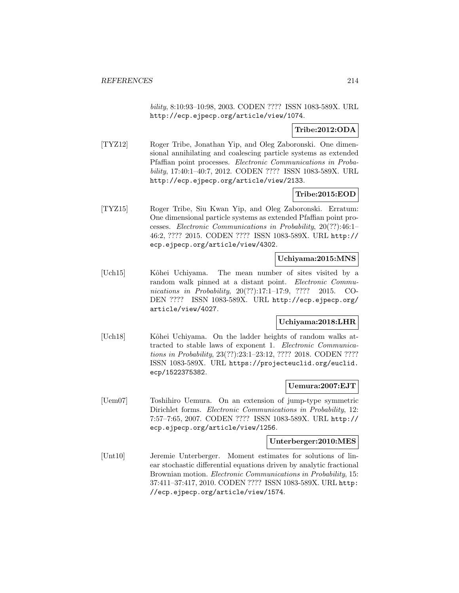bility, 8:10:93–10:98, 2003. CODEN ???? ISSN 1083-589X. URL http://ecp.ejpecp.org/article/view/1074.

## **Tribe:2012:ODA**

[TYZ12] Roger Tribe, Jonathan Yip, and Oleg Zaboronski. One dimensional annihilating and coalescing particle systems as extended Pfaffian point processes. Electronic Communications in Probability, 17:40:1–40:7, 2012. CODEN ???? ISSN 1083-589X. URL http://ecp.ejpecp.org/article/view/2133.

## **Tribe:2015:EOD**

[TYZ15] Roger Tribe, Siu Kwan Yip, and Oleg Zaboronski. Erratum: One dimensional particle systems as extended Pfaffian point processes. Electronic Communications in Probability, 20(??):46:1– 46:2, ???? 2015. CODEN ???? ISSN 1083-589X. URL http:// ecp.ejpecp.org/article/view/4302.

## **Uchiyama:2015:MNS**

[Uch15] Kôhei Uchiyama. The mean number of sites visited by a random walk pinned at a distant point. *Electronic Commu*nications in Probability, 20(??):17:1–17:9, ???? 2015. CO-DEN ???? ISSN 1083-589X. URL http://ecp.ejpecp.org/ article/view/4027.

## **Uchiyama:2018:LHR**

[Uch18] Kôhei Uchiyama. On the ladder heights of random walks attracted to stable laws of exponent 1. Electronic Communications in Probability, 23(??):23:1–23:12, ???? 2018. CODEN ???? ISSN 1083-589X. URL https://projecteuclid.org/euclid. ecp/1522375382.

## **Uemura:2007:EJT**

[Uem07] Toshihiro Uemura. On an extension of jump-type symmetric Dirichlet forms. Electronic Communications in Probability, 12: 7:57–7:65, 2007. CODEN ???? ISSN 1083-589X. URL http:// ecp.ejpecp.org/article/view/1256.

#### **Unterberger:2010:MES**

[Unt10] Jeremie Unterberger. Moment estimates for solutions of linear stochastic differential equations driven by analytic fractional Brownian motion. *Electronic Communications in Probability*, 15: 37:411–37:417, 2010. CODEN ???? ISSN 1083-589X. URL http: //ecp.ejpecp.org/article/view/1574.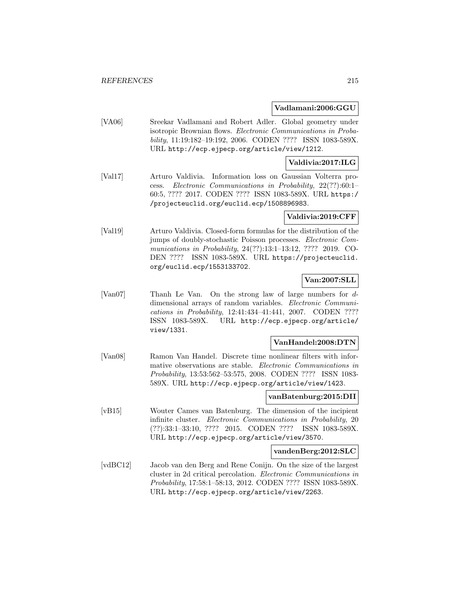### **Vadlamani:2006:GGU**

[VA06] Sreekar Vadlamani and Robert Adler. Global geometry under isotropic Brownian flows. Electronic Communications in Probability, 11:19:182–19:192, 2006. CODEN ???? ISSN 1083-589X. URL http://ecp.ejpecp.org/article/view/1212.

## **Valdivia:2017:ILG**

[Val17] Arturo Valdivia. Information loss on Gaussian Volterra process. Electronic Communications in Probability, 22(??):60:1– 60:5, ???? 2017. CODEN ???? ISSN 1083-589X. URL https:/ /projecteuclid.org/euclid.ecp/1508896983.

## **Valdivia:2019:CFF**

[Val19] Arturo Valdivia. Closed-form formulas for the distribution of the jumps of doubly-stochastic Poisson processes. Electronic Communications in Probability, 24(??):13:1–13:12, ???? 2019. CO-DEN ???? ISSN 1083-589X. URL https://projecteuclid. org/euclid.ecp/1553133702.

## **Van:2007:SLL**

[Van07] Thanh Le Van. On the strong law of large numbers for ddimensional arrays of random variables. Electronic Communications in Probability, 12:41:434–41:441, 2007. CODEN ???? ISSN 1083-589X. URL http://ecp.ejpecp.org/article/ view/1331.

#### **VanHandel:2008:DTN**

[Van08] Ramon Van Handel. Discrete time nonlinear filters with informative observations are stable. Electronic Communications in Probability, 13:53:562–53:575, 2008. CODEN ???? ISSN 1083- 589X. URL http://ecp.ejpecp.org/article/view/1423.

## **vanBatenburg:2015:DII**

[vB15] Wouter Cames van Batenburg. The dimension of the incipient infinite cluster. Electronic Communications in Probability, 20 (??):33:1–33:10, ???? 2015. CODEN ???? ISSN 1083-589X. URL http://ecp.ejpecp.org/article/view/3570.

#### **vandenBerg:2012:SLC**

[vdBC12] Jacob van den Berg and Rene Conijn. On the size of the largest cluster in 2d critical percolation. Electronic Communications in Probability, 17:58:1–58:13, 2012. CODEN ???? ISSN 1083-589X. URL http://ecp.ejpecp.org/article/view/2263.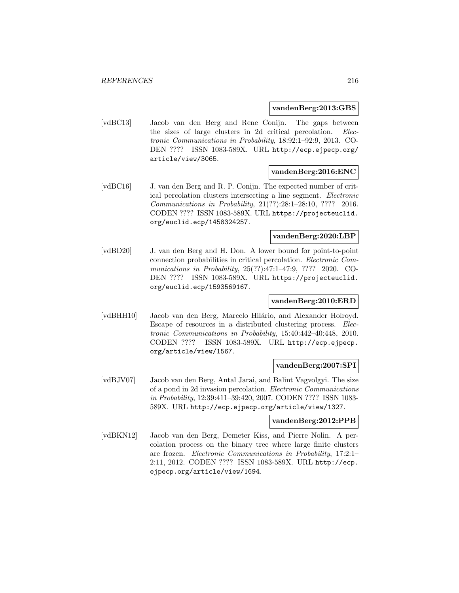#### **vandenBerg:2013:GBS**

[vdBC13] Jacob van den Berg and Rene Conijn. The gaps between the sizes of large clusters in 2d critical percolation. Electronic Communications in Probability, 18:92:1–92:9, 2013. CO-DEN ???? ISSN 1083-589X. URL http://ecp.ejpecp.org/ article/view/3065.

#### **vandenBerg:2016:ENC**

[vdBC16] J. van den Berg and R. P. Conijn. The expected number of critical percolation clusters intersecting a line segment. Electronic Communications in Probability, 21(??):28:1–28:10, ???? 2016. CODEN ???? ISSN 1083-589X. URL https://projecteuclid. org/euclid.ecp/1458324257.

### **vandenBerg:2020:LBP**

[vdBD20] J. van den Berg and H. Don. A lower bound for point-to-point connection probabilities in critical percolation. Electronic Communications in Probability, 25(??):47:1–47:9, ???? 2020. CO-DEN ???? ISSN 1083-589X. URL https://projecteuclid. org/euclid.ecp/1593569167.

## **vandenBerg:2010:ERD**

[vdBHH10] Jacob van den Berg, Marcelo Hilário, and Alexander Holroyd. Escape of resources in a distributed clustering process. Electronic Communications in Probability, 15:40:442–40:448, 2010. CODEN ???? ISSN 1083-589X. URL http://ecp.ejpecp. org/article/view/1567.

#### **vandenBerg:2007:SPI**

[vdBJV07] Jacob van den Berg, Antal Jarai, and Balint Vagvolgyi. The size of a pond in 2d invasion percolation. Electronic Communications in Probability, 12:39:411–39:420, 2007. CODEN ???? ISSN 1083- 589X. URL http://ecp.ejpecp.org/article/view/1327.

## **vandenBerg:2012:PPB**

[vdBKN12] Jacob van den Berg, Demeter Kiss, and Pierre Nolin. A percolation process on the binary tree where large finite clusters are frozen. Electronic Communications in Probability, 17:2:1– 2:11, 2012. CODEN ???? ISSN 1083-589X. URL http://ecp. ejpecp.org/article/view/1694.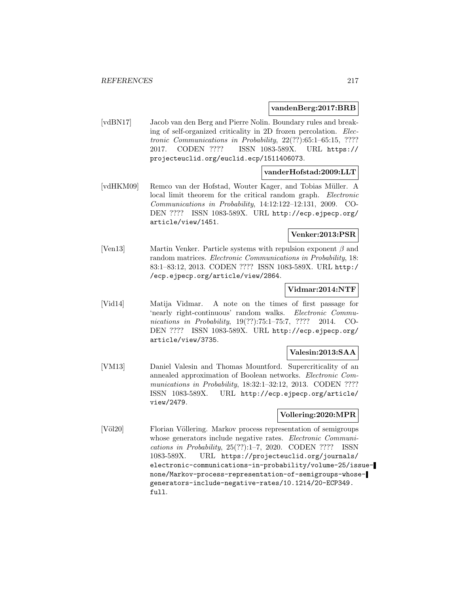#### **vandenBerg:2017:BRB**

[vdBN17] Jacob van den Berg and Pierre Nolin. Boundary rules and breaking of self-organized criticality in 2D frozen percolation. Electronic Communications in Probability, 22(??):65:1–65:15, ???? 2017. CODEN ???? ISSN 1083-589X. URL https:// projecteuclid.org/euclid.ecp/1511406073.

### **vanderHofstad:2009:LLT**

[vdHKM09] Remco van der Hofstad, Wouter Kager, and Tobias M¨uller. A local limit theorem for the critical random graph. Electronic Communications in Probability, 14:12:122–12:131, 2009. CO-DEN ???? ISSN 1083-589X. URL http://ecp.ejpecp.org/ article/view/1451.

## **Venker:2013:PSR**

[Ven13] Martin Venker. Particle systems with repulsion exponent  $\beta$  and random matrices. Electronic Communications in Probability, 18: 83:1–83:12, 2013. CODEN ???? ISSN 1083-589X. URL http:/ /ecp.ejpecp.org/article/view/2864.

#### **Vidmar:2014:NTF**

[Vid14] Matija Vidmar. A note on the times of first passage for 'nearly right-continuous' random walks. Electronic Communications in Probability, 19(??):75:1–75:7, ???? 2014. CO-DEN ???? ISSN 1083-589X. URL http://ecp.ejpecp.org/ article/view/3735.

### **Valesin:2013:SAA**

[VM13] Daniel Valesin and Thomas Mountford. Supercriticality of an annealed approximation of Boolean networks. Electronic Communications in Probability, 18:32:1-32:12, 2013. CODEN ???? ISSN 1083-589X. URL http://ecp.ejpecp.org/article/ view/2479.

#### **Vollering:2020:MPR**

[Völ20] Florian Völlering. Markov process representation of semigroups whose generators include negative rates. *Electronic Communi*cations in Probability, 25(??):1–7, 2020. CODEN ???? ISSN 1083-589X. URL https://projecteuclid.org/journals/ electronic-communications-in-probability/volume-25/issuenone/Markov-process-representation-of-semigroups-whosegenerators-include-negative-rates/10.1214/20-ECP349. full.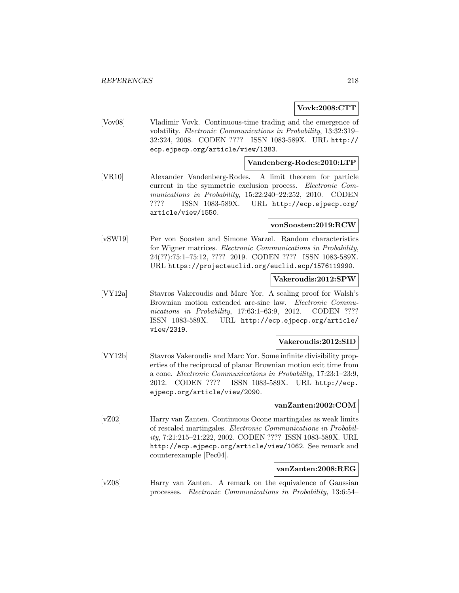### **Vovk:2008:CTT**

[Vov08] Vladimir Vovk. Continuous-time trading and the emergence of volatility. Electronic Communications in Probability, 13:32:319– 32:324, 2008. CODEN ???? ISSN 1083-589X. URL http:// ecp.ejpecp.org/article/view/1383.

## **Vandenberg-Rodes:2010:LTP**

[VR10] Alexander Vandenberg-Rodes. A limit theorem for particle current in the symmetric exclusion process. Electronic Communications in Probability, 15:22:240–22:252, 2010. CODEN ???? ISSN 1083-589X. URL http://ecp.ejpecp.org/ article/view/1550.

#### **vonSoosten:2019:RCW**

[vSW19] Per von Soosten and Simone Warzel. Random characteristics for Wigner matrices. Electronic Communications in Probability, 24(??):75:1–75:12, ???? 2019. CODEN ???? ISSN 1083-589X. URL https://projecteuclid.org/euclid.ecp/1576119990.

#### **Vakeroudis:2012:SPW**

[VY12a] Stavros Vakeroudis and Marc Yor. A scaling proof for Walsh's Brownian motion extended arc-sine law. Electronic Communications in Probability, 17:63:1–63:9, 2012. CODEN ???? ISSN 1083-589X. URL http://ecp.ejpecp.org/article/ view/2319.

#### **Vakeroudis:2012:SID**

[VY12b] Stavros Vakeroudis and Marc Yor. Some infinite divisibility properties of the reciprocal of planar Brownian motion exit time from a cone. Electronic Communications in Probability, 17:23:1–23:9, 2012. CODEN ???? ISSN 1083-589X. URL http://ecp. ejpecp.org/article/view/2090.

#### **vanZanten:2002:COM**

[vZ02] Harry van Zanten. Continuous Ocone martingales as weak limits of rescaled martingales. Electronic Communications in Probability, 7:21:215–21:222, 2002. CODEN ???? ISSN 1083-589X. URL http://ecp.ejpecp.org/article/view/1062. See remark and counterexample [Pec04].

#### **vanZanten:2008:REG**

[vZ08] Harry van Zanten. A remark on the equivalence of Gaussian processes. Electronic Communications in Probability, 13:6:54–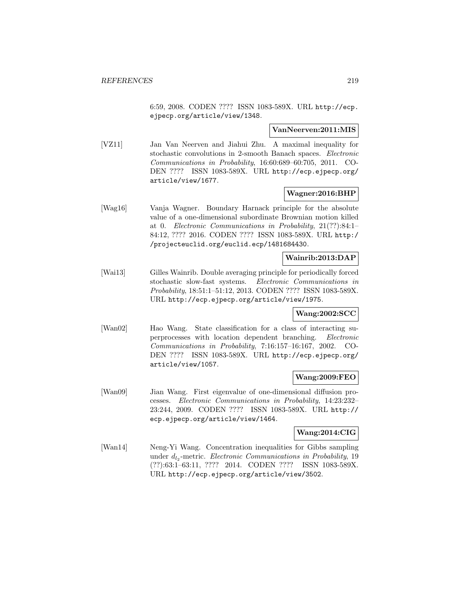6:59, 2008. CODEN ???? ISSN 1083-589X. URL http://ecp. ejpecp.org/article/view/1348.

#### **VanNeerven:2011:MIS**

[VZ11] Jan Van Neerven and Jiahui Zhu. A maximal inequality for stochastic convolutions in 2-smooth Banach spaces. Electronic Communications in Probability, 16:60:689–60:705, 2011. CO-DEN ???? ISSN 1083-589X. URL http://ecp.ejpecp.org/ article/view/1677.

### **Wagner:2016:BHP**

[Wag16] Vanja Wagner. Boundary Harnack principle for the absolute value of a one-dimensional subordinate Brownian motion killed at 0. Electronic Communications in Probability, 21(??):84:1– 84:12, ???? 2016. CODEN ???? ISSN 1083-589X. URL http:/ /projecteuclid.org/euclid.ecp/1481684430.

## **Wainrib:2013:DAP**

[Wai13] Gilles Wainrib. Double averaging principle for periodically forced stochastic slow-fast systems. Electronic Communications in Probability, 18:51:1–51:12, 2013. CODEN ???? ISSN 1083-589X. URL http://ecp.ejpecp.org/article/view/1975.

#### **Wang:2002:SCC**

[Wan02] Hao Wang. State classification for a class of interacting superprocesses with location dependent branching. Electronic Communications in Probability, 7:16:157–16:167, 2002. CO-DEN ???? ISSN 1083-589X. URL http://ecp.ejpecp.org/ article/view/1057.

### **Wang:2009:FEO**

[Wan09] Jian Wang. First eigenvalue of one-dimensional diffusion processes. Electronic Communications in Probability, 14:23:232– 23:244, 2009. CODEN ???? ISSN 1083-589X. URL http:// ecp.ejpecp.org/article/view/1464.

## **Wang:2014:CIG**

[Wan14] Neng-Yi Wang. Concentration inequalities for Gibbs sampling under  $d_{l_2}$ -metric. Electronic Communications in Probability, 19 (??):63:1–63:11, ???? 2014. CODEN ???? ISSN 1083-589X. URL http://ecp.ejpecp.org/article/view/3502.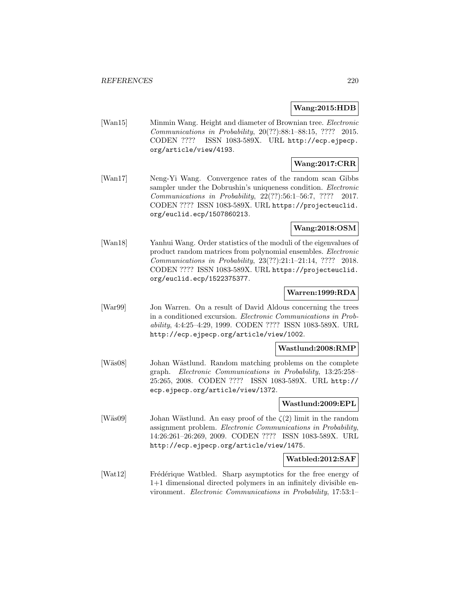### **Wang:2015:HDB**

[Wan15] Minmin Wang. Height and diameter of Brownian tree. Electronic Communications in Probability, 20(??):88:1–88:15, ???? 2015. CODEN ???? ISSN 1083-589X. URL http://ecp.ejpecp. org/article/view/4193.

# **Wang:2017:CRR**

[Wan17] Neng-Yi Wang. Convergence rates of the random scan Gibbs sampler under the Dobrushin's uniqueness condition. *Electronic* Communications in Probability, 22(??):56:1–56:7, ???? 2017. CODEN ???? ISSN 1083-589X. URL https://projecteuclid. org/euclid.ecp/1507860213.

## **Wang:2018:OSM**

[Wan18] Yanhui Wang. Order statistics of the moduli of the eigenvalues of product random matrices from polynomial ensembles. Electronic Communications in Probability, 23(??):21:1–21:14, ???? 2018. CODEN ???? ISSN 1083-589X. URL https://projecteuclid. org/euclid.ecp/1522375377.

### **Warren:1999:RDA**

[War99] Jon Warren. On a result of David Aldous concerning the trees in a conditioned excursion. Electronic Communications in Probability, 4:4:25–4:29, 1999. CODEN ???? ISSN 1083-589X. URL http://ecp.ejpecp.org/article/view/1002.

#### **Wastlund:2008:RMP**

[Wäs08] Johan Wästlund. Random matching problems on the complete graph. Electronic Communications in Probability, 13:25:258– 25:265, 2008. CODEN ???? ISSN 1083-589X. URL http:// ecp.ejpecp.org/article/view/1372.

## **Wastlund:2009:EPL**

[Wäs09] Johan Wästlund. An easy proof of the  $\zeta(2)$  limit in the random assignment problem. Electronic Communications in Probability, 14:26:261–26:269, 2009. CODEN ???? ISSN 1083-589X. URL http://ecp.ejpecp.org/article/view/1475.

#### **Watbled:2012:SAF**

[Wat12] Frédérique Watbled. Sharp asymptotics for the free energy of 1+1 dimensional directed polymers in an infinitely divisible environment. Electronic Communications in Probability, 17:53:1–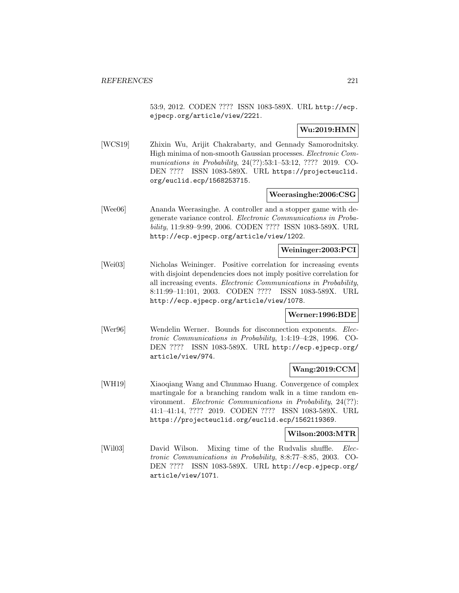53:9, 2012. CODEN ???? ISSN 1083-589X. URL http://ecp. ejpecp.org/article/view/2221.

## **Wu:2019:HMN**

[WCS19] Zhixin Wu, Arijit Chakrabarty, and Gennady Samorodnitsky. High minima of non-smooth Gaussian processes. Electronic Communications in Probability, 24(??):53:1–53:12, ???? 2019. CO-DEN ???? ISSN 1083-589X. URL https://projecteuclid. org/euclid.ecp/1568253715.

#### **Weerasinghe:2006:CSG**

[Wee06] Ananda Weerasinghe. A controller and a stopper game with degenerate variance control. Electronic Communications in Probability, 11:9:89–9:99, 2006. CODEN ???? ISSN 1083-589X. URL http://ecp.ejpecp.org/article/view/1202.

### **Weininger:2003:PCI**

[Wei03] Nicholas Weininger. Positive correlation for increasing events with disjoint dependencies does not imply positive correlation for all increasing events. Electronic Communications in Probability, 8:11:99–11:101, 2003. CODEN ???? ISSN 1083-589X. URL http://ecp.ejpecp.org/article/view/1078.

### **Werner:1996:BDE**

[Wer96] Wendelin Werner. Bounds for disconnection exponents. Electronic Communications in Probability, 1:4:19–4:28, 1996. CO-DEN ???? ISSN 1083-589X. URL http://ecp.ejpecp.org/ article/view/974.

### **Wang:2019:CCM**

[WH19] Xiaoqiang Wang and Chunmao Huang. Convergence of complex martingale for a branching random walk in a time random environment. Electronic Communications in Probability, 24(??): 41:1–41:14, ???? 2019. CODEN ???? ISSN 1083-589X. URL https://projecteuclid.org/euclid.ecp/1562119369.

#### **Wilson:2003:MTR**

[Wil03] David Wilson. Mixing time of the Rudvalis shuffle. Electronic Communications in Probability, 8:8:77–8:85, 2003. CO-DEN ???? ISSN 1083-589X. URL http://ecp.ejpecp.org/ article/view/1071.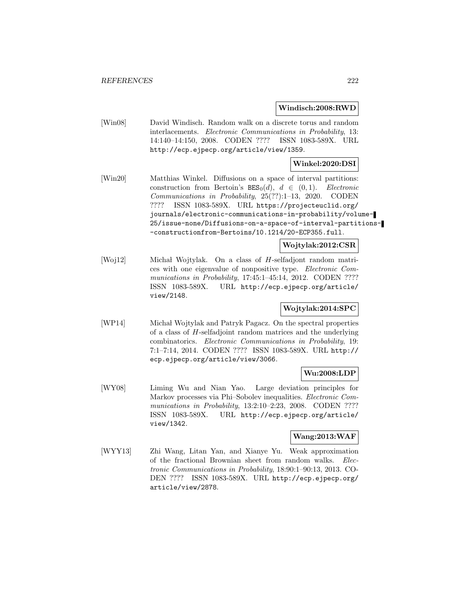#### **Windisch:2008:RWD**

[Win08] David Windisch. Random walk on a discrete torus and random interlacements. Electronic Communications in Probability, 13: 14:140–14:150, 2008. CODEN ???? ISSN 1083-589X. URL http://ecp.ejpecp.org/article/view/1359.

### **Winkel:2020:DSI**

[Win20] Matthias Winkel. Diffusions on a space of interval partitions: construction from Bertoin's  $BES_0(d)$ ,  $d \in (0,1)$ . Electronic<br>Communications in Probability, 25(??):1-13, 2020. CODEN  $Communications$  in Probability,  $25(??):1-13$ ,  $2020$ . ???? ISSN 1083-589X. URL https://projecteuclid.org/ journals/electronic-communications-in-probability/volume-25/issue-none/Diffusions-on-a-space-of-interval-partitions- -constructionfrom-Bertoins/10.1214/20-ECP355.full.

# **Wojtylak:2012:CSR**

[Woj12] Michał Wojtylak. On a class of H-selfadjont random matrices with one eigenvalue of nonpositive type. Electronic Communications in Probability, 17:45:1-45:14, 2012. CODEN ???? ISSN 1083-589X. URL http://ecp.ejpecp.org/article/ view/2148.

# **Wojtylak:2014:SPC**

[WP14] Michał Wojtylak and Patryk Pagacz. On the spectral properties of a class of H-selfadjoint random matrices and the underlying combinatorics. Electronic Communications in Probability, 19: 7:1–7:14, 2014. CODEN ???? ISSN 1083-589X. URL http:// ecp.ejpecp.org/article/view/3066.

### **Wu:2008:LDP**

[WY08] Liming Wu and Nian Yao. Large deviation principles for Markov processes via Phi–Sobolev inequalities. Electronic Communications in Probability, 13:2:10-2:23, 2008. CODEN ???? ISSN 1083-589X. URL http://ecp.ejpecp.org/article/ view/1342.

#### **Wang:2013:WAF**

[WYY13] Zhi Wang, Litan Yan, and Xianye Yu. Weak approximation of the fractional Brownian sheet from random walks. Electronic Communications in Probability, 18:90:1–90:13, 2013. CO-DEN ???? ISSN 1083-589X. URL http://ecp.ejpecp.org/ article/view/2878.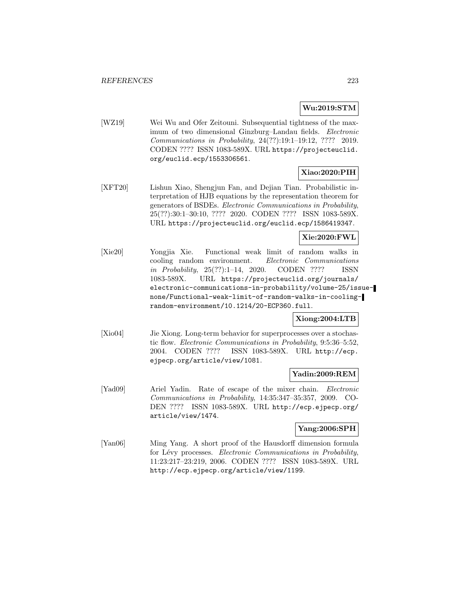# **Wu:2019:STM**

[WZ19] Wei Wu and Ofer Zeitouni. Subsequential tightness of the maximum of two dimensional Ginzburg–Landau fields. Electronic Communications in Probability, 24(??):19:1–19:12, ???? 2019. CODEN ???? ISSN 1083-589X. URL https://projecteuclid. org/euclid.ecp/1553306561.

# **Xiao:2020:PIH**

[XFT20] Lishun Xiao, Shengjun Fan, and Dejian Tian. Probabilistic interpretation of HJB equations by the representation theorem for generators of BSDEs. Electronic Communications in Probability, 25(??):30:1–30:10, ???? 2020. CODEN ???? ISSN 1083-589X. URL https://projecteuclid.org/euclid.ecp/1586419347.

## **Xie:2020:FWL**

[Xie20] Yongjia Xie. Functional weak limit of random walks in cooling random environment. Electronic Communications in Probability, 25(??):1–14, 2020. CODEN ???? ISSN 1083-589X. URL https://projecteuclid.org/journals/ electronic-communications-in-probability/volume-25/issuenone/Functional-weak-limit-of-random-walks-in-coolingrandom-environment/10.1214/20-ECP360.full.

## **Xiong:2004:LTB**

[Xio04] Jie Xiong. Long-term behavior for superprocesses over a stochastic flow. Electronic Communications in Probability, 9:5:36–5:52, 2004. CODEN ???? ISSN 1083-589X. URL http://ecp. ejpecp.org/article/view/1081.

### **Yadin:2009:REM**

[Yad09] Ariel Yadin. Rate of escape of the mixer chain. Electronic Communications in Probability, 14:35:347–35:357, 2009. CO-DEN ???? ISSN 1083-589X. URL http://ecp.ejpecp.org/ article/view/1474.

## **Yang:2006:SPH**

[Yan06] Ming Yang. A short proof of the Hausdorff dimension formula for Lévy processes. Electronic Communications in Probability, 11:23:217–23:219, 2006. CODEN ???? ISSN 1083-589X. URL http://ecp.ejpecp.org/article/view/1199.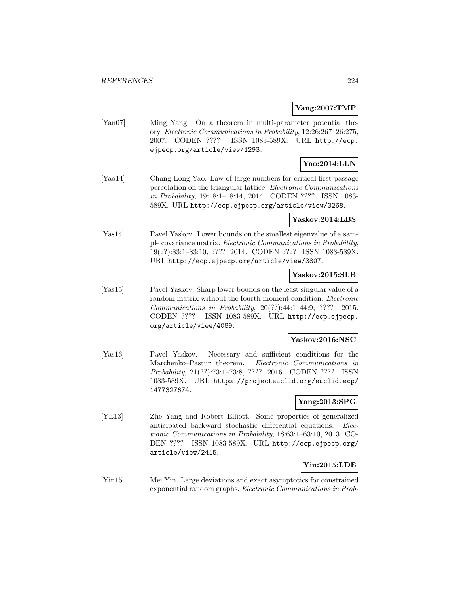## **Yang:2007:TMP**

[Yan07] Ming Yang. On a theorem in multi-parameter potential theory. Electronic Communications in Probability, 12:26:267–26:275, 2007. CODEN ???? ISSN 1083-589X. URL http://ecp. ejpecp.org/article/view/1293.

## **Yao:2014:LLN**

[Yao14] Chang-Long Yao. Law of large numbers for critical first-passage percolation on the triangular lattice. Electronic Communications in Probability, 19:18:1–18:14, 2014. CODEN ???? ISSN 1083- 589X. URL http://ecp.ejpecp.org/article/view/3268.

#### **Yaskov:2014:LBS**

[Yas14] Pavel Yaskov. Lower bounds on the smallest eigenvalue of a sample covariance matrix. Electronic Communications in Probability, 19(??):83:1–83:10, ???? 2014. CODEN ???? ISSN 1083-589X. URL http://ecp.ejpecp.org/article/view/3807.

### **Yaskov:2015:SLB**

[Yas15] Pavel Yaskov. Sharp lower bounds on the least singular value of a random matrix without the fourth moment condition. Electronic Communications in Probability, 20(??):44:1–44:9, ???? 2015. CODEN ???? ISSN 1083-589X. URL http://ecp.ejpecp. org/article/view/4089.

### **Yaskov:2016:NSC**

[Yas16] Pavel Yaskov. Necessary and sufficient conditions for the Marchenko–Pastur theorem. Electronic Communications in Probability, 21(??):73:1–73:8, ???? 2016. CODEN ???? ISSN 1083-589X. URL https://projecteuclid.org/euclid.ecp/ 1477327674.

## **Yang:2013:SPG**

[YE13] Zhe Yang and Robert Elliott. Some properties of generalized anticipated backward stochastic differential equations. Electronic Communications in Probability, 18:63:1–63:10, 2013. CO-DEN ???? ISSN 1083-589X. URL http://ecp.ejpecp.org/ article/view/2415.

## **Yin:2015:LDE**

[Yin15] Mei Yin. Large deviations and exact asymptotics for constrained exponential random graphs. Electronic Communications in Prob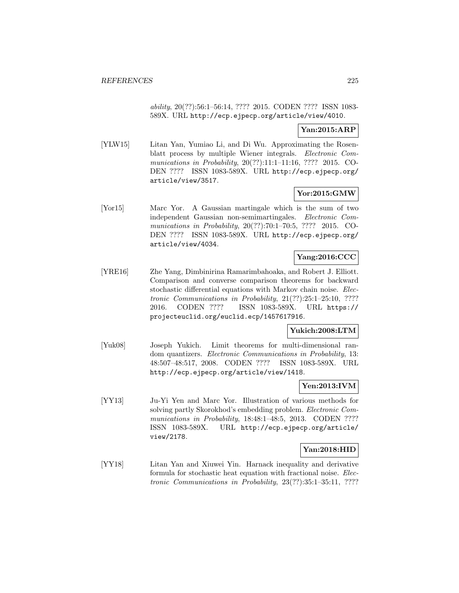ability, 20(??):56:1–56:14, ???? 2015. CODEN ???? ISSN 1083- 589X. URL http://ecp.ejpecp.org/article/view/4010.

## **Yan:2015:ARP**

[YLW15] Litan Yan, Yumiao Li, and Di Wu. Approximating the Rosenblatt process by multiple Wiener integrals. Electronic Communications in Probability, 20(??):11:1–11:16, ???? 2015. CO-DEN ???? ISSN 1083-589X. URL http://ecp.ejpecp.org/ article/view/3517.

## **Yor:2015:GMW**

[Yor15] Marc Yor. A Gaussian martingale which is the sum of two independent Gaussian non-semimartingales. Electronic Communications in Probability, 20(??):70:1–70:5, ???? 2015. CO-DEN ???? ISSN 1083-589X. URL http://ecp.ejpecp.org/ article/view/4034.

## **Yang:2016:CCC**

[YRE16] Zhe Yang, Dimbinirina Ramarimbahoaka, and Robert J. Elliott. Comparison and converse comparison theorems for backward stochastic differential equations with Markov chain noise. Electronic Communications in Probability, 21(??):25:1–25:10, ???? 2016. CODEN ???? ISSN 1083-589X. URL https:// projecteuclid.org/euclid.ecp/1457617916.

## **Yukich:2008:LTM**

[Yuk08] Joseph Yukich. Limit theorems for multi-dimensional random quantizers. Electronic Communications in Probability, 13: 48:507–48:517, 2008. CODEN ???? ISSN 1083-589X. URL http://ecp.ejpecp.org/article/view/1418.

### **Yen:2013:IVM**

[YY13] Ju-Yi Yen and Marc Yor. Illustration of various methods for solving partly Skorokhod's embedding problem. Electronic Communications in Probability, 18:48:1-48:5, 2013. CODEN ???? ISSN 1083-589X. URL http://ecp.ejpecp.org/article/ view/2178.

## **Yan:2018:HID**

[YY18] Litan Yan and Xiuwei Yin. Harnack inequality and derivative formula for stochastic heat equation with fractional noise. Electronic Communications in Probability, 23(??):35:1–35:11, ????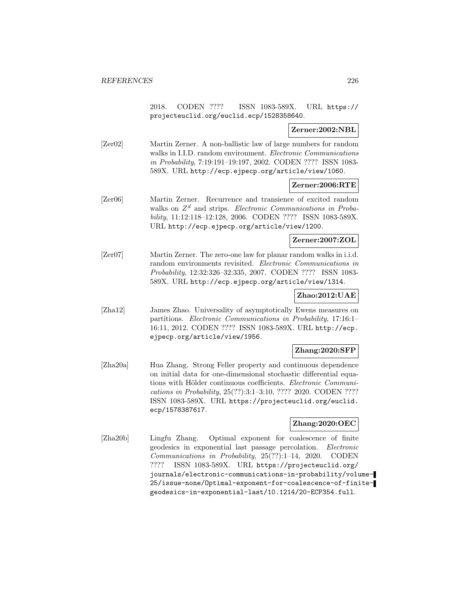2018. CODEN ???? ISSN 1083-589X. URL https:// projecteuclid.org/euclid.ecp/1528358640.

## **Zerner:2002:NBL**

[Zer02] Martin Zerner. A non-ballistic law of large numbers for random walks in I.I.D. random environment. Electronic Communications in Probability, 7:19:191–19:197, 2002. CODEN ???? ISSN 1083- 589X. URL http://ecp.ejpecp.org/article/view/1060.

### **Zerner:2006:RTE**

[Zer06] Martin Zerner. Recurrence and transience of excited random walks on  $Z^d$  and strips. Electronic Communications in Probability, 11:12:118–12:128, 2006. CODEN ???? ISSN 1083-589X. URL http://ecp.ejpecp.org/article/view/1200.

### **Zerner:2007:ZOL**

[Zer07] Martin Zerner. The zero-one law for planar random walks in i.i.d. random environments revisited. Electronic Communications in Probability, 12:32:326–32:335, 2007. CODEN ???? ISSN 1083- 589X. URL http://ecp.ejpecp.org/article/view/1314.

# **Zhao:2012:UAE**

[Zha12] James Zhao. Universality of asymptotically Ewens measures on partitions. Electronic Communications in Probability, 17:16:1– 16:11, 2012. CODEN ???? ISSN 1083-589X. URL http://ecp. ejpecp.org/article/view/1956.

### **Zhang:2020:SFP**

[Zha20a] Hua Zhang. Strong Feller property and continuous dependence on initial data for one-dimensional stochastic differential equations with Hölder continuous coefficients. Electronic Communications in Probability, 25(??):3:1–3:10, ???? 2020. CODEN ???? ISSN 1083-589X. URL https://projecteuclid.org/euclid. ecp/1578387617.

# **Zhang:2020:OEC**

[Zha20b] Lingfu Zhang. Optimal exponent for coalescence of finite geodesics in exponential last passage percolation. Electronic Communications in Probability, 25(??):1–14, 2020. CODEN ???? ISSN 1083-589X. URL https://projecteuclid.org/ journals/electronic-communications-in-probability/volume-25/issue-none/Optimal-exponent-for-coalescence-of-finitegeodesics-in-exponential-last/10.1214/20-ECP354.full.